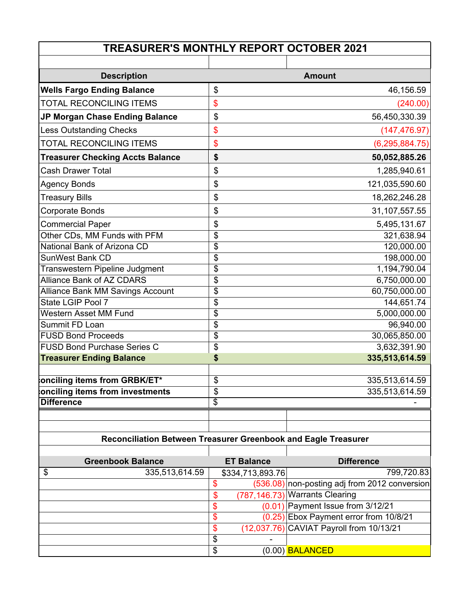| <b>TREASURER'S MONTHLY REPORT OCTOBER 2021</b>                 |    |                   |                                               |  |  |
|----------------------------------------------------------------|----|-------------------|-----------------------------------------------|--|--|
|                                                                |    |                   |                                               |  |  |
| <b>Description</b>                                             |    |                   | <b>Amount</b>                                 |  |  |
| <b>Wells Fargo Ending Balance</b>                              | \$ |                   | 46,156.59                                     |  |  |
| TOTAL RECONCILING ITEMS                                        | \$ |                   | (240.00)                                      |  |  |
| JP Morgan Chase Ending Balance                                 | \$ |                   | 56,450,330.39                                 |  |  |
| <b>Less Outstanding Checks</b>                                 | \$ |                   | (147, 476.97)                                 |  |  |
| TOTAL RECONCILING ITEMS                                        | \$ |                   | (6, 295, 884.75)                              |  |  |
| <b>Treasurer Checking Accts Balance</b>                        | \$ |                   | 50,052,885.26                                 |  |  |
| <b>Cash Drawer Total</b>                                       | \$ |                   | 1,285,940.61                                  |  |  |
| <b>Agency Bonds</b>                                            | \$ |                   | 121,035,590.60                                |  |  |
| <b>Treasury Bills</b>                                          | \$ |                   | 18,262,246.28                                 |  |  |
| <b>Corporate Bonds</b>                                         | \$ |                   | 31,107,557.55                                 |  |  |
| <b>Commercial Paper</b>                                        | \$ |                   | 5,495,131.67                                  |  |  |
| Other CDs, MM Funds with PFM                                   | \$ |                   | 321,638.94                                    |  |  |
| National Bank of Arizona CD                                    | \$ |                   | 120,000.00                                    |  |  |
| <b>SunWest Bank CD</b>                                         | \$ |                   | 198,000.00                                    |  |  |
| Transwestern Pipeline Judgment                                 | \$ |                   | 1,194,790.04                                  |  |  |
| <b>Alliance Bank of AZ CDARS</b>                               | \$ |                   | 6,750,000.00                                  |  |  |
| Alliance Bank MM Savings Account                               | \$ |                   | 60,750,000.00                                 |  |  |
| State LGIP Pool 7                                              | \$ |                   | 144,651.74                                    |  |  |
| Western Asset MM Fund                                          | \$ |                   | 5,000,000.00                                  |  |  |
| Summit FD Loan                                                 | \$ |                   | 96,940.00                                     |  |  |
| <b>FUSD Bond Proceeds</b>                                      | \$ |                   | 30,065,850.00                                 |  |  |
| <b>FUSD Bond Purchase Series C</b>                             | \$ |                   | 3,632,391.90                                  |  |  |
| <b>Treasurer Ending Balance</b>                                | \$ |                   | 335,513,614.59                                |  |  |
| onciling items from GRBK/ET*                                   | \$ |                   | 335,513,614.59                                |  |  |
| onciling items from investments                                | \$ |                   | 335,513,614.59                                |  |  |
| <b>Difference</b>                                              | \$ |                   |                                               |  |  |
|                                                                |    |                   |                                               |  |  |
|                                                                |    |                   |                                               |  |  |
| Reconciliation Between Treasurer Greenbook and Eagle Treasurer |    |                   |                                               |  |  |
| <b>Greenbook Balance</b>                                       |    | <b>ET Balance</b> | <b>Difference</b>                             |  |  |
| \$<br>335,513,614.59                                           |    | \$334,713,893.76  | 799,720.83                                    |  |  |
|                                                                | \$ |                   | (536.08) non-posting adj from 2012 conversion |  |  |
|                                                                | \$ |                   | (787,146.73) Warrants Clearing                |  |  |
|                                                                | \$ |                   | $(0.01)$ Payment Issue from 3/12/21           |  |  |
|                                                                | \$ |                   | (0.25) Ebox Payment error from 10/8/21        |  |  |
|                                                                | \$ |                   | (12,037.76) CAVIAT Payroll from 10/13/21      |  |  |
|                                                                | \$ |                   |                                               |  |  |
|                                                                | \$ |                   | (0.00) BALANCED                               |  |  |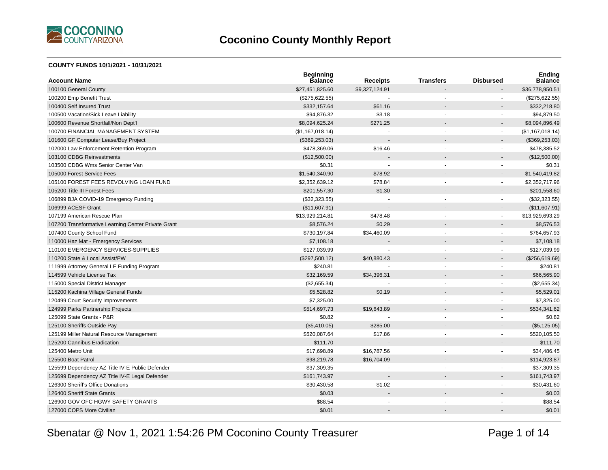

#### **COUNTY FUNDS 10/1/2021 - 10/31/2021**

| <b>Account Name</b>                                 | <b>Beginning</b><br><b>Balance</b> | <b>Receipts</b> | <b>Transfers</b>         | <b>Disbursed</b> | Ending<br><b>Balance</b> |
|-----------------------------------------------------|------------------------------------|-----------------|--------------------------|------------------|--------------------------|
| 100100 General County                               | \$27,451,825.60                    | \$9,327,124.91  |                          |                  | \$36,778,950.51          |
| 100200 Emp Benefit Trust                            | (\$275,622.55)                     |                 |                          |                  | (\$275,622.55)           |
| 100400 Self Insured Trust                           | \$332,157.64                       | \$61.16         |                          |                  | \$332,218.80             |
| 100500 Vacation/Sick Leave Liability                | \$94,876.32                        | \$3.18          |                          |                  | \$94,879.50              |
| 100600 Revenue Shortfall/Non Dept'l                 | \$8,094,625.24                     | \$271.25        |                          |                  | \$8,094,896.49           |
| 100700 FINANCIAL MANAGEMENT SYSTEM                  | (\$1,167,018.14)                   |                 | $\blacksquare$           | $\blacksquare$   | (\$1,167,018.14)         |
| 101600 GF Computer Lease/Buy Project                | (\$369,253.03)                     |                 |                          | $\overline{a}$   | (\$369, 253.03)          |
| 102000 Law Enforcement Retention Program            | \$478,369.06                       | \$16.46         |                          | ä,               | \$478,385.52             |
| 103100 CDBG Reinvestments                           | (\$12,500.00)                      |                 |                          |                  | (\$12,500.00)            |
| 103500 CDBG Wms Senior Center Van                   | \$0.31                             |                 |                          | $\blacksquare$   | \$0.31                   |
| 105000 Forest Service Fees                          | \$1,540,340.90                     | \$78.92         |                          | $\blacksquare$   | \$1,540,419.82           |
| 105100 FOREST FEES REVOLVING LOAN FUND              | \$2,352,639.12                     | \$78.84         | $\overline{\phantom{a}}$ | ä,               | \$2,352,717.96           |
| 105200 Title III Forest Fees                        | \$201,557.30                       | \$1.30          |                          | $\overline{a}$   | \$201,558.60             |
| 106899 BJA COVID-19 Emergency Funding               | (\$32,323.55)                      |                 |                          | ä,               | (\$32,323.55)            |
| 106999 ACESF Grant                                  | (\$11,607.91)                      |                 |                          |                  | (\$11,607.91)            |
| 107199 American Rescue Plan                         | \$13,929,214.81                    | \$478.48        |                          | $\blacksquare$   | \$13,929,693.29          |
| 107200 Transformative Learning Center Private Grant | \$8,576.24                         | \$0.29          |                          |                  | \$8,576.53               |
| 107400 County School Fund                           | \$730,197.84                       | \$34,460.09     |                          | ä,               | \$764,657.93             |
| 110000 Haz Mat - Emergency Services                 | \$7,108.18                         |                 |                          | $\overline{a}$   | \$7,108.18               |
| 110100 EMERGENCY SERVICES-SUPPLIES                  | \$127,039.99                       |                 |                          | $\blacksquare$   | \$127,039.99             |
| 110200 State & Local Assist/PW                      | (\$297,500.12)                     | \$40,880.43     |                          | $\blacksquare$   | (\$256,619.69)           |
| 111999 Attorney General LE Funding Program          | \$240.81                           |                 |                          | ÷                | \$240.81                 |
| 114599 Vehicle License Tax                          | \$32,169.59                        | \$34,396.31     |                          |                  | \$66,565.90              |
| 115000 Special District Manager                     | (\$2,655.34)                       |                 |                          | $\blacksquare$   | (\$2,655.34)             |
| 115200 Kachina Village General Funds                | \$5,528.82                         | \$0.19          |                          | $\overline{a}$   | \$5,529.01               |
| 120499 Court Security Improvements                  | \$7,325.00                         |                 |                          | ä,               | \$7,325.00               |
| 124999 Parks Partnership Projects                   | \$514,697.73                       | \$19,643.89     |                          |                  | \$534,341.62             |
| 125099 State Grants - P&R                           | \$0.82                             |                 |                          |                  | \$0.82                   |
| 125100 Sheriffs Outside Pay                         | (\$5,410.05)                       | \$285.00        |                          |                  | (\$5,125.05)             |
| 125199 Miller Natural Resource Management           | \$520,087.64                       | \$17.86         | $\overline{\phantom{a}}$ | $\blacksquare$   | \$520,105.50             |
| 125200 Cannibus Eradication                         | \$111.70                           |                 |                          |                  | \$111.70                 |
| 125400 Metro Unit                                   | \$17,698.89                        | \$16,787.56     |                          | ä,               | \$34,486.45              |
| 125500 Boat Patrol                                  | \$98,219.78                        | \$16,704.09     |                          |                  | \$114,923.87             |
| 125599 Dependency AZ Title IV-E Public Defender     | \$37,309.35                        |                 |                          | $\overline{a}$   | \$37,309.35              |
| 125699 Dependency AZ Title IV-E Legal Defender      | \$161,743.97                       |                 |                          |                  | \$161,743.97             |
| 126300 Sheriff's Office Donations                   | \$30,430.58                        | \$1.02          |                          | $\blacksquare$   | \$30,431.60              |
| 126400 Sheriff State Grants                         | \$0.03                             |                 |                          |                  | \$0.03                   |
| 126900 GOV OFC HGWY SAFETY GRANTS                   | \$88.54                            |                 |                          |                  | \$88.54                  |
| 127000 COPS More Civilian                           | \$0.01                             |                 |                          |                  | \$0.01                   |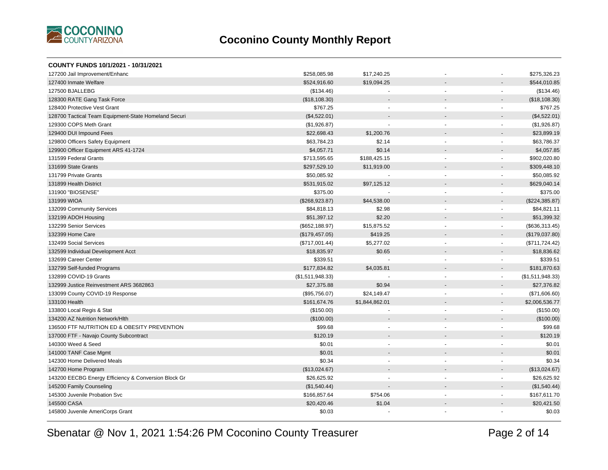

| COUNTY FUNDS 10/1/2021 - 10/31/2021                  |                  |                          |                          |                          |                  |
|------------------------------------------------------|------------------|--------------------------|--------------------------|--------------------------|------------------|
| 127200 Jail Improvement/Enhanc                       | \$258,085.98     | \$17,240.25              |                          |                          | \$275,326.23     |
| 127400 Inmate Welfare                                | \$524,916.60     | \$19,094.25              |                          |                          | \$544,010.85     |
| 127500 BJALLEBG                                      | (\$134.46)       |                          |                          | $\sim$                   | (\$134.46)       |
| 128300 RATE Gang Task Force                          | (\$18,108.30)    |                          |                          | $\blacksquare$           | (\$18,108.30)    |
| 128400 Protective Vest Grant                         | \$767.25         |                          | $\ddot{\phantom{1}}$     | ٠                        | \$767.25         |
| 128700 Tactical Team Equipment-State Homeland Securi | (\$4,522.01)     |                          |                          |                          | (\$4,522.01)     |
| 129300 COPS Meth Grant                               | (\$1,926.87)     | $\overline{\phantom{a}}$ | $\blacksquare$           | $\overline{\phantom{a}}$ | (\$1,926.87)     |
| 129400 DUI Impound Fees                              | \$22,698.43      | \$1,200.76               | $\overline{a}$           | $\overline{a}$           | \$23,899.19      |
| 129800 Officers Safety Equipment                     | \$63,784.23      | \$2.14                   |                          | $\blacksquare$           | \$63,786.37      |
| 129900 Officer Equipment ARS 41-1724                 | \$4,057.71       | \$0.14                   |                          |                          | \$4,057.85       |
| 131599 Federal Grants                                | \$713,595.65     | \$188,425.15             | $\blacksquare$           | $\sim$                   | \$902,020.80     |
| 131699 State Grants                                  | \$297,529.10     | \$11,919.00              |                          | $\blacksquare$           | \$309,448.10     |
| 131799 Private Grants                                | \$50,085.92      |                          |                          | $\blacksquare$           | \$50,085.92      |
| 131899 Health District                               | \$531,915.02     | \$97,125.12              |                          | $\overline{\phantom{a}}$ | \$629,040.14     |
| 131900 "BIOSENSE"                                    | \$375.00         |                          | ÷                        | $\blacksquare$           | \$375.00         |
| 131999 WIOA                                          | (\$268,923.87)   | \$44,538.00              |                          | $\blacksquare$           | (\$224,385.87)   |
| 132099 Community Services                            | \$84,818.13      | \$2.98                   | $\blacksquare$           | $\blacksquare$           | \$84,821.11      |
| 132199 ADOH Housing                                  | \$51,397.12      | \$2.20                   |                          |                          | \$51,399.32      |
| 132299 Senior Services                               | (\$652, 188.97)  | \$15,875.52              | $\overline{\phantom{a}}$ | $\blacksquare$           | (\$636,313.45)   |
| 132399 Home Care                                     | (\$179,457.05)   | \$419.25                 |                          | $\blacksquare$           | (\$179,037.80)   |
| 132499 Social Services                               | (\$717,001.44)   | \$5,277.02               | $\sim$                   | $\overline{\phantom{a}}$ | (\$711, 724.42)  |
| 132599 Individual Development Acct                   | \$18,835.97      | \$0.65                   |                          | $\sim$                   | \$18,836.62      |
| 132699 Career Center                                 | \$339.51         |                          | $\blacksquare$           | $\overline{\phantom{a}}$ | \$339.51         |
| 132799 Self-funded Programs                          | \$177,834.82     | \$4,035.81               |                          | $\overline{\phantom{a}}$ | \$181,870.63     |
| 132899 COVID-19 Grants                               | (\$1,511,948.33) |                          | $\blacksquare$           | $\sim$                   | (\$1,511,948.33) |
| 132999 Justice Reinvestment ARS 3682863              | \$27,375.88      | \$0.94                   |                          |                          | \$27,376.82      |
| 133099 County COVID-19 Response                      | (\$95,756.07)    | \$24,149.47              | $\overline{a}$           | $\blacksquare$           | (\$71,606.60)    |
| 133100 Health                                        | \$161,674.76     | \$1,844,862.01           |                          | $\blacksquare$           | \$2,006,536.77   |
| 133800 Local Regis & Stat                            | (\$150.00)       |                          | $\blacksquare$           | $\blacksquare$           | (\$150.00)       |
| 134200 AZ Nutrition Network/Hlth                     | (\$100.00)       |                          |                          |                          | (\$100.00)       |
| 136500 FTF NUTRITION ED & OBESITY PREVENTION         | \$99.68          |                          |                          |                          | \$99.68          |
| 137000 FTF - Navajo County Subcontract               | \$120.19         |                          |                          |                          | \$120.19         |
| 140300 Weed & Seed                                   | \$0.01           |                          | ä,                       |                          | \$0.01           |
| 141000 TANF Case Mgmt                                | \$0.01           |                          |                          |                          | \$0.01           |
| 142300 Home Delivered Meals                          | \$0.34           |                          | $\blacksquare$           |                          | \$0.34           |
| 142700 Home Program                                  | (\$13,024.67)    |                          |                          |                          | (\$13,024.67)    |
| 143200 EECBG Energy Efficiency & Conversion Block Gr | \$26,625.92      | $\blacksquare$           | $\blacksquare$           | $\blacksquare$           | \$26,625.92      |
| 145200 Family Counseling                             | (\$1,540.44)     |                          |                          | $\overline{a}$           | (\$1,540.44)     |
| 145300 Juvenile Probation Svc                        | \$166,857.64     | \$754.06                 |                          | $\blacksquare$           | \$167,611.70     |
| 145500 CASA                                          | \$20,420.46      | \$1.04                   |                          | $\blacksquare$           | \$20,421.50      |
| 145800 Juvenile AmeriCorps Grant                     | \$0.03           |                          |                          |                          | \$0.03           |
|                                                      |                  |                          |                          |                          |                  |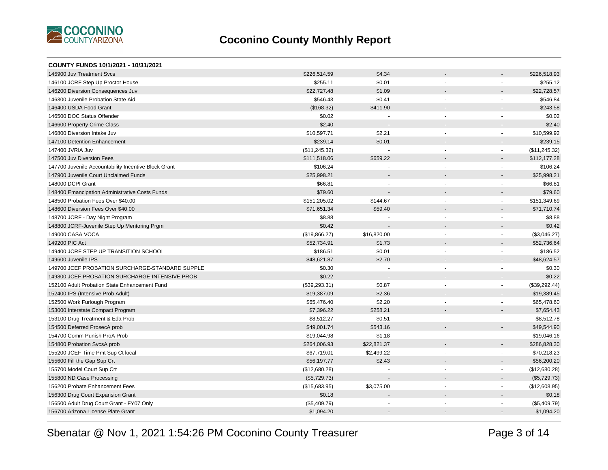

| COUNTY FUNDS 10/1/2021 - 10/31/2021                  |               |                |                |                          |               |
|------------------------------------------------------|---------------|----------------|----------------|--------------------------|---------------|
| 145900 Juv Treatment Sycs                            | \$226,514.59  | \$4.34         |                |                          | \$226,518.93  |
| 146100 JCRF Step Up Proctor House                    | \$255.11      | \$0.01         |                | L.                       | \$255.12      |
| 146200 Diversion Consequences Juv                    | \$22,727.48   | \$1.09         |                |                          | \$22,728.57   |
| 146300 Juvenile Probation State Aid                  | \$546.43      | \$0.41         |                | $\overline{a}$           | \$546.84      |
| 146400 USDA Food Grant                               | (\$168.32)    | \$411.90       |                |                          | \$243.58      |
| 146500 DOC Status Offender                           | \$0.02        |                | $\overline{a}$ | $\overline{a}$           | \$0.02        |
| 146600 Property Crime Class                          | \$2.40        |                |                |                          | \$2.40        |
| 146800 Diversion Intake Juv                          | \$10,597.71   | \$2.21         | $\blacksquare$ | $\blacksquare$           | \$10,599.92   |
| 147100 Detention Enhancement                         | \$239.14      | \$0.01         |                |                          | \$239.15      |
| 147400 JVRIA Juv                                     | (\$11,245.32) |                |                | $\blacksquare$           | (\$11,245.32) |
| 147500 Juv Diversion Fees                            | \$111,518.06  | \$659.22       |                |                          | \$112,177.28  |
| 147700 Juvenile Accountability Incentive Block Grant | \$106.24      |                |                | $\blacksquare$           | \$106.24      |
| 147900 Juvenile Court Unclaimed Funds                | \$25,998.21   |                |                | $\overline{a}$           | \$25,998.21   |
| 148000 DCPI Grant                                    | \$66.81       | $\blacksquare$ | $\blacksquare$ | $\overline{\phantom{a}}$ | \$66.81       |
| 148400 Emancipation Administrative Costs Funds       | \$79.60       |                |                | $\overline{a}$           | \$79.60       |
| 148500 Probation Fees Over \$40.00                   | \$151,205.02  | \$144.67       | $\mathbf{r}$   | $\blacksquare$           | \$151,349.69  |
| 148600 Diversion Fees Over \$40.00                   | \$71,651.34   | \$59.40        |                | $\blacksquare$           | \$71,710.74   |
| 148700 JCRF - Day Night Program                      | \$8.88        |                |                | $\blacksquare$           | \$8.88        |
| 148800 JCRF-Juvenile Step Up Mentoring Prgm          | \$0.42        |                |                |                          | \$0.42        |
| 149000 CASA VOCA                                     | (\$19,866.27) | \$16,820.00    |                | $\blacksquare$           | (\$3,046.27)  |
| 149200 PIC Act                                       | \$52,734.91   | \$1.73         |                | $\blacksquare$           | \$52,736.64   |
| 149400 JCRF STEP UP TRANSITION SCHOOL                | \$186.51      | \$0.01         |                | $\overline{a}$           | \$186.52      |
| 149600 Juvenile IPS                                  | \$48,621.87   | \$2.70         |                | $\overline{\phantom{a}}$ | \$48,624.57   |
| 149700 JCEF PROBATION SURCHARGE-STANDARD SUPPLE      | \$0.30        |                | $\blacksquare$ | $\blacksquare$           | \$0.30        |
| 149800 JCEF PROBATION SURCHARGE-INTENSIVE PROB       | \$0.22        |                |                |                          | \$0.22        |
| 152100 Adult Probation State Enhancement Fund        | (\$39,293.31) | \$0.87         |                | $\blacksquare$           | (\$39,292.44) |
| 152400 IPS (Intensive Prob Adult)                    | \$19,387.09   | \$2.36         |                | $\overline{a}$           | \$19,389.45   |
| 152500 Work Furlough Program                         | \$65,476.40   | \$2.20         | $\blacksquare$ | $\blacksquare$           | \$65,478.60   |
| 153000 Interstate Compact Program                    | \$7,396.22    | \$258.21       |                | $\overline{a}$           | \$7,654.43    |
| 153100 Drug Treatment & Eda Prob                     | \$8,512.27    | \$0.51         | $\sim$         | $\blacksquare$           | \$8,512.78    |
| 154500 Deferred ProsecA prob                         | \$49,001.74   | \$543.16       |                | $\blacksquare$           | \$49,544.90   |
| 154700 Comm Punish ProA Prob                         | \$19,044.98   | \$1.18         | $\blacksquare$ | $\blacksquare$           | \$19,046.16   |
| 154800 Probation SvcsA prob                          | \$264,006.93  | \$22,821.37    |                |                          | \$286,828.30  |
| 155200 JCEF Time Pmt Sup Ct local                    | \$67,719.01   | \$2,499.22     | $\blacksquare$ | $\blacksquare$           | \$70,218.23   |
| 155600 Fill the Gap Sup Crt                          | \$56,197.77   | \$2.43         |                |                          | \$56,200.20   |
| 155700 Model Court Sup Crt                           | (\$12,680.28) |                |                | ä,                       | (\$12,680.28) |
| 155800 ND Case Processing                            | (\$5,729.73)  |                |                | $\overline{\phantom{a}}$ | (\$5,729.73)  |
| 156200 Probate Enhancement Fees                      | (\$15,683.95) | \$3,075.00     | L.             | $\overline{a}$           | (\$12,608.95) |
| 156300 Drug Court Expansion Grant                    | \$0.18        |                |                | $\blacksquare$           | \$0.18        |
| 156500 Adult Drug Court Grant - FY07 Only            | (\$5,409.79)  |                |                |                          | (\$5,409.79)  |
| 156700 Arizona License Plate Grant                   | \$1,094.20    |                |                | $\overline{\phantom{a}}$ | \$1,094.20    |
|                                                      |               |                |                |                          |               |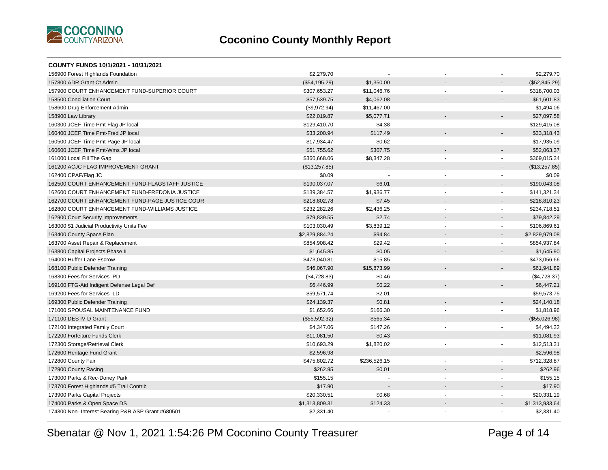

| COUNTY FUNDS 10/1/2021 - 10/31/2021                |                |              |                          |                          |                |
|----------------------------------------------------|----------------|--------------|--------------------------|--------------------------|----------------|
| 156900 Forest Highlands Foundation                 | \$2,279.70     |              |                          |                          | \$2,279.70     |
| 157800 ADR Grant Ct Admin                          | (\$54,195.29)  | \$1,350.00   |                          |                          | (\$52,845.29)  |
| 157900 COURT ENHANCEMENT FUND-SUPERIOR COURT       | \$307,653.27   | \$11,046.76  | $\ddot{\phantom{1}}$     | $\overline{\phantom{a}}$ | \$318,700.03   |
| 158500 Conciliation Court                          | \$57,539.75    | \$4,062.08   |                          | $\blacksquare$           | \$61,601.83    |
| 158600 Drug Enforcement Admin                      | (\$9,972.94)   | \$11,467.00  | $\blacksquare$           | $\overline{\phantom{a}}$ | \$1,494.06     |
| 158900 Law Library                                 | \$22,019.87    | \$5,077.71   |                          |                          | \$27,097.58    |
| 160300 JCEF Time Pmt-Flag JP local                 | \$129,410.70   | \$4.38       | ÷,                       | $\sim$                   | \$129,415.08   |
| 160400 JCEF Time Pmt-Fred JP local                 | \$33,200.94    | \$117.49     |                          |                          | \$33,318.43    |
| 160500 JCEF Time Pmt-Page JP local                 | \$17,934.47    | \$0.62       |                          | $\blacksquare$           | \$17,935.09    |
| 160600 JCEF Time Pmt-Wms JP local                  | \$51,755.62    | \$307.75     |                          | $\blacksquare$           | \$52,063.37    |
| 161000 Local Fill The Gap                          | \$360,668.06   | \$8,347.28   |                          | $\blacksquare$           | \$369,015.34   |
| 161200 ACJC FLAG IMPROVEMENT GRANT                 | (\$13,257.85)  |              |                          |                          | (\$13,257.85)  |
| 162400 CPAF/Flag JC                                | \$0.09         |              |                          | $\blacksquare$           | \$0.09         |
| 162500 COURT ENHANCEMENT FUND-FLAGSTAFF JUSTICE    | \$190,037.07   | \$6.01       |                          | $\blacksquare$           | \$190,043.08   |
| 162600 COURT ENHANCEMENT FUND-FREDONIA JUSTICE     | \$139,384.57   | \$1,936.77   | $\blacksquare$           | $\blacksquare$           | \$141,321.34   |
| 162700 COURT ENHANCEMENT FUND-PAGE JUSTICE COUR    | \$218,802.78   | \$7.45       |                          |                          | \$218,810.23   |
| 162800 COURT ENHANCEMENT FUND-WILLIAMS JUSTICE     | \$232,282.26   | \$2,436.25   | $\overline{\phantom{a}}$ | $\sim$                   | \$234,718.51   |
| 162900 Court Security Improvements                 | \$79,839.55    | \$2.74       |                          | $\sim$                   | \$79,842.29    |
| 163000 \$1 Judicial Productivity Units Fee         | \$103,030.49   | \$3,839.12   | $\ddot{\phantom{1}}$     | $\overline{\phantom{a}}$ | \$106,869.61   |
| 163400 County Space Plan                           | \$2,829,884.24 | \$94.84      | $\overline{a}$           | $\overline{a}$           | \$2,829,979.08 |
| 163700 Asset Repair & Replacement                  | \$854,908.42   | \$29.42      | $\blacksquare$           | $\blacksquare$           | \$854,937.84   |
| 163800 Capital Projects Phase II                   | \$1,645.85     | \$0.05       |                          |                          | \$1,645.90     |
| 164000 Huffer Lane Escrow                          | \$473,040.81   | \$15.85      | ٠                        | $\blacksquare$           | \$473,056.66   |
| 168100 Public Defender Training                    | \$46,067.90    | \$15,873.99  |                          | $\blacksquare$           | \$61,941.89    |
| 168300 Fees for Services PD                        | (\$4,728.83)   | \$0.46       | $\overline{a}$           | $\blacksquare$           | (\$4,728.37)   |
| 169100 FTG-Aid Indigent Defense Legal Def          | \$6,446.99     | \$0.22       |                          |                          | \$6,447.21     |
| 169200 Fees for Services LD                        | \$59,571.74    | \$2.01       |                          | $\blacksquare$           | \$59,573.75    |
| 169300 Public Defender Training                    | \$24,139.37    | \$0.81       |                          | $\overline{\phantom{a}}$ | \$24,140.18    |
| 171000 SPOUSAL MAINTENANCE FUND                    | \$1,652.66     | \$166.30     | ä,                       | $\blacksquare$           | \$1,818.96     |
| 171100 DES IV-D Grant                              | (\$55,592.32)  | \$565.34     |                          |                          | (\$55,026.98)  |
| 172100 Integrated Family Court                     | \$4,347.06     | \$147.26     |                          | $\overline{\phantom{a}}$ | \$4,494.32     |
| 172200 Forfeiture Funds Clerk                      | \$11,081.50    | \$0.43       |                          |                          | \$11,081.93    |
| 172300 Storage/Retrieval Clerk                     | \$10,693.29    | \$1,820.02   | $\blacksquare$           | $\overline{\phantom{a}}$ | \$12,513.31    |
| 172600 Heritage Fund Grant                         | \$2,596.98     |              |                          | $\overline{a}$           | \$2,596.98     |
| 172800 County Fair                                 | \$475,802.72   | \$236,526.15 | $\ddot{\phantom{1}}$     | $\overline{\phantom{a}}$ | \$712,328.87   |
| 172900 County Racing                               | \$262.95       | \$0.01       |                          | $\blacksquare$           | \$262.96       |
| 173000 Parks & Rec-Doney Park                      | \$155.15       |              | $\blacksquare$           | $\blacksquare$           | \$155.15       |
| 173700 Forest Highlands #5 Trail Contrib           | \$17.90        |              |                          |                          | \$17.90        |
| 173900 Parks Capital Projects                      | \$20,330.51    | \$0.68       | $\overline{a}$           | $\blacksquare$           | \$20,331.19    |
| 174000 Parks & Open Space DS                       | \$1,313,809.31 | \$124.33     |                          | $\blacksquare$           | \$1,313,933.64 |
| 174300 Non- Interest Bearing P&R ASP Grant #680501 | \$2,331.40     |              |                          | $\blacksquare$           | \$2,331.40     |
|                                                    |                |              |                          |                          |                |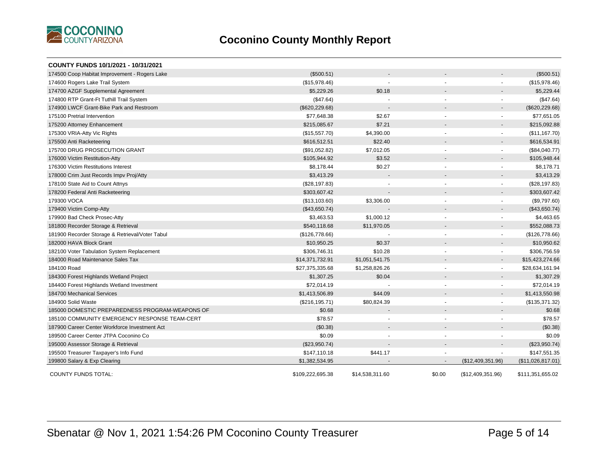

| COUNTY FUNDS 10/1/2021 - 10/31/2021             |                  |                 |                          |                          |                   |
|-------------------------------------------------|------------------|-----------------|--------------------------|--------------------------|-------------------|
| 174500 Coop Habitat Improvement - Rogers Lake   | (\$500.51)       |                 |                          |                          | (\$500.51)        |
| 174600 Rogers Lake Trail System                 | (\$15,978.46)    |                 |                          | $\blacksquare$           | (\$15,978.46)     |
| 174700 AZGF Supplemental Agreement              | \$5,229.26       | \$0.18          |                          |                          | \$5,229.44        |
| 174800 RTP Grant-Ft Tuthill Trail System        | (\$47.64)        |                 | $\blacksquare$           |                          | (\$47.64)         |
| 174900 LWCF Grant-Bike Park and Restroom        | (\$620, 229.68)  |                 |                          | $\overline{\phantom{a}}$ | (\$620, 229.68)   |
| 175100 Pretrial Intervention                    | \$77,648.38      | \$2.67          |                          | $\blacksquare$           | \$77,651.05       |
| 175200 Attorney Enhancement                     | \$215,085.67     | \$7.21          |                          |                          | \$215,092.88      |
| 175300 VRIA-Atty Vic Rights                     | (\$15,557.70)    | \$4,390.00      | $\blacksquare$           | $\blacksquare$           | (\$11, 167.70)    |
| 175500 Anti Racketeering                        | \$616,512.51     | \$22.40         |                          |                          | \$616,534.91      |
| 175700 DRUG PROSECUTION GRANT                   | (\$91,052.82)    | \$7,012.05      |                          | $\blacksquare$           | (\$84,040.77)     |
| 176000 Victim Restitution-Atty                  | \$105,944.92     | \$3.52          |                          |                          | \$105,948.44      |
| 176300 Victim Restitutions Interest             | \$8,178.44       | \$0.27          | $\blacksquare$           |                          | \$8,178.71        |
| 178000 Crim Just Records Impy Proj/Atty         | \$3,413.29       |                 |                          |                          | \$3,413.29        |
| 178100 State Aid to Count Attnys                | (\$28,197.83)    |                 |                          | $\blacksquare$           | (\$28,197.83)     |
| 178200 Federal Anti Racketeering                | \$303,607.42     |                 |                          |                          | \$303,607.42      |
| 179300 VOCA                                     | (\$13,103.60)    | \$3,306.00      | $\blacksquare$           | $\blacksquare$           | (\$9,797.60)      |
| 179400 Victim Comp-Atty                         | (\$43,650.74)    |                 |                          |                          | (\$43,650.74)     |
| 179900 Bad Check Prosec-Atty                    | \$3,463.53       | \$1,000.12      | $\overline{\phantom{a}}$ | $\blacksquare$           | \$4,463.65        |
| 181800 Recorder Storage & Retrieval             | \$540,118.68     | \$11,970.05     |                          | $\overline{\phantom{a}}$ | \$552,088.73      |
| 181900 Recorder Storage & Retrieval/Voter Tabul | (\$126,778.66)   |                 |                          | $\blacksquare$           | (\$126,778.66)    |
| 182000 HAVA Block Grant                         | \$10,950.25      | \$0.37          |                          | $\overline{\phantom{a}}$ | \$10,950.62       |
| 182100 Voter Tabulation System Replacement      | \$306,746.31     | \$10.28         | $\blacksquare$           | $\blacksquare$           | \$306,756.59      |
| 184000 Road Maintenance Sales Tax               | \$14,371,732.91  | \$1,051,541.75  |                          | $\overline{\phantom{a}}$ | \$15,423,274.66   |
| 184100 Road                                     | \$27,375,335.68  | \$1,258,826.26  | $\blacksquare$           | $\blacksquare$           | \$28,634,161.94   |
| 184300 Forest Highlands Wetland Project         | \$1,307.25       | \$0.04          |                          |                          | \$1,307.29        |
| 184400 Forest Highlands Wetland Investment      | \$72,014.19      |                 |                          |                          | \$72,014.19       |
| 184700 Mechanical Services                      | \$1,413,506.89   | \$44.09         |                          | $\overline{\phantom{a}}$ | \$1,413,550.98    |
| 184900 Solid Waste                              | (\$216, 195.71)  | \$80,824.39     | $\overline{\phantom{a}}$ | $\blacksquare$           | (\$135,371.32)    |
| 185000 DOMESTIC PREPAREDNESS PROGRAM-WEAPONS OF | \$0.68           |                 |                          |                          | \$0.68            |
| 185100 COMMUNITY EMERGENCY RESPONSE TEAM-CERT   | \$78.57          |                 | $\blacksquare$           |                          | \$78.57           |
| 187900 Career Center Workforce Investment Act   | (\$0.38)         |                 |                          |                          | (\$0.38)          |
| 189500 Career Center JTPA Coconino Co           | \$0.09           |                 |                          |                          | \$0.09            |
| 195000 Assessor Storage & Retrieval             | (\$23,950.74)    |                 |                          | $\overline{\phantom{a}}$ | (\$23,950.74)     |
| 195500 Treasurer Taxpayer's Info Fund           | \$147,110.18     | \$441.17        |                          |                          | \$147,551.35      |
| 199800 Salary & Exp Clearing                    | \$1,382,534.95   |                 |                          | (\$12,409,351.96)        | (\$11,026,817.01) |
| <b>COUNTY FUNDS TOTAL:</b>                      | \$109.222.695.38 | \$14,538,311.60 | \$0.00                   | (\$12,409,351.96)        | \$111,351,655.02  |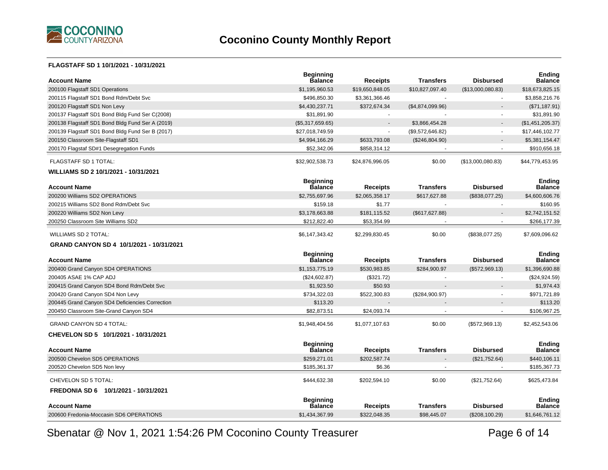

#### **FLAGSTAFF SD 1 10/1/2021 - 10/31/2021**

| <b>Account Name</b>                              | <b>Beginning</b><br>Balance        | <b>Receipts</b> | <b>Transfers</b> | <b>Disbursed</b>  | <b>Ending</b><br><b>Balance</b> |
|--------------------------------------------------|------------------------------------|-----------------|------------------|-------------------|---------------------------------|
| 200100 Flagstaff SD1 Operations                  | \$1,195,960.53                     | \$19,650,848.05 | \$10,827,097.40  | (\$13,000,080.83) | \$18,673,825.15                 |
| 200115 Flagstaff SD1 Bond Rdm/Debt Svc           | \$496,850.30                       | \$3,361,366.46  |                  |                   | \$3,858,216.76                  |
| 200120 Flagstaff SD1 Non Levy                    | \$4,430,237.71                     | \$372,674.34    | (\$4,874,099.96) |                   | (\$71,187.91)                   |
| 200137 Flagstaff SD1 Bond Bldg Fund Ser C(2008)  | \$31,891.90                        | $\sim$          |                  |                   | \$31,891.90                     |
| 200138 Flagstaff SD1 Bond Bldg Fund Ser A (2019) | (\$5,317,659.65)                   | $\blacksquare$  | \$3,866,454.28   |                   | (\$1,451,205.37)                |
| 200139 Flagstaff SD1 Bond Bldg Fund Ser B (2017) | \$27,018,749.59                    | $\sim$          | (\$9,572,646.82) |                   | \$17,446,102.77                 |
| 200150 Classroom Site-Flagstaff SD1              | \$4,994,166.29                     | \$633,793.08    | (\$246,804.90)   |                   | \$5,381,154.47                  |
| 200170 Flagstaf SD#1 Desegregation Funds         | \$52,342.06                        | \$858,314.12    |                  |                   | \$910,656.18                    |
| FLAGSTAFF SD 1 TOTAL:                            | \$32,902,538.73                    | \$24,876,996.05 | \$0.00           | (\$13,000,080.83) | \$44,779,453.95                 |
| WILLIAMS SD 2 10/1/2021 - 10/31/2021             |                                    |                 |                  |                   |                                 |
| <b>Account Name</b>                              | <b>Beginning</b><br><b>Balance</b> | <b>Receipts</b> | <b>Transfers</b> | <b>Disbursed</b>  | <b>Ending</b><br><b>Balance</b> |
| 200200 Williams SD2 OPERATIONS                   | \$2,755,697.96                     | \$2,065,358.17  | \$617,627.88     | (\$838,077.25)    | \$4,600,606.76                  |
| 200215 Williams SD2 Bond Rdm/Debt Svc            | \$159.18                           | \$1.77          | $\overline{a}$   |                   | \$160.95                        |
| 200220 Williams SD2 Non Levy                     | \$3,178,663.88                     | \$181,115.52    | (\$617,627.88)   |                   | \$2,742,151.52                  |
| 200250 Classroom Site Williams SD2               | \$212,822.40                       | \$53,354.99     |                  |                   | \$266,177.39                    |
| <b>WILLIAMS SD 2 TOTAL:</b>                      | \$6,147,343.42                     | \$2,299,830.45  | \$0.00           | (\$838,077.25)    | \$7,609,096.62                  |
|                                                  |                                    |                 |                  |                   |                                 |
| GRAND CANYON SD 4 10/1/2021 - 10/31/2021         |                                    |                 |                  |                   |                                 |
| <b>Account Name</b>                              | <b>Beginning</b><br><b>Balance</b> | <b>Receipts</b> | <b>Transfers</b> | <b>Disbursed</b>  | <b>Ending</b><br><b>Balance</b> |
| 200400 Grand Canyon SD4 OPERATIONS               | \$1,153,775.19                     | \$530,983.85    | \$284,900.97     | (\$572,969.13)    | \$1,396,690.88                  |
| 200405 ASAE 1% CAP ADJ                           | (\$24,602.87)                      | (\$321.72)      |                  |                   | (\$24,924.59)                   |
| 200415 Grand Canyon SD4 Bond Rdm/Debt Svc        | \$1,923.50                         | \$50.93         |                  |                   | \$1,974.43                      |
| 200420 Grand Canyon SD4 Non Levy                 | \$734,322.03                       | \$522,300.83    | (\$284,900.97)   |                   | \$971,721.89                    |
| 200445 Grand Canyon SD4 Deficiencies Correction  | \$113.20                           |                 |                  |                   | \$113.20                        |
| 200450 Classroom Site-Grand Canyon SD4           | \$82.873.51                        | \$24.093.74     |                  |                   | \$106,967.25                    |
| <b>GRAND CANYON SD 4 TOTAL:</b>                  | \$1,948,404.56                     | \$1,077,107.63  | \$0.00           | (\$572,969.13)    | \$2,452,543.06                  |
| CHEVELON SD 5 10/1/2021 - 10/31/2021             |                                    |                 |                  |                   |                                 |
| <b>Account Name</b>                              | <b>Beginning</b><br>Balance        | <b>Receipts</b> | <b>Transfers</b> | <b>Disbursed</b>  | <b>Ending</b><br><b>Balance</b> |
| 200500 Chevelon SD5 OPERATIONS                   | \$259,271.01                       | \$202,587.74    |                  | (\$21,752.64)     | \$440,106.11                    |
| 200520 Chevelon SD5 Non levy                     | \$185,361.37                       | \$6.36          |                  |                   | \$185,367.73                    |
| CHEVELON SD 5 TOTAL:                             | \$444,632.38                       | \$202,594.10    | \$0.00           | (\$21,752.64)     | \$625,473.84                    |
| FREDONIA SD 6 10/1/2021 - 10/31/2021             |                                    |                 |                  |                   |                                 |
| <b>Account Name</b>                              | <b>Beginning</b><br><b>Balance</b> | <b>Receipts</b> | <b>Transfers</b> | <b>Disbursed</b>  | Endina<br><b>Balance</b>        |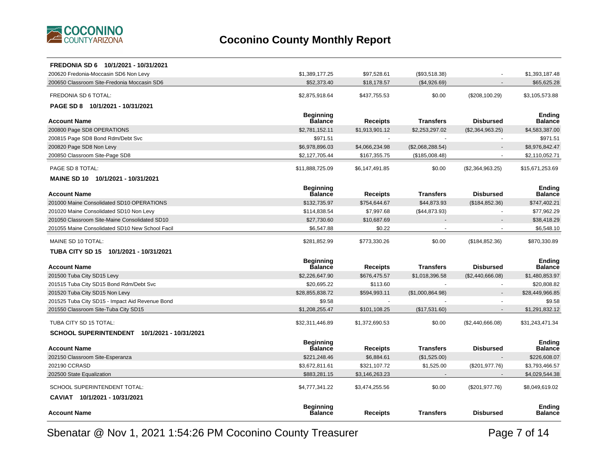

| FREDONIA SD 6 10/1/2021 - 10/31/2021            |                                    |                 |                  |                  |                                 |
|-------------------------------------------------|------------------------------------|-----------------|------------------|------------------|---------------------------------|
| 200620 Fredonia-Moccasin SD6 Non Levy           | \$1,389,177.25                     | \$97,528.61     | (\$93,518.38)    |                  | \$1,393,187.48                  |
| 200650 Classroom Site-Fredonia Moccasin SD6     | \$52,373.40                        | \$18,178.57     | (\$4,926.69)     |                  | \$65,625.28                     |
| FREDONIA SD 6 TOTAL:                            | \$2,875,918.64                     | \$437,755.53    | \$0.00           | (\$208,100.29)   | \$3,105,573.88                  |
| PAGE SD 8 10/1/2021 - 10/31/2021                |                                    |                 |                  |                  |                                 |
|                                                 | <b>Beginning</b>                   |                 |                  |                  | <b>Ending</b>                   |
| <b>Account Name</b>                             | <b>Balance</b>                     | Receipts        | <b>Transfers</b> | <b>Disbursed</b> | Balance                         |
| 200800 Page SD8 OPERATIONS                      | \$2,781,152.11                     | \$1,913,901.12  | \$2,253,297.02   | (\$2,364,963.25) | \$4,583,387.00                  |
| 200815 Page SD8 Bond Rdm/Debt Svc               | \$971.51                           |                 |                  | $\sim$           | \$971.51                        |
| 200820 Page SD8 Non Levy                        | \$6,978,896.03                     | \$4,066,234.98  | (\$2,068,288.54) |                  | \$8,976,842.47                  |
| 200850 Classroom Site-Page SD8                  | \$2,127,705.44                     | \$167,355.75    | (\$185,008.48)   |                  | \$2,110,052.71                  |
| PAGE SD 8 TOTAL:                                | \$11,888,725.09                    | \$6,147,491.85  | \$0.00           | (\$2,364,963.25) | \$15,671,253.69                 |
| MAINE SD 10 10/1/2021 - 10/31/2021              |                                    |                 |                  |                  |                                 |
|                                                 | <b>Beginning</b>                   |                 |                  |                  | <b>Ending</b>                   |
| <b>Account Name</b>                             | <b>Balance</b>                     | <b>Receipts</b> | <b>Transfers</b> | <b>Disbursed</b> | <b>Balance</b>                  |
| 201000 Maine Consolidated SD10 OPERATIONS       | \$132,735.97                       | \$754,644.67    | \$44,873.93      | (\$184, 852.36)  | \$747,402.21                    |
| 201020 Maine Consolidated SD10 Non Levy         | \$114,838.54                       | \$7,997.68      | (\$44,873.93)    | ÷.               | \$77,962.29                     |
| 201050 Classroom Site-Maine Consolidated SD10   | \$27,730.60                        | \$10,687.69     |                  |                  | \$38,418.29                     |
| 201055 Maine Consolidated SD10 New School Facil | \$6,547.88                         | \$0.22          |                  | $\blacksquare$   | \$6,548.10                      |
| MAINE SD 10 TOTAL:                              | \$281,852.99                       | \$773,330.26    | \$0.00           | (\$184, 852.36)  | \$870,330.89                    |
| TUBA CITY SD 15 10/1/2021 - 10/31/2021          |                                    |                 |                  |                  |                                 |
|                                                 | <b>Beginning</b>                   |                 |                  |                  | Ending                          |
| <b>Account Name</b>                             | <b>Balance</b>                     | <b>Receipts</b> | <b>Transfers</b> | <b>Disbursed</b> | <b>Balance</b>                  |
| 201500 Tuba City SD15 Levy                      | \$2,226,647.90                     | \$676,475.57    | \$1,018,396.58   | (\$2,440,666.08) | \$1,480,853.97                  |
| 201515 Tuba City SD15 Bond Rdm/Debt Svc         | \$20,695.22                        | \$113.60        |                  |                  | \$20,808.82                     |
| 201520 Tuba City SD15 Non Levy                  | \$28,855,838.72                    | \$594,993.11    | (\$1,000,864.98) |                  | \$28,449,966.85                 |
| 201525 Tuba City SD15 - Impact Aid Revenue Bond | \$9.58                             |                 |                  |                  | \$9.58                          |
| 201550 Classroom Site-Tuba City SD15            | \$1,208,255.47                     | \$101,108.25    | (\$17,531.60)    |                  | \$1,291,832.12                  |
| TUBA CITY SD 15 TOTAL:                          | \$32,311,446.89                    | \$1,372,690.53  | \$0.00           | (\$2,440,666.08) | \$31,243,471.34                 |
| SCHOOL SUPERINTENDENT 10/1/2021 - 10/31/2021    |                                    |                 |                  |                  |                                 |
| <b>Account Name</b>                             | <b>Beginning</b><br><b>Balance</b> | Receipts        | <b>Transfers</b> | <b>Disbursed</b> | <b>Ending</b><br><b>Balance</b> |
| 202150 Classroom Site-Esperanza                 | \$221,248.46                       | \$6,884.61      | (\$1,525.00)     |                  | \$226,608.07                    |
| 202190 CCRASD                                   | \$3,672,811.61                     | \$321,107.72    | \$1,525.00       | (\$201, 977.76)  | \$3,793,466.57                  |
| 202500 State Equalization                       | \$883,281.15                       | \$3,146,263.23  |                  |                  | \$4,029,544.38                  |
|                                                 |                                    |                 |                  |                  |                                 |
| SCHOOL SUPERINTENDENT TOTAL:                    | \$4,777,341.22                     | \$3,474,255.56  | \$0.00           | (\$201, 977.76)  | \$8,049,619.02                  |
| CAVIAT 10/1/2021 - 10/31/2021                   |                                    |                 |                  |                  |                                 |
| <b>Account Name</b>                             | <b>Beginning</b><br><b>Balance</b> | Receipts        | <b>Transfers</b> | <b>Disbursed</b> | <b>Ending</b><br>Balance        |
|                                                 |                                    |                 |                  |                  |                                 |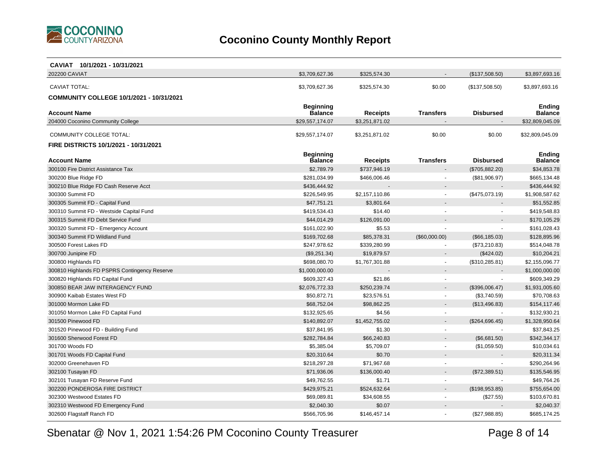

| CAVIAT 10/1/2021 - 10/31/2021                 |                                    |                 |                          |                  |                                 |
|-----------------------------------------------|------------------------------------|-----------------|--------------------------|------------------|---------------------------------|
| 202200 CAVIAT                                 | \$3,709,627.36                     | \$325,574.30    |                          | (\$137,508.50)   | \$3,897,693.16                  |
| <b>CAVIAT TOTAL:</b>                          | \$3,709,627.36                     | \$325,574.30    | \$0.00                   | (\$137,508.50)   | \$3,897,693.16                  |
|                                               |                                    |                 |                          |                  |                                 |
| COMMUNITY COLLEGE 10/1/2021 - 10/31/2021      |                                    |                 |                          |                  |                                 |
| <b>Account Name</b>                           | <b>Beginning</b><br><b>Balance</b> | Receipts        | <b>Transfers</b>         | <b>Disbursed</b> | <b>Ending</b><br><b>Balance</b> |
| 204000 Coconino Community College             | \$29,557,174.07                    | \$3,251,871.02  |                          |                  | \$32,809,045.09                 |
|                                               |                                    |                 |                          |                  |                                 |
| COMMUNITY COLLEGE TOTAL:                      | \$29,557,174.07                    | \$3,251,871.02  | \$0.00                   | \$0.00           | \$32,809,045.09                 |
| FIRE DISTRICTS 10/1/2021 - 10/31/2021         |                                    |                 |                          |                  |                                 |
|                                               | <b>Beginning</b>                   |                 |                          |                  | <b>Ending</b>                   |
| <b>Account Name</b>                           | Balance                            | <b>Receipts</b> | <b>Transfers</b>         | <b>Disbursed</b> | <b>Balance</b>                  |
| 300100 Fire District Assistance Tax           | \$2,789.79                         | \$737,946.19    |                          | (\$705,882.20)   | \$34,853.78                     |
| 300200 Blue Ridge FD                          | \$281,034.99                       | \$466,006.46    |                          | (\$81,906.97)    | \$665,134.48                    |
| 300210 Blue Ridge FD Cash Reserve Acct        | \$436,444.92                       |                 |                          |                  | \$436,444.92                    |
| 300300 Summit FD                              | \$226,549.95                       | \$2,157,110.86  | $\overline{\phantom{a}}$ | (\$475,073.19)   | \$1,908,587.62                  |
| 300305 Summit FD - Capital Fund               | \$47,751.21                        | \$3,801.64      |                          |                  | \$51,552.85                     |
| 300310 Summit FD - Westside Capital Fund      | \$419,534.43                       | \$14.40         | $\sim$                   | $\blacksquare$   | \$419,548.83                    |
| 300315 Summit FD Debt Service Fund            | \$44,014.29                        | \$126,091.00    |                          |                  | \$170,105.29                    |
| 300320 Summit FD - Emergency Account          | \$161,022.90                       | \$5.53          |                          |                  | \$161,028.43                    |
| 300340 Summit FD Wildland Fund                | \$169,702.68                       | \$85,378.31     | (\$60,000.00)            | (\$66, 185.03)   | \$128,895.96                    |
| 300500 Forest Lakes FD                        | \$247,978.62                       | \$339,280.99    |                          | (\$73,210.83)    | \$514,048.78                    |
| 300700 Junipine FD                            | (\$9,251.34)                       | \$19,879.57     |                          | (\$424.02)       | \$10,204.21                     |
| 300800 Highlands FD                           | \$698,080.70                       | \$1,767,301.88  | $\sim$                   | (\$310, 285.81)  | \$2,155,096.77                  |
| 300810 Highlands FD PSPRS Contingency Reserve | \$1,000,000.00                     |                 |                          |                  | \$1,000,000.00                  |
| 300820 Highlands FD Capital Fund              | \$609,327.43                       | \$21.86         |                          |                  | \$609,349.29                    |
| 300850 BEAR JAW INTERAGENCY FUND              | \$2,076,772.33                     | \$250,239.74    |                          | (\$396,006.47)   | \$1,931,005.60                  |
| 300900 Kaibab Estates West FD                 | \$50,872.71                        | \$23,576.51     |                          | (\$3,740.59)     | \$70,708.63                     |
| 301000 Mormon Lake FD                         | \$68,752.04                        | \$98,862.25     |                          | (\$13,496.83)    | \$154,117.46                    |
| 301050 Mormon Lake FD Capital Fund            | \$132,925.65                       | \$4.56          |                          |                  | \$132,930.21                    |
| 301500 Pinewood FD                            | \$140,892.07                       | \$1,452,755.02  |                          | (\$264,696.45)   | \$1,328,950.64                  |
| 301520 Pinewood FD - Building Fund            | \$37,841.95                        | \$1.30          |                          |                  | \$37,843.25                     |
| 301600 Sherwood Forest FD                     | \$282,784.84                       | \$66,240.83     |                          | (\$6,681.50)     | \$342,344.17                    |
| 301700 Woods FD                               | \$5,385.04                         | \$5,709.07      |                          | (\$1,059.50)     | \$10,034.61                     |
| 301701 Woods FD Capital Fund                  | \$20,310.64                        | \$0.70          |                          |                  | \$20,311.34                     |
| 302000 Greenehaven FD                         | \$218,297.28                       | \$71,967.68     |                          |                  | \$290,264.96                    |
| 302100 Tusayan FD                             | \$71,936.06                        | \$136,000.40    |                          | (\$72,389.51)    | \$135,546.95                    |
| 302101 Tusayan FD Reserve Fund                | \$49,762.55                        | \$1.71          |                          |                  | \$49,764.26                     |
| 302200 PONDEROSA FIRE DISTRICT                | \$429,975.21                       | \$524,632.64    |                          | (\$198,953.85)   | \$755,654.00                    |
| 302300 Westwood Estates FD                    | \$69,089.81                        | \$34,608.55     |                          | (\$27.55)        | \$103,670.81                    |
| 302310 Westwood FD Emergency Fund             | \$2,040.30                         | \$0.07          |                          |                  | \$2,040.37                      |
| 302600 Flagstaff Ranch FD                     | \$566,705.96                       | \$146,457.14    |                          | (\$27,988.85)    | \$685,174.25                    |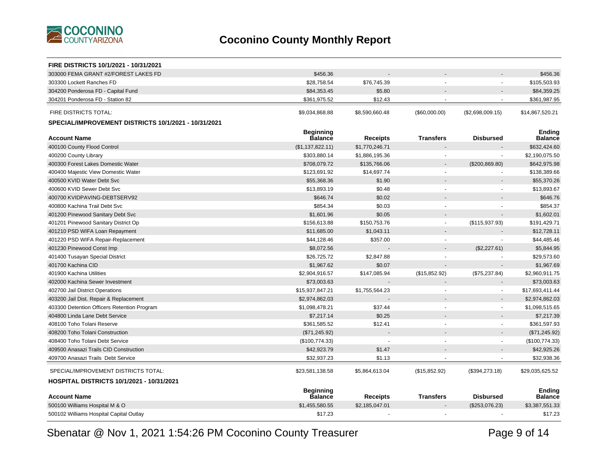

| FIRE DISTRICTS 10/1/2021 - 10/31/2021                |                                    |                |                  |                  |                                 |
|------------------------------------------------------|------------------------------------|----------------|------------------|------------------|---------------------------------|
| 303000 FEMA GRANT #2/FOREST LAKES FD                 | \$456.36                           |                |                  |                  | \$456.36                        |
| 303300 Lockett Ranches FD                            | \$28,758.54                        | \$76,745.39    |                  |                  | \$105,503.93                    |
| 304200 Ponderosa FD - Capital Fund                   | \$84,353.45                        | \$5.80         |                  |                  | \$84,359.25                     |
| 304201 Ponderosa FD - Station 82                     | \$361,975.52                       | \$12.43        |                  |                  | \$361,987.95                    |
| <b>FIRE DISTRICTS TOTAL:</b>                         | \$9,034,868.88                     | \$8,590,660.48 | (\$60,000.00)    | (\$2,698,009.15) | \$14,867,520.21                 |
| SPECIAL/IMPROVEMENT DISTRICTS 10/1/2021 - 10/31/2021 |                                    |                |                  |                  |                                 |
| <b>Account Name</b>                                  | <b>Beginning</b><br><b>Balance</b> | Receipts       | <b>Transfers</b> | <b>Disbursed</b> | <b>Ending</b><br><b>Balance</b> |
| 400100 County Flood Control                          | (\$1,137,822.11)                   | \$1,770,246.71 |                  |                  | \$632,424.60                    |
| 400200 County Library                                | \$303,880.14                       | \$1,886,195.36 |                  |                  | \$2,190,075.50                  |
| 400300 Forest Lakes Domestic Water                   | \$708,079.72                       | \$135,766.06   |                  | (\$200, 869.80)  | \$642,975.98                    |
| 400400 Majestic View Domestic Water                  | \$123,691.92                       | \$14,697.74    | $\overline{a}$   |                  | \$138,389.66                    |
| 400500 KVID Water Debt Svc                           | \$55,368,36                        | \$1.90         |                  |                  | \$55,370.26                     |
| 400600 KVID Sewer Debt Svc                           | \$13,893.19                        | \$0.48         |                  |                  | \$13,893.67                     |
| 400700 KVIDPAVING-DEBTSERV92                         | \$646.74                           | \$0.02         |                  |                  | \$646.76                        |
| 400800 Kachina Trail Debt Svc                        | \$854.34                           | \$0.03         |                  |                  | \$854.37                        |
| 401200 Pinewood Sanitary Debt Svc                    | \$1,601.96                         | \$0.05         |                  |                  | \$1,602.01                      |
| 401201 Pinewood Sanitary District Op                 | \$156,613.88                       | \$150,753.76   | $\mathbf{r}$     | (\$115,937.93)   | \$191,429.71                    |
| 401210 PSD WIFA Loan Repayment                       | \$11,685.00                        | \$1,043.11     |                  |                  | \$12,728.11                     |
| 401220 PSD WIFA Repair-Replacement                   | \$44,128.46                        | \$357.00       | $\mathbf{r}$     |                  | \$44,485.46                     |
| 401230 Pinewood Const Imp                            | \$8,072.56                         |                |                  | (\$2,227.61)     | \$5,844.95                      |
| 401400 Tusayan Special District                      | \$26,725.72                        | \$2,847.88     |                  |                  | \$29,573.60                     |
| 401700 Kachina CID                                   | \$1,967.62                         | \$0.07         |                  |                  | \$1,967.69                      |
| 401900 Kachina Utilities                             | \$2,904,916.57                     | \$147,085.94   | (\$15,852.92)    | (\$75,237.84)    | \$2,960,911.75                  |
| 402000 Kachina Sewer Investment                      | \$73,003.63                        |                |                  |                  | \$73,003.63                     |
| 402700 Jail District Operations                      | \$15,937,847.21                    | \$1,755,564.23 |                  | $\sim$           | \$17,693,411.44                 |
| 403200 Jail Dist. Repair & Replacement               | \$2,974,862.03                     |                |                  |                  | \$2,974,862.03                  |
| 403300 Detention Officers Retention Program          | \$1,098,478.21                     | \$37.44        |                  | $\sim$           | \$1,098,515.65                  |
| 404800 Linda Lane Debt Service                       | \$7,217.14                         | \$0.25         |                  |                  | \$7,217.39                      |
| 408100 Toho Tolani Reserve                           | \$361,585.52                       | \$12.41        |                  | $\sim$           | \$361,597.93                    |
| 408200 Toho Tolani Construction                      | (\$71,245.92)                      |                |                  |                  | (\$71,245.92)                   |
| 408400 Toho Tolani Debt Service                      | (\$100,774.33)                     |                |                  | $\blacksquare$   | (\$100,774.33)                  |
| 409500 Anasazi Trails CID Construction               | \$42,923.79                        | \$1.47         |                  |                  | \$42,925.26                     |
| 409700 Anasazi Trails Debt Service                   | \$32,937.23                        | \$1.13         |                  |                  | \$32,938.36                     |
| SPECIAL/IMPROVEMENT DISTRICTS TOTAL:                 | \$23,581,138.58                    | \$5,864,613.04 | (\$15,852.92)    | (\$394,273.18)   | \$29,035,625.52                 |
| HOSPITAL DISTRICTS 10/1/2021 - 10/31/2021            |                                    |                |                  |                  |                                 |
|                                                      | Beginning                          |                |                  |                  | <b>Ending</b>                   |
| <b>Account Name</b>                                  | <b>Balance</b>                     | Receipts       | <b>Transfers</b> | <b>Disbursed</b> | <b>Balance</b>                  |
| 500100 Williams Hospital M & O                       | \$1,455,580.55                     | \$2,185,047.01 |                  | (\$253,076.23)   | \$3,387,551.33                  |
| 500102 Williams Hospital Capital Outlay              | \$17.23                            |                |                  |                  | \$17.23                         |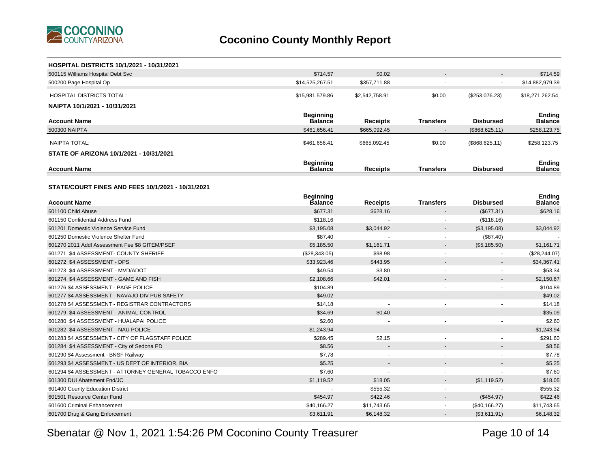

| <b>HOSPITAL DISTRICTS 10/1/2021 - 10/31/2021</b>      |                  |                 |                          |                          |                 |
|-------------------------------------------------------|------------------|-----------------|--------------------------|--------------------------|-----------------|
| 500115 Williams Hospital Debt Svc                     | \$714.57         | \$0.02          |                          |                          | \$714.59        |
| 500200 Page Hospital Op                               | \$14,525,267.51  | \$357,711.88    |                          | $\sim$                   | \$14,882,979.39 |
| <b>HOSPITAL DISTRICTS TOTAL:</b>                      | \$15,981,579.86  | \$2,542,758.91  | \$0.00                   | (\$253,076.23)           | \$18,271,262.54 |
| NAIPTA 10/1/2021 - 10/31/2021                         |                  |                 |                          |                          |                 |
|                                                       | <b>Beginning</b> |                 |                          |                          | <b>Ending</b>   |
| <b>Account Name</b>                                   | <b>Balance</b>   | <b>Receipts</b> | <b>Transfers</b>         | <b>Disbursed</b>         | Balance         |
| 500300 NAIPTA                                         | \$461,656.41     | \$665,092.45    |                          | (\$868, 625.11)          | \$258,123.75    |
| <b>NAIPTA TOTAL:</b>                                  | \$461,656.41     | \$665,092.45    | \$0.00                   | (\$868,625.11)           | \$258,123.75    |
| STATE OF ARIZONA 10/1/2021 - 10/31/2021               |                  |                 |                          |                          |                 |
|                                                       | <b>Beginning</b> |                 |                          |                          | <b>Ending</b>   |
| <b>Account Name</b>                                   | <b>Balance</b>   | Receipts        | <b>Transfers</b>         | <b>Disbursed</b>         | Balance         |
|                                                       |                  |                 |                          |                          |                 |
| STATE/COURT FINES AND FEES 10/1/2021 - 10/31/2021     |                  |                 |                          |                          |                 |
|                                                       | <b>Beginning</b> |                 |                          |                          | <b>Ending</b>   |
| <b>Account Name</b>                                   | Balance          | Receipts        | <b>Transfers</b>         | <b>Disbursed</b>         | Balance         |
| 601100 Child Abuse                                    | \$677.31         | \$628.16        |                          | (\$677.31)               | \$628.16        |
| 601150 Confidential Address Fund                      | \$118.16         |                 |                          | (\$118.16)               |                 |
| 601201 Domestic Violence Service Fund                 | \$3,195.08       | \$3,044.92      |                          | (\$3,195.08)             | \$3,044.92      |
| 601250 Domestic Violence Shelter Fund                 | \$87.40          |                 |                          | (\$87.40)                |                 |
| 601270 2011 Addl Assessment Fee \$8 GITEM/PSEF        | \$5,185.50       | \$1,161.71      |                          | (\$5,185.50)             | \$1,161.71      |
| 601271 \$4 ASSESSMENT- COUNTY SHERIFF                 | (\$28,343.05)    | \$98.98         |                          | $\blacksquare$           | (\$28, 244.07)  |
| 601272 \$4 ASSESSMENT - DPS                           | \$33,923.46      | \$443.95        |                          |                          | \$34,367.41     |
| 601273 \$4 ASSESSMENT - MVD/ADOT                      | \$49.54          | \$3.80          |                          |                          | \$53.34         |
| 601274 \$4 ASSESSMENT - GAME AND FISH                 | \$2,108.66       | \$42.01         |                          |                          | \$2,150.67      |
| 601276 \$4 ASSESSMENT - PAGE POLICE                   | \$104.89         |                 |                          |                          | \$104.89        |
| 601277 \$4 ASSESSMENT - NAVAJO DIV PUB SAFETY         | \$49.02          |                 |                          |                          | \$49.02         |
| 601278 \$4 ASSESSMENT - REGISTRAR CONTRACTORS         | \$14.18          |                 |                          |                          | \$14.18         |
| 601279 \$4 ASSESSMENT - ANIMAL CONTROL                | \$34.69          | \$0.40          |                          |                          | \$35.09         |
| 601280 \$4 ASSESSMENT - HUALAPAI POLICE               | \$2.60           |                 | $\overline{\phantom{a}}$ | $\overline{\phantom{a}}$ | \$2.60          |
| 601282 \$4 ASSESSMENT - NAU POLICE                    | \$1,243.94       |                 |                          |                          | \$1,243.94      |
| 601283 \$4 ASSESSMENT - CITY OF FLAGSTAFF POLICE      | \$289.45         | \$2.15          |                          |                          | \$291.60        |
| 601284 \$4 ASSESSMENT - City of Sedona PD             | \$8.56           |                 |                          |                          | \$8.56          |
| 601290 \$4 Assessment - BNSF Railway                  | \$7.78           |                 |                          | $\sim$                   | \$7.78          |
| 601293 \$4 ASSESSMENT - US DEPT OF INTERIOR, BIA      | \$5.25           |                 |                          |                          | \$5.25          |
| 601294 \$4 ASSESSMENT - ATTORNEY GENERAL TOBACCO ENFO | \$7.60           |                 |                          |                          | \$7.60          |
| 601300 DUI Abatement Fnd/JC                           | \$1,119.52       | \$18.05         |                          | (\$1,119.52)             | \$18.05         |
| 601400 County Education District                      | $\overline{a}$   | \$555.32        | $\sim$                   |                          | \$555.32        |
| 601501 Resource Center Fund                           | \$454.97         | \$422.46        |                          | (\$454.97)               | \$422.46        |
| 601600 Criminal Enhancement                           | \$40,166.27      | \$11,743.65     |                          | (\$40, 166.27)           | \$11,743.65     |
| 601700 Drug & Gang Enforcement                        | \$3,611.91       | \$6,148.32      |                          | (\$3,611.91)             | \$6,148.32      |

Sbenatar @ Nov 1, 2021 1:54:26 PM Coconino County Treasurer

Page 10 of 14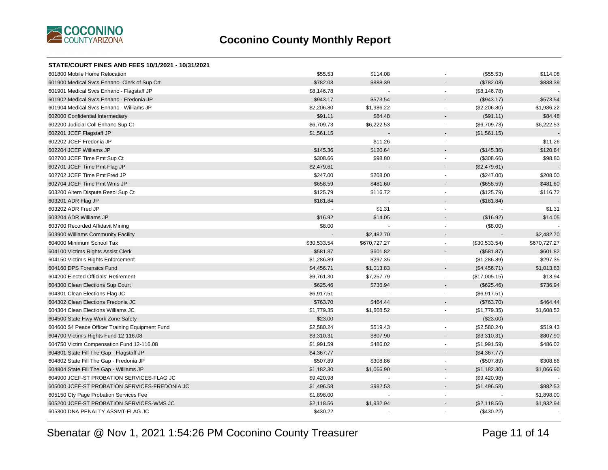

| STATE/COURT FINES AND FEES 10/1/2021 - 10/31/2021 |             |              |                                 |                            |
|---------------------------------------------------|-------------|--------------|---------------------------------|----------------------------|
| 601800 Mobile Home Relocation                     | \$55.53     | \$114.08     |                                 | (\$55.53)<br>\$114.08      |
| 601900 Medical Svcs Enhanc- Clerk of Sup Crt      | \$782.03    | \$888.39     |                                 | \$888.39<br>(\$782.03)     |
| 601901 Medical Svcs Enhanc - Flagstaff JP         | \$8,146.78  |              |                                 | (\$8,146.78)               |
| 601902 Medical Svcs Enhanc - Fredonia JP          | \$943.17    | \$573.54     |                                 | (\$943.17)<br>\$573.54     |
| 601904 Medical Svcs Enhanc - Williams JP          | \$2,206.80  | \$1,986.22   | $\sim$                          | (\$2,206.80)<br>\$1,986.22 |
| 602000 Confidential Intermediary                  | \$91.11     | \$84.48      |                                 | \$84.48<br>(\$91.11)       |
| 602200 Judicial Coll Enhanc Sup Ct                | \$6,709.73  | \$6,222.53   | $\sim$                          | \$6,222.53<br>(\$6,709.73) |
| 602201 JCEF Flagstaff JP                          | \$1,561.15  |              |                                 | (\$1,561.15)               |
| 602202 JCEF Fredonia JP                           |             | \$11.26      | $\sim$                          | \$11.26                    |
| 602204 JCEF Williams JP                           | \$145.36    | \$120.64     |                                 | (\$145.36)<br>\$120.64     |
| 602700 JCEF Time Pmt Sup Ct                       | \$308.66    | \$98.80      | $\omega$                        | \$98.80<br>(\$308.66)      |
| 602701 JCEF Time Pmt Flag JP                      | \$2,479.61  |              |                                 | (\$2,479.61)               |
| 602702 JCEF Time Pmt Fred JP                      | \$247.00    | \$208.00     |                                 | (\$247.00)<br>\$208.00     |
| 602704 JCEF Time Pmt Wms JP                       | \$658.59    | \$481.60     |                                 | \$481.60<br>(\$658.59)     |
| 603200 Altern Dispute Resol Sup Ct                | \$125.79    | \$116.72     | $\omega$                        | \$116.72<br>(\$125.79)     |
| 603201 ADR Flag JP                                | \$181.84    |              |                                 | (\$181.84)                 |
| 603202 ADR Fred JP                                |             | \$1.31       | $\sim$                          | \$1.31                     |
| 603204 ADR Williams JP                            | \$16.92     | \$14.05      |                                 | (\$16.92)<br>\$14.05       |
| 603700 Recorded Affidavit Mining                  | \$8.00      |              | $\overline{\phantom{a}}$        | (\$8.00)                   |
| 603900 Williams Community Facility                |             | \$2,482.70   |                                 | \$2,482.70                 |
| 604000 Minimum School Tax                         | \$30,533.54 | \$670,727.27 | (\$30,533.54)<br>$\blacksquare$ | \$670,727.27               |
| 604100 Victims Rights Assist Clerk                | \$581.87    | \$601.82     |                                 | (\$581.87)<br>\$601.82     |
| 604150 Victim's Rights Enforcement                | \$1,286.89  | \$297.35     | $\sim$                          | \$297.35<br>(\$1,286.89)   |
| 604160 DPS Forensics Fund                         | \$4,456.71  | \$1,013.83   | $\overline{\phantom{a}}$        | (\$4,456.71)<br>\$1,013.83 |
| 604200 Elected Officials' Retirement              | \$9,761.30  | \$7,257.79   | (\$17,005.15)<br>$\blacksquare$ | \$13.94                    |
| 604300 Clean Elections Sup Court                  | \$625.46    | \$736.94     |                                 | (\$625.46)<br>\$736.94     |
| 604301 Clean Elections Flag JC                    | \$6,917.51  |              | $\blacksquare$                  | (\$6,917.51)               |
| 604302 Clean Elections Fredonia JC                | \$763.70    | \$464.44     |                                 | (\$763.70)<br>\$464.44     |
| 604304 Clean Elections Williams JC                | \$1,779.35  | \$1,608.52   | $\blacksquare$                  | \$1,608.52<br>(\$1,779.35) |
| 604500 State Hwy Work Zone Safety                 | \$23.00     |              |                                 | (\$23.00)                  |
| 604600 \$4 Peace Officer Training Equipment Fund  | \$2,580.24  | \$519.43     | $\overline{\phantom{a}}$        | \$519.43<br>(\$2,580.24)   |
| 604700 Victim's Rights Fund 12-116.08             | \$3,310.31  | \$807.90     | $\sim$                          | (\$3,310.31)<br>\$807.90   |
| 604750 Victim Compensation Fund 12-116.08         | \$1,991.59  | \$486.02     | $\sim$                          | \$486.02<br>(\$1,991.59)   |
| 604801 State Fill The Gap - Flagstaff JP          | \$4,367.77  |              |                                 | (\$4,367.77)               |
| 604802 State Fill The Gap - Fredonia JP           | \$507.89    | \$308.86     | $\blacksquare$                  | (\$507.89)<br>\$308.86     |
| 604804 State Fill The Gap - Williams JP           | \$1,182.30  | \$1,066.90   |                                 | (\$1,182.30)<br>\$1,066.90 |
| 604900 JCEF-ST PROBATION SERVICES-FLAG JC         | \$9,420.98  |              | $\sim$                          | (\$9,420.98)               |
| 605000 JCEF-ST PROBATION SERVICES-FREDONIA JC     | \$1,496.58  | \$982.53     |                                 | \$982.53<br>(\$1,496.58)   |
| 605150 Cty Page Probation Services Fee            | \$1,898.00  |              | $\sim$                          | \$1,898.00                 |
| 605200 JCEF-ST PROBATION SERVICES-WMS JC          | \$2,118.56  | \$1,932.94   |                                 | (\$2,118.56)<br>\$1,932.94 |
| 605300 DNA PENALTY ASSMT-FLAG JC                  | \$430.22    |              |                                 | (\$430.22)                 |
|                                                   |             |              |                                 |                            |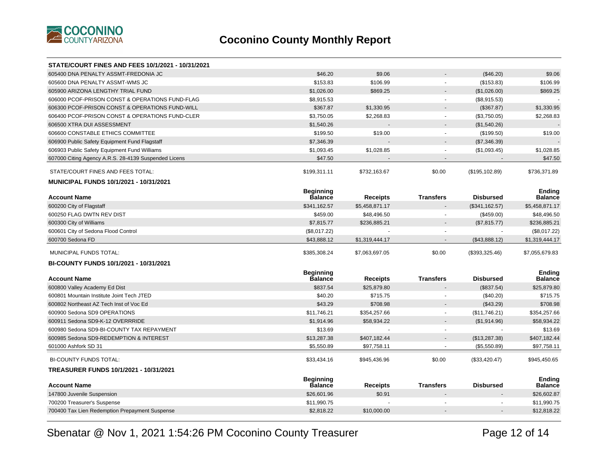

| <b>STATE/COURT FINES AND FEES 10/1/2021 - 10/31/2021</b> |                                    |                 |                          |                  |                                 |
|----------------------------------------------------------|------------------------------------|-----------------|--------------------------|------------------|---------------------------------|
| 605400 DNA PENALTY ASSMT-FREDONIA JC                     | \$46.20                            | \$9.06          |                          | (\$46.20)        | \$9.06                          |
| 605600 DNA PENALTY ASSMT-WMS JC                          | \$153.83                           | \$106.99        |                          | (\$153.83)       | \$106.99                        |
| 605900 ARIZONA LENGTHY TRIAL FUND                        | \$1,026.00                         | \$869.25        |                          | (\$1,026.00)     | \$869.25                        |
| 606000 PCOF-PRISON CONST & OPERATIONS FUND-FLAG          | \$8,915.53                         |                 | $\overline{\phantom{a}}$ | (\$8,915.53)     |                                 |
| 606300 PCOF-PRISON CONST & OPERATIONS FUND-WILL          | \$367.87                           | \$1,330.95      | $\sim$                   | (\$367.87)       | \$1,330.95                      |
| 606400 PCOF-PRISON CONST & OPERATIONS FUND-CLER          | \$3,750.05                         | \$2,268.83      |                          | (\$3,750.05)     | \$2,268.83                      |
| 606500 XTRA DUI ASSESSMENT                               | \$1,540.26                         |                 |                          | (\$1,540.26)     |                                 |
| 606600 CONSTABLE ETHICS COMMITTEE                        | \$199.50                           | \$19.00         | $\blacksquare$           | (\$199.50)       | \$19.00                         |
| 606900 Public Safety Equipment Fund Flagstaff            | \$7,346.39                         |                 |                          | (\$7,346.39)     |                                 |
| 606903 Public Safety Equipment Fund Williams             | \$1,093.45                         | \$1,028.85      |                          | (\$1,093.45)     | \$1,028.85                      |
| 607000 Citing Agency A.R.S. 28-4139 Suspended Licens     | \$47.50                            |                 |                          |                  | \$47.50                         |
| STATE/COURT FINES AND FEES TOTAL:                        | \$199,311.11                       | \$732,163.67    | \$0.00                   | (\$195, 102.89)  | \$736,371.89                    |
| <b>MUNICIPAL FUNDS 10/1/2021 - 10/31/2021</b>            |                                    |                 |                          |                  |                                 |
| <b>Account Name</b>                                      | <b>Beginning</b><br><b>Balance</b> | <b>Receipts</b> | <b>Transfers</b>         | <b>Disbursed</b> | <b>Ending</b><br><b>Balance</b> |
| 600200 City of Flagstaff                                 | \$341,162.57                       | \$5,458,871.17  |                          | (\$341,162.57)   | \$5,458,871.17                  |
| 600250 FLAG DWTN REV DIST                                | \$459.00                           | \$48,496.50     |                          | (\$459.00)       | \$48,496.50                     |
| 600300 City of Williams                                  | \$7,815.77                         | \$236,885.21    |                          | (\$7,815.77)     | \$236,885.21                    |
| 600601 City of Sedona Flood Control                      | (\$8,017.22)                       |                 |                          |                  | (\$8,017.22)                    |
| 600700 Sedona FD                                         | \$43,888.12                        | \$1,319,444.17  |                          | (\$43,888.12)    | \$1,319,444.17                  |
| MUNICIPAL FUNDS TOTAL:                                   | \$385,308.24                       | \$7,063,697.05  | \$0.00                   | (\$393,325.46)   | \$7,055,679.83                  |
| BI-COUNTY FUNDS 10/1/2021 - 10/31/2021                   |                                    |                 |                          |                  |                                 |
| <b>Account Name</b>                                      | <b>Beginning</b><br>Balance        | Receipts        | <b>Transfers</b>         | <b>Disbursed</b> | <b>Ending</b><br><b>Balance</b> |
| 600800 Valley Academy Ed Dist                            | \$837.54                           | \$25.879.80     |                          | (\$837.54)       | \$25,879.80                     |
| 600801 Mountain Institute Joint Tech JTED                | \$40.20                            | \$715.75        | $\sim$                   | (\$40.20)        | \$715.75                        |
| 600802 Northeast AZ Tech Inst of Voc Ed                  | \$43.29                            | \$708.98        |                          | (\$43.29)        | \$708.98                        |
| 600900 Sedona SD9 OPERATIONS                             | \$11,746.21                        | \$354,257.66    | $\blacksquare$           | (\$11,746.21)    | \$354,257.66                    |
| 600911 Sedona SD9-K-12 OVERRRIDE                         | \$1,914.96                         | \$58,934.22     |                          | (\$1,914.96)     | \$58,934.22                     |
| 600980 Sedona SD9-BI-COUNTY TAX REPAYMENT                | \$13.69                            | $\sim$          | $\sim$                   |                  | \$13.69                         |
| 600985 Sedona SD9-REDEMPTION & INTEREST                  | \$13,287.38                        | \$407,182.44    | $\blacksquare$           | (\$13,287.38)    | \$407,182.44                    |
| 601000 Ashfork SD 31                                     | \$5,550.89                         | \$97,758.11     |                          | (\$5,550.89)     | \$97,758.11                     |
| BI-COUNTY FUNDS TOTAL:                                   | \$33,434.16                        | \$945,436.96    | \$0.00                   | (\$33,420.47)    | \$945,450.65                    |
| TREASURER FUNDS 10/1/2021 - 10/31/2021                   |                                    |                 |                          |                  |                                 |
| <b>Account Name</b>                                      | <b>Beginning</b><br><b>Balance</b> | <b>Receipts</b> | <b>Transfers</b>         | <b>Disbursed</b> | <b>Ending</b><br><b>Balance</b> |
| 147800 Juvenile Suspension                               | \$26,601.96                        | \$0.91          |                          |                  | \$26,602.87                     |
| 700200 Treasurer's Suspense                              | \$11,990.75                        |                 |                          |                  | \$11,990.75                     |
| 700400 Tax Lien Redemption Prepayment Suspense           | \$2,818.22                         | \$10,000.00     |                          |                  | \$12,818.22                     |
|                                                          |                                    |                 |                          |                  |                                 |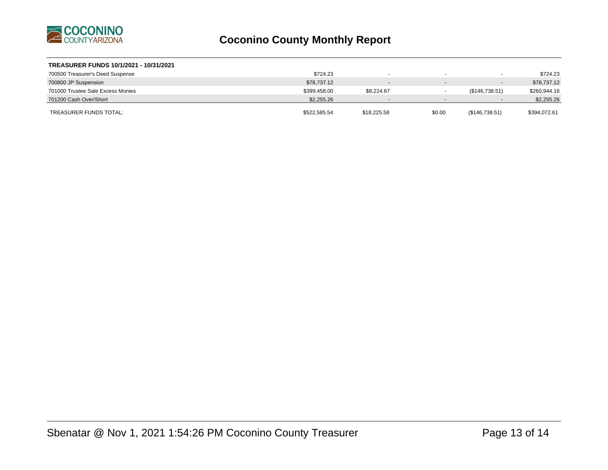

| TREASURER FUNDS 10/1/2021 - 10/31/2021 |              |                          |                          |                          |              |
|----------------------------------------|--------------|--------------------------|--------------------------|--------------------------|--------------|
| 700500 Treasurer's Deed Suspense       | \$724.23     |                          |                          | $\overline{\phantom{a}}$ | \$724.23     |
| 700800 JP Suspension                   | \$78,737.12  | $\overline{\phantom{a}}$ |                          | $\overline{\phantom{a}}$ | \$78,737.12  |
| 701000 Trustee Sale Excess Monies      | \$399,458.00 | \$8.224.67               |                          | (\$146,738.51)           | \$260,944.16 |
| 701200 Cash Over/Short                 | \$2,255.26   | $\sim$                   | $\overline{\phantom{0}}$ | $\overline{\phantom{a}}$ | \$2,255.26   |
| TREASURER FUNDS TOTAL:                 | \$522,585.54 | \$18,225.58              | \$0.00                   | (\$146,738.51)           | \$394,072.61 |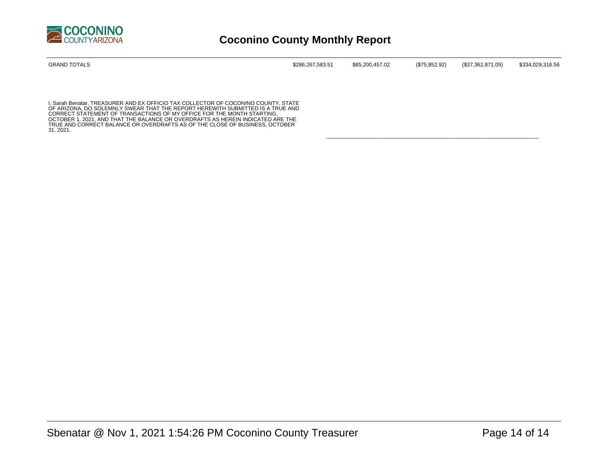

| <b>GRAND TOTALS</b> | \$286,267,583.51 | \$85,200,457.02 | (\$75,852.92) | (\$37,362,871.05) | \$334,029,316.56 |
|---------------------|------------------|-----------------|---------------|-------------------|------------------|
|                     |                  |                 |               |                   |                  |

\_\_\_\_\_\_\_\_\_\_\_\_\_\_\_\_\_\_\_\_\_\_\_\_\_\_\_\_\_\_\_\_\_\_\_\_\_\_\_\_\_\_\_\_\_\_\_\_\_\_\_\_\_\_\_\_\_\_\_\_\_\_\_\_\_\_\_\_\_\_\_

I, Sarah Benatar, TREASURER AND EX OFFICIO TAX COLLECTOR OF COCONINO COUNTY, STATE<br>OF ARIZONA, DO SOLEMNLY SWEAR THAT THE REPORT HEREWITH SUBMITTED IS A TRUE AND<br>CORRECT STATEMENT OF TRANSACTIONS OF MY OFFICE FOR THE MONTH OCTOBER 1, 2021, AND THAT THE BALANCE OR OVERDRAFTS AS HEREIN INDICATED ARE THE TRUE AND CORRECT BALANCE OR OVERDRAFTS AS OF THE CLOSE OF BUSINESS, OCTOBER 31, 2021.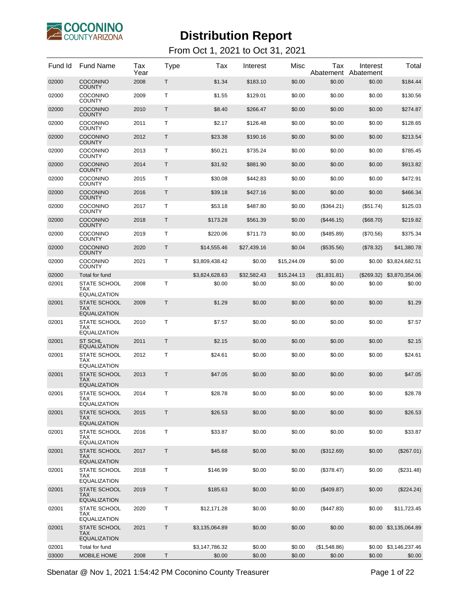

From Oct 1, 2021 to Oct 31, 2021

| Fund Id | <b>Fund Name</b>                                         | Tax<br>Year | Type         | Tax            | Interest    | Misc        | Tax<br>Abatement | Interest<br>Abatement | Total                 |
|---------|----------------------------------------------------------|-------------|--------------|----------------|-------------|-------------|------------------|-----------------------|-----------------------|
| 02000   | <b>COCONINO</b><br><b>COUNTY</b>                         | 2008        | Τ            | \$1.34         | \$183.10    | \$0.00      | \$0.00           | \$0.00                | \$184.44              |
| 02000   | COCONINO<br><b>COUNTY</b>                                | 2009        | T            | \$1.55         | \$129.01    | \$0.00      | \$0.00           | \$0.00                | \$130.56              |
| 02000   | <b>COCONINO</b><br><b>COUNTY</b>                         | 2010        | Τ            | \$8.40         | \$266.47    | \$0.00      | \$0.00           | \$0.00                | \$274.87              |
| 02000   | COCONINO<br><b>COUNTY</b>                                | 2011        | T            | \$2.17         | \$126.48    | \$0.00      | \$0.00           | \$0.00                | \$128.65              |
| 02000   | <b>COCONINO</b><br><b>COUNTY</b>                         | 2012        | T            | \$23.38        | \$190.16    | \$0.00      | \$0.00           | \$0.00                | \$213.54              |
| 02000   | COCONINO<br><b>COUNTY</b>                                | 2013        | Т            | \$50.21        | \$735.24    | \$0.00      | \$0.00           | \$0.00                | \$785.45              |
| 02000   | <b>COCONINO</b><br><b>COUNTY</b>                         | 2014        | T            | \$31.92        | \$881.90    | \$0.00      | \$0.00           | \$0.00                | \$913.82              |
| 02000   | COCONINO<br><b>COUNTY</b>                                | 2015        | T            | \$30.08        | \$442.83    | \$0.00      | \$0.00           | \$0.00                | \$472.91              |
| 02000   | <b>COCONINO</b><br><b>COUNTY</b>                         | 2016        | T            | \$39.18        | \$427.16    | \$0.00      | \$0.00           | \$0.00                | \$466.34              |
| 02000   | COCONINO<br><b>COUNTY</b>                                | 2017        | Т            | \$53.18        | \$487.80    | \$0.00      | (\$364.21)       | $(\$51.74)$           | \$125.03              |
| 02000   | <b>COCONINO</b><br><b>COUNTY</b>                         | 2018        | T            | \$173.28       | \$561.39    | \$0.00      | (\$446.15)       | (\$68.70)             | \$219.82              |
| 02000   | COCONINO<br><b>COUNTY</b>                                | 2019        | T            | \$220.06       | \$711.73    | \$0.00      | (\$485.89)       | $(\$70.56)$           | \$375.34              |
| 02000   | <b>COCONINO</b><br><b>COUNTY</b>                         | 2020        | $\mathsf{T}$ | \$14.555.46    | \$27,439.16 | \$0.04      | $(\$535.56)$     | (\$78.32)             | \$41,380.78           |
| 02000   | COCONINO<br><b>COUNTY</b>                                | 2021        | T            | \$3,809,438.42 | \$0.00      | \$15,244.09 | \$0.00           | \$0.00                | \$3,824,682.51        |
| 02000   | Total for fund                                           |             |              | \$3,824,628.63 | \$32,582.43 | \$15,244.13 | (\$1,831.81)     | (S269.32)             | \$3,870,354.06        |
| 02001   | <b>STATE SCHOOL</b><br><b>TAX</b><br><b>EQUALIZATION</b> | 2008        | т            | \$0.00         | \$0.00      | \$0.00      | \$0.00           | \$0.00                | \$0.00                |
| 02001   | <b>STATE SCHOOL</b><br><b>TAX</b><br><b>EQUALIZATION</b> | 2009        | Т            | \$1.29         | \$0.00      | \$0.00      | \$0.00           | \$0.00                | \$1.29                |
| 02001   | <b>STATE SCHOOL</b><br>TAX<br><b>EQUALIZATION</b>        | 2010        | т            | \$7.57         | \$0.00      | \$0.00      | \$0.00           | \$0.00                | \$7.57                |
| 02001   | <b>ST SCHL</b><br><b>EQUALIZATION</b>                    | 2011        | Т            | \$2.15         | \$0.00      | \$0.00      | \$0.00           | \$0.00                | \$2.15                |
| 02001   | <b>STATE SCHOOL</b><br><b>TAX</b><br><b>EQUALIZATION</b> | 2012        | т            | \$24.61        | \$0.00      | \$0.00      | \$0.00           | \$0.00                | \$24.61               |
| 02001   | <b>STATE SCHOOL</b><br><b>TAX</b><br><b>EQUALIZATION</b> | 2013        | Τ            | \$47.05        | \$0.00      | \$0.00      | \$0.00           | \$0.00                | \$47.05               |
| 02001   | <b>STATE SCHOOL</b><br><b>TAX</b><br><b>EQUALIZATION</b> | 2014        | Τ            | \$28.78        | \$0.00      | \$0.00      | \$0.00           | \$0.00                | \$28.78               |
| 02001   | STATE SCHOOL<br><b>TAX</b><br><b>EQUALIZATION</b>        | 2015        | Τ            | \$26.53        | \$0.00      | \$0.00      | \$0.00           | \$0.00                | \$26.53               |
| 02001   | STATE SCHOOL<br><b>TAX</b><br><b>EQUALIZATION</b>        | 2016        | т            | \$33.87        | \$0.00      | \$0.00      | \$0.00           | \$0.00                | \$33.87               |
| 02001   | STATE SCHOOL<br><b>TAX</b><br><b>EQUALIZATION</b>        | 2017        | Τ            | \$45.68        | \$0.00      | \$0.00      | (\$312.69)       | \$0.00                | (\$267.01)            |
| 02001   | STATE SCHOOL<br><b>TAX</b><br><b>EQUALIZATION</b>        | 2018        | т            | \$146.99       | \$0.00      | \$0.00      | (\$378.47)       | \$0.00                | (\$231.48)            |
| 02001   | STATE SCHOOL<br><b>TAX</b><br><b>EQUALIZATION</b>        | 2019        | $\mathsf T$  | \$185.63       | \$0.00      | \$0.00      | (\$409.87)       | \$0.00                | (\$224.24)            |
| 02001   | <b>STATE SCHOOL</b><br>TAX.<br><b>EQUALIZATION</b>       | 2020        | т            | \$12,171.28    | \$0.00      | \$0.00      | (\$447.83)       | \$0.00                | \$11,723.45           |
| 02001   | STATE SCHOOL<br><b>TAX</b><br><b>EQUALIZATION</b>        | 2021        | Τ            | \$3,135,064.89 | \$0.00      | \$0.00      | \$0.00           |                       | \$0.00 \$3,135,064.89 |
| 02001   | Total for fund                                           |             |              | \$3,147,786.32 | \$0.00      | \$0.00      | (\$1,548.86)     |                       | \$0.00 \$3,146,237.46 |
| 03000   | MOBILE HOME                                              | 2008        | Τ            | \$0.00         | \$0.00      | \$0.00      | \$0.00           | \$0.00                | \$0.00                |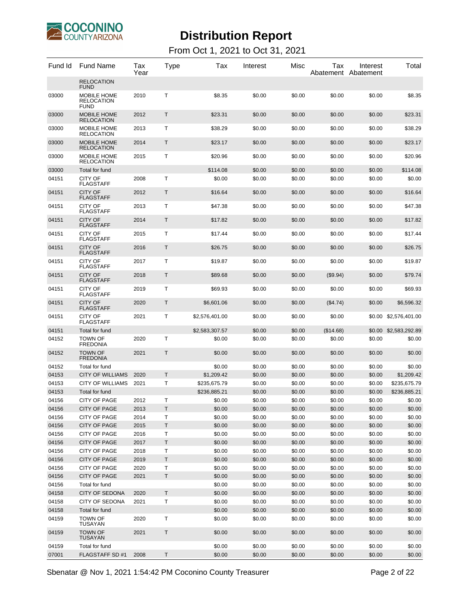

#### From Oct 1, 2021 to Oct 31, 2021

| Fund Id        | Fund Name                                | Tax<br>Year | Type    | Tax              | Interest         | Misc             | Tax              | Interest<br>Abatement Abatement | Total                 |
|----------------|------------------------------------------|-------------|---------|------------------|------------------|------------------|------------------|---------------------------------|-----------------------|
|                | <b>RELOCATION</b><br>FUND                |             |         |                  |                  |                  |                  |                                 |                       |
| 03000          | MOBILE HOME<br>RELOCATION<br><b>FUND</b> | 2010        | Т       | \$8.35           | \$0.00           | \$0.00           | \$0.00           | \$0.00                          | \$8.35                |
| 03000          | MOBILE HOME<br><b>RELOCATION</b>         | 2012        | Τ       | \$23.31          | \$0.00           | \$0.00           | \$0.00           | \$0.00                          | \$23.31               |
| 03000          | MOBILE HOME<br>RELOCATION                | 2013        | T       | \$38.29          | \$0.00           | \$0.00           | \$0.00           | \$0.00                          | \$38.29               |
| 03000          | <b>MOBILE HOME</b><br><b>RELOCATION</b>  | 2014        | T       | \$23.17          | \$0.00           | \$0.00           | \$0.00           | \$0.00                          | \$23.17               |
| 03000          | MOBILE HOME<br>RELOCATION                | 2015        | Т       | \$20.96          | \$0.00           | \$0.00           | \$0.00           | \$0.00                          | \$20.96               |
| 03000          | Total for fund                           |             |         | \$114.08         | \$0.00           | \$0.00           | \$0.00           | \$0.00                          | \$114.08              |
| 04151          | CITY OF<br><b>FLAGSTAFF</b>              | 2008        | т       | \$0.00           | \$0.00           | \$0.00           | \$0.00           | \$0.00                          | \$0.00                |
| 04151          | <b>CITY OF</b><br>FLAGSTAFF              | 2012        | T       | \$16.64          | \$0.00           | \$0.00           | \$0.00           | \$0.00                          | \$16.64               |
| 04151          | CITY OF<br><b>FLAGSTAFF</b>              | 2013        | т       | \$47.38          | \$0.00           | \$0.00           | \$0.00           | \$0.00                          | \$47.38               |
| 04151          | <b>CITY OF</b><br>FLAGSTAFF              | 2014        | T       | \$17.82          | \$0.00           | \$0.00           | \$0.00           | \$0.00                          | \$17.82               |
| 04151          | CITY OF<br><b>FLAGSTAFF</b>              | 2015        | т       | \$17.44          | \$0.00           | \$0.00           | \$0.00           | \$0.00                          | \$17.44               |
| 04151          | <b>CITY OF</b><br>FLAGSTAFF              | 2016        | T       | \$26.75          | \$0.00           | \$0.00           | \$0.00           | \$0.00                          | \$26.75               |
| 04151          | CITY OF<br>FLAGSTAFF                     | 2017        | Τ       | \$19.87          | \$0.00           | \$0.00           | \$0.00           | \$0.00                          | \$19.87               |
| 04151          | <b>CITY OF</b><br><b>FLAGSTAFF</b>       | 2018        | T       | \$89.68          | \$0.00           | \$0.00           | (\$9.94)         | \$0.00                          | \$79.74               |
| 04151          | CITY OF<br>FLAGSTAFF                     | 2019        | т       | \$69.93          | \$0.00           | \$0.00           | \$0.00           | \$0.00                          | \$69.93               |
| 04151          | <b>CITY OF</b><br>FLAGSTAFF              | 2020        | T       | \$6,601.06       | \$0.00           | \$0.00           | (\$4.74)         | \$0.00                          | \$6,596.32            |
| 04151          | CITY OF<br>FLAGSTAFF                     | 2021        | Τ       | \$2,576,401.00   | \$0.00           | \$0.00           | \$0.00           | \$0.00                          | \$2,576,401.00        |
| 04151          | Total for fund                           |             |         | \$2,583,307.57   | \$0.00           | \$0.00           | (\$14.68)        |                                 | \$0.00 \$2,583,292.89 |
| 04152          | <b>TOWN OF</b><br>FREDONIA               | 2020        | т       | \$0.00           | \$0.00           | \$0.00           | \$0.00           | \$0.00                          | \$0.00                |
| 04152          | <b>TOWN OF</b><br>FREDONIA               | 2021        | Т       | \$0.00           | \$0.00           | \$0.00           | \$0.00           | \$0.00                          | \$0.00                |
| 04152          | Total for fund                           |             |         | \$0.00           | \$0.00           | \$0.00           | \$0.00           | \$0.00                          | \$0.00                |
| 04153          | <b>CITY OF WILLIAMS</b>                  | 2020        | T       | \$1,209.42       | \$0.00           | \$0.00           | \$0.00           | \$0.00                          | \$1,209.42            |
| 04153          | <b>CITY OF WILLIAMS</b>                  | 2021        | т       | \$235,675.79     | \$0.00           | \$0.00           | \$0.00           | \$0.00                          | \$235,675.79          |
| 04153          | Total for fund                           |             |         | \$236,885.21     | \$0.00           | \$0.00           | \$0.00           | \$0.00                          | \$236,885.21          |
| 04156          | CITY OF PAGE                             | 2012        | т       | \$0.00           | \$0.00           | \$0.00           | \$0.00           | \$0.00                          | \$0.00                |
| 04156          | CITY OF PAGE                             | 2013        | Τ       | \$0.00           | \$0.00           | \$0.00           | \$0.00           | \$0.00                          | \$0.00                |
| 04156          | CITY OF PAGE                             | 2014        | Τ       | \$0.00           | \$0.00           | \$0.00           | \$0.00           | \$0.00                          | \$0.00                |
| 04156          | CITY OF PAGE                             | 2015        | Τ       | \$0.00           | \$0.00           | \$0.00           | \$0.00           | \$0.00                          | \$0.00                |
| 04156          | CITY OF PAGE                             | 2016        | Т       | \$0.00           | \$0.00           | \$0.00           | \$0.00           | \$0.00                          | \$0.00                |
| 04156          | CITY OF PAGE                             | 2017        | Τ       | \$0.00           | \$0.00           | \$0.00           | \$0.00           | \$0.00                          | \$0.00                |
| 04156          | CITY OF PAGE                             | 2018        | Τ       | \$0.00           | \$0.00           | \$0.00           | \$0.00           | \$0.00                          | \$0.00                |
| 04156          | CITY OF PAGE                             | 2019        | $\sf T$ | \$0.00           | \$0.00           | \$0.00           | \$0.00           | \$0.00                          | \$0.00                |
| 04156          | CITY OF PAGE                             | 2020        | Τ       | \$0.00           | \$0.00           | \$0.00           | \$0.00           | \$0.00                          | \$0.00                |
| 04156          | CITY OF PAGE                             | 2021        | $\sf T$ | \$0.00           | \$0.00           | \$0.00           | \$0.00           | \$0.00                          | \$0.00                |
| 04156<br>04158 | Total for fund<br>CITY OF SEDONA         | 2020        | T       | \$0.00<br>\$0.00 | \$0.00<br>\$0.00 | \$0.00<br>\$0.00 | \$0.00<br>\$0.00 | \$0.00<br>\$0.00                | \$0.00<br>\$0.00      |
| 04158          | CITY OF SEDONA                           | 2021        | T       | \$0.00           | \$0.00           | \$0.00           | \$0.00           | \$0.00                          | \$0.00                |
| 04158          | Total for fund                           |             |         | \$0.00           | \$0.00           | \$0.00           | \$0.00           | \$0.00                          | \$0.00                |
| 04159          | <b>TOWN OF</b>                           | 2020        | Τ       | \$0.00           | \$0.00           | \$0.00           | \$0.00           | \$0.00                          | \$0.00                |
| 04159          | TUSAYAN<br><b>TOWN OF</b>                | 2021        | T       | \$0.00           | \$0.00           | \$0.00           | \$0.00           | \$0.00                          | \$0.00                |
|                | TUSAYAN                                  |             |         |                  |                  |                  |                  |                                 |                       |
| 04159          | Total for fund                           |             |         | \$0.00           | \$0.00           | \$0.00           | \$0.00           | \$0.00                          | \$0.00                |
| 07001          | FLAGSTAFF SD #1                          | 2008        | Τ       | \$0.00           | \$0.00           | \$0.00           | \$0.00           | \$0.00                          | \$0.00                |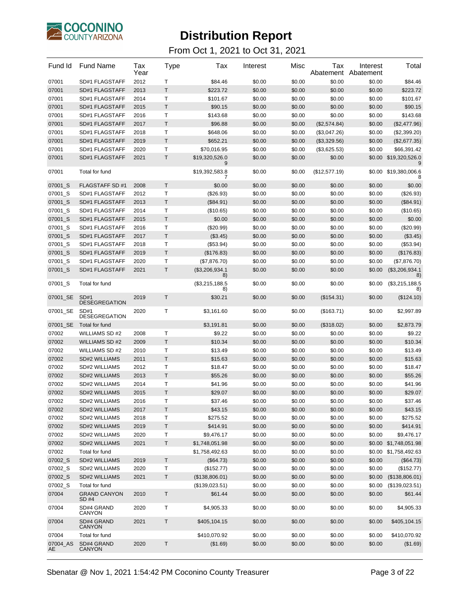

| Fund Id        | <b>Fund Name</b>             | Tax<br>Year | Type        | Tax                   | Interest | Misc   | Tax<br>Abatement | Interest<br>Abatement | Total                      |
|----------------|------------------------------|-------------|-------------|-----------------------|----------|--------|------------------|-----------------------|----------------------------|
| 07001          | SD#1 FLAGSTAFF               | 2012        | т           | \$84.46               | \$0.00   | \$0.00 | \$0.00           | \$0.00                | \$84.46                    |
| 07001          | SD#1 FLAGSTAFF               | 2013        | T           | \$223.72              | \$0.00   | \$0.00 | \$0.00           | \$0.00                | \$223.72                   |
| 07001          | SD#1 FLAGSTAFF               | 2014        | Т           | \$101.67              | \$0.00   | \$0.00 | \$0.00           | \$0.00                | \$101.67                   |
| 07001          | SD#1 FLAGSTAFF               | 2015        | $\mathsf T$ | \$90.15               | \$0.00   | \$0.00 | \$0.00           | \$0.00                | \$90.15                    |
| 07001          | SD#1 FLAGSTAFF               | 2016        | Т           | \$143.68              | \$0.00   | \$0.00 | \$0.00           | \$0.00                | \$143.68                   |
| 07001          | SD#1 FLAGSTAFF               | 2017        | T           | \$96.88               | \$0.00   | \$0.00 | (\$2,574.84)     | \$0.00                | (\$2,477.96)               |
| 07001          | SD#1 FLAGSTAFF               | 2018        | Т           | \$648.06              | \$0.00   | \$0.00 | (\$3,047.26)     | \$0.00                | (\$2,399.20)               |
| 07001          | SD#1 FLAGSTAFF               | 2019        | $\mathsf T$ | \$652.21              | \$0.00   | \$0.00 | (\$3,329.56)     | \$0.00                | (\$2,677.35)               |
| 07001          | SD#1 FLAGSTAFF               | 2020        | Τ           | \$70,016.95           | \$0.00   | \$0.00 | (\$3,625.53)     | \$0.00                | \$66,391.42                |
| 07001          | SD#1 FLAGSTAFF               | 2021        | $\sf T$     | \$19,320,526.0<br>9   | \$0.00   | \$0.00 | \$0.00           |                       | \$0.00 \$19,320,526.0<br>9 |
| 07001          | Total for fund               |             |             | \$19,392,583.8        | \$0.00   | \$0.00 | (\$12,577.19)    | \$0.00                | \$19,380,006.6             |
| 07001_S        | <b>FLAGSTAFF SD#1</b>        | 2008        | $\mathsf T$ | \$0.00                | \$0.00   | \$0.00 | \$0.00           | \$0.00                | \$0.00                     |
| 07001_S        | SD#1 FLAGSTAFF               | 2012        | Т           | (\$26.93)             | \$0.00   | \$0.00 | \$0.00           | \$0.00                | (\$26.93)                  |
| 07001_S        | SD#1 FLAGSTAFF               | 2013        | T           | (\$84.91)             | \$0.00   | \$0.00 | \$0.00           | \$0.00                | (\$84.91)                  |
| 07001_S        | SD#1 FLAGSTAFF               | 2014        | Т           | (\$10.65)             | \$0.00   | \$0.00 | \$0.00           | \$0.00                | (\$10.65)                  |
| 07001_S        | SD#1 FLAGSTAFF               | 2015        | $\mathsf T$ | \$0.00                | \$0.00   | \$0.00 | \$0.00           | \$0.00                | \$0.00                     |
| 07001_S        | SD#1 FLAGSTAFF               | 2016        | Т           | $(\$20.99)$           | \$0.00   | \$0.00 | \$0.00           | \$0.00                | (\$20.99)                  |
| 07001_S        | SD#1 FLAGSTAFF               | 2017        | $\mathsf T$ | (\$3.45)              | \$0.00   | \$0.00 | \$0.00           | \$0.00                | (\$3.45)                   |
| 07001_S        | SD#1 FLAGSTAFF               | 2018        | Т           | (\$53.94)             | \$0.00   | \$0.00 | \$0.00           | \$0.00                | (\$53.94)                  |
| 07001_S        | SD#1 FLAGSTAFF               | 2019        | T           | (\$176.83)            | \$0.00   | \$0.00 | \$0.00           | \$0.00                | (\$176.83)                 |
| 07001_S        | SD#1 FLAGSTAFF               | 2020        | Т           | (\$7,876.70)          | \$0.00   | \$0.00 | \$0.00           | \$0.00                | (\$7,876.70)               |
| 07001_S        | SD#1 FLAGSTAFF               | 2021        | Τ           | (\$3,206,934.1)<br>8) | \$0.00   | \$0.00 | \$0.00           | \$0.00                | (\$3,206,934.1)<br>8)      |
| 07001_S        | Total for fund               |             |             | (\$3,215,188.5)<br>8) | \$0.00   | \$0.00 | \$0.00           | \$0.00                | (\$3,215,188.5)<br>8)      |
| 07001_SE       | SD#1<br><b>DESEGREGATION</b> | 2019        | T           | \$30.21               | \$0.00   | \$0.00 | (\$154.31)       | \$0.00                | (\$124.10)                 |
| 07001_SE       | SD#1<br><b>DESEGREGATION</b> | 2020        | т           | \$3,161.60            | \$0.00   | \$0.00 | (\$163.71)       | \$0.00                | \$2,997.89                 |
| 07001_SE       | Total for fund               |             |             | \$3,191.81            | \$0.00   | \$0.00 | (\$318.02)       | \$0.00                | \$2,873.79                 |
| 07002          | WILLIAMS SD #2               | 2008        | т           | \$9.22                | \$0.00   | \$0.00 | \$0.00           | \$0.00                | \$9.22                     |
| 07002          | WILLIAMS SD #2               | 2009        | $\mathsf T$ | \$10.34               | \$0.00   | \$0.00 | \$0.00           | \$0.00                | \$10.34                    |
| 07002          | WILLIAMS SD #2               | 2010        | Т           | \$13.49               | \$0.00   | \$0.00 | \$0.00           | \$0.00                | \$13.49                    |
| 07002          | SD#2 WILLIAMS                | 2011        | $\mathsf T$ | \$15.63               | \$0.00   | \$0.00 | \$0.00           | \$0.00                | \$15.63                    |
| 07002          | SD#2 WILLIAMS                | 2012        | Т           | \$18.47               | \$0.00   | \$0.00 | \$0.00           | \$0.00                | \$18.47                    |
| 07002          | SD#2 WILLIAMS                | 2013        | $\mathsf T$ | \$55.26               | \$0.00   | \$0.00 | \$0.00           | \$0.00                | \$55.26                    |
| 07002          | SD#2 WILLIAMS                | 2014        | Τ           | \$41.96               | \$0.00   | \$0.00 | \$0.00           | \$0.00                | \$41.96                    |
| 07002          | <b>SD#2 WILLIAMS</b>         | 2015        | $\mathsf T$ | \$29.07               | \$0.00   | \$0.00 | \$0.00           | \$0.00                | \$29.07                    |
| 07002          | SD#2 WILLIAMS                | 2016        | Т           | \$37.46               | \$0.00   | \$0.00 | \$0.00           | \$0.00                | \$37.46                    |
| 07002          | SD#2 WILLIAMS                | 2017        | Т           | \$43.15               | \$0.00   | \$0.00 | \$0.00           | \$0.00                | \$43.15                    |
| 07002          | SD#2 WILLIAMS                | 2018        | Т           | \$275.52              | \$0.00   | \$0.00 | \$0.00           | \$0.00                | \$275.52                   |
| 07002          | SD#2 WILLIAMS                | 2019        | $\mathsf T$ | \$414.91              | \$0.00   | \$0.00 | \$0.00           | \$0.00                | \$414.91                   |
| 07002          | SD#2 WILLIAMS                | 2020        | Т           | \$9,476.17            | \$0.00   | \$0.00 | \$0.00           | \$0.00                | \$9,476.17                 |
| 07002          | SD#2 WILLIAMS                | 2021        | $\mathsf T$ | \$1,748,051.98        | \$0.00   | \$0.00 | \$0.00           |                       | \$0.00 \$1,748,051.98      |
| 07002          | Total for fund               |             |             | \$1,758,492.63        | \$0.00   | \$0.00 | \$0.00           | \$0.00                | \$1,758,492.63             |
| 07002_S        | SD#2 WILLIAMS                | 2019        | T           | (\$64.73)             | \$0.00   | \$0.00 | \$0.00           | \$0.00                | (\$64.73)                  |
| 07002 S        | SD#2 WILLIAMS                | 2020        | Т           | (\$152.77)            | \$0.00   | \$0.00 | \$0.00           | \$0.00                | (\$152.77)                 |
| 07002_S        | SD#2 WILLIAMS                | 2021        | T           | (\$138,806.01)        | \$0.00   | \$0.00 | \$0.00           | \$0.00                | (\$138,806.01)             |
| 07002_S        | Total for fund               |             |             | (\$139,023.51)        | \$0.00   | \$0.00 | \$0.00           | \$0.00                | (\$139,023.51)             |
| 07004          | <b>GRAND CANYON</b><br>SD #4 | 2010        | $\sf T$     | \$61.44               | \$0.00   | \$0.00 | \$0.00           | \$0.00                | \$61.44                    |
| 07004          | SD#4 GRAND<br>CANYON         | 2020        | T           | \$4,905.33            | \$0.00   | \$0.00 | \$0.00           | \$0.00                | \$4,905.33                 |
| 07004          | SD#4 GRAND<br>CANYON         | 2021        | $\mathsf T$ | \$405,104.15          | \$0.00   | \$0.00 | \$0.00           | \$0.00                | \$405,104.15               |
| 07004          | Total for fund               |             |             | \$410,070.92          | \$0.00   | \$0.00 | \$0.00           | \$0.00                | \$410,070.92               |
| 07004 AS<br>AE | SD#4 GRAND<br>CANYON         | 2020        | Τ           | (\$1.69)              | \$0.00   | \$0.00 | \$0.00           | \$0.00                | (\$1.69)                   |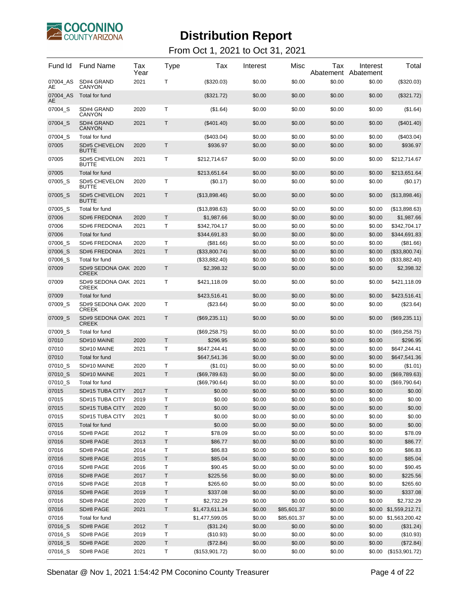

| Fund Id        | <b>Fund Name</b>                     | Tax<br>Year | Type         | Tax            | Interest | Misc        | Tax<br>Abatement | Interest<br>Abatement | Total                 |
|----------------|--------------------------------------|-------------|--------------|----------------|----------|-------------|------------------|-----------------------|-----------------------|
| 07004_AS<br>AE | SD#4 GRAND<br><b>CANYON</b>          | 2021        | т            | (\$320.03)     | \$0.00   | \$0.00      | \$0.00           | \$0.00                | (\$320.03)            |
| 07004 AS<br>AЕ | Total for fund                       |             |              | (\$321.72)     | \$0.00   | \$0.00      | \$0.00           | \$0.00                | (\$321.72)            |
| 07004_S        | SD#4 GRAND<br><b>CANYON</b>          | 2020        | Т            | (\$1.64)       | \$0.00   | \$0.00      | \$0.00           | \$0.00                | (\$1.64)              |
| 07004_S        | SD#4 GRAND<br><b>CANYON</b>          | 2021        | Т            | $(\$401.40)$   | \$0.00   | \$0.00      | \$0.00           | \$0.00                | (\$401.40)            |
| 07004 S        | Total for fund                       |             |              | (\$403.04)     | \$0.00   | \$0.00      | \$0.00           | \$0.00                | (\$403.04)            |
| 07005          | <b>SD#5 CHEVELON</b><br><b>BUTTE</b> | 2020        | Τ            | \$936.97       | \$0.00   | \$0.00      | \$0.00           | \$0.00                | \$936.97              |
| 07005          | <b>SD#5 CHEVELON</b><br><b>BUTTE</b> | 2021        | Т            | \$212,714.67   | \$0.00   | \$0.00      | \$0.00           | \$0.00                | \$212,714.67          |
| 07005          | Total for fund                       |             |              | \$213,651.64   | \$0.00   | \$0.00      | \$0.00           | \$0.00                | \$213,651.64          |
| 07005 S        | SD#5 CHEVELON<br><b>BUTTE</b>        | 2020        | Т            | (\$0.17)       | \$0.00   | \$0.00      | \$0.00           | \$0.00                | (\$0.17)              |
| 07005_S        | <b>SD#5 CHEVELON</b><br><b>BUTTE</b> | 2021        | Τ            | (\$13,898.46)  | \$0.00   | \$0.00      | \$0.00           | \$0.00                | (\$13,898.46)         |
| 07005_S        | Total for fund                       |             |              | (\$13,898.63)  | \$0.00   | \$0.00      | \$0.00           | \$0.00                | (\$13,898.63)         |
| 07006          | <b>SD#6 FREDONIA</b>                 | 2020        | T            | \$1,987.66     | \$0.00   | \$0.00      | \$0.00           | \$0.00                | \$1,987.66            |
| 07006          | SD#6 FREDONIA                        | 2021        | Т            | \$342.704.17   | \$0.00   | \$0.00      | \$0.00           | \$0.00                | \$342,704.17          |
| 07006          | Total for fund                       |             |              | \$344,691.83   | \$0.00   | \$0.00      | \$0.00           | \$0.00                | \$344,691.83          |
| 07006_S        | <b>SD#6 FREDONIA</b>                 | 2020        | Т            | (\$81.66)      | \$0.00   | \$0.00      | \$0.00           | \$0.00                | (\$81.66)             |
| 07006 S        | <b>SD#6 FREDONIA</b>                 | 2021        | T            | (\$33,800.74)  | \$0.00   | \$0.00      | \$0.00           | \$0.00                | (\$33,800.74)         |
| 07006_S        | Total for fund                       |             |              | (\$33,882.40)  | \$0.00   | \$0.00      | \$0.00           | \$0.00                | (\$33,882.40)         |
| 07009          | SD#9 SEDONA OAK 2020<br><b>CREEK</b> |             | Т            | \$2,398.32     | \$0.00   | \$0.00      | \$0.00           | \$0.00                | \$2,398.32            |
| 07009          | SD#9 SEDONA OAK 2021<br><b>CREEK</b> |             | т            | \$421,118.09   | \$0.00   | \$0.00      | \$0.00           | \$0.00                | \$421,118.09          |
| 07009          | Total for fund                       |             |              | \$423,516.41   | \$0.00   | \$0.00      | \$0.00           | \$0.00                | \$423,516.41          |
| 07009_S        | SD#9 SEDONA OAK 2020<br><b>CREEK</b> |             | Т            | (\$23.64)      | \$0.00   | \$0.00      | \$0.00           | \$0.00                | (\$23.64)             |
| 07009_S        | SD#9 SEDONA OAK 2021<br><b>CREEK</b> |             | $\mathsf{T}$ | (\$69,235.11)  | \$0.00   | \$0.00      | \$0.00           | \$0.00                | (\$69,235.11)         |
| 07009_S        | Total for fund                       |             |              | (\$69,258.75)  | \$0.00   | \$0.00      | \$0.00           | \$0.00                | (\$69,258.75)         |
| 07010          | SD#10 MAINE                          | 2020        | T            | \$296.95       | \$0.00   | \$0.00      | \$0.00           | \$0.00                | \$296.95              |
| 07010          | SD#10 MAINE                          | 2021        | Τ            | \$647,244.41   | \$0.00   | \$0.00      | \$0.00           | \$0.00                | \$647,244.41          |
| 07010          | Total for fund                       |             |              | \$647,541.36   | \$0.00   | \$0.00      | \$0.00           | \$0.00                | \$647,541.36          |
| 07010_S        | SD#10 MAINE                          | 2020        | Т            | (\$1.01)       | \$0.00   | \$0.00      | \$0.00           | \$0.00                | (\$1.01)              |
| 07010_S        | SD#10 MAINE                          | 2021        | T            | (\$69,789.63)  | \$0.00   | \$0.00      | \$0.00           | \$0.00                | (\$69,789.63)         |
| 07010_S        | Total for fund                       |             |              | (\$69,790.64)  | \$0.00   | \$0.00      | \$0.00           | \$0.00                | (\$69,790.64)         |
| 07015          | SD#15 TUBA CITY                      | 2017        | т            | \$0.00         | \$0.00   | \$0.00      | \$0.00           | \$0.00                | \$0.00                |
| 07015          | SD#15 TUBA CITY                      | 2019        | т            | \$0.00         | \$0.00   | \$0.00      | \$0.00           | \$0.00                | \$0.00                |
| 07015          | SD#15 TUBA CITY                      | 2020        | Τ            | \$0.00         | \$0.00   | \$0.00      | \$0.00           | \$0.00                | \$0.00                |
| 07015          | SD#15 TUBA CITY                      | 2021        | $\top$       | \$0.00         | \$0.00   | \$0.00      | \$0.00           | \$0.00                | \$0.00                |
| 07015          | Total for fund                       |             |              | \$0.00         | \$0.00   | \$0.00      | \$0.00           | \$0.00                | \$0.00                |
| 07016          | SD#8 PAGE                            | 2012        | $\top$       | \$78.09        | \$0.00   | \$0.00      | \$0.00           | \$0.00                | \$78.09               |
| 07016          | SD#8 PAGE                            | 2013        | $\sf T$      | \$86.77        | \$0.00   | \$0.00      | \$0.00           | \$0.00                | \$86.77               |
| 07016          | SD#8 PAGE                            | 2014        | T            | \$86.83        | \$0.00   | \$0.00      | \$0.00           | \$0.00                | \$86.83               |
| 07016          | SD#8 PAGE                            | 2015        | $\sf T$      | \$85.04        | \$0.00   | \$0.00      | \$0.00           | \$0.00                | \$85.04               |
| 07016          | SD#8 PAGE                            | 2016        | $\mathsf T$  | \$90.45        | \$0.00   | \$0.00      | \$0.00           | \$0.00                | \$90.45               |
| 07016          | SD#8 PAGE                            | 2017        | $\top$       | \$225.56       | \$0.00   | \$0.00      | \$0.00           | \$0.00                | \$225.56              |
| 07016          | SD#8 PAGE                            | 2018        | $\sf T$      | \$265.60       | \$0.00   | \$0.00      | \$0.00           | \$0.00                | \$265.60              |
| 07016          | SD#8 PAGE                            | 2019        | $\sf T$      | \$337.08       | \$0.00   | \$0.00      | \$0.00           | \$0.00                | \$337.08              |
| 07016          | SD#8 PAGE                            | 2020        | T            | \$2,732.29     | \$0.00   | \$0.00      | \$0.00           | \$0.00                | \$2,732.29            |
| 07016          | SD#8 PAGE                            | 2021        | $\sf T$      | \$1,473,611.34 | \$0.00   | \$85,601.37 | \$0.00           |                       | \$0.00 \$1,559,212.71 |
| 07016          | Total for fund                       |             |              | \$1,477,599.05 | \$0.00   | \$85,601.37 | \$0.00           |                       | \$0.00 \$1,563,200.42 |
| 07016_S        | SD#8 PAGE                            | 2012        | $\top$       | (\$31.24)      | \$0.00   | \$0.00      | \$0.00           | \$0.00                | (\$31.24)             |
| 07016_S        | SD#8 PAGE                            | 2019        | $\top$       | (\$10.93)      | \$0.00   | \$0.00      | \$0.00           | \$0.00                | (\$10.93)             |
| 07016_S        | SD#8 PAGE                            | 2020        | $\sf T$      | (\$72.84)      | \$0.00   | \$0.00      | \$0.00           | \$0.00                | (\$72.84)             |
| 07016_S        | SD#8 PAGE                            | 2021        | T            | (\$153,901.72) | \$0.00   | \$0.00      | \$0.00           | \$0.00                | (\$153,901.72)        |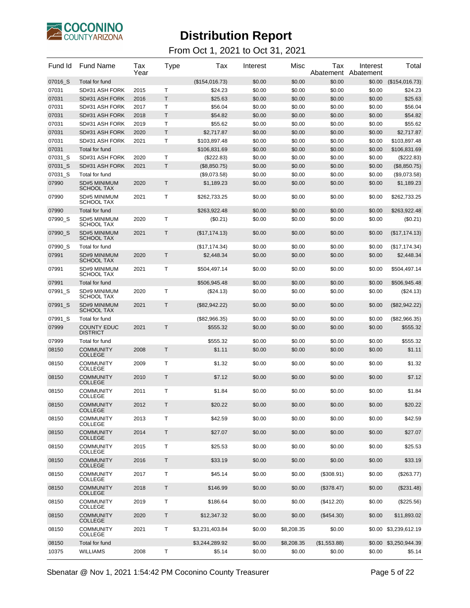

#### From Oct 1, 2021 to Oct 31, 2021

| Fund Id | <b>Fund Name</b>                         | Tax<br>Year | Type         | Tax            | Interest | Misc       | Tax<br>Abatement | Interest<br>Abatement | Total                 |
|---------|------------------------------------------|-------------|--------------|----------------|----------|------------|------------------|-----------------------|-----------------------|
| 07016_S | Total for fund                           |             |              | (\$154,016.73) | \$0.00   | \$0.00     | \$0.00           | \$0.00                | (\$154,016.73)        |
| 07031   | SD#31 ASH FORK                           | 2015        | т            | \$24.23        | \$0.00   | \$0.00     | \$0.00           | \$0.00                | \$24.23               |
| 07031   | SD#31 ASH FORK                           | 2016        | T            | \$25.63        | \$0.00   | \$0.00     | \$0.00           | \$0.00                | \$25.63               |
| 07031   | SD#31 ASH FORK                           | 2017        | T            | \$56.04        | \$0.00   | \$0.00     | \$0.00           | \$0.00                | \$56.04               |
| 07031   | SD#31 ASH FORK                           | 2018        | Т            | \$54.82        | \$0.00   | \$0.00     | \$0.00           | \$0.00                | \$54.82               |
| 07031   | SD#31 ASH FORK                           | 2019        | т            | \$55.62        | \$0.00   | \$0.00     | \$0.00           | \$0.00                | \$55.62               |
| 07031   | SD#31 ASH FORK                           | 2020        | T            | \$2,717.87     | \$0.00   | \$0.00     | \$0.00           | \$0.00                | \$2,717.87            |
| 07031   | SD#31 ASH FORK                           | 2021        | Т            | \$103,897.48   | \$0.00   | \$0.00     | \$0.00           | \$0.00                | \$103,897.48          |
| 07031   | Total for fund                           |             |              | \$106,831.69   | \$0.00   | \$0.00     | \$0.00           | \$0.00                | \$106,831.69          |
| 07031_S | SD#31 ASH FORK                           | 2020        | T            | (\$222.83)     | \$0.00   | \$0.00     | \$0.00           | \$0.00                | (\$222.83)            |
| 07031_S | SD#31 ASH FORK                           | 2021        | T.           | (\$8,850.75)   | \$0.00   | \$0.00     | \$0.00           | \$0.00                | (\$8,850.75)          |
| 07031_S | Total for fund                           |             |              | (\$9,073.58)   | \$0.00   | \$0.00     | \$0.00           | \$0.00                | (\$9,073.58)          |
| 07990   | <b>SD#5 MINIMUM</b><br><b>SCHOOL TAX</b> | 2020        | T            | \$1,189.23     | \$0.00   | \$0.00     | \$0.00           | \$0.00                | \$1,189.23            |
| 07990   | SD#5 MINIMUM<br><b>SCHOOL TAX</b>        | 2021        | T            | \$262,733.25   | \$0.00   | \$0.00     | \$0.00           | \$0.00                | \$262,733.25          |
| 07990   | Total for fund                           |             |              | \$263,922.48   | \$0.00   | \$0.00     | \$0.00           | \$0.00                | \$263,922.48          |
| 07990 S | SD#5 MINIMUM<br><b>SCHOOL TAX</b>        | 2020        | т            | (\$0.21)       | \$0.00   | \$0.00     | \$0.00           | \$0.00                | (\$0.21)              |
| 07990_S | <b>SD#5 MINIMUM</b><br><b>SCHOOL TAX</b> | 2021        | Т            | (\$17,174.13)  | \$0.00   | \$0.00     | \$0.00           | \$0.00                | (\$17, 174.13)        |
| 07990_S | Total for fund                           |             |              | (\$17, 174.34) | \$0.00   | \$0.00     | \$0.00           | \$0.00                | (\$17, 174.34)        |
| 07991   | SD#9 MINIMUM<br><b>SCHOOL TAX</b>        | 2020        | Τ            | \$2,448.34     | \$0.00   | \$0.00     | \$0.00           | \$0.00                | \$2,448.34            |
| 07991   | SD#9 MINIMUM<br><b>SCHOOL TAX</b>        | 2021        | т            | \$504,497.14   | \$0.00   | \$0.00     | \$0.00           | \$0.00                | \$504,497.14          |
| 07991   | Total for fund                           |             |              | \$506,945.48   | \$0.00   | \$0.00     | \$0.00           | \$0.00                | \$506,945.48          |
| 07991 S | SD#9 MINIMUM<br><b>SCHOOL TAX</b>        | 2020        | T            | $(\$24.13)$    | \$0.00   | \$0.00     | \$0.00           | \$0.00                | (\$24.13)             |
| 07991_S | SD#9 MINIMUM<br><b>SCHOOL TAX</b>        | 2021        | $\mathsf{T}$ | (\$82,942.22)  | \$0.00   | \$0.00     | \$0.00           | \$0.00                | (\$82,942.22)         |
| 07991_S | Total for fund                           |             |              | (\$82,966.35)  | \$0.00   | \$0.00     | \$0.00           | \$0.00                | $(\$82,966.35)$       |
| 07999   | <b>COUNTY EDUC</b><br><b>DISTRICT</b>    | 2021        | Т            | \$555.32       | \$0.00   | \$0.00     | \$0.00           | \$0.00                | \$555.32              |
| 07999   | Total for fund                           |             |              | \$555.32       | \$0.00   | \$0.00     | \$0.00           | \$0.00                | \$555.32              |
| 08150   | <b>COMMUNITY</b><br><b>COLLEGE</b>       | 2008        | т            | \$1.11         | \$0.00   | \$0.00     | \$0.00           | \$0.00                | \$1.11                |
| 08150   | <b>COMMUNITY</b><br><b>COLLEGE</b>       | 2009        | т            | \$1.32         | \$0.00   | \$0.00     | \$0.00           | \$0.00                | \$1.32                |
| 08150   | <b>COMMUNITY</b><br><b>COLLEGE</b>       | 2010        | Т            | \$7.12         | \$0.00   | \$0.00     | \$0.00           | \$0.00                | \$7.12                |
| 08150   | <b>COMMUNITY</b><br><b>COLLEGE</b>       | 2011        | Т            | \$1.84         | \$0.00   | \$0.00     | \$0.00           | \$0.00                | \$1.84                |
| 08150   | <b>COMMUNITY</b><br><b>COLLEGE</b>       | 2012        | т            | \$20.22        | \$0.00   | \$0.00     | \$0.00           | \$0.00                | \$20.22               |
| 08150   | <b>COMMUNITY</b><br><b>COLLEGE</b>       | 2013        | т            | \$42.59        | \$0.00   | \$0.00     | \$0.00           | \$0.00                | \$42.59               |
| 08150   | <b>COMMUNITY</b><br><b>COLLEGE</b>       | 2014        | Τ            | \$27.07        | \$0.00   | \$0.00     | \$0.00           | \$0.00                | \$27.07               |
| 08150   | <b>COMMUNITY</b><br><b>COLLEGE</b>       | 2015        | Т            | \$25.53        | \$0.00   | \$0.00     | \$0.00           | \$0.00                | \$25.53               |
| 08150   | <b>COMMUNITY</b><br><b>COLLEGE</b>       | 2016        | Τ            | \$33.19        | \$0.00   | \$0.00     | \$0.00           | \$0.00                | \$33.19               |
| 08150   | <b>COMMUNITY</b><br><b>COLLEGE</b>       | 2017        | Т            | \$45.14        | \$0.00   | \$0.00     | (\$308.91)       | \$0.00                | (\$263.77)            |
| 08150   | <b>COMMUNITY</b><br><b>COLLEGE</b>       | 2018        | Τ            | \$146.99       | \$0.00   | \$0.00     | (\$378.47)       | \$0.00                | (\$231.48)            |
| 08150   | <b>COMMUNITY</b><br><b>COLLEGE</b>       | 2019        | Т            | \$186.64       | \$0.00   | \$0.00     | $(\$412.20)$     | \$0.00                | (\$225.56)            |
| 08150   | <b>COMMUNITY</b><br><b>COLLEGE</b>       | 2020        | Τ            | \$12,347.32    | \$0.00   | \$0.00     | (\$454.30)       | \$0.00                | \$11,893.02           |
| 08150   | <b>COMMUNITY</b><br><b>COLLEGE</b>       | 2021        | Т            | \$3,231,403.84 | \$0.00   | \$8,208.35 | \$0.00           |                       | \$0.00 \$3,239,612.19 |
| 08150   | Total for fund                           |             |              | \$3,244,289.92 | \$0.00   | \$8,208.35 | (\$1,553.88)     |                       | \$0.00 \$3,250,944.39 |
| 10375   | <b>WILLIAMS</b>                          | 2008        | т            | \$5.14         | \$0.00   | \$0.00     | \$0.00           | \$0.00                | \$5.14                |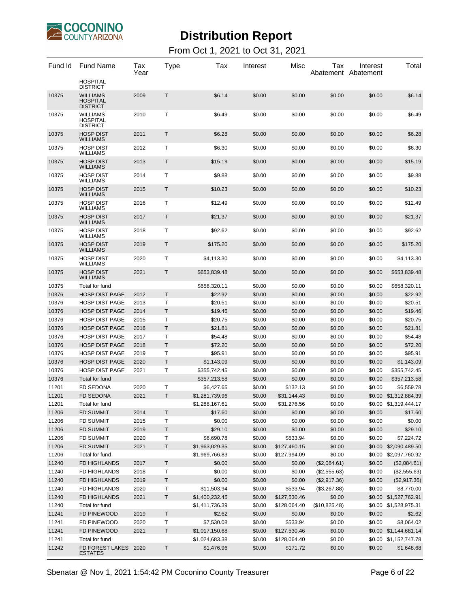

| Fund Id | <b>Fund Name</b>                                      | Tax<br>Year | <b>Type</b> | Tax            | Interest | Misc         | Тах<br>Abatement Abatement | Interest | Total                 |
|---------|-------------------------------------------------------|-------------|-------------|----------------|----------|--------------|----------------------------|----------|-----------------------|
|         | <b>HOSPITAL</b><br><b>DISTRICT</b>                    |             |             |                |          |              |                            |          |                       |
| 10375   | <b>WILLIAMS</b><br><b>HOSPITAL</b><br><b>DISTRICT</b> | 2009        | T.          | \$6.14         | \$0.00   | \$0.00       | \$0.00                     | \$0.00   | \$6.14                |
| 10375   | <b>WILLIAMS</b><br><b>HOSPITAL</b><br><b>DISTRICT</b> | 2010        | Τ           | \$6.49         | \$0.00   | \$0.00       | \$0.00                     | \$0.00   | \$6.49                |
| 10375   | <b>HOSP DIST</b><br><b>WILLIAMS</b>                   | 2011        | $\mathsf T$ | \$6.28         | \$0.00   | \$0.00       | \$0.00                     | \$0.00   | \$6.28                |
| 10375   | <b>HOSP DIST</b><br><b>WILLIAMS</b>                   | 2012        | т           | \$6.30         | \$0.00   | \$0.00       | \$0.00                     | \$0.00   | \$6.30                |
| 10375   | <b>HOSP DIST</b><br><b>WILLIAMS</b>                   | 2013        | Τ           | \$15.19        | \$0.00   | \$0.00       | \$0.00                     | \$0.00   | \$15.19               |
| 10375   | <b>HOSP DIST</b><br><b>WILLIAMS</b>                   | 2014        | Т           | \$9.88         | \$0.00   | \$0.00       | \$0.00                     | \$0.00   | \$9.88                |
| 10375   | <b>HOSP DIST</b><br><b>WILLIAMS</b>                   | 2015        | Τ           | \$10.23        | \$0.00   | \$0.00       | \$0.00                     | \$0.00   | \$10.23               |
| 10375   | <b>HOSP DIST</b><br><b>WILLIAMS</b>                   | 2016        | Т           | \$12.49        | \$0.00   | \$0.00       | \$0.00                     | \$0.00   | \$12.49               |
| 10375   | <b>HOSP DIST</b><br><b>WILLIAMS</b>                   | 2017        | Τ           | \$21.37        | \$0.00   | \$0.00       | \$0.00                     | \$0.00   | \$21.37               |
| 10375   | <b>HOSP DIST</b><br><b>WILLIAMS</b>                   | 2018        | т           | \$92.62        | \$0.00   | \$0.00       | \$0.00                     | \$0.00   | \$92.62               |
| 10375   | <b>HOSP DIST</b><br><b>WILLIAMS</b>                   | 2019        | Τ           | \$175.20       | \$0.00   | \$0.00       | \$0.00                     | \$0.00   | \$175.20              |
| 10375   | <b>HOSP DIST</b><br><b>WILLIAMS</b>                   | 2020        | т           | \$4,113.30     | \$0.00   | \$0.00       | \$0.00                     | \$0.00   | \$4,113.30            |
| 10375   | <b>HOSP DIST</b><br><b>WILLIAMS</b>                   | 2021        | Τ           | \$653,839.48   | \$0.00   | \$0.00       | \$0.00                     | \$0.00   | \$653,839.48          |
| 10375   | Total for fund                                        |             |             | \$658,320.11   | \$0.00   | \$0.00       | \$0.00                     | \$0.00   | \$658,320.11          |
| 10376   | <b>HOSP DIST PAGE</b>                                 | 2012        | $\mathsf T$ | \$22.92        | \$0.00   | \$0.00       | \$0.00                     | \$0.00   | \$22.92               |
| 10376   | <b>HOSP DIST PAGE</b>                                 | 2013        | т           | \$20.51        | \$0.00   | \$0.00       | \$0.00                     | \$0.00   | \$20.51               |
| 10376   | <b>HOSP DIST PAGE</b>                                 | 2014        | Τ           | \$19.46        | \$0.00   | \$0.00       | \$0.00                     | \$0.00   | \$19.46               |
| 10376   | <b>HOSP DIST PAGE</b>                                 | 2015        | т           | \$20.75        | \$0.00   | \$0.00       | \$0.00                     | \$0.00   | \$20.75               |
| 10376   | <b>HOSP DIST PAGE</b>                                 | 2016        | T           | \$21.81        | \$0.00   | \$0.00       | \$0.00                     | \$0.00   | \$21.81               |
| 10376   | <b>HOSP DIST PAGE</b>                                 | 2017        | Т           | \$54.48        | \$0.00   | \$0.00       | \$0.00                     | \$0.00   | \$54.48               |
| 10376   | <b>HOSP DIST PAGE</b>                                 | 2018        | T           | \$72.20        | \$0.00   | \$0.00       | \$0.00                     | \$0.00   | \$72.20               |
| 10376   | <b>HOSP DIST PAGE</b>                                 | 2019        | Т           | \$95.91        | \$0.00   | \$0.00       | \$0.00                     | \$0.00   | \$95.91               |
| 10376   | <b>HOSP DIST PAGE</b>                                 | 2020        | T           | \$1,143.09     | \$0.00   | \$0.00       | \$0.00                     | \$0.00   | \$1,143.09            |
| 10376   | <b>HOSP DIST PAGE</b>                                 | 2021        | т           | \$355,742.45   | \$0.00   | \$0.00       | \$0.00                     | \$0.00   | \$355,742.45          |
| 10376   | Total for fund                                        |             |             | \$357,213.58   | \$0.00   | \$0.00       | \$0.00                     | \$0.00   | \$357,213.58          |
| 11201   | <b>FD SEDONA</b>                                      | 2020        | Т           | \$6,427.65     | \$0.00   | \$132.13     | \$0.00                     | \$0.00   | \$6,559.78            |
| 11201   | <b>FD SEDONA</b>                                      | 2021        | T           | \$1,281,739.96 | \$0.00   | \$31,144.43  | \$0.00                     |          | \$0.00 \$1,312,884.39 |
| 11201   | Total for fund                                        |             |             | \$1,288,167.61 | \$0.00   | \$31,276.56  | \$0.00                     |          | \$0.00 \$1,319,444.17 |
| 11206   | <b>FD SUMMIT</b>                                      | 2014        | Τ           | \$17.60        | \$0.00   | \$0.00       | \$0.00                     | \$0.00   | \$17.60               |
| 11206   | <b>FD SUMMIT</b>                                      | 2015        | т           | \$0.00         | \$0.00   | \$0.00       | \$0.00                     | \$0.00   | \$0.00                |
| 11206   | <b>FD SUMMIT</b>                                      | 2019        | $\sf T$     | \$29.10        | \$0.00   | \$0.00       | \$0.00                     | \$0.00   | \$29.10               |
| 11206   | <b>FD SUMMIT</b>                                      | 2020        | Т           | \$6,690.78     | \$0.00   | \$533.94     | \$0.00                     | \$0.00   | \$7,224.72            |
| 11206   | <b>FD SUMMIT</b>                                      | 2021        | $\top$      | \$1,963,029.35 | \$0.00   | \$127,460.15 | \$0.00                     |          | \$0.00 \$2,090,489.50 |
| 11206   | Total for fund                                        |             |             | \$1,969,766.83 | \$0.00   | \$127,994.09 | \$0.00                     |          | \$0.00 \$2,097,760.92 |
| 11240   | FD HIGHLANDS                                          | 2017        | Τ           | \$0.00         | \$0.00   | \$0.00       | (\$2,084.61)               | \$0.00   | (\$2,084.61)          |
| 11240   | FD HIGHLANDS                                          | 2018        | T           | \$0.00         | \$0.00   | \$0.00       | (\$2,555.63)               | \$0.00   | (\$2,555.63)          |
| 11240   | FD HIGHLANDS                                          | 2019        | Τ           | \$0.00         | \$0.00   | \$0.00       | (\$2,917.36)               | \$0.00   | (\$2,917.36)          |
| 11240   | FD HIGHLANDS                                          | 2020        | Т           | \$11,503.94    | \$0.00   | \$533.94     | (\$3,267.88)               | \$0.00   | \$8,770.00            |
| 11240   | FD HIGHLANDS                                          | 2021        | Τ           | \$1,400,232.45 | \$0.00   | \$127,530.46 | \$0.00                     |          | \$0.00 \$1,527,762.91 |
| 11240   | Total for fund                                        |             |             | \$1,411,736.39 | \$0.00   | \$128,064.40 | (\$10,825.48)              |          | \$0.00 \$1,528,975.31 |
| 11241   | FD PINEWOOD                                           | 2019        | Τ           | \$2.62         | \$0.00   | \$0.00       | \$0.00                     | \$0.00   | \$2.62                |
| 11241   | FD PINEWOOD                                           | 2020        | T           | \$7,530.08     | \$0.00   | \$533.94     | \$0.00                     | \$0.00   | \$8,064.02            |
| 11241   | FD PINEWOOD                                           | 2021        | T           | \$1,017,150.68 | \$0.00   | \$127,530.46 | \$0.00                     |          | \$0.00 \$1,144,681.14 |
| 11241   | Total for fund                                        |             |             | \$1,024,683.38 | \$0.00   | \$128,064.40 | \$0.00                     |          | \$0.00 \$1,152,747.78 |
| 11242   | FD FOREST LAKES<br><b>ESTATES</b>                     | 2020        | T           | \$1,476.96     | \$0.00   | \$171.72     | \$0.00                     | \$0.00   | \$1,648.68            |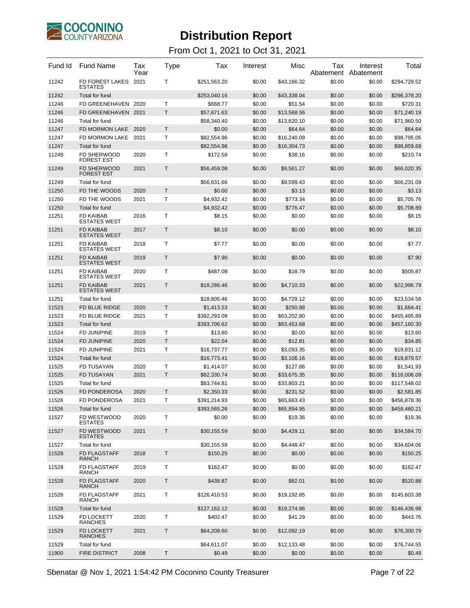

| Fund Id        | <b>Fund Name</b>                        | Tax<br>Year | Type        | Tax                   | Interest         | Misc                  | Tax<br>Abatement | Interest<br>Abatement | Total                 |
|----------------|-----------------------------------------|-------------|-------------|-----------------------|------------------|-----------------------|------------------|-----------------------|-----------------------|
| 11242          | FD FOREST LAKES<br><b>ESTATES</b>       | 2021        | т           | \$251,563.20          | \$0.00           | \$43.166.32           | \$0.00           | \$0.00                | \$294,729.52          |
| 11242          | Total for fund                          |             |             | \$253,040.16          | \$0.00           | \$43,338.04           | \$0.00           | \$0.00                | \$296,378.20          |
| 11246          | FD GREENEHAVEN 2020                     |             | T           | \$668.77              | \$0.00           | \$51.54               | \$0.00           | \$0.00                | \$720.31              |
| 11246          | FD GREENEHAVEN 2021                     |             | T           | \$57,671.63           | \$0.00           | \$13,568.56           | \$0.00           | \$0.00                | \$71,240.19           |
| 11246          | Total for fund                          |             |             | \$58,340.40           | \$0.00           | \$13,620.10           | \$0.00           | \$0.00                | \$71,960.50           |
| 11247          | FD MORMON LAKE                          | 2020        | Τ           | \$0.00                | \$0.00           | \$64.64               | \$0.00           | \$0.00                | \$64.64               |
| 11247          | FD MORMON LAKE                          | 2021        | Т           | \$82,554.96           | \$0.00           | \$16,240.09           | \$0.00           | \$0.00                | \$98,795.05           |
| 11247          | Total for fund                          |             |             | \$82,554.96           | \$0.00           | \$16,304.73           | \$0.00           | \$0.00                | \$98,859.69           |
| 11249          | FD SHERWOOD<br><b>FOREST EST</b>        | 2020        | T           | \$172.58              | \$0.00           | \$38.16               | \$0.00           | \$0.00                | \$210.74              |
| 11249          | <b>FD SHERWOOD</b><br><b>FOREST EST</b> | 2021        | Τ           | \$56,459.08           | \$0.00           | \$9,561.27            | \$0.00           | \$0.00                | \$66,020.35           |
| 11249          | Total for fund                          |             |             | \$56,631.66           | \$0.00           | \$9,599.43            | \$0.00           | \$0.00                | \$66,231.09           |
| 11250          | FD THE WOODS                            | 2020        | T           | \$0.00                | \$0.00           | \$3.13                | \$0.00           | \$0.00                | \$3.13                |
| 11250          | FD THE WOODS                            | 2021        | Т           | \$4,932.42            | \$0.00           | \$773.34              | \$0.00           | \$0.00                | \$5,705.76            |
| 11250          | Total for fund                          |             |             | \$4,932.42            | \$0.00           | \$776.47              | \$0.00           | \$0.00                | \$5,708.89            |
| 11251          | <b>FD KAIBAB</b><br><b>ESTATES WEST</b> | 2016        | Т           | \$8.15                | \$0.00           | \$0.00                | \$0.00           | \$0.00                | \$8.15                |
| 11251          | <b>FD KAIBAB</b><br><b>ESTATES WEST</b> | 2017        | $\mathsf T$ | \$8.10                | \$0.00           | \$0.00                | \$0.00           | \$0.00                | \$8.10                |
| 11251          | <b>FD KAIBAB</b><br><b>ESTATES WEST</b> | 2018        | Т           | \$7.77                | \$0.00           | \$0.00                | \$0.00           | \$0.00                | \$7.77                |
| 11251          | <b>FD KAIBAB</b><br><b>ESTATES WEST</b> | 2019        | $\mathsf T$ | \$7.90                | \$0.00           | \$0.00                | \$0.00           | \$0.00                | \$7.90                |
| 11251          | <b>FD KAIBAB</b><br><b>ESTATES WEST</b> | 2020        | Т           | \$487.08              | \$0.00           | \$18.79               | \$0.00           | \$0.00                | \$505.87              |
| 11251          | <b>FD KAIBAB</b><br><b>ESTATES WEST</b> | 2021        | T           | \$18,286.46           | \$0.00           | \$4,710.33            | \$0.00           | \$0.00                | \$22,996.79           |
| 11251          | Total for fund                          |             |             | \$18,805.46           | \$0.00           | \$4,729.12            | \$0.00           | \$0.00                | \$23,534.58           |
| 11523          | FD BLUE RIDGE                           | 2020        | T.          | \$1,413.53            | \$0.00           | \$250.88              | \$0.00           | \$0.00                | \$1,664.41            |
| 11523          | FD BLUE RIDGE                           | 2021        | Т           | \$392,293.09          | \$0.00           | \$63,202.80           | \$0.00           | \$0.00                | \$455,495.89          |
| 11523          | Total for fund                          |             |             | \$393,706.62          | \$0.00           | \$63,453.68           | \$0.00           | \$0.00                | \$457,160.30          |
| 11524          | <b>FD JUNIPINE</b>                      | 2019        | т           | \$13.60               | \$0.00           | \$0.00                | \$0.00           | \$0.00                | \$13.60               |
| 11524          | <b>FD JUNIPINE</b>                      | 2020        | $\mathsf T$ | \$22.04               | \$0.00           | \$12.81               | \$0.00           | \$0.00                | \$34.85               |
| 11524          | <b>FD JUNIPINE</b>                      | 2021        | Т           | \$16,737.77           | \$0.00           | \$3,093.35            | \$0.00           | \$0.00                | \$19,831.12           |
| 11524          | Total for fund                          |             |             | \$16,773.41           | \$0.00           | \$3,106.16            | \$0.00           | \$0.00                | \$19,879.57           |
| 11525          | <b>FD TUSAYAN</b>                       | 2020        | т           | \$1,414.07            | \$0.00           | \$127.86              | \$0.00           | \$0.00                | \$1,541.93            |
| 11525          | <b>FD TUSAYAN</b>                       | 2021        | T           | \$82,330.74           | \$0.00           | \$33,675.35           | \$0.00           | \$0.00                | \$116,006.09          |
| 11525          | Total for fund                          |             |             | \$83,744.81           | \$0.00           | \$33,803.21           | \$0.00           | \$0.00                | \$117,548.02          |
| 11526          | <b>FD PONDEROSA</b>                     | 2020        | T           | \$2,350.33            | \$0.00           | \$231.52              | \$0.00           | \$0.00                | \$2,581.85            |
| 11526          | <b>FD PONDEROSA</b>                     | 2021        | Т           | \$391,214.93          | \$0.00           | \$65,663.43           | \$0.00           | \$0.00                | \$456,878.36          |
| 11526          | Total for fund                          |             |             | \$393,565.26          | \$0.00           | \$65,894.95           | \$0.00           | \$0.00                | \$459,460.21          |
| 11527          | FD WESTWOOD<br><b>ESTATES</b>           | 2020        | Т           | \$0.00                | \$0.00           | \$19.36               | \$0.00           | \$0.00                | \$19.36               |
| 11527          | FD WESTWOOD<br><b>ESTATES</b>           | 2021        | T           | \$30,155.59           | \$0.00           | \$4,429.11            | \$0.00           | \$0.00                | \$34,584.70           |
| 11527          | Total for fund                          |             |             | \$30,155.59           | \$0.00           | \$4,448.47            | \$0.00           | \$0.00                | \$34,604.06           |
| 11528          | <b>FD FLAGSTAFF</b><br><b>RANCH</b>     | 2018        | $\mathsf T$ | \$150.25              | \$0.00           | \$0.00                | \$0.00           | \$0.00                | \$150.25              |
| 11528          | <b>FD FLAGSTAFF</b><br><b>RANCH</b>     | 2019        | Τ           | \$162.47              | \$0.00           | \$0.00                | \$0.00           | \$0.00                | \$162.47              |
| 11528          | <b>FD FLAGSTAFF</b><br><b>RANCH</b>     | 2020        | T           | \$438.87              | \$0.00           | \$82.01               | \$0.00           | \$0.00                | \$520.88              |
| 11528          | <b>FD FLAGSTAFF</b><br><b>RANCH</b>     | 2021        | Τ           | \$126,410.53          | \$0.00           | \$19,192.85           | \$0.00           | \$0.00                | \$145,603.38          |
| 11528          | Total for fund                          |             |             | \$127,162.12          | \$0.00           | \$19,274.86           | \$0.00           | \$0.00                | \$146,436.98          |
| 11529          | FD LOCKETT<br><b>RANCHES</b>            | 2020        | т           | \$402.47              | \$0.00           | \$41.29               | \$0.00           | \$0.00                | \$443.76              |
| 11529          | FD LOCKETT<br><b>RANCHES</b>            | 2021        | T           | \$64,208.60           | \$0.00           | \$12,092.19           | \$0.00           | \$0.00                | \$76,300.79           |
| 11529<br>11900 | Total for fund<br><b>FIRE DISTRICT</b>  | 2008        | T           | \$64,611.07<br>\$0.49 | \$0.00<br>\$0.00 | \$12,133.48<br>\$0.00 | \$0.00<br>\$0.00 | \$0.00<br>\$0.00      | \$76,744.55<br>\$0.49 |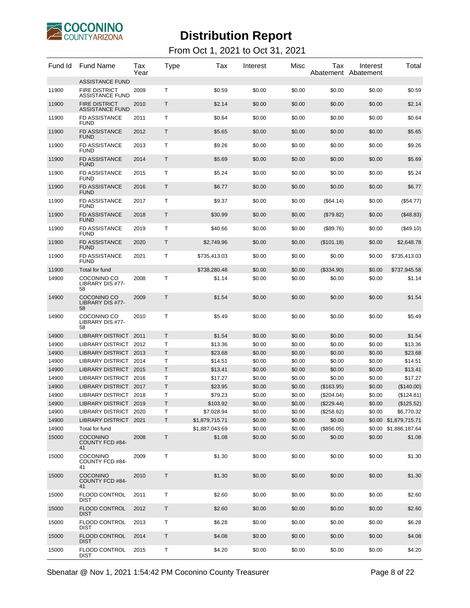

| Fund Id | <b>Fund Name</b>                         | Tax<br>Year | Type    | Tax            | Interest | Misc   | Tax          | Interest<br>Abatement Abatement | Total                 |
|---------|------------------------------------------|-------------|---------|----------------|----------|--------|--------------|---------------------------------|-----------------------|
|         | <b>ASSISTANCE FUND</b>                   |             |         |                |          |        |              |                                 |                       |
| 11900   | <b>FIRE DISTRICT</b><br>ASSISTANCE FUND  | 2009        | Τ       | \$0.59         | \$0.00   | \$0.00 | \$0.00       | \$0.00                          | \$0.59                |
| 11900   | <b>FIRE DISTRICT</b><br>ASSISTANCE FUND  | 2010        | Τ       | \$2.14         | \$0.00   | \$0.00 | \$0.00       | \$0.00                          | \$2.14                |
| 11900   | FD ASSISTANCE<br>FUND                    | 2011        | Т       | \$0.64         | \$0.00   | \$0.00 | \$0.00       | \$0.00                          | \$0.64                |
| 11900   | <b>FD ASSISTANCE</b><br><b>FUND</b>      | 2012        | Τ       | \$5.65         | \$0.00   | \$0.00 | \$0.00       | \$0.00                          | \$5.65                |
| 11900   | <b>FD ASSISTANCE</b><br><b>FUND</b>      | 2013        | Т       | \$9.26         | \$0.00   | \$0.00 | \$0.00       | \$0.00                          | \$9.26                |
| 11900   | <b>FD ASSISTANCE</b><br><b>FUND</b>      | 2014        | Τ       | \$5.69         | \$0.00   | \$0.00 | \$0.00       | \$0.00                          | \$5.69                |
| 11900   | <b>FD ASSISTANCE</b><br><b>FUND</b>      | 2015        | Т       | \$5.24         | \$0.00   | \$0.00 | \$0.00       | \$0.00                          | \$5.24                |
| 11900   | <b>FD ASSISTANCE</b><br><b>FUND</b>      | 2016        | Τ       | \$6.77         | \$0.00   | \$0.00 | \$0.00       | \$0.00                          | \$6.77                |
| 11900   | <b>FD ASSISTANCE</b><br><b>FUND</b>      | 2017        | Т       | \$9.37         | \$0.00   | \$0.00 | (\$64.14)    | \$0.00                          | (\$54.77)             |
| 11900   | <b>FD ASSISTANCE</b><br><b>FUND</b>      | 2018        | Τ       | \$30.99        | \$0.00   | \$0.00 | (\$79.82)    | \$0.00                          | (\$48.83)             |
| 11900   | <b>FD ASSISTANCE</b><br><b>FUND</b>      | 2019        | Т       | \$40.66        | \$0.00   | \$0.00 | (\$89.76)    | \$0.00                          | $(\$49.10)$           |
| 11900   | <b>FD ASSISTANCE</b><br><b>FUND</b>      | 2020        | Τ       | \$2,749.96     | \$0.00   | \$0.00 | (\$101.18)   | \$0.00                          | \$2,648.78            |
| 11900   | <b>FD ASSISTANCE</b>                     | 2021        | Т       | \$735,413.03   | \$0.00   | \$0.00 | \$0.00       | \$0.00                          | \$735,413.03          |
| 11900   | <b>FUND</b><br>Total for fund            |             |         | \$738,280.48   | \$0.00   | \$0.00 | (\$334.90)   | \$0.00                          | \$737,945.58          |
| 14900   | COCONINO CO<br>LIBRARY DIS #77-<br>58    | 2008        | т       | \$1.14         | \$0.00   | \$0.00 | \$0.00       | \$0.00                          | \$1.14                |
| 14900   | COCONINO CO<br>LIBRARY DIS #77-<br>58    | 2009        | Τ       | \$1.54         | \$0.00   | \$0.00 | \$0.00       | \$0.00                          | \$1.54                |
| 14900   | COCONINO CO<br>LIBRARY DIS #77-<br>58    | 2010        | Т       | \$5.49         | \$0.00   | \$0.00 | \$0.00       | \$0.00                          | \$5.49                |
| 14900   | <b>LIBRARY DISTRICT</b>                  | 2011        | Τ       | \$1.54         | \$0.00   | \$0.00 | \$0.00       | \$0.00                          | \$1.54                |
| 14900   | <b>LIBRARY DISTRICT</b>                  | 2012        | Т       | \$13.36        | \$0.00   | \$0.00 | \$0.00       | \$0.00                          | \$13.36               |
| 14900   | LIBRARY DISTRICT 2013                    |             | Τ       | \$23.68        | \$0.00   | \$0.00 | \$0.00       | \$0.00                          | \$23.68               |
| 14900   | LIBRARY DISTRICT 2014                    |             | т       | \$14.51        | \$0.00   | \$0.00 | \$0.00       | \$0.00                          | \$14.51               |
| 14900   | LIBRARY DISTRICT 2015                    |             | T       | \$13.41        | \$0.00   | \$0.00 | \$0.00       | \$0.00                          | \$13.41               |
| 14900   | <b>LIBRARY DISTRICT</b>                  | 2016        | Т       | \$17.27        | \$0.00   | \$0.00 | \$0.00       | \$0.00                          | \$17.27               |
| 14900   | LIBRARY DISTRICT 2017                    |             | T       | \$23.95        | \$0.00   | \$0.00 | (\$163.95)   | \$0.00                          | (\$140.00)            |
| 14900   | <b>LIBRARY DISTRICT</b>                  | 2018        | Т       | \$79.23        | \$0.00   | \$0.00 | $(\$204.04)$ | \$0.00                          | (\$124.81)            |
| 14900   | LIBRARY DISTRICT 2019                    |             | Τ       | \$103.92       | \$0.00   | \$0.00 | (\$229.44)   | \$0.00                          | (\$125.52)            |
| 14900   | LIBRARY DISTRICT 2020                    |             | т       | \$7,028.94     | \$0.00   | \$0.00 | (\$258.62)   | \$0.00                          | \$6,770.32            |
| 14900   | LIBRARY DISTRICT 2021                    |             | T       | \$1,879,715.71 | \$0.00   | \$0.00 | \$0.00       |                                 | \$0.00 \$1,879,715.71 |
| 14900   | Total for fund                           |             |         | \$1,887,043.69 | \$0.00   | \$0.00 | (\$856.05)   |                                 | \$0.00 \$1,886,187.64 |
| 15000   | <b>COCONINO</b><br>COUNTY FCD #84-<br>41 | 2008        | $\sf T$ | \$1.08         | \$0.00   | \$0.00 | \$0.00       | \$0.00                          | \$1.08                |
| 15000   | <b>COCONINO</b><br>COUNTY FCD #84-<br>41 | 2009        | T       | \$1.30         | \$0.00   | \$0.00 | \$0.00       | \$0.00                          | \$1.30                |
| 15000   | <b>COCONINO</b><br>COUNTY FCD #84-<br>41 | 2010        | Τ       | \$1.30         | \$0.00   | \$0.00 | \$0.00       | \$0.00                          | \$1.30                |
| 15000   | <b>FLOOD CONTROL</b><br>DIST             | 2011        | Τ       | \$2.60         | \$0.00   | \$0.00 | \$0.00       | \$0.00                          | \$2.60                |
| 15000   | <b>FLOOD CONTROL</b><br><b>DIST</b>      | 2012        | T.      | \$2.60         | \$0.00   | \$0.00 | \$0.00       | \$0.00                          | \$2.60                |
| 15000   | <b>FLOOD CONTROL</b><br>DIST             | 2013        | Τ       | \$6.28         | \$0.00   | \$0.00 | \$0.00       | \$0.00                          | \$6.28                |
| 15000   | <b>FLOOD CONTROL</b><br><b>DIST</b>      | 2014        | T.      | \$4.08         | \$0.00   | \$0.00 | \$0.00       | \$0.00                          | \$4.08                |
| 15000   | <b>FLOOD CONTROL</b><br><b>DIST</b>      | 2015        | Τ       | \$4.20         | \$0.00   | \$0.00 | \$0.00       | \$0.00                          | \$4.20                |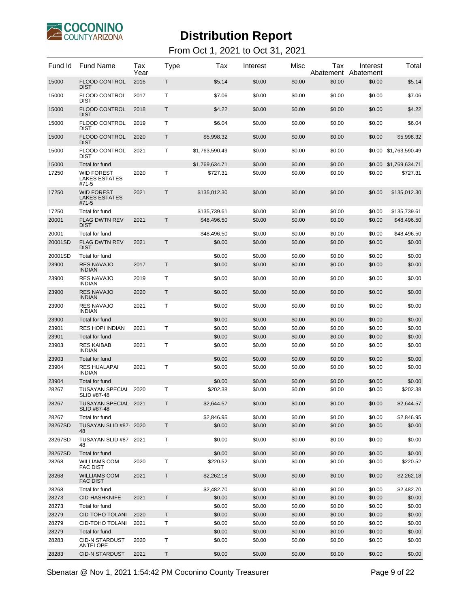

| 15000<br><b>FLOOD CONTROL</b><br>2016<br>Т<br>\$5.14<br>\$0.00<br>\$0.00<br>\$0.00<br>\$5.14<br>\$0.00<br><b>DIST</b><br>15000<br><b>FLOOD CONTROL</b><br>2017<br>т<br>\$0.00<br>\$0.00<br>\$0.00<br>\$7.06<br>\$7.06<br>\$0.00<br><b>DIST</b><br>15000<br><b>FLOOD CONTROL</b><br>2018<br>Т<br>\$0.00<br>\$0.00<br>\$4.22<br>\$4.22<br>\$0.00<br>\$0.00<br><b>DIST</b><br>15000<br><b>FLOOD CONTROL</b><br>2019<br>т<br>\$0.00<br>\$0.00<br>\$0.00<br>\$6.04<br>\$6.04<br>\$0.00<br><b>DIST</b><br>15000<br><b>FLOOD CONTROL</b><br>2020<br>Т<br>\$0.00<br>\$5,998.32<br>\$5,998.32<br>\$0.00<br>\$0.00<br>\$0.00<br><b>DIST</b><br>15000<br><b>FLOOD CONTROL</b><br>2021<br>т<br>\$0.00<br>\$0.00<br>\$0.00 \$1,763,590.49<br>\$1,763,590.49<br>\$0.00<br><b>DIST</b><br>15000<br>Total for fund<br>\$1,769,634.71<br>\$0.00<br>\$0.00<br>\$0.00<br>\$0.00 \$1,769,634.71<br>Т<br>17250<br><b>WID FOREST</b><br>2020<br>\$727.31<br>\$0.00<br>\$0.00<br>\$0.00<br>\$0.00<br>\$727.31<br><b>LAKES ESTATES</b><br>#71-5<br>Τ<br>17250<br><b>WID FOREST</b><br>2021<br>\$135,012.30<br>\$0.00<br>\$0.00<br>\$0.00<br>\$135,012.30<br>\$0.00<br>LAKES ESTATES<br>#71-5<br>17250<br>Total for fund<br>\$135,739.61<br>\$0.00<br>\$0.00<br>\$0.00<br>\$135,739.61<br>\$0.00<br>20001<br><b>FLAG DWTN REV</b><br>2021<br>Т<br>\$48,496.50<br>\$0.00<br>\$0.00<br>\$0.00<br>\$0.00<br>\$48,496.50<br><b>DIST</b><br>20001<br>\$48,496.50<br>\$0.00<br>\$0.00<br>\$0.00<br>\$0.00<br>\$48,496.50<br>Total for fund<br><b>FLAG DWTN REV</b><br>T<br>20001SD<br>2021<br>\$0.00<br>\$0.00<br>\$0.00<br>\$0.00<br>\$0.00<br>\$0.00<br><b>DIST</b><br>20001SD<br>Total for fund<br>\$0.00<br>\$0.00<br>\$0.00<br>\$0.00<br>\$0.00<br>\$0.00<br><b>RES NAVAJO</b><br>\$0.00<br>23900<br>2017<br>Τ<br>\$0.00<br>\$0.00<br>\$0.00<br>\$0.00<br>\$0.00<br><b>INDIAN</b><br><b>RES NAVAJO</b><br>23900<br>т<br>\$0.00<br>2019<br>\$0.00<br>\$0.00<br>\$0.00<br>\$0.00<br>\$0.00<br><b>INDIAN</b><br><b>RES NAVAJO</b><br>23900<br>2020<br>Τ<br>\$0.00<br>\$0.00<br>\$0.00<br>\$0.00<br>\$0.00<br>\$0.00<br><b>INDIAN</b><br><b>RES NAVAJO</b><br>23900<br>т<br>\$0.00<br>\$0.00<br>2021<br>\$0.00<br>\$0.00<br>\$0.00<br>\$0.00<br><b>INDIAN</b><br>23900<br>\$0.00<br>\$0.00<br>\$0.00<br>\$0.00<br>Total for fund<br>\$0.00<br>\$0.00<br>23901<br><b>RES HOPI INDIAN</b><br>2021<br>т<br>\$0.00<br>\$0.00<br>\$0.00<br>\$0.00<br>\$0.00<br>\$0.00<br>23901<br>Total for fund<br>\$0.00<br>\$0.00<br>\$0.00<br>\$0.00<br>\$0.00<br>\$0.00<br>23903<br><b>RES KAIBAB</b><br>Т<br>\$0.00<br>2021<br>\$0.00<br>\$0.00<br>\$0.00<br>\$0.00<br>\$0.00<br><b>INDIAN</b><br>23903<br>Total for fund<br>\$0.00<br>\$0.00<br>\$0.00<br>\$0.00<br>\$0.00<br>\$0.00<br>23904<br><b>RES HUALAPAI</b><br>2021<br>т<br>\$0.00<br>\$0.00<br>\$0.00<br>\$0.00<br>\$0.00<br>\$0.00<br><b>INDIAN</b><br>23904<br>Total for fund<br>\$0.00<br>\$0.00<br>\$0.00<br>\$0.00<br>\$0.00<br>\$0.00<br>28267<br>TUSAYAN SPECIAL 2020<br>т<br>\$202.38<br>\$0.00<br>\$0.00<br>\$0.00<br>\$0.00<br>\$202.38<br>SLID #87-48<br>28267<br>TUSAYAN SPECIAL 2021<br>T<br>\$2,644.57<br>\$0.00<br>\$0.00<br>\$0.00<br>\$0.00<br>\$2.644.57<br>SLID #87-48<br>\$2,846.95<br>28267<br>Total for fund<br>\$2,846.95<br>\$0.00<br>\$0.00<br>\$0.00<br>\$0.00<br>TUSAYAN SLID #87- 2020<br>$\mathsf T$<br>\$0.00<br>28267SD<br>\$0.00<br>\$0.00<br>\$0.00<br>\$0.00<br>\$0.00<br>48<br>Τ<br>28267SD<br>TUSAYAN SLID #87- 2021<br>\$0.00<br>\$0.00<br>\$0.00<br>\$0.00<br>\$0.00<br>\$0.00<br>48<br>28267SD<br>Total for fund<br>\$0.00<br>\$0.00<br>\$0.00<br>\$0.00<br>\$0.00<br>\$0.00<br><b>WILLIAMS COM</b><br>Т<br>28268<br>2020<br>\$220.52<br>\$0.00<br>\$0.00<br>\$0.00<br>\$0.00<br>\$220.52<br><b>FAC DIST</b><br>T<br><b>WILLIAMS COM</b><br>2021<br>\$0.00<br>\$0.00<br>\$0.00<br>\$2,262.18<br>28268<br>\$2,262.18<br>\$0.00<br><b>FAC DIST</b><br>28268<br>Total for fund<br>\$2,482.70<br>\$0.00<br>\$0.00<br>\$0.00<br>\$0.00<br>\$2,482.70<br>T<br>28273<br><b>CID-HASHKNIFE</b><br>2021<br>\$0.00<br>\$0.00<br>\$0.00<br>\$0.00<br>\$0.00<br>\$0.00<br>28273<br>\$0.00<br>\$0.00<br>\$0.00<br>\$0.00<br>\$0.00<br>\$0.00<br>Total for fund<br>28279<br>T<br><b>CID-TOHO TOLANI</b><br>2020<br>\$0.00<br>\$0.00<br>\$0.00<br>\$0.00<br>\$0.00<br>\$0.00<br>28279<br>Τ<br>\$0.00<br>\$0.00<br>\$0.00<br>\$0.00<br>\$0.00<br>CID-TOHO TOLANI<br>2021<br>\$0.00<br>\$0.00<br>\$0.00<br>28279<br>Total for fund<br>\$0.00<br>\$0.00<br>\$0.00<br>\$0.00<br><b>CID-N STARDUST</b><br>т<br>28283<br>2020<br>\$0.00<br>\$0.00<br>\$0.00<br>\$0.00<br>\$0.00<br>\$0.00<br>ANTELOPE<br>T<br>28283<br><b>CID-N STARDUST</b><br>\$0.00<br>\$0.00<br>\$0.00<br>2021<br>\$0.00<br>\$0.00<br>\$0.00 | Fund Id | <b>Fund Name</b> | Tax<br>Year | Type | Tax | Interest | Misc | Tax<br>Abatement | Interest<br>Abatement | Total |
|-------------------------------------------------------------------------------------------------------------------------------------------------------------------------------------------------------------------------------------------------------------------------------------------------------------------------------------------------------------------------------------------------------------------------------------------------------------------------------------------------------------------------------------------------------------------------------------------------------------------------------------------------------------------------------------------------------------------------------------------------------------------------------------------------------------------------------------------------------------------------------------------------------------------------------------------------------------------------------------------------------------------------------------------------------------------------------------------------------------------------------------------------------------------------------------------------------------------------------------------------------------------------------------------------------------------------------------------------------------------------------------------------------------------------------------------------------------------------------------------------------------------------------------------------------------------------------------------------------------------------------------------------------------------------------------------------------------------------------------------------------------------------------------------------------------------------------------------------------------------------------------------------------------------------------------------------------------------------------------------------------------------------------------------------------------------------------------------------------------------------------------------------------------------------------------------------------------------------------------------------------------------------------------------------------------------------------------------------------------------------------------------------------------------------------------------------------------------------------------------------------------------------------------------------------------------------------------------------------------------------------------------------------------------------------------------------------------------------------------------------------------------------------------------------------------------------------------------------------------------------------------------------------------------------------------------------------------------------------------------------------------------------------------------------------------------------------------------------------------------------------------------------------------------------------------------------------------------------------------------------------------------------------------------------------------------------------------------------------------------------------------------------------------------------------------------------------------------------------------------------------------------------------------------------------------------------------------------------------------------------------------------------------------------------------------------------------------------------------------------------------------------------------------------------------------------------------------------------------------------------------------------------------------------------------------------------------------------------------------------------------------------------------------------------------------------------------------------------------------------------------------------------------------------------------------------------------------------------------------------------------------------------------------------------------------------------------------------------------------------------------------------------------------------------------------------------------------------------------------------------------------------------------------------------------------------------------------------------------------------------------------------------------------------------------------------------------------------------------------------------|---------|------------------|-------------|------|-----|----------|------|------------------|-----------------------|-------|
|                                                                                                                                                                                                                                                                                                                                                                                                                                                                                                                                                                                                                                                                                                                                                                                                                                                                                                                                                                                                                                                                                                                                                                                                                                                                                                                                                                                                                                                                                                                                                                                                                                                                                                                                                                                                                                                                                                                                                                                                                                                                                                                                                                                                                                                                                                                                                                                                                                                                                                                                                                                                                                                                                                                                                                                                                                                                                                                                                                                                                                                                                                                                                                                                                                                                                                                                                                                                                                                                                                                                                                                                                                                                                                                                                                                                                                                                                                                                                                                                                                                                                                                                                                                                                                                                                                                                                                                                                                                                                                                                                                                                                                                                                                                                                 |         |                  |             |      |     |          |      |                  |                       |       |
|                                                                                                                                                                                                                                                                                                                                                                                                                                                                                                                                                                                                                                                                                                                                                                                                                                                                                                                                                                                                                                                                                                                                                                                                                                                                                                                                                                                                                                                                                                                                                                                                                                                                                                                                                                                                                                                                                                                                                                                                                                                                                                                                                                                                                                                                                                                                                                                                                                                                                                                                                                                                                                                                                                                                                                                                                                                                                                                                                                                                                                                                                                                                                                                                                                                                                                                                                                                                                                                                                                                                                                                                                                                                                                                                                                                                                                                                                                                                                                                                                                                                                                                                                                                                                                                                                                                                                                                                                                                                                                                                                                                                                                                                                                                                                 |         |                  |             |      |     |          |      |                  |                       |       |
|                                                                                                                                                                                                                                                                                                                                                                                                                                                                                                                                                                                                                                                                                                                                                                                                                                                                                                                                                                                                                                                                                                                                                                                                                                                                                                                                                                                                                                                                                                                                                                                                                                                                                                                                                                                                                                                                                                                                                                                                                                                                                                                                                                                                                                                                                                                                                                                                                                                                                                                                                                                                                                                                                                                                                                                                                                                                                                                                                                                                                                                                                                                                                                                                                                                                                                                                                                                                                                                                                                                                                                                                                                                                                                                                                                                                                                                                                                                                                                                                                                                                                                                                                                                                                                                                                                                                                                                                                                                                                                                                                                                                                                                                                                                                                 |         |                  |             |      |     |          |      |                  |                       |       |
|                                                                                                                                                                                                                                                                                                                                                                                                                                                                                                                                                                                                                                                                                                                                                                                                                                                                                                                                                                                                                                                                                                                                                                                                                                                                                                                                                                                                                                                                                                                                                                                                                                                                                                                                                                                                                                                                                                                                                                                                                                                                                                                                                                                                                                                                                                                                                                                                                                                                                                                                                                                                                                                                                                                                                                                                                                                                                                                                                                                                                                                                                                                                                                                                                                                                                                                                                                                                                                                                                                                                                                                                                                                                                                                                                                                                                                                                                                                                                                                                                                                                                                                                                                                                                                                                                                                                                                                                                                                                                                                                                                                                                                                                                                                                                 |         |                  |             |      |     |          |      |                  |                       |       |
|                                                                                                                                                                                                                                                                                                                                                                                                                                                                                                                                                                                                                                                                                                                                                                                                                                                                                                                                                                                                                                                                                                                                                                                                                                                                                                                                                                                                                                                                                                                                                                                                                                                                                                                                                                                                                                                                                                                                                                                                                                                                                                                                                                                                                                                                                                                                                                                                                                                                                                                                                                                                                                                                                                                                                                                                                                                                                                                                                                                                                                                                                                                                                                                                                                                                                                                                                                                                                                                                                                                                                                                                                                                                                                                                                                                                                                                                                                                                                                                                                                                                                                                                                                                                                                                                                                                                                                                                                                                                                                                                                                                                                                                                                                                                                 |         |                  |             |      |     |          |      |                  |                       |       |
|                                                                                                                                                                                                                                                                                                                                                                                                                                                                                                                                                                                                                                                                                                                                                                                                                                                                                                                                                                                                                                                                                                                                                                                                                                                                                                                                                                                                                                                                                                                                                                                                                                                                                                                                                                                                                                                                                                                                                                                                                                                                                                                                                                                                                                                                                                                                                                                                                                                                                                                                                                                                                                                                                                                                                                                                                                                                                                                                                                                                                                                                                                                                                                                                                                                                                                                                                                                                                                                                                                                                                                                                                                                                                                                                                                                                                                                                                                                                                                                                                                                                                                                                                                                                                                                                                                                                                                                                                                                                                                                                                                                                                                                                                                                                                 |         |                  |             |      |     |          |      |                  |                       |       |
|                                                                                                                                                                                                                                                                                                                                                                                                                                                                                                                                                                                                                                                                                                                                                                                                                                                                                                                                                                                                                                                                                                                                                                                                                                                                                                                                                                                                                                                                                                                                                                                                                                                                                                                                                                                                                                                                                                                                                                                                                                                                                                                                                                                                                                                                                                                                                                                                                                                                                                                                                                                                                                                                                                                                                                                                                                                                                                                                                                                                                                                                                                                                                                                                                                                                                                                                                                                                                                                                                                                                                                                                                                                                                                                                                                                                                                                                                                                                                                                                                                                                                                                                                                                                                                                                                                                                                                                                                                                                                                                                                                                                                                                                                                                                                 |         |                  |             |      |     |          |      |                  |                       |       |
|                                                                                                                                                                                                                                                                                                                                                                                                                                                                                                                                                                                                                                                                                                                                                                                                                                                                                                                                                                                                                                                                                                                                                                                                                                                                                                                                                                                                                                                                                                                                                                                                                                                                                                                                                                                                                                                                                                                                                                                                                                                                                                                                                                                                                                                                                                                                                                                                                                                                                                                                                                                                                                                                                                                                                                                                                                                                                                                                                                                                                                                                                                                                                                                                                                                                                                                                                                                                                                                                                                                                                                                                                                                                                                                                                                                                                                                                                                                                                                                                                                                                                                                                                                                                                                                                                                                                                                                                                                                                                                                                                                                                                                                                                                                                                 |         |                  |             |      |     |          |      |                  |                       |       |
|                                                                                                                                                                                                                                                                                                                                                                                                                                                                                                                                                                                                                                                                                                                                                                                                                                                                                                                                                                                                                                                                                                                                                                                                                                                                                                                                                                                                                                                                                                                                                                                                                                                                                                                                                                                                                                                                                                                                                                                                                                                                                                                                                                                                                                                                                                                                                                                                                                                                                                                                                                                                                                                                                                                                                                                                                                                                                                                                                                                                                                                                                                                                                                                                                                                                                                                                                                                                                                                                                                                                                                                                                                                                                                                                                                                                                                                                                                                                                                                                                                                                                                                                                                                                                                                                                                                                                                                                                                                                                                                                                                                                                                                                                                                                                 |         |                  |             |      |     |          |      |                  |                       |       |
|                                                                                                                                                                                                                                                                                                                                                                                                                                                                                                                                                                                                                                                                                                                                                                                                                                                                                                                                                                                                                                                                                                                                                                                                                                                                                                                                                                                                                                                                                                                                                                                                                                                                                                                                                                                                                                                                                                                                                                                                                                                                                                                                                                                                                                                                                                                                                                                                                                                                                                                                                                                                                                                                                                                                                                                                                                                                                                                                                                                                                                                                                                                                                                                                                                                                                                                                                                                                                                                                                                                                                                                                                                                                                                                                                                                                                                                                                                                                                                                                                                                                                                                                                                                                                                                                                                                                                                                                                                                                                                                                                                                                                                                                                                                                                 |         |                  |             |      |     |          |      |                  |                       |       |
|                                                                                                                                                                                                                                                                                                                                                                                                                                                                                                                                                                                                                                                                                                                                                                                                                                                                                                                                                                                                                                                                                                                                                                                                                                                                                                                                                                                                                                                                                                                                                                                                                                                                                                                                                                                                                                                                                                                                                                                                                                                                                                                                                                                                                                                                                                                                                                                                                                                                                                                                                                                                                                                                                                                                                                                                                                                                                                                                                                                                                                                                                                                                                                                                                                                                                                                                                                                                                                                                                                                                                                                                                                                                                                                                                                                                                                                                                                                                                                                                                                                                                                                                                                                                                                                                                                                                                                                                                                                                                                                                                                                                                                                                                                                                                 |         |                  |             |      |     |          |      |                  |                       |       |
|                                                                                                                                                                                                                                                                                                                                                                                                                                                                                                                                                                                                                                                                                                                                                                                                                                                                                                                                                                                                                                                                                                                                                                                                                                                                                                                                                                                                                                                                                                                                                                                                                                                                                                                                                                                                                                                                                                                                                                                                                                                                                                                                                                                                                                                                                                                                                                                                                                                                                                                                                                                                                                                                                                                                                                                                                                                                                                                                                                                                                                                                                                                                                                                                                                                                                                                                                                                                                                                                                                                                                                                                                                                                                                                                                                                                                                                                                                                                                                                                                                                                                                                                                                                                                                                                                                                                                                                                                                                                                                                                                                                                                                                                                                                                                 |         |                  |             |      |     |          |      |                  |                       |       |
|                                                                                                                                                                                                                                                                                                                                                                                                                                                                                                                                                                                                                                                                                                                                                                                                                                                                                                                                                                                                                                                                                                                                                                                                                                                                                                                                                                                                                                                                                                                                                                                                                                                                                                                                                                                                                                                                                                                                                                                                                                                                                                                                                                                                                                                                                                                                                                                                                                                                                                                                                                                                                                                                                                                                                                                                                                                                                                                                                                                                                                                                                                                                                                                                                                                                                                                                                                                                                                                                                                                                                                                                                                                                                                                                                                                                                                                                                                                                                                                                                                                                                                                                                                                                                                                                                                                                                                                                                                                                                                                                                                                                                                                                                                                                                 |         |                  |             |      |     |          |      |                  |                       |       |
|                                                                                                                                                                                                                                                                                                                                                                                                                                                                                                                                                                                                                                                                                                                                                                                                                                                                                                                                                                                                                                                                                                                                                                                                                                                                                                                                                                                                                                                                                                                                                                                                                                                                                                                                                                                                                                                                                                                                                                                                                                                                                                                                                                                                                                                                                                                                                                                                                                                                                                                                                                                                                                                                                                                                                                                                                                                                                                                                                                                                                                                                                                                                                                                                                                                                                                                                                                                                                                                                                                                                                                                                                                                                                                                                                                                                                                                                                                                                                                                                                                                                                                                                                                                                                                                                                                                                                                                                                                                                                                                                                                                                                                                                                                                                                 |         |                  |             |      |     |          |      |                  |                       |       |
|                                                                                                                                                                                                                                                                                                                                                                                                                                                                                                                                                                                                                                                                                                                                                                                                                                                                                                                                                                                                                                                                                                                                                                                                                                                                                                                                                                                                                                                                                                                                                                                                                                                                                                                                                                                                                                                                                                                                                                                                                                                                                                                                                                                                                                                                                                                                                                                                                                                                                                                                                                                                                                                                                                                                                                                                                                                                                                                                                                                                                                                                                                                                                                                                                                                                                                                                                                                                                                                                                                                                                                                                                                                                                                                                                                                                                                                                                                                                                                                                                                                                                                                                                                                                                                                                                                                                                                                                                                                                                                                                                                                                                                                                                                                                                 |         |                  |             |      |     |          |      |                  |                       |       |
|                                                                                                                                                                                                                                                                                                                                                                                                                                                                                                                                                                                                                                                                                                                                                                                                                                                                                                                                                                                                                                                                                                                                                                                                                                                                                                                                                                                                                                                                                                                                                                                                                                                                                                                                                                                                                                                                                                                                                                                                                                                                                                                                                                                                                                                                                                                                                                                                                                                                                                                                                                                                                                                                                                                                                                                                                                                                                                                                                                                                                                                                                                                                                                                                                                                                                                                                                                                                                                                                                                                                                                                                                                                                                                                                                                                                                                                                                                                                                                                                                                                                                                                                                                                                                                                                                                                                                                                                                                                                                                                                                                                                                                                                                                                                                 |         |                  |             |      |     |          |      |                  |                       |       |
|                                                                                                                                                                                                                                                                                                                                                                                                                                                                                                                                                                                                                                                                                                                                                                                                                                                                                                                                                                                                                                                                                                                                                                                                                                                                                                                                                                                                                                                                                                                                                                                                                                                                                                                                                                                                                                                                                                                                                                                                                                                                                                                                                                                                                                                                                                                                                                                                                                                                                                                                                                                                                                                                                                                                                                                                                                                                                                                                                                                                                                                                                                                                                                                                                                                                                                                                                                                                                                                                                                                                                                                                                                                                                                                                                                                                                                                                                                                                                                                                                                                                                                                                                                                                                                                                                                                                                                                                                                                                                                                                                                                                                                                                                                                                                 |         |                  |             |      |     |          |      |                  |                       |       |
|                                                                                                                                                                                                                                                                                                                                                                                                                                                                                                                                                                                                                                                                                                                                                                                                                                                                                                                                                                                                                                                                                                                                                                                                                                                                                                                                                                                                                                                                                                                                                                                                                                                                                                                                                                                                                                                                                                                                                                                                                                                                                                                                                                                                                                                                                                                                                                                                                                                                                                                                                                                                                                                                                                                                                                                                                                                                                                                                                                                                                                                                                                                                                                                                                                                                                                                                                                                                                                                                                                                                                                                                                                                                                                                                                                                                                                                                                                                                                                                                                                                                                                                                                                                                                                                                                                                                                                                                                                                                                                                                                                                                                                                                                                                                                 |         |                  |             |      |     |          |      |                  |                       |       |
|                                                                                                                                                                                                                                                                                                                                                                                                                                                                                                                                                                                                                                                                                                                                                                                                                                                                                                                                                                                                                                                                                                                                                                                                                                                                                                                                                                                                                                                                                                                                                                                                                                                                                                                                                                                                                                                                                                                                                                                                                                                                                                                                                                                                                                                                                                                                                                                                                                                                                                                                                                                                                                                                                                                                                                                                                                                                                                                                                                                                                                                                                                                                                                                                                                                                                                                                                                                                                                                                                                                                                                                                                                                                                                                                                                                                                                                                                                                                                                                                                                                                                                                                                                                                                                                                                                                                                                                                                                                                                                                                                                                                                                                                                                                                                 |         |                  |             |      |     |          |      |                  |                       |       |
|                                                                                                                                                                                                                                                                                                                                                                                                                                                                                                                                                                                                                                                                                                                                                                                                                                                                                                                                                                                                                                                                                                                                                                                                                                                                                                                                                                                                                                                                                                                                                                                                                                                                                                                                                                                                                                                                                                                                                                                                                                                                                                                                                                                                                                                                                                                                                                                                                                                                                                                                                                                                                                                                                                                                                                                                                                                                                                                                                                                                                                                                                                                                                                                                                                                                                                                                                                                                                                                                                                                                                                                                                                                                                                                                                                                                                                                                                                                                                                                                                                                                                                                                                                                                                                                                                                                                                                                                                                                                                                                                                                                                                                                                                                                                                 |         |                  |             |      |     |          |      |                  |                       |       |
|                                                                                                                                                                                                                                                                                                                                                                                                                                                                                                                                                                                                                                                                                                                                                                                                                                                                                                                                                                                                                                                                                                                                                                                                                                                                                                                                                                                                                                                                                                                                                                                                                                                                                                                                                                                                                                                                                                                                                                                                                                                                                                                                                                                                                                                                                                                                                                                                                                                                                                                                                                                                                                                                                                                                                                                                                                                                                                                                                                                                                                                                                                                                                                                                                                                                                                                                                                                                                                                                                                                                                                                                                                                                                                                                                                                                                                                                                                                                                                                                                                                                                                                                                                                                                                                                                                                                                                                                                                                                                                                                                                                                                                                                                                                                                 |         |                  |             |      |     |          |      |                  |                       |       |
|                                                                                                                                                                                                                                                                                                                                                                                                                                                                                                                                                                                                                                                                                                                                                                                                                                                                                                                                                                                                                                                                                                                                                                                                                                                                                                                                                                                                                                                                                                                                                                                                                                                                                                                                                                                                                                                                                                                                                                                                                                                                                                                                                                                                                                                                                                                                                                                                                                                                                                                                                                                                                                                                                                                                                                                                                                                                                                                                                                                                                                                                                                                                                                                                                                                                                                                                                                                                                                                                                                                                                                                                                                                                                                                                                                                                                                                                                                                                                                                                                                                                                                                                                                                                                                                                                                                                                                                                                                                                                                                                                                                                                                                                                                                                                 |         |                  |             |      |     |          |      |                  |                       |       |
|                                                                                                                                                                                                                                                                                                                                                                                                                                                                                                                                                                                                                                                                                                                                                                                                                                                                                                                                                                                                                                                                                                                                                                                                                                                                                                                                                                                                                                                                                                                                                                                                                                                                                                                                                                                                                                                                                                                                                                                                                                                                                                                                                                                                                                                                                                                                                                                                                                                                                                                                                                                                                                                                                                                                                                                                                                                                                                                                                                                                                                                                                                                                                                                                                                                                                                                                                                                                                                                                                                                                                                                                                                                                                                                                                                                                                                                                                                                                                                                                                                                                                                                                                                                                                                                                                                                                                                                                                                                                                                                                                                                                                                                                                                                                                 |         |                  |             |      |     |          |      |                  |                       |       |
|                                                                                                                                                                                                                                                                                                                                                                                                                                                                                                                                                                                                                                                                                                                                                                                                                                                                                                                                                                                                                                                                                                                                                                                                                                                                                                                                                                                                                                                                                                                                                                                                                                                                                                                                                                                                                                                                                                                                                                                                                                                                                                                                                                                                                                                                                                                                                                                                                                                                                                                                                                                                                                                                                                                                                                                                                                                                                                                                                                                                                                                                                                                                                                                                                                                                                                                                                                                                                                                                                                                                                                                                                                                                                                                                                                                                                                                                                                                                                                                                                                                                                                                                                                                                                                                                                                                                                                                                                                                                                                                                                                                                                                                                                                                                                 |         |                  |             |      |     |          |      |                  |                       |       |
|                                                                                                                                                                                                                                                                                                                                                                                                                                                                                                                                                                                                                                                                                                                                                                                                                                                                                                                                                                                                                                                                                                                                                                                                                                                                                                                                                                                                                                                                                                                                                                                                                                                                                                                                                                                                                                                                                                                                                                                                                                                                                                                                                                                                                                                                                                                                                                                                                                                                                                                                                                                                                                                                                                                                                                                                                                                                                                                                                                                                                                                                                                                                                                                                                                                                                                                                                                                                                                                                                                                                                                                                                                                                                                                                                                                                                                                                                                                                                                                                                                                                                                                                                                                                                                                                                                                                                                                                                                                                                                                                                                                                                                                                                                                                                 |         |                  |             |      |     |          |      |                  |                       |       |
|                                                                                                                                                                                                                                                                                                                                                                                                                                                                                                                                                                                                                                                                                                                                                                                                                                                                                                                                                                                                                                                                                                                                                                                                                                                                                                                                                                                                                                                                                                                                                                                                                                                                                                                                                                                                                                                                                                                                                                                                                                                                                                                                                                                                                                                                                                                                                                                                                                                                                                                                                                                                                                                                                                                                                                                                                                                                                                                                                                                                                                                                                                                                                                                                                                                                                                                                                                                                                                                                                                                                                                                                                                                                                                                                                                                                                                                                                                                                                                                                                                                                                                                                                                                                                                                                                                                                                                                                                                                                                                                                                                                                                                                                                                                                                 |         |                  |             |      |     |          |      |                  |                       |       |
|                                                                                                                                                                                                                                                                                                                                                                                                                                                                                                                                                                                                                                                                                                                                                                                                                                                                                                                                                                                                                                                                                                                                                                                                                                                                                                                                                                                                                                                                                                                                                                                                                                                                                                                                                                                                                                                                                                                                                                                                                                                                                                                                                                                                                                                                                                                                                                                                                                                                                                                                                                                                                                                                                                                                                                                                                                                                                                                                                                                                                                                                                                                                                                                                                                                                                                                                                                                                                                                                                                                                                                                                                                                                                                                                                                                                                                                                                                                                                                                                                                                                                                                                                                                                                                                                                                                                                                                                                                                                                                                                                                                                                                                                                                                                                 |         |                  |             |      |     |          |      |                  |                       |       |
|                                                                                                                                                                                                                                                                                                                                                                                                                                                                                                                                                                                                                                                                                                                                                                                                                                                                                                                                                                                                                                                                                                                                                                                                                                                                                                                                                                                                                                                                                                                                                                                                                                                                                                                                                                                                                                                                                                                                                                                                                                                                                                                                                                                                                                                                                                                                                                                                                                                                                                                                                                                                                                                                                                                                                                                                                                                                                                                                                                                                                                                                                                                                                                                                                                                                                                                                                                                                                                                                                                                                                                                                                                                                                                                                                                                                                                                                                                                                                                                                                                                                                                                                                                                                                                                                                                                                                                                                                                                                                                                                                                                                                                                                                                                                                 |         |                  |             |      |     |          |      |                  |                       |       |
|                                                                                                                                                                                                                                                                                                                                                                                                                                                                                                                                                                                                                                                                                                                                                                                                                                                                                                                                                                                                                                                                                                                                                                                                                                                                                                                                                                                                                                                                                                                                                                                                                                                                                                                                                                                                                                                                                                                                                                                                                                                                                                                                                                                                                                                                                                                                                                                                                                                                                                                                                                                                                                                                                                                                                                                                                                                                                                                                                                                                                                                                                                                                                                                                                                                                                                                                                                                                                                                                                                                                                                                                                                                                                                                                                                                                                                                                                                                                                                                                                                                                                                                                                                                                                                                                                                                                                                                                                                                                                                                                                                                                                                                                                                                                                 |         |                  |             |      |     |          |      |                  |                       |       |
|                                                                                                                                                                                                                                                                                                                                                                                                                                                                                                                                                                                                                                                                                                                                                                                                                                                                                                                                                                                                                                                                                                                                                                                                                                                                                                                                                                                                                                                                                                                                                                                                                                                                                                                                                                                                                                                                                                                                                                                                                                                                                                                                                                                                                                                                                                                                                                                                                                                                                                                                                                                                                                                                                                                                                                                                                                                                                                                                                                                                                                                                                                                                                                                                                                                                                                                                                                                                                                                                                                                                                                                                                                                                                                                                                                                                                                                                                                                                                                                                                                                                                                                                                                                                                                                                                                                                                                                                                                                                                                                                                                                                                                                                                                                                                 |         |                  |             |      |     |          |      |                  |                       |       |
|                                                                                                                                                                                                                                                                                                                                                                                                                                                                                                                                                                                                                                                                                                                                                                                                                                                                                                                                                                                                                                                                                                                                                                                                                                                                                                                                                                                                                                                                                                                                                                                                                                                                                                                                                                                                                                                                                                                                                                                                                                                                                                                                                                                                                                                                                                                                                                                                                                                                                                                                                                                                                                                                                                                                                                                                                                                                                                                                                                                                                                                                                                                                                                                                                                                                                                                                                                                                                                                                                                                                                                                                                                                                                                                                                                                                                                                                                                                                                                                                                                                                                                                                                                                                                                                                                                                                                                                                                                                                                                                                                                                                                                                                                                                                                 |         |                  |             |      |     |          |      |                  |                       |       |
|                                                                                                                                                                                                                                                                                                                                                                                                                                                                                                                                                                                                                                                                                                                                                                                                                                                                                                                                                                                                                                                                                                                                                                                                                                                                                                                                                                                                                                                                                                                                                                                                                                                                                                                                                                                                                                                                                                                                                                                                                                                                                                                                                                                                                                                                                                                                                                                                                                                                                                                                                                                                                                                                                                                                                                                                                                                                                                                                                                                                                                                                                                                                                                                                                                                                                                                                                                                                                                                                                                                                                                                                                                                                                                                                                                                                                                                                                                                                                                                                                                                                                                                                                                                                                                                                                                                                                                                                                                                                                                                                                                                                                                                                                                                                                 |         |                  |             |      |     |          |      |                  |                       |       |
|                                                                                                                                                                                                                                                                                                                                                                                                                                                                                                                                                                                                                                                                                                                                                                                                                                                                                                                                                                                                                                                                                                                                                                                                                                                                                                                                                                                                                                                                                                                                                                                                                                                                                                                                                                                                                                                                                                                                                                                                                                                                                                                                                                                                                                                                                                                                                                                                                                                                                                                                                                                                                                                                                                                                                                                                                                                                                                                                                                                                                                                                                                                                                                                                                                                                                                                                                                                                                                                                                                                                                                                                                                                                                                                                                                                                                                                                                                                                                                                                                                                                                                                                                                                                                                                                                                                                                                                                                                                                                                                                                                                                                                                                                                                                                 |         |                  |             |      |     |          |      |                  |                       |       |
|                                                                                                                                                                                                                                                                                                                                                                                                                                                                                                                                                                                                                                                                                                                                                                                                                                                                                                                                                                                                                                                                                                                                                                                                                                                                                                                                                                                                                                                                                                                                                                                                                                                                                                                                                                                                                                                                                                                                                                                                                                                                                                                                                                                                                                                                                                                                                                                                                                                                                                                                                                                                                                                                                                                                                                                                                                                                                                                                                                                                                                                                                                                                                                                                                                                                                                                                                                                                                                                                                                                                                                                                                                                                                                                                                                                                                                                                                                                                                                                                                                                                                                                                                                                                                                                                                                                                                                                                                                                                                                                                                                                                                                                                                                                                                 |         |                  |             |      |     |          |      |                  |                       |       |
|                                                                                                                                                                                                                                                                                                                                                                                                                                                                                                                                                                                                                                                                                                                                                                                                                                                                                                                                                                                                                                                                                                                                                                                                                                                                                                                                                                                                                                                                                                                                                                                                                                                                                                                                                                                                                                                                                                                                                                                                                                                                                                                                                                                                                                                                                                                                                                                                                                                                                                                                                                                                                                                                                                                                                                                                                                                                                                                                                                                                                                                                                                                                                                                                                                                                                                                                                                                                                                                                                                                                                                                                                                                                                                                                                                                                                                                                                                                                                                                                                                                                                                                                                                                                                                                                                                                                                                                                                                                                                                                                                                                                                                                                                                                                                 |         |                  |             |      |     |          |      |                  |                       |       |
|                                                                                                                                                                                                                                                                                                                                                                                                                                                                                                                                                                                                                                                                                                                                                                                                                                                                                                                                                                                                                                                                                                                                                                                                                                                                                                                                                                                                                                                                                                                                                                                                                                                                                                                                                                                                                                                                                                                                                                                                                                                                                                                                                                                                                                                                                                                                                                                                                                                                                                                                                                                                                                                                                                                                                                                                                                                                                                                                                                                                                                                                                                                                                                                                                                                                                                                                                                                                                                                                                                                                                                                                                                                                                                                                                                                                                                                                                                                                                                                                                                                                                                                                                                                                                                                                                                                                                                                                                                                                                                                                                                                                                                                                                                                                                 |         |                  |             |      |     |          |      |                  |                       |       |
|                                                                                                                                                                                                                                                                                                                                                                                                                                                                                                                                                                                                                                                                                                                                                                                                                                                                                                                                                                                                                                                                                                                                                                                                                                                                                                                                                                                                                                                                                                                                                                                                                                                                                                                                                                                                                                                                                                                                                                                                                                                                                                                                                                                                                                                                                                                                                                                                                                                                                                                                                                                                                                                                                                                                                                                                                                                                                                                                                                                                                                                                                                                                                                                                                                                                                                                                                                                                                                                                                                                                                                                                                                                                                                                                                                                                                                                                                                                                                                                                                                                                                                                                                                                                                                                                                                                                                                                                                                                                                                                                                                                                                                                                                                                                                 |         |                  |             |      |     |          |      |                  |                       |       |
|                                                                                                                                                                                                                                                                                                                                                                                                                                                                                                                                                                                                                                                                                                                                                                                                                                                                                                                                                                                                                                                                                                                                                                                                                                                                                                                                                                                                                                                                                                                                                                                                                                                                                                                                                                                                                                                                                                                                                                                                                                                                                                                                                                                                                                                                                                                                                                                                                                                                                                                                                                                                                                                                                                                                                                                                                                                                                                                                                                                                                                                                                                                                                                                                                                                                                                                                                                                                                                                                                                                                                                                                                                                                                                                                                                                                                                                                                                                                                                                                                                                                                                                                                                                                                                                                                                                                                                                                                                                                                                                                                                                                                                                                                                                                                 |         |                  |             |      |     |          |      |                  |                       |       |
|                                                                                                                                                                                                                                                                                                                                                                                                                                                                                                                                                                                                                                                                                                                                                                                                                                                                                                                                                                                                                                                                                                                                                                                                                                                                                                                                                                                                                                                                                                                                                                                                                                                                                                                                                                                                                                                                                                                                                                                                                                                                                                                                                                                                                                                                                                                                                                                                                                                                                                                                                                                                                                                                                                                                                                                                                                                                                                                                                                                                                                                                                                                                                                                                                                                                                                                                                                                                                                                                                                                                                                                                                                                                                                                                                                                                                                                                                                                                                                                                                                                                                                                                                                                                                                                                                                                                                                                                                                                                                                                                                                                                                                                                                                                                                 |         |                  |             |      |     |          |      |                  |                       |       |
|                                                                                                                                                                                                                                                                                                                                                                                                                                                                                                                                                                                                                                                                                                                                                                                                                                                                                                                                                                                                                                                                                                                                                                                                                                                                                                                                                                                                                                                                                                                                                                                                                                                                                                                                                                                                                                                                                                                                                                                                                                                                                                                                                                                                                                                                                                                                                                                                                                                                                                                                                                                                                                                                                                                                                                                                                                                                                                                                                                                                                                                                                                                                                                                                                                                                                                                                                                                                                                                                                                                                                                                                                                                                                                                                                                                                                                                                                                                                                                                                                                                                                                                                                                                                                                                                                                                                                                                                                                                                                                                                                                                                                                                                                                                                                 |         |                  |             |      |     |          |      |                  |                       |       |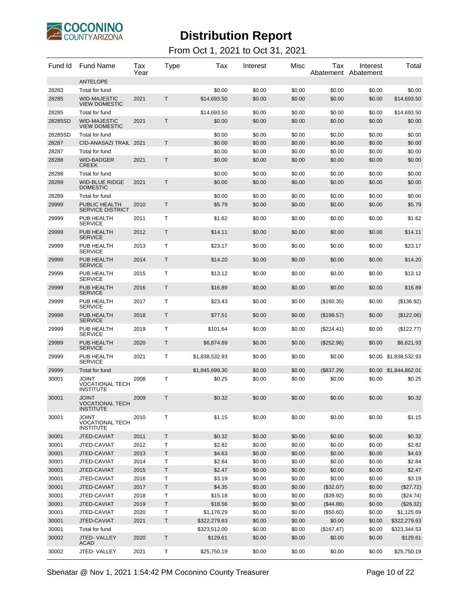

#### From Oct 1, 2021 to Oct 31, 2021

| Fund Id | <b>Fund Name</b>                                           | Tax<br>Year | Type         | Tax            | Interest | Misc   | Tax          | Interest<br>Abatement Abatement | Total                 |
|---------|------------------------------------------------------------|-------------|--------------|----------------|----------|--------|--------------|---------------------------------|-----------------------|
|         | <b>ANTELOPE</b>                                            |             |              |                |          |        |              |                                 |                       |
| 28283   | Total for fund                                             |             |              | \$0.00         | \$0.00   | \$0.00 | \$0.00       | \$0.00                          | \$0.00                |
| 28285   | <b>WID-MAJESTIC</b><br><b>VIEW DOMESTIC</b>                | 2021        | Τ            | \$14,693.50    | \$0.00   | \$0.00 | \$0.00       | \$0.00                          | \$14,693.50           |
| 28285   | Total for fund                                             |             |              | \$14,693.50    | \$0.00   | \$0.00 | \$0.00       | \$0.00                          | \$14,693.50           |
| 28285SD | <b>WID-MAJESTIC</b><br><b>VIEW DOMESTIC</b>                | 2021        | Τ            | \$0.00         | \$0.00   | \$0.00 | \$0.00       | \$0.00                          | \$0.00                |
| 28285SD | Total for fund                                             |             |              | \$0.00         | \$0.00   | \$0.00 | \$0.00       | \$0.00                          | \$0.00                |
| 28287   | CID-ANASAZI TRAIL 2021                                     |             | T            | \$0.00         | \$0.00   | \$0.00 | \$0.00       | \$0.00                          | \$0.00                |
| 28287   | Total for fund                                             |             |              | \$0.00         | \$0.00   | \$0.00 | \$0.00       | \$0.00                          | \$0.00                |
| 28288   | <b>WID-BADGER</b><br><b>CREEK</b>                          | 2021        | T            | \$0.00         | \$0.00   | \$0.00 | \$0.00       | \$0.00                          | \$0.00                |
| 28288   | Total for fund                                             |             |              | \$0.00         | \$0.00   | \$0.00 | \$0.00       | \$0.00                          | \$0.00                |
| 28289   | <b>WID-BLUE RIDGE</b><br><b>DOMESTIC</b>                   | 2021        | Τ            | \$0.00         | \$0.00   | \$0.00 | \$0.00       | \$0.00                          | \$0.00                |
| 28289   | Total for fund                                             |             |              | \$0.00         | \$0.00   | \$0.00 | \$0.00       | \$0.00                          | \$0.00                |
| 29999   | PUBLIC HEALTH<br><b>SERVICE DISTRICT</b>                   | 2010        | $\mathsf{T}$ | \$5.79         | \$0.00   | \$0.00 | \$0.00       | \$0.00                          | \$5.79                |
| 29999   | PUB HEALTH<br><b>SERVICE</b>                               | 2011        | т            | \$1.62         | \$0.00   | \$0.00 | \$0.00       | \$0.00                          | \$1.62                |
| 29999   | PUB HEALTH<br><b>SERVICE</b>                               | 2012        | Τ            | \$14.11        | \$0.00   | \$0.00 | \$0.00       | \$0.00                          | \$14.11               |
| 29999   | PUB HEALTH<br><b>SERVICE</b>                               | 2013        | Т            | \$23.17        | \$0.00   | \$0.00 | \$0.00       | \$0.00                          | \$23.17               |
| 29999   | PUB HEALTH<br><b>SERVICE</b>                               | 2014        | Τ            | \$14.20        | \$0.00   | \$0.00 | \$0.00       | \$0.00                          | \$14.20               |
| 29999   | PUB HEALTH<br><b>SERVICE</b>                               | 2015        | Т            | \$13.12        | \$0.00   | \$0.00 | \$0.00       | \$0.00                          | \$13.12               |
| 29999   | PUB HEALTH<br><b>SERVICE</b>                               | 2016        | Τ            | \$16.89        | \$0.00   | \$0.00 | \$0.00       | \$0.00                          | \$16.89               |
| 29999   | PUB HEALTH<br><b>SERVICE</b>                               | 2017        | Т            | \$23.43        | \$0.00   | \$0.00 | (\$160.35)   | \$0.00                          | (\$136.92)            |
| 29999   | PUB HEALTH<br><b>SERVICE</b>                               | 2018        | Τ            | \$77.51        | \$0.00   | \$0.00 | (\$199.57)   | \$0.00                          | (\$122.06)            |
| 29999   | PUB HEALTH<br><b>SERVICE</b>                               | 2019        | Т            | \$101.64       | \$0.00   | \$0.00 | $(\$224.41)$ | \$0.00                          | (\$122.77)            |
| 29999   | PUB HEALTH<br><b>SERVICE</b>                               | 2020        | Τ            | \$6,874.89     | \$0.00   | \$0.00 | $(\$252.96)$ | \$0.00                          | \$6,621.93            |
| 29999   | PUB HEALTH<br><b>SERVICE</b>                               | 2021        | Т            | \$1,838,532.93 | \$0.00   | \$0.00 | \$0.00       | \$0.00                          | \$1,838,532.93        |
| 29999   | Total for fund                                             |             |              | \$1,845,699.30 | \$0.00   | \$0.00 | (\$837.29)   |                                 | \$0.00 \$1,844,862.01 |
| 30001   | <b>JOINT</b><br><b>VOCATIONAL TECH</b><br><b>INSTITUTE</b> | 2008        | Т            | \$0.25         | \$0.00   | \$0.00 | \$0.00       | \$0.00                          | \$0.25                |
| 30001   | JOINT<br>VOCATIONAL TECH<br><b>INSTITUTE</b>               | 2009        | Т            | \$0.32         | \$0.00   | \$0.00 | \$0.00       | \$0.00                          | \$0.32                |
| 30001   | <b>JOINT</b><br><b>VOCATIONAL TECH</b><br><b>INSTITUTE</b> | 2010        | Т            | \$1.15         | \$0.00   | \$0.00 | \$0.00       | \$0.00                          | \$1.15                |
| 30001   | JTED-CAVIAT                                                | 2011        | T            | \$0.32         | \$0.00   | \$0.00 | \$0.00       | \$0.00                          | \$0.32                |
| 30001   | JTED-CAVIAT                                                | 2012        | T            | \$2.82         | \$0.00   | \$0.00 | \$0.00       | \$0.00                          | \$2.82                |
| 30001   | JTED-CAVIAT                                                | 2013        | Τ            | \$4.63         | \$0.00   | \$0.00 | \$0.00       | \$0.00                          | \$4.63                |
| 30001   | JTED-CAVIAT                                                | 2014        | Т            | \$2.84         | \$0.00   | \$0.00 | \$0.00       | \$0.00                          | \$2.84                |
| 30001   | JTED-CAVIAT                                                | 2015        | $\top$       | \$2.47         | \$0.00   | \$0.00 | \$0.00       | \$0.00                          | \$2.47                |
| 30001   | JTED-CAVIAT                                                | 2016        | Τ            | \$3.19         | \$0.00   | \$0.00 | \$0.00       | \$0.00                          | \$3.19                |
| 30001   | JTED-CAVIAT                                                | 2017        | Τ            | \$4.35         | \$0.00   | \$0.00 | (\$32.07)    | \$0.00                          | (\$27.72)             |
| 30001   | JTED-CAVIAT                                                | 2018        | т            | \$15.18        | \$0.00   | \$0.00 | (\$39.92)    | \$0.00                          | (\$24.74)             |
| 30001   | JTED-CAVIAT                                                | 2019        | T            | \$18.56        | \$0.00   | \$0.00 | (\$44.88)    | \$0.00                          | (\$26.32)             |
| 30001   | JTED-CAVIAT                                                | 2020        | Т            | \$1,176.29     | \$0.00   | \$0.00 | (\$50.60)    | \$0.00                          | \$1,125.69            |
| 30001   | JTED-CAVIAT                                                | 2021        | T            | \$322,279.63   | \$0.00   | \$0.00 | \$0.00       | \$0.00                          | \$322,279.63          |
| 30001   | Total for fund                                             |             |              | \$323,512.00   | \$0.00   | \$0.00 | (\$167.47)   | \$0.00                          | \$323,344.53          |
| 30002   | JTED-VALLEY<br><b>ACAD</b>                                 | 2020        | Τ            | \$129.61       | \$0.00   | \$0.00 | \$0.00       | \$0.00                          | \$129.61              |
| 30002   | JTED-VALLEY                                                | 2021        | т            | \$25,750.19    | \$0.00   | \$0.00 | \$0.00       | \$0.00                          | \$25,750.19           |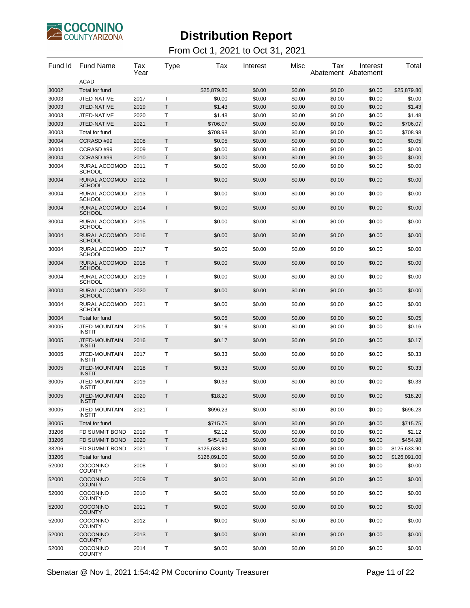

| Fund Id | <b>Fund Name</b>                      | Tax<br>Year | Type         | Tax          | Interest | Misc   | Tax    | Interest<br>Abatement Abatement | Total        |
|---------|---------------------------------------|-------------|--------------|--------------|----------|--------|--------|---------------------------------|--------------|
|         | <b>ACAD</b>                           |             |              |              |          |        |        |                                 |              |
| 30002   | Total for fund                        |             |              | \$25,879.80  | \$0.00   | \$0.00 | \$0.00 | \$0.00                          | \$25,879.80  |
| 30003   | JTED-NATIVE                           | 2017        | T            | \$0.00       | \$0.00   | \$0.00 | \$0.00 | \$0.00                          | \$0.00       |
| 30003   | JTED-NATIVE                           | 2019        | T            | \$1.43       | \$0.00   | \$0.00 | \$0.00 | \$0.00                          | \$1.43       |
| 30003   | JTED-NATIVE                           | 2020        | Т            | \$1.48       | \$0.00   | \$0.00 | \$0.00 | \$0.00                          | \$1.48       |
| 30003   | JTED-NATIVE                           | 2021        | Τ            | \$706.07     | \$0.00   | \$0.00 | \$0.00 | \$0.00                          | \$706.07     |
| 30003   | Total for fund                        |             |              | \$708.98     | \$0.00   | \$0.00 | \$0.00 | \$0.00                          | \$708.98     |
| 30004   | CCRASD#99                             | 2008        | T            | \$0.05       | \$0.00   | \$0.00 | \$0.00 | \$0.00                          | \$0.05       |
| 30004   | CCRASD#99                             | 2009        | т            | \$0.00       | \$0.00   | \$0.00 | \$0.00 | \$0.00                          | \$0.00       |
| 30004   | CCRASD#99                             | 2010        | T            | \$0.00       | \$0.00   | \$0.00 | \$0.00 | \$0.00                          | \$0.00       |
| 30004   | RURAL ACCOMOD<br><b>SCHOOL</b>        | 2011        | Т            | \$0.00       | \$0.00   | \$0.00 | \$0.00 | \$0.00                          | \$0.00       |
| 30004   | RURAL ACCOMOD<br><b>SCHOOL</b>        | 2012        | Т            | \$0.00       | \$0.00   | \$0.00 | \$0.00 | \$0.00                          | \$0.00       |
| 30004   | RURAL ACCOMOD<br><b>SCHOOL</b>        | 2013        | Т            | \$0.00       | \$0.00   | \$0.00 | \$0.00 | \$0.00                          | \$0.00       |
| 30004   | RURAL ACCOMOD<br><b>SCHOOL</b>        | 2014        | Τ            | \$0.00       | \$0.00   | \$0.00 | \$0.00 | \$0.00                          | \$0.00       |
| 30004   | <b>RURAL ACCOMOD</b><br><b>SCHOOL</b> | 2015        | Т            | \$0.00       | \$0.00   | \$0.00 | \$0.00 | \$0.00                          | \$0.00       |
| 30004   | RURAL ACCOMOD<br><b>SCHOOL</b>        | 2016        | $\mathsf{T}$ | \$0.00       | \$0.00   | \$0.00 | \$0.00 | \$0.00                          | \$0.00       |
| 30004   | <b>RURAL ACCOMOD</b><br><b>SCHOOL</b> | 2017        | т            | \$0.00       | \$0.00   | \$0.00 | \$0.00 | \$0.00                          | \$0.00       |
| 30004   | RURAL ACCOMOD<br><b>SCHOOL</b>        | 2018        | Т            | \$0.00       | \$0.00   | \$0.00 | \$0.00 | \$0.00                          | \$0.00       |
| 30004   | RURAL ACCOMOD<br><b>SCHOOL</b>        | 2019        | Т            | \$0.00       | \$0.00   | \$0.00 | \$0.00 | \$0.00                          | \$0.00       |
| 30004   | RURAL ACCOMOD<br><b>SCHOOL</b>        | 2020        | $\mathsf{T}$ | \$0.00       | \$0.00   | \$0.00 | \$0.00 | \$0.00                          | \$0.00       |
| 30004   | RURAL ACCOMOD<br><b>SCHOOL</b>        | 2021        | т            | \$0.00       | \$0.00   | \$0.00 | \$0.00 | \$0.00                          | \$0.00       |
| 30004   | <b>Total for fund</b>                 |             |              | \$0.05       | \$0.00   | \$0.00 | \$0.00 | \$0.00                          | \$0.05       |
| 30005   | JTED-MOUNTAIN<br><b>INSTIT</b>        | 2015        | Т            | \$0.16       | \$0.00   | \$0.00 | \$0.00 | \$0.00                          | \$0.16       |
| 30005   | JTED-MOUNTAIN<br><b>INSTIT</b>        | 2016        | $\mathsf T$  | \$0.17       | \$0.00   | \$0.00 | \$0.00 | \$0.00                          | \$0.17       |
| 30005   | JTED-MOUNTAIN<br><b>INSTIT</b>        | 2017        | Т            | \$0.33       | \$0.00   | \$0.00 | \$0.00 | \$0.00                          | \$0.33       |
| 30005   | JTED-MOUNTAIN<br><b>INSTIT</b>        | 2018        | $\mathsf T$  | \$0.33       | \$0.00   | \$0.00 | \$0.00 | \$0.00                          | \$0.33       |
| 30005   | JTED-MOUNTAIN<br><b>INSTIT</b>        | 2019        | Т            | \$0.33       | \$0.00   | \$0.00 | \$0.00 | \$0.00                          | \$0.33       |
| 30005   | <b>JTED-MOUNTAIN</b><br>INSTIT        | 2020        | T            | \$18.20      | \$0.00   | \$0.00 | \$0.00 | \$0.00                          | \$18.20      |
| 30005   | JTED-MOUNTAIN<br><b>INSTIT</b>        | 2021        | T            | \$696.23     | \$0.00   | \$0.00 | \$0.00 | \$0.00                          | \$696.23     |
| 30005   | Total for fund                        |             |              | \$715.75     | \$0.00   | \$0.00 | \$0.00 | \$0.00                          | \$715.75     |
| 33206   | FD SUMMIT BOND                        | 2019        | Τ            | \$2.12       | \$0.00   | \$0.00 | \$0.00 | \$0.00                          | \$2.12       |
| 33206   | <b>FD SUMMIT BOND</b>                 | 2020        | T            | \$454.98     | \$0.00   | \$0.00 | \$0.00 | \$0.00                          | \$454.98     |
| 33206   | FD SUMMIT BOND                        | 2021        | Τ            | \$125,633.90 | \$0.00   | \$0.00 | \$0.00 | \$0.00                          | \$125,633.90 |
| 33206   | Total for fund                        |             |              | \$126,091.00 | \$0.00   | \$0.00 | \$0.00 | \$0.00                          | \$126,091.00 |
| 52000   | COCONINO<br><b>COUNTY</b>             | 2008        | Т            | \$0.00       | \$0.00   | \$0.00 | \$0.00 | \$0.00                          | \$0.00       |
| 52000   | <b>COCONINO</b><br><b>COUNTY</b>      | 2009        | T            | \$0.00       | \$0.00   | \$0.00 | \$0.00 | \$0.00                          | \$0.00       |
| 52000   | <b>COCONINO</b><br><b>COUNTY</b>      | 2010        | Τ            | \$0.00       | \$0.00   | \$0.00 | \$0.00 | \$0.00                          | \$0.00       |
| 52000   | <b>COCONINO</b><br><b>COUNTY</b>      | 2011        | $\mathsf T$  | \$0.00       | \$0.00   | \$0.00 | \$0.00 | \$0.00                          | \$0.00       |
| 52000   | <b>COCONINO</b><br><b>COUNTY</b>      | 2012        | Τ            | \$0.00       | \$0.00   | \$0.00 | \$0.00 | \$0.00                          | \$0.00       |
| 52000   | <b>COCONINO</b><br><b>COUNTY</b>      | 2013        | $\mathsf T$  | \$0.00       | \$0.00   | \$0.00 | \$0.00 | \$0.00                          | \$0.00       |
| 52000   | COCONINO<br><b>COUNTY</b>             | 2014        | т            | \$0.00       | \$0.00   | \$0.00 | \$0.00 | \$0.00                          | \$0.00       |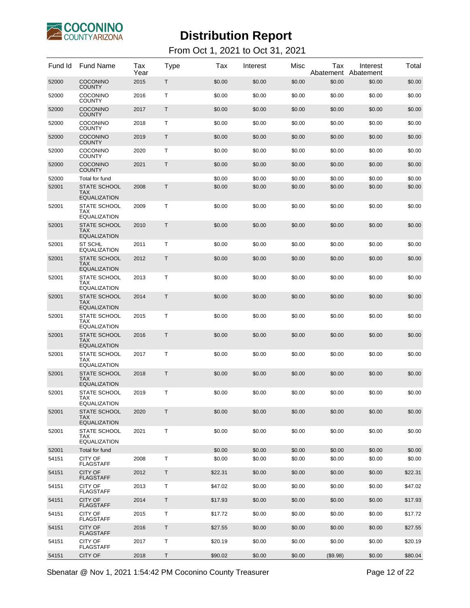

#### From Oct 1, 2021 to Oct 31, 2021

| Fund Id | <b>Fund Name</b>                                         | Tax<br>Year | Type | Tax     | Interest | Misc   | Tax<br>Abatement | Interest<br>Abatement | Total   |
|---------|----------------------------------------------------------|-------------|------|---------|----------|--------|------------------|-----------------------|---------|
| 52000   | <b>COCONINO</b><br><b>COUNTY</b>                         | 2015        | Τ    | \$0.00  | \$0.00   | \$0.00 | \$0.00           | \$0.00                | \$0.00  |
| 52000   | <b>COCONINO</b><br><b>COUNTY</b>                         | 2016        | т    | \$0.00  | \$0.00   | \$0.00 | \$0.00           | \$0.00                | \$0.00  |
| 52000   | COCONINO<br>COUNTY                                       | 2017        | T    | \$0.00  | \$0.00   | \$0.00 | \$0.00           | \$0.00                | \$0.00  |
| 52000   | <b>COCONINO</b><br><b>COUNTY</b>                         | 2018        | т    | \$0.00  | \$0.00   | \$0.00 | \$0.00           | \$0.00                | \$0.00  |
| 52000   | COCONINO<br>COUNTY                                       | 2019        | Τ    | \$0.00  | \$0.00   | \$0.00 | \$0.00           | \$0.00                | \$0.00  |
| 52000   | <b>COCONINO</b><br><b>COUNTY</b>                         | 2020        | т    | \$0.00  | \$0.00   | \$0.00 | \$0.00           | \$0.00                | \$0.00  |
| 52000   | COCONINO<br>COUNTY                                       | 2021        | Τ    | \$0.00  | \$0.00   | \$0.00 | \$0.00           | \$0.00                | \$0.00  |
| 52000   | Total for fund                                           |             |      | \$0.00  | \$0.00   | \$0.00 | \$0.00           | \$0.00                | \$0.00  |
| 52001   | <b>STATE SCHOOL</b>                                      | 2008        | Τ    | \$0.00  | \$0.00   | \$0.00 | \$0.00           | \$0.00                | \$0.00  |
|         | <b>TAX</b><br><b>EQUALIZATION</b>                        |             |      |         |          |        |                  |                       |         |
| 52001   | <b>STATE SCHOOL</b><br>TAX<br><b>EQUALIZATION</b>        | 2009        | т    | \$0.00  | \$0.00   | \$0.00 | \$0.00           | \$0.00                | \$0.00  |
| 52001   | <b>STATE SCHOOL</b><br><b>TAX</b><br><b>EQUALIZATION</b> | 2010        | Τ    | \$0.00  | \$0.00   | \$0.00 | \$0.00           | \$0.00                | \$0.00  |
| 52001   | <b>ST SCHL</b><br><b>EQUALIZATION</b>                    | 2011        | т    | \$0.00  | \$0.00   | \$0.00 | \$0.00           | \$0.00                | \$0.00  |
| 52001   | <b>STATE SCHOOL</b><br><b>TAX</b><br><b>EQUALIZATION</b> | 2012        | Τ    | \$0.00  | \$0.00   | \$0.00 | \$0.00           | \$0.00                | \$0.00  |
| 52001   | STATE SCHOOL<br>TAX<br><b>EQUALIZATION</b>               | 2013        | т    | \$0.00  | \$0.00   | \$0.00 | \$0.00           | \$0.00                | \$0.00  |
| 52001   | <b>STATE SCHOOL</b><br><b>TAX</b><br><b>EQUALIZATION</b> | 2014        | Τ    | \$0.00  | \$0.00   | \$0.00 | \$0.00           | \$0.00                | \$0.00  |
| 52001   | STATE SCHOOL<br><b>TAX</b><br><b>EQUALIZATION</b>        | 2015        | т    | \$0.00  | \$0.00   | \$0.00 | \$0.00           | \$0.00                | \$0.00  |
| 52001   | <b>STATE SCHOOL</b><br><b>TAX</b><br><b>EQUALIZATION</b> | 2016        | Τ    | \$0.00  | \$0.00   | \$0.00 | \$0.00           | \$0.00                | \$0.00  |
| 52001   | <b>STATE SCHOOL</b><br><b>TAX</b><br><b>EQUALIZATION</b> | 2017        | Т    | \$0.00  | \$0.00   | \$0.00 | \$0.00           | \$0.00                | \$0.00  |
| 52001   | <b>STATE SCHOOL</b><br><b>TAX</b><br>EQUALIZATION        | 2018        | Τ    | \$0.00  | \$0.00   | \$0.00 | \$0.00           | \$0.00                | \$0.00  |
| 52001   | <b>STATE SCHOOL</b><br>TAX<br><b>EQUALIZATION</b>        | 2019        | Τ    | \$0.00  | \$0.00   | \$0.00 | \$0.00           | \$0.00                | \$0.00  |
| 52001   | <b>STATE SCHOOL</b><br><b>TAX</b><br><b>EQUALIZATION</b> | 2020        | T    | \$0.00  | \$0.00   | \$0.00 | \$0.00           | \$0.00                | \$0.00  |
| 52001   | STATE SCHOOL<br><b>TAX</b><br><b>EQUALIZATION</b>        | 2021        | T    | \$0.00  | \$0.00   | \$0.00 | \$0.00           | \$0.00                | \$0.00  |
| 52001   | Total for fund                                           |             |      | \$0.00  | \$0.00   | \$0.00 | \$0.00           | \$0.00                | \$0.00  |
| 54151   | CITY OF<br><b>FLAGSTAFF</b>                              | 2008        | Τ    | \$0.00  | \$0.00   | \$0.00 | \$0.00           | \$0.00                | \$0.00  |
| 54151   | CITY OF<br><b>FLAGSTAFF</b>                              | 2012        | Τ    | \$22.31 | \$0.00   | \$0.00 | \$0.00           | \$0.00                | \$22.31 |
| 54151   | <b>CITY OF</b><br><b>FLAGSTAFF</b>                       | 2013        | Τ    | \$47.02 | \$0.00   | \$0.00 | \$0.00           | \$0.00                | \$47.02 |
| 54151   | CITY OF<br><b>FLAGSTAFF</b>                              | 2014        | Τ    | \$17.93 | \$0.00   | \$0.00 | \$0.00           | \$0.00                | \$17.93 |
| 54151   | <b>CITY OF</b><br><b>FLAGSTAFF</b>                       | 2015        | Τ    | \$17.72 | \$0.00   | \$0.00 | \$0.00           | \$0.00                | \$17.72 |
| 54151   | CITY OF<br><b>FLAGSTAFF</b>                              | 2016        | Τ    | \$27.55 | \$0.00   | \$0.00 | \$0.00           | \$0.00                | \$27.55 |
| 54151   | <b>CITY OF</b><br><b>FLAGSTAFF</b>                       | 2017        | Τ    | \$20.19 | \$0.00   | \$0.00 | \$0.00           | \$0.00                | \$20.19 |
| 54151   | <b>CITY OF</b>                                           | 2018        | Τ    | \$90.02 | \$0.00   | \$0.00 | (\$9.98)         | \$0.00                | \$80.04 |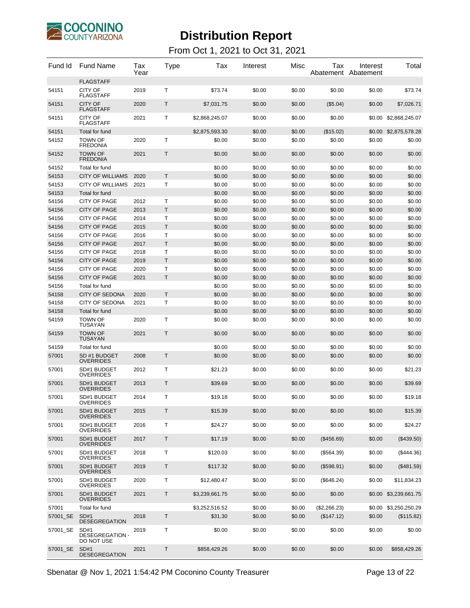

#### From Oct 1, 2021 to Oct 31, 2021

| Fund Id  | <b>Fund Name</b>                             | Tax<br>Year | Type         | Tax            | Interest | Misc   | Tax          | Interest<br>Abatement Abatement | Total                 |
|----------|----------------------------------------------|-------------|--------------|----------------|----------|--------|--------------|---------------------------------|-----------------------|
| 54151    | <b>FLAGSTAFF</b><br><b>CITY OF</b>           | 2019        | Т            | \$73.74        | \$0.00   | \$0.00 | \$0.00       | \$0.00                          | \$73.74               |
| 54151    | <b>FLAGSTAFF</b><br><b>CITY OF</b>           | 2020        | Τ            | \$7,031.75     | \$0.00   | \$0.00 | (\$5.04)     | \$0.00                          | \$7,026.71            |
|          | <b>FLAGSTAFF</b>                             |             |              |                |          |        |              |                                 |                       |
| 54151    | <b>CITY OF</b><br><b>FLAGSTAFF</b>           | 2021        | Т            | \$2,868,245.07 | \$0.00   | \$0.00 | \$0.00       | \$0.00                          | \$2,868,245.07        |
| 54151    | Total for fund                               |             |              | \$2,875,593.30 | \$0.00   | \$0.00 | (\$15.02)    | \$0.00                          | \$2,875,578.28        |
| 54152    | <b>TOWN OF</b><br><b>FREDONIA</b>            | 2020        | Т            | \$0.00         | \$0.00   | \$0.00 | \$0.00       | \$0.00                          | \$0.00                |
| 54152    | <b>TOWN OF</b><br><b>FREDONIA</b>            | 2021        | $\mathsf{T}$ | \$0.00         | \$0.00   | \$0.00 | \$0.00       | \$0.00                          | \$0.00                |
| 54152    | Total for fund                               |             |              | \$0.00         | \$0.00   | \$0.00 | \$0.00       | \$0.00                          | \$0.00                |
| 54153    | <b>CITY OF WILLIAMS</b>                      | 2020        | Τ            | \$0.00         | \$0.00   | \$0.00 | \$0.00       | \$0.00                          | \$0.00                |
| 54153    | <b>CITY OF WILLIAMS</b>                      | 2021        | Т            | \$0.00         | \$0.00   | \$0.00 | \$0.00       | \$0.00                          | \$0.00                |
| 54153    | Total for fund                               |             |              | \$0.00         | \$0.00   | \$0.00 | \$0.00       | \$0.00                          | \$0.00                |
| 54156    | <b>CITY OF PAGE</b>                          | 2012        | Т            | \$0.00         | \$0.00   | \$0.00 | \$0.00       | \$0.00                          | \$0.00                |
| 54156    | <b>CITY OF PAGE</b>                          | 2013        | $\mathsf T$  | \$0.00         | \$0.00   | \$0.00 | \$0.00       | \$0.00                          | \$0.00                |
| 54156    | <b>CITY OF PAGE</b>                          | 2014        | Τ            | \$0.00         | \$0.00   | \$0.00 | \$0.00       | \$0.00                          | \$0.00                |
| 54156    | <b>CITY OF PAGE</b>                          | 2015        | Т            | \$0.00         | \$0.00   | \$0.00 | \$0.00       | \$0.00                          | \$0.00                |
| 54156    | <b>CITY OF PAGE</b>                          | 2016        | Т            | \$0.00         | \$0.00   | \$0.00 | \$0.00       | \$0.00                          | \$0.00                |
| 54156    | <b>CITY OF PAGE</b>                          | 2017        | $\mathsf T$  | \$0.00         | \$0.00   | \$0.00 | \$0.00       | \$0.00                          | \$0.00                |
| 54156    | <b>CITY OF PAGE</b>                          | 2018        | Т            | \$0.00         | \$0.00   | \$0.00 | \$0.00       | \$0.00                          | \$0.00                |
| 54156    | <b>CITY OF PAGE</b>                          | 2019        | Τ            | \$0.00         | \$0.00   | \$0.00 | \$0.00       | \$0.00                          | \$0.00                |
| 54156    | <b>CITY OF PAGE</b>                          | 2020        | Т            | \$0.00         | \$0.00   | \$0.00 | \$0.00       | \$0.00                          | \$0.00                |
| 54156    | <b>CITY OF PAGE</b>                          | 2021        | T            | \$0.00         | \$0.00   | \$0.00 | \$0.00       | \$0.00                          | \$0.00                |
| 54156    | Total for fund                               |             |              | \$0.00         | \$0.00   | \$0.00 | \$0.00       | \$0.00                          | \$0.00                |
| 54158    | <b>CITY OF SEDONA</b>                        | 2020        | $\mathsf{T}$ | \$0.00         | \$0.00   | \$0.00 | \$0.00       | \$0.00                          | \$0.00                |
| 54158    | <b>CITY OF SEDONA</b>                        | 2021        | Т            | \$0.00         | \$0.00   | \$0.00 | \$0.00       | \$0.00                          | \$0.00                |
| 54158    | Total for fund                               |             |              | \$0.00         | \$0.00   | \$0.00 | \$0.00       | \$0.00                          | \$0.00                |
| 54159    | <b>TOWN OF</b><br><b>TUSAYAN</b>             | 2020        | Т            | \$0.00         | \$0.00   | \$0.00 | \$0.00       | \$0.00                          | \$0.00                |
| 54159    | <b>TOWN OF</b><br><b>TUSAYAN</b>             | 2021        | Τ            | \$0.00         | \$0.00   | \$0.00 | \$0.00       | \$0.00                          | \$0.00                |
| 54159    | Total for fund                               |             |              | \$0.00         | \$0.00   | \$0.00 | \$0.00       | \$0.00                          | \$0.00                |
| 57001    | SD #1 BUDGET<br><b>OVERRIDES</b>             | 2008        | Τ            | \$0.00         | \$0.00   | \$0.00 | \$0.00       | \$0.00                          | \$0.00                |
| 57001    | SD#1 BUDGET<br><b>OVERRIDES</b>              | 2012        | Т            | \$21.23        | \$0.00   | \$0.00 | \$0.00       | \$0.00                          | \$21.23               |
| 57001    | SD#1 BUDGET<br>OVERRIDES                     | 2013        | Τ            | \$39.69        | \$0.00   | \$0.00 | \$0.00       | \$0.00                          | \$39.69               |
| 57001    | SD#1 BUDGET<br>OVERRIDES                     | 2014        | т            | \$19.18        | \$0.00   | \$0.00 | \$0.00       | \$0.00                          | \$19.18               |
| 57001    | SD#1 BUDGET<br><b>OVERRIDES</b>              | 2015        | Τ            | \$15.39        | \$0.00   | \$0.00 | \$0.00       | \$0.00                          | \$15.39               |
| 57001    | SD#1 BUDGET<br><b>OVERRIDES</b>              | 2016        | Т            | \$24.27        | \$0.00   | \$0.00 | \$0.00       | \$0.00                          | \$24.27               |
| 57001    | SD#1 BUDGET<br><b>OVERRIDES</b>              | 2017        | Τ            | \$17.19        | \$0.00   | \$0.00 | (\$456.69)   | \$0.00                          | (\$439.50)            |
| 57001    | SD#1 BUDGET<br><b>OVERRIDES</b>              | 2018        | Т            | \$120.03       | \$0.00   | \$0.00 | (\$564.39)   | \$0.00                          | (\$444.36)            |
| 57001    | SD#1 BUDGET<br><b>OVERRIDES</b>              | 2019        | Τ            | \$117.32       | \$0.00   | \$0.00 | (\$598.91)   | \$0.00                          | (\$481.59)            |
| 57001    | SD#1 BUDGET<br><b>OVERRIDES</b>              | 2020        | Т            | \$12,480.47    | \$0.00   | \$0.00 | (\$646.24)   | \$0.00                          | \$11,834.23           |
| 57001    | SD#1 BUDGET<br><b>OVERRIDES</b>              | 2021        | Τ            | \$3,239,661.75 | \$0.00   | \$0.00 | \$0.00       |                                 | \$0.00 \$3,239,661.75 |
| 57001    | Total for fund                               |             |              | \$3,252,516.52 | \$0.00   | \$0.00 | (\$2,266.23) | \$0.00                          | \$3,250,250.29        |
| 57001 SE | SD#1<br><b>DESEGREGATION</b>                 | 2018        | T            | \$31.30        | \$0.00   | \$0.00 | (\$147.12)   | \$0.00                          | (\$115.82)            |
| 57001 SE | SD#1<br><b>DESEGREGATION -</b><br>DO NOT USE | 2019        | Т            | \$0.00         | \$0.00   | \$0.00 | \$0.00       | \$0.00                          | \$0.00                |
| 57001_SE | SD#1<br><b>DESEGREGATION</b>                 | 2021        | Τ            | \$858,429.26   | \$0.00   | \$0.00 | \$0.00       | \$0.00                          | \$858,429.26          |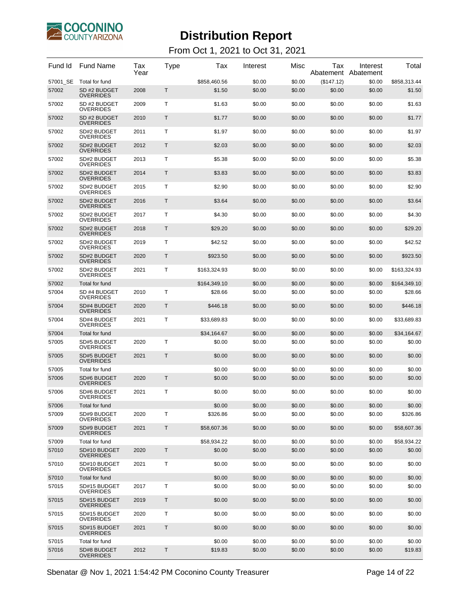

#### From Oct 1, 2021 to Oct 31, 2021

| Fund Id  | <b>Fund Name</b>                 | Tax<br>Year | Type         | Tax          | Interest | Misc   | Tax        | Interest<br>Abatement Abatement | Total        |
|----------|----------------------------------|-------------|--------------|--------------|----------|--------|------------|---------------------------------|--------------|
| 57001_SE | Total for fund                   |             |              | \$858,460.56 | \$0.00   | \$0.00 | (\$147.12) | \$0.00                          | \$858,313.44 |
| 57002    | SD #2 BUDGET<br><b>OVERRIDES</b> | 2008        | Τ            | \$1.50       | \$0.00   | \$0.00 | \$0.00     | \$0.00                          | \$1.50       |
| 57002    | SD #2 BUDGET<br><b>OVERRIDES</b> | 2009        | $\mathsf{T}$ | \$1.63       | \$0.00   | \$0.00 | \$0.00     | \$0.00                          | \$1.63       |
| 57002    | SD #2 BUDGET<br><b>OVERRIDES</b> | 2010        | Τ            | \$1.77       | \$0.00   | \$0.00 | \$0.00     | \$0.00                          | \$1.77       |
| 57002    | SD#2 BUDGET<br><b>OVERRIDES</b>  | 2011        | $\mathsf{T}$ | \$1.97       | \$0.00   | \$0.00 | \$0.00     | \$0.00                          | \$1.97       |
| 57002    | SD#2 BUDGET<br><b>OVERRIDES</b>  | 2012        | Τ            | \$2.03       | \$0.00   | \$0.00 | \$0.00     | \$0.00                          | \$2.03       |
| 57002    | SD#2 BUDGET<br><b>OVERRIDES</b>  | 2013        | $\mathsf{T}$ | \$5.38       | \$0.00   | \$0.00 | \$0.00     | \$0.00                          | \$5.38       |
| 57002    | SD#2 BUDGET<br><b>OVERRIDES</b>  | 2014        | Τ            | \$3.83       | \$0.00   | \$0.00 | \$0.00     | \$0.00                          | \$3.83       |
| 57002    | SD#2 BUDGET<br><b>OVERRIDES</b>  | 2015        | $\mathsf{T}$ | \$2.90       | \$0.00   | \$0.00 | \$0.00     | \$0.00                          | \$2.90       |
| 57002    | SD#2 BUDGET<br><b>OVERRIDES</b>  | 2016        | Τ            | \$3.64       | \$0.00   | \$0.00 | \$0.00     | \$0.00                          | \$3.64       |
| 57002    | SD#2 BUDGET<br><b>OVERRIDES</b>  | 2017        | $\mathsf{T}$ | \$4.30       | \$0.00   | \$0.00 | \$0.00     | \$0.00                          | \$4.30       |
| 57002    | SD#2 BUDGET<br><b>OVERRIDES</b>  | 2018        | Τ            | \$29.20      | \$0.00   | \$0.00 | \$0.00     | \$0.00                          | \$29.20      |
| 57002    | SD#2 BUDGET<br><b>OVERRIDES</b>  | 2019        | $\mathsf{T}$ | \$42.52      | \$0.00   | \$0.00 | \$0.00     | \$0.00                          | \$42.52      |
| 57002    | SD#2 BUDGET<br><b>OVERRIDES</b>  | 2020        | Τ            | \$923.50     | \$0.00   | \$0.00 | \$0.00     | \$0.00                          | \$923.50     |
| 57002    | SD#2 BUDGET<br><b>OVERRIDES</b>  | 2021        | $\mathsf{T}$ | \$163,324.93 | \$0.00   | \$0.00 | \$0.00     | \$0.00                          | \$163,324.93 |
| 57002    | Total for fund                   |             |              | \$164,349.10 | \$0.00   | \$0.00 | \$0.00     | \$0.00                          | \$164,349.10 |
| 57004    | SD #4 BUDGET<br><b>OVERRIDES</b> | 2010        | т            | \$28.66      | \$0.00   | \$0.00 | \$0.00     | \$0.00                          | \$28.66      |
| 57004    | SD#4 BUDGET<br><b>OVERRIDES</b>  | 2020        | Τ            | \$446.18     | \$0.00   | \$0.00 | \$0.00     | \$0.00                          | \$446.18     |
| 57004    | SD#4 BUDGET<br><b>OVERRIDES</b>  | 2021        | Т            | \$33,689.83  | \$0.00   | \$0.00 | \$0.00     | \$0.00                          | \$33,689.83  |
| 57004    | Total for fund                   |             |              | \$34,164.67  | \$0.00   | \$0.00 | \$0.00     | \$0.00                          | \$34,164.67  |
| 57005    | SD#5 BUDGET<br><b>OVERRIDES</b>  | 2020        | $\mathsf{T}$ | \$0.00       | \$0.00   | \$0.00 | \$0.00     | \$0.00                          | \$0.00       |
| 57005    | SD#5 BUDGET<br><b>OVERRIDES</b>  | 2021        | Τ            | \$0.00       | \$0.00   | \$0.00 | \$0.00     | \$0.00                          | \$0.00       |
| 57005    | Total for fund                   |             |              | \$0.00       | \$0.00   | \$0.00 | \$0.00     | \$0.00                          | \$0.00       |
| 57006    | SD#6 BUDGET<br><b>OVERRIDES</b>  | 2020        | Τ            | \$0.00       | \$0.00   | \$0.00 | \$0.00     | \$0.00                          | \$0.00       |
| 57006    | SD#6 BUDGET<br><b>OVERRIDES</b>  | 2021        | Т            | \$0.00       | \$0.00   | \$0.00 | \$0.00     | \$0.00                          | \$0.00       |
| 57006    | Total for fund                   |             |              | \$0.00       | \$0.00   | \$0.00 | \$0.00     | \$0.00                          | \$0.00       |
| 57009    | SD#9 BUDGET<br><b>OVERRIDES</b>  | 2020        | т            | \$326.86     | \$0.00   | \$0.00 | \$0.00     | \$0.00                          | \$326.86     |
| 57009    | SD#9 BUDGET<br><b>OVERRIDES</b>  | 2021        | $\mathsf T$  | \$58,607.36  | \$0.00   | \$0.00 | \$0.00     | \$0.00                          | \$58,607.36  |
| 57009    | Total for fund                   |             |              | \$58,934.22  | \$0.00   | \$0.00 | \$0.00     | \$0.00                          | \$58,934.22  |
| 57010    | SD#10 BUDGET<br><b>OVERRIDES</b> | 2020        | Τ            | \$0.00       | \$0.00   | \$0.00 | \$0.00     | \$0.00                          | \$0.00       |
| 57010    | SD#10 BUDGET<br><b>OVERRIDES</b> | 2021        | Τ            | \$0.00       | \$0.00   | \$0.00 | \$0.00     | \$0.00                          | \$0.00       |
| 57010    | Total for fund                   |             |              | \$0.00       | \$0.00   | \$0.00 | \$0.00     | \$0.00                          | \$0.00       |
| 57015    | SD#15 BUDGET<br><b>OVERRIDES</b> | 2017        | Τ            | \$0.00       | \$0.00   | \$0.00 | \$0.00     | \$0.00                          | \$0.00       |
| 57015    | SD#15 BUDGET<br><b>OVERRIDES</b> | 2019        | $\mathsf T$  | \$0.00       | \$0.00   | \$0.00 | \$0.00     | \$0.00                          | \$0.00       |
| 57015    | SD#15 BUDGET<br><b>OVERRIDES</b> | 2020        | Τ            | \$0.00       | \$0.00   | \$0.00 | \$0.00     | \$0.00                          | \$0.00       |
| 57015    | SD#15 BUDGET<br><b>OVERRIDES</b> | 2021        | $\mathsf T$  | \$0.00       | \$0.00   | \$0.00 | \$0.00     | \$0.00                          | \$0.00       |
| 57015    | Total for fund                   |             |              | \$0.00       | \$0.00   | \$0.00 | \$0.00     | \$0.00                          | \$0.00       |
| 57016    | SD#8 BUDGET<br><b>OVERRIDES</b>  | 2012        | $\mathsf T$  | \$19.83      | \$0.00   | \$0.00 | \$0.00     | \$0.00                          | \$19.83      |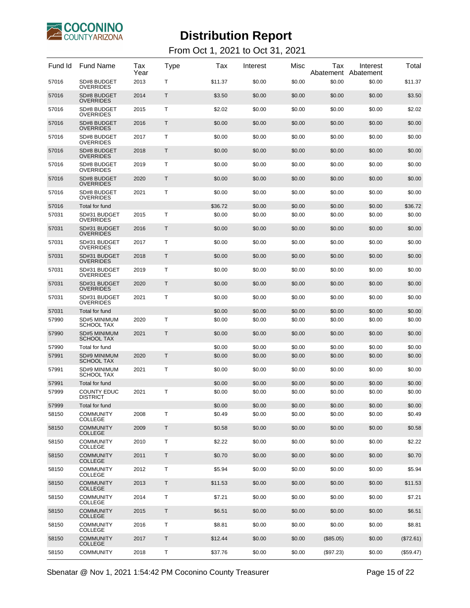

#### From Oct 1, 2021 to Oct 31, 2021

| Fund Id | <b>Fund Name</b>                      | Tax<br>Year | Type         | Tax     | Interest | Misc   | Tax<br>Abatement | Interest<br>Abatement | Total     |
|---------|---------------------------------------|-------------|--------------|---------|----------|--------|------------------|-----------------------|-----------|
| 57016   | SD#8 BUDGET<br><b>OVERRIDES</b>       | 2013        | т            | \$11.37 | \$0.00   | \$0.00 | \$0.00           | \$0.00                | \$11.37   |
| 57016   | SD#8 BUDGET<br><b>OVERRIDES</b>       | 2014        | Т            | \$3.50  | \$0.00   | \$0.00 | \$0.00           | \$0.00                | \$3.50    |
| 57016   | SD#8 BUDGET<br><b>OVERRIDES</b>       | 2015        | т            | \$2.02  | \$0.00   | \$0.00 | \$0.00           | \$0.00                | \$2.02    |
| 57016   | SD#8 BUDGET<br><b>OVERRIDES</b>       | 2016        | Т            | \$0.00  | \$0.00   | \$0.00 | \$0.00           | \$0.00                | \$0.00    |
| 57016   | SD#8 BUDGET<br><b>OVERRIDES</b>       | 2017        | т            | \$0.00  | \$0.00   | \$0.00 | \$0.00           | \$0.00                | \$0.00    |
| 57016   | SD#8 BUDGET<br><b>OVERRIDES</b>       | 2018        | Т            | \$0.00  | \$0.00   | \$0.00 | \$0.00           | \$0.00                | \$0.00    |
| 57016   | SD#8 BUDGET<br><b>OVERRIDES</b>       | 2019        | т            | \$0.00  | \$0.00   | \$0.00 | \$0.00           | \$0.00                | \$0.00    |
| 57016   | SD#8 BUDGET<br><b>OVERRIDES</b>       | 2020        | Т            | \$0.00  | \$0.00   | \$0.00 | \$0.00           | \$0.00                | \$0.00    |
| 57016   | SD#8 BUDGET<br><b>OVERRIDES</b>       | 2021        | т            | \$0.00  | \$0.00   | \$0.00 | \$0.00           | \$0.00                | \$0.00    |
| 57016   | Total for fund                        |             |              | \$36.72 | \$0.00   | \$0.00 | \$0.00           | \$0.00                | \$36.72   |
| 57031   | SD#31 BUDGET<br><b>OVERRIDES</b>      | 2015        | Т            | \$0.00  | \$0.00   | \$0.00 | \$0.00           | \$0.00                | \$0.00    |
| 57031   | SD#31 BUDGET<br><b>OVERRIDES</b>      | 2016        | Τ            | \$0.00  | \$0.00   | \$0.00 | \$0.00           | \$0.00                | \$0.00    |
| 57031   | SD#31 BUDGET<br><b>OVERRIDES</b>      | 2017        | Т            | \$0.00  | \$0.00   | \$0.00 | \$0.00           | \$0.00                | \$0.00    |
| 57031   | SD#31 BUDGET<br><b>OVERRIDES</b>      | 2018        | Τ            | \$0.00  | \$0.00   | \$0.00 | \$0.00           | \$0.00                | \$0.00    |
| 57031   | SD#31 BUDGET<br><b>OVERRIDES</b>      | 2019        | Т            | \$0.00  | \$0.00   | \$0.00 | \$0.00           | \$0.00                | \$0.00    |
| 57031   | SD#31 BUDGET<br><b>OVERRIDES</b>      | 2020        | Τ            | \$0.00  | \$0.00   | \$0.00 | \$0.00           | \$0.00                | \$0.00    |
| 57031   | SD#31 BUDGET<br><b>OVERRIDES</b>      | 2021        | Т            | \$0.00  | \$0.00   | \$0.00 | \$0.00           | \$0.00                | \$0.00    |
| 57031   | Total for fund                        |             |              | \$0.00  | \$0.00   | \$0.00 | \$0.00           | \$0.00                | \$0.00    |
| 57990   | SD#5 MINIMUM<br><b>SCHOOL TAX</b>     | 2020        | $\mathsf{T}$ | \$0.00  | \$0.00   | \$0.00 | \$0.00           | \$0.00                | \$0.00    |
| 57990   | SD#5 MINIMUM<br><b>SCHOOL TAX</b>     | 2021        | Τ            | \$0.00  | \$0.00   | \$0.00 | \$0.00           | \$0.00                | \$0.00    |
| 57990   | Total for fund                        |             |              | \$0.00  | \$0.00   | \$0.00 | \$0.00           | \$0.00                | \$0.00    |
| 57991   | SD#9 MINIMUM<br><b>SCHOOL TAX</b>     | 2020        | Τ            | \$0.00  | \$0.00   | \$0.00 | \$0.00           | \$0.00                | \$0.00    |
| 57991   | SD#9 MINIMUM<br><b>SCHOOL TAX</b>     | 2021        | т            | \$0.00  | \$0.00   | \$0.00 | \$0.00           | \$0.00                | \$0.00    |
| 57991   | Total for fund                        |             |              | \$0.00  | \$0.00   | \$0.00 | \$0.00           | \$0.00                | \$0.00    |
| 57999   | <b>COUNTY EDUC</b><br><b>DISTRICT</b> | 2021        | т            | \$0.00  | \$0.00   | \$0.00 | \$0.00           | \$0.00                | \$0.00    |
| 57999   | Total for fund                        |             |              | \$0.00  | \$0.00   | \$0.00 | \$0.00           | \$0.00                | \$0.00    |
| 58150   | <b>COMMUNITY</b><br><b>COLLEGE</b>    | 2008        | Τ            | \$0.49  | \$0.00   | \$0.00 | \$0.00           | \$0.00                | \$0.49    |
| 58150   | <b>COMMUNITY</b><br><b>COLLEGE</b>    | 2009        | T            | \$0.58  | \$0.00   | \$0.00 | \$0.00           | \$0.00                | \$0.58    |
| 58150   | <b>COMMUNITY</b><br><b>COLLEGE</b>    | 2010        | Τ            | \$2.22  | \$0.00   | \$0.00 | \$0.00           | \$0.00                | \$2.22    |
| 58150   | <b>COMMUNITY</b><br><b>COLLEGE</b>    | 2011        | T            | \$0.70  | \$0.00   | \$0.00 | \$0.00           | \$0.00                | \$0.70    |
| 58150   | <b>COMMUNITY</b><br><b>COLLEGE</b>    | 2012        | Τ            | \$5.94  | \$0.00   | \$0.00 | \$0.00           | \$0.00                | \$5.94    |
| 58150   | <b>COMMUNITY</b><br><b>COLLEGE</b>    | 2013        | T            | \$11.53 | \$0.00   | \$0.00 | \$0.00           | \$0.00                | \$11.53   |
| 58150   | <b>COMMUNITY</b><br><b>COLLEGE</b>    | 2014        | Τ            | \$7.21  | \$0.00   | \$0.00 | \$0.00           | \$0.00                | \$7.21    |
| 58150   | <b>COMMUNITY</b><br><b>COLLEGE</b>    | 2015        | T            | \$6.51  | \$0.00   | \$0.00 | \$0.00           | \$0.00                | \$6.51    |
| 58150   | <b>COMMUNITY</b><br><b>COLLEGE</b>    | 2016        | Τ            | \$8.81  | \$0.00   | \$0.00 | \$0.00           | \$0.00                | \$8.81    |
| 58150   | <b>COMMUNITY</b><br><b>COLLEGE</b>    | 2017        | T            | \$12.44 | \$0.00   | \$0.00 | (\$85.05)        | \$0.00                | (\$72.61) |
| 58150   | <b>COMMUNITY</b>                      | 2018        | Τ            | \$37.76 | \$0.00   | \$0.00 | (\$97.23)        | \$0.00                | (\$59.47) |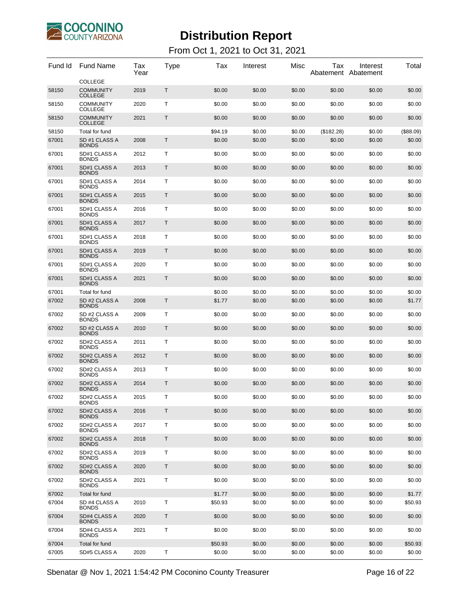

#### From Oct 1, 2021 to Oct 31, 2021

| Fund Id | <b>Fund Name</b>                   | Tax<br>Year | Type | Tax     | Interest | Misc   | Tax        | Interest<br>Abatement Abatement | Total     |
|---------|------------------------------------|-------------|------|---------|----------|--------|------------|---------------------------------|-----------|
|         | <b>COLLEGE</b>                     |             |      |         |          |        |            |                                 |           |
| 58150   | <b>COMMUNITY</b><br><b>COLLEGE</b> | 2019        | Т    | \$0.00  | \$0.00   | \$0.00 | \$0.00     | \$0.00                          | \$0.00    |
| 58150   | <b>COMMUNITY</b><br><b>COLLEGE</b> | 2020        | т    | \$0.00  | \$0.00   | \$0.00 | \$0.00     | \$0.00                          | \$0.00    |
| 58150   | <b>COMMUNITY</b><br><b>COLLEGE</b> | 2021        | Т    | \$0.00  | \$0.00   | \$0.00 | \$0.00     | \$0.00                          | \$0.00    |
| 58150   | Total for fund                     |             |      | \$94.19 | \$0.00   | \$0.00 | (\$182.28) | \$0.00                          | (\$88.09) |
| 67001   | SD #1 CLASS A<br><b>BONDS</b>      | 2008        | T    | \$0.00  | \$0.00   | \$0.00 | \$0.00     | \$0.00                          | \$0.00    |
| 67001   | SD#1 CLASS A<br><b>BONDS</b>       | 2012        | т    | \$0.00  | \$0.00   | \$0.00 | \$0.00     | \$0.00                          | \$0.00    |
| 67001   | SD#1 CLASS A<br><b>BONDS</b>       | 2013        | T    | \$0.00  | \$0.00   | \$0.00 | \$0.00     | \$0.00                          | \$0.00    |
| 67001   | SD#1 CLASS A<br><b>BONDS</b>       | 2014        | Т    | \$0.00  | \$0.00   | \$0.00 | \$0.00     | \$0.00                          | \$0.00    |
| 67001   | SD#1 CLASS A<br><b>BONDS</b>       | 2015        | Т    | \$0.00  | \$0.00   | \$0.00 | \$0.00     | \$0.00                          | \$0.00    |
| 67001   | SD#1 CLASS A<br><b>BONDS</b>       | 2016        | т    | \$0.00  | \$0.00   | \$0.00 | \$0.00     | \$0.00                          | \$0.00    |
| 67001   | SD#1 CLASS A<br><b>BONDS</b>       | 2017        | Т    | \$0.00  | \$0.00   | \$0.00 | \$0.00     | \$0.00                          | \$0.00    |
| 67001   | SD#1 CLASS A<br><b>BONDS</b>       | 2018        | т    | \$0.00  | \$0.00   | \$0.00 | \$0.00     | \$0.00                          | \$0.00    |
| 67001   | SD#1 CLASS A<br><b>BONDS</b>       | 2019        | T    | \$0.00  | \$0.00   | \$0.00 | \$0.00     | \$0.00                          | \$0.00    |
| 67001   | SD#1 CLASS A<br><b>BONDS</b>       | 2020        | Т    | \$0.00  | \$0.00   | \$0.00 | \$0.00     | \$0.00                          | \$0.00    |
| 67001   | SD#1 CLASS A<br><b>BONDS</b>       | 2021        | T    | \$0.00  | \$0.00   | \$0.00 | \$0.00     | \$0.00                          | \$0.00    |
| 67001   | Total for fund                     |             |      | \$0.00  | \$0.00   | \$0.00 | \$0.00     | \$0.00                          | \$0.00    |
| 67002   | SD #2 CLASS A<br><b>BONDS</b>      | 2008        | Τ    | \$1.77  | \$0.00   | \$0.00 | \$0.00     | \$0.00                          | \$1.77    |
| 67002   | SD #2 CLASS A<br><b>BONDS</b>      | 2009        | т    | \$0.00  | \$0.00   | \$0.00 | \$0.00     | \$0.00                          | \$0.00    |
| 67002   | SD #2 CLASS A<br><b>BONDS</b>      | 2010        | Τ    | \$0.00  | \$0.00   | \$0.00 | \$0.00     | \$0.00                          | \$0.00    |
| 67002   | SD#2 CLASS A<br><b>BONDS</b>       | 2011        | Т    | \$0.00  | \$0.00   | \$0.00 | \$0.00     | \$0.00                          | \$0.00    |
| 67002   | SD#2 CLASS A<br><b>BONDS</b>       | 2012        | Τ    | \$0.00  | \$0.00   | \$0.00 | \$0.00     | \$0.00                          | \$0.00    |
| 67002   | SD#2 CLASS A<br><b>BONDS</b>       | 2013        | т    | \$0.00  | \$0.00   | \$0.00 | \$0.00     | \$0.00                          | \$0.00    |
| 67002   | SD#2 CLASS A<br><b>BONDS</b>       | 2014        | Т    | \$0.00  | \$0.00   | \$0.00 | \$0.00     | \$0.00                          | \$0.00    |
| 67002   | SD#2 CLASS A<br><b>BONDS</b>       | 2015        | т    | \$0.00  | \$0.00   | \$0.00 | \$0.00     | \$0.00                          | \$0.00    |
| 67002   | SD#2 CLASS A<br><b>BONDS</b>       | 2016        | Т    | \$0.00  | \$0.00   | \$0.00 | \$0.00     | \$0.00                          | \$0.00    |
| 67002   | SD#2 CLASS A<br><b>BONDS</b>       | 2017        | Τ    | \$0.00  | \$0.00   | \$0.00 | \$0.00     | \$0.00                          | \$0.00    |
| 67002   | SD#2 CLASS A<br><b>BONDS</b>       | 2018        | Τ    | \$0.00  | \$0.00   | \$0.00 | \$0.00     | \$0.00                          | \$0.00    |
| 67002   | SD#2 CLASS A<br><b>BONDS</b>       | 2019        | т    | \$0.00  | \$0.00   | \$0.00 | \$0.00     | \$0.00                          | \$0.00    |
| 67002   | SD#2 CLASS A<br><b>BONDS</b>       | 2020        | Τ    | \$0.00  | \$0.00   | \$0.00 | \$0.00     | \$0.00                          | \$0.00    |
| 67002   | SD#2 CLASS A<br><b>BONDS</b>       | 2021        | Τ    | \$0.00  | \$0.00   | \$0.00 | \$0.00     | \$0.00                          | \$0.00    |
| 67002   | Total for fund                     |             |      | \$1.77  | \$0.00   | \$0.00 | \$0.00     | \$0.00                          | \$1.77    |
| 67004   | SD #4 CLASS A<br><b>BONDS</b>      | 2010        | Τ    | \$50.93 | \$0.00   | \$0.00 | \$0.00     | \$0.00                          | \$50.93   |
| 67004   | SD#4 CLASS A<br><b>BONDS</b>       | 2020        | Τ    | \$0.00  | \$0.00   | \$0.00 | \$0.00     | \$0.00                          | \$0.00    |
| 67004   | SD#4 CLASS A<br><b>BONDS</b>       | 2021        | Т    | \$0.00  | \$0.00   | \$0.00 | \$0.00     | \$0.00                          | \$0.00    |
| 67004   | Total for fund                     |             |      | \$50.93 | \$0.00   | \$0.00 | \$0.00     | \$0.00                          | \$50.93   |
| 67005   | SD#5 CLASS A                       | 2020        | Т    | \$0.00  | \$0.00   | \$0.00 | \$0.00     | \$0.00                          | \$0.00    |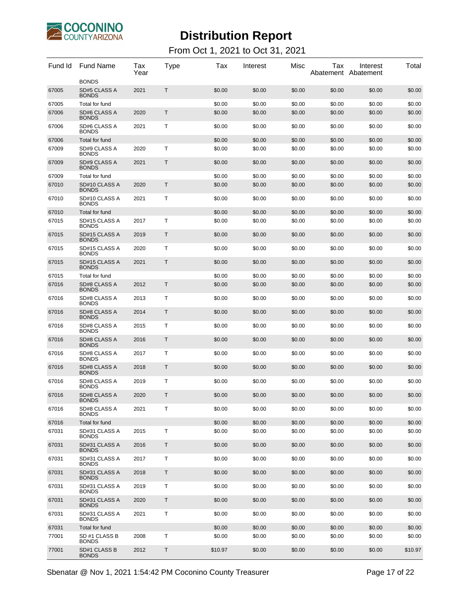

| Fund Id | <b>Fund Name</b>              | Tax<br>Year | Type        | Tax     | Interest | Misc   | Tax<br>Abatement Abatement | Interest | Total   |
|---------|-------------------------------|-------------|-------------|---------|----------|--------|----------------------------|----------|---------|
| 67005   | <b>BONDS</b><br>SD#5 CLASS A  | 2021        | T.          | \$0.00  | \$0.00   | \$0.00 |                            |          |         |
|         | <b>BONDS</b>                  |             |             |         |          |        | \$0.00                     | \$0.00   | \$0.00  |
| 67005   | Total for fund                |             |             | \$0.00  | \$0.00   | \$0.00 | \$0.00                     | \$0.00   | \$0.00  |
| 67006   | SD#6 CLASS A<br><b>BONDS</b>  | 2020        | $\mathsf T$ | \$0.00  | \$0.00   | \$0.00 | \$0.00                     | \$0.00   | \$0.00  |
| 67006   | SD#6 CLASS A<br><b>BONDS</b>  | 2021        | Τ           | \$0.00  | \$0.00   | \$0.00 | \$0.00                     | \$0.00   | \$0.00  |
| 67006   | Total for fund                |             |             | \$0.00  | \$0.00   | \$0.00 | \$0.00                     | \$0.00   | \$0.00  |
| 67009   | SD#9 CLASS A<br><b>BONDS</b>  | 2020        | Т           | \$0.00  | \$0.00   | \$0.00 | \$0.00                     | \$0.00   | \$0.00  |
| 67009   | SD#9 CLASS A<br><b>BONDS</b>  | 2021        | Τ           | \$0.00  | \$0.00   | \$0.00 | \$0.00                     | \$0.00   | \$0.00  |
| 67009   | Total for fund                |             |             | \$0.00  | \$0.00   | \$0.00 | \$0.00                     | \$0.00   | \$0.00  |
| 67010   | SD#10 CLASS A<br><b>BONDS</b> | 2020        | $\mathsf T$ | \$0.00  | \$0.00   | \$0.00 | \$0.00                     | \$0.00   | \$0.00  |
| 67010   | SD#10 CLASS A<br><b>BONDS</b> | 2021        | т           | \$0.00  | \$0.00   | \$0.00 | \$0.00                     | \$0.00   | \$0.00  |
| 67010   | Total for fund                |             |             | \$0.00  | \$0.00   | \$0.00 | \$0.00                     | \$0.00   | \$0.00  |
| 67015   | SD#15 CLASS A<br><b>BONDS</b> | 2017        | Τ           | \$0.00  | \$0.00   | \$0.00 | \$0.00                     | \$0.00   | \$0.00  |
| 67015   | SD#15 CLASS A<br><b>BONDS</b> | 2019        | $\mathsf T$ | \$0.00  | \$0.00   | \$0.00 | \$0.00                     | \$0.00   | \$0.00  |
| 67015   | SD#15 CLASS A<br><b>BONDS</b> | 2020        | Τ           | \$0.00  | \$0.00   | \$0.00 | \$0.00                     | \$0.00   | \$0.00  |
| 67015   | SD#15 CLASS A<br><b>BONDS</b> | 2021        | $\mathsf T$ | \$0.00  | \$0.00   | \$0.00 | \$0.00                     | \$0.00   | \$0.00  |
| 67015   | Total for fund                |             |             | \$0.00  | \$0.00   | \$0.00 | \$0.00                     | \$0.00   | \$0.00  |
| 67016   | SD#8 CLASS A<br><b>BONDS</b>  | 2012        | $\mathsf T$ | \$0.00  | \$0.00   | \$0.00 | \$0.00                     | \$0.00   | \$0.00  |
| 67016   | SD#8 CLASS A<br><b>BONDS</b>  | 2013        | Т           | \$0.00  | \$0.00   | \$0.00 | \$0.00                     | \$0.00   | \$0.00  |
| 67016   | SD#8 CLASS A<br><b>BONDS</b>  | 2014        | Τ           | \$0.00  | \$0.00   | \$0.00 | \$0.00                     | \$0.00   | \$0.00  |
| 67016   | SD#8 CLASS A<br><b>BONDS</b>  | 2015        | Τ           | \$0.00  | \$0.00   | \$0.00 | \$0.00                     | \$0.00   | \$0.00  |
| 67016   | SD#8 CLASS A<br><b>BONDS</b>  | 2016        | $\mathsf T$ | \$0.00  | \$0.00   | \$0.00 | \$0.00                     | \$0.00   | \$0.00  |
| 67016   | SD#8 CLASS A<br><b>BONDS</b>  | 2017        | Τ           | \$0.00  | \$0.00   | \$0.00 | \$0.00                     | \$0.00   | \$0.00  |
| 67016   | SD#8 CLASS A<br><b>BONDS</b>  | 2018        | Τ           | \$0.00  | \$0.00   | \$0.00 | \$0.00                     | \$0.00   | \$0.00  |
| 67016   | SD#8 CLASS A<br><b>BONDS</b>  | 2019        | Т           | \$0.00  | \$0.00   | \$0.00 | \$0.00                     | \$0.00   | \$0.00  |
| 67016   | SD#8 CLASS A<br><b>BONDS</b>  | 2020        | T.          | \$0.00  | \$0.00   | \$0.00 | \$0.00                     | \$0.00   | \$0.00  |
| 67016   | SD#8 CLASS A<br><b>BONDS</b>  | 2021        | Т           | \$0.00  | \$0.00   | \$0.00 | \$0.00                     | \$0.00   | \$0.00  |
| 67016   | Total for fund                |             |             | \$0.00  | \$0.00   | \$0.00 | \$0.00                     | \$0.00   | \$0.00  |
| 67031   | SD#31 CLASS A<br><b>BONDS</b> | 2015        | Τ           | \$0.00  | \$0.00   | \$0.00 | \$0.00                     | \$0.00   | \$0.00  |
| 67031   | SD#31 CLASS A<br><b>BONDS</b> | 2016        | Τ           | \$0.00  | \$0.00   | \$0.00 | \$0.00                     | \$0.00   | \$0.00  |
| 67031   | SD#31 CLASS A<br><b>BONDS</b> | 2017        | Т           | \$0.00  | \$0.00   | \$0.00 | \$0.00                     | \$0.00   | \$0.00  |
| 67031   | SD#31 CLASS A<br><b>BONDS</b> | 2018        | Τ           | \$0.00  | \$0.00   | \$0.00 | \$0.00                     | \$0.00   | \$0.00  |
| 67031   | SD#31 CLASS A<br><b>BONDS</b> | 2019        | Τ           | \$0.00  | \$0.00   | \$0.00 | \$0.00                     | \$0.00   | \$0.00  |
| 67031   | SD#31 CLASS A<br><b>BONDS</b> | 2020        | $\mathsf T$ | \$0.00  | \$0.00   | \$0.00 | \$0.00                     | \$0.00   | \$0.00  |
| 67031   | SD#31 CLASS A<br><b>BONDS</b> | 2021        | Т           | \$0.00  | \$0.00   | \$0.00 | \$0.00                     | \$0.00   | \$0.00  |
| 67031   | Total for fund                |             |             | \$0.00  | \$0.00   | \$0.00 | \$0.00                     | \$0.00   | \$0.00  |
| 77001   | SD #1 CLASS B<br><b>BONDS</b> | 2008        | Τ           | \$0.00  | \$0.00   | \$0.00 | \$0.00                     | \$0.00   | \$0.00  |
| 77001   | SD#1 CLASS B<br><b>BONDS</b>  | 2012        | T           | \$10.97 | \$0.00   | \$0.00 | \$0.00                     | \$0.00   | \$10.97 |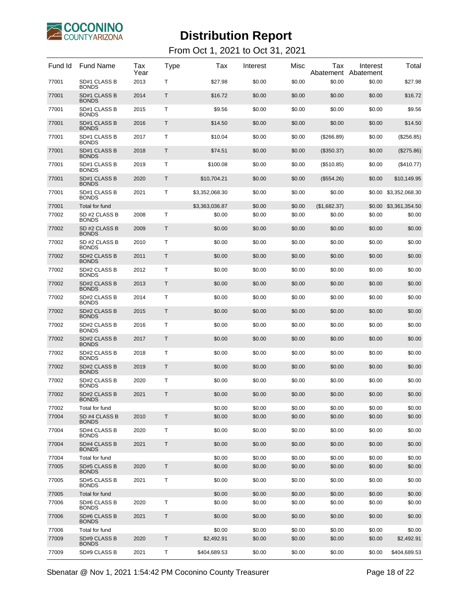

#### From Oct 1, 2021 to Oct 31, 2021

| Fund Id | <b>Fund Name</b>                    | Tax<br>Year | Type | Tax            | Interest | Misc   | Tax          | Interest<br>Abatement Abatement | Total                 |
|---------|-------------------------------------|-------------|------|----------------|----------|--------|--------------|---------------------------------|-----------------------|
| 77001   | SD#1 CLASS B<br><b>BONDS</b>        | 2013        | т    | \$27.98        | \$0.00   | \$0.00 | \$0.00       | \$0.00                          | \$27.98               |
| 77001   | SD#1 CLASS B<br><b>BONDS</b>        | 2014        | Т    | \$16.72        | \$0.00   | \$0.00 | \$0.00       | \$0.00                          | \$16.72               |
| 77001   | SD#1 CLASS B<br><b>BONDS</b>        | 2015        | т    | \$9.56         | \$0.00   | \$0.00 | \$0.00       | \$0.00                          | \$9.56                |
| 77001   | SD#1 CLASS B<br><b>BONDS</b>        | 2016        | Т    | \$14.50        | \$0.00   | \$0.00 | \$0.00       | \$0.00                          | \$14.50               |
| 77001   | SD#1 CLASS B<br><b>BONDS</b>        | 2017        | т    | \$10.04        | \$0.00   | \$0.00 | (\$266.89)   | \$0.00                          | (\$256.85)            |
| 77001   | SD#1 CLASS B<br><b>BONDS</b>        | 2018        | Т    | \$74.51        | \$0.00   | \$0.00 | $(\$350.37)$ | \$0.00                          | (\$275.86)            |
| 77001   | SD#1 CLASS B<br><b>BONDS</b>        | 2019        | т    | \$100.08       | \$0.00   | \$0.00 | (\$510.85)   | \$0.00                          | $(\$410.77)$          |
| 77001   | SD#1 CLASS B<br><b>BONDS</b>        | 2020        | Т    | \$10,704.21    | \$0.00   | \$0.00 | (\$554.26)   | \$0.00                          | \$10,149.95           |
| 77001   | SD#1 CLASS B<br><b>BONDS</b>        | 2021        | т    | \$3,352,068.30 | \$0.00   | \$0.00 | \$0.00       | \$0.00                          | \$3,352,068.30        |
| 77001   | Total for fund                      |             |      | \$3,363,036.87 | \$0.00   | \$0.00 | (\$1,682.37) |                                 | \$0.00 \$3,361,354.50 |
| 77002   | SD #2 CLASS B<br><b>BONDS</b>       | 2008        | т    | \$0.00         | \$0.00   | \$0.00 | \$0.00       | \$0.00                          | \$0.00                |
| 77002   | SD #2 CLASS B<br><b>BONDS</b>       | 2009        | Τ    | \$0.00         | \$0.00   | \$0.00 | \$0.00       | \$0.00                          | \$0.00                |
| 77002   | SD #2 CLASS B<br><b>BONDS</b>       | 2010        | т    | \$0.00         | \$0.00   | \$0.00 | \$0.00       | \$0.00                          | \$0.00                |
| 77002   | SD#2 CLASS B<br><b>BONDS</b>        | 2011        | Τ    | \$0.00         | \$0.00   | \$0.00 | \$0.00       | \$0.00                          | \$0.00                |
| 77002   | SD#2 CLASS B<br><b>BONDS</b>        | 2012        | т    | \$0.00         | \$0.00   | \$0.00 | \$0.00       | \$0.00                          | \$0.00                |
| 77002   | SD#2 CLASS B<br><b>BONDS</b>        | 2013        | Τ    | \$0.00         | \$0.00   | \$0.00 | \$0.00       | \$0.00                          | \$0.00                |
| 77002   | SD#2 CLASS B<br><b>BONDS</b>        | 2014        | т    | \$0.00         | \$0.00   | \$0.00 | \$0.00       | \$0.00                          | \$0.00                |
| 77002   | <b>SD#2 CLASS B</b><br><b>BONDS</b> | 2015        | Τ    | \$0.00         | \$0.00   | \$0.00 | \$0.00       | \$0.00                          | \$0.00                |
| 77002   | SD#2 CLASS B<br><b>BONDS</b>        | 2016        | т    | \$0.00         | \$0.00   | \$0.00 | \$0.00       | \$0.00                          | \$0.00                |
| 77002   | SD#2 CLASS B<br><b>BONDS</b>        | 2017        | Τ    | \$0.00         | \$0.00   | \$0.00 | \$0.00       | \$0.00                          | \$0.00                |
| 77002   | SD#2 CLASS B<br><b>BONDS</b>        | 2018        | т    | \$0.00         | \$0.00   | \$0.00 | \$0.00       | \$0.00                          | \$0.00                |
| 77002   | <b>SD#2 CLASS B</b><br><b>BONDS</b> | 2019        | Τ    | \$0.00         | \$0.00   | \$0.00 | \$0.00       | \$0.00                          | \$0.00                |
| 77002   | SD#2 CLASS B<br><b>BONDS</b>        | 2020        | т    | \$0.00         | \$0.00   | \$0.00 | \$0.00       | \$0.00                          | \$0.00                |
| 77002   | SD#2 CLASS B<br><b>BONDS</b>        | 2021        | T    | \$0.00         | \$0.00   | \$0.00 | \$0.00       | \$0.00                          | \$0.00                |
| 77002   | Total for fund                      |             |      | \$0.00         | \$0.00   | \$0.00 | \$0.00       | \$0.00                          | \$0.00                |
| 77004   | SD #4 CLASS B<br><b>BONDS</b>       | 2010        | Τ    | \$0.00         | \$0.00   | \$0.00 | \$0.00       | \$0.00                          | \$0.00                |
| 77004   | SD#4 CLASS B<br><b>BONDS</b>        | 2020        | Τ    | \$0.00         | \$0.00   | \$0.00 | \$0.00       | \$0.00                          | \$0.00                |
| 77004   | SD#4 CLASS B<br><b>BONDS</b>        | 2021        | Τ    | \$0.00         | \$0.00   | \$0.00 | \$0.00       | \$0.00                          | \$0.00                |
| 77004   | Total for fund                      |             |      | \$0.00         | \$0.00   | \$0.00 | \$0.00       | \$0.00                          | \$0.00                |
| 77005   | <b>SD#5 CLASS B</b><br><b>BONDS</b> | 2020        | T    | \$0.00         | \$0.00   | \$0.00 | \$0.00       | \$0.00                          | \$0.00                |
| 77005   | SD#5 CLASS B<br><b>BONDS</b>        | 2021        | Τ    | \$0.00         | \$0.00   | \$0.00 | \$0.00       | \$0.00                          | \$0.00                |
| 77005   | Total for fund                      |             |      | \$0.00         | \$0.00   | \$0.00 | \$0.00       | \$0.00                          | \$0.00                |
| 77006   | SD#6 CLASS B<br><b>BONDS</b>        | 2020        | т    | \$0.00         | \$0.00   | \$0.00 | \$0.00       | \$0.00                          | \$0.00                |
| 77006   | SD#6 CLASS B<br><b>BONDS</b>        | 2021        | T    | \$0.00         | \$0.00   | \$0.00 | \$0.00       | \$0.00                          | \$0.00                |
| 77006   | Total for fund                      |             |      | \$0.00         | \$0.00   | \$0.00 | \$0.00       | \$0.00                          | \$0.00                |
| 77009   | SD#9 CLASS B<br><b>BONDS</b>        | 2020        | Τ    | \$2,492.91     | \$0.00   | \$0.00 | \$0.00       | \$0.00                          | \$2,492.91            |
| 77009   | SD#9 CLASS B                        | 2021        | Τ    | \$404,689.53   | \$0.00   | \$0.00 | \$0.00       | \$0.00                          | \$404,689.53          |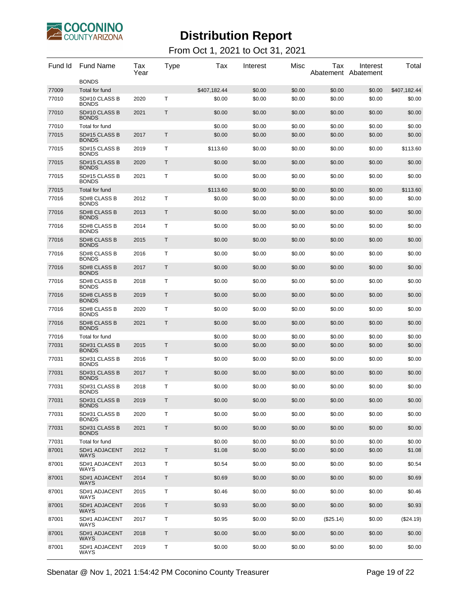

| Fund Id        | <b>Fund Name</b>                              | Tax<br>Year | Type        | Tax                    | Interest         | Misc             | Tax              | Interest<br>Abatement Abatement | Total                  |
|----------------|-----------------------------------------------|-------------|-------------|------------------------|------------------|------------------|------------------|---------------------------------|------------------------|
|                | <b>BONDS</b>                                  |             |             |                        |                  |                  |                  |                                 |                        |
| 77009<br>77010 | Total for fund<br>SD#10 CLASS B               | 2020        | Τ           | \$407,182.44<br>\$0.00 | \$0.00<br>\$0.00 | \$0.00<br>\$0.00 | \$0.00<br>\$0.00 | \$0.00<br>\$0.00                | \$407,182.44<br>\$0.00 |
| 77010          | <b>BONDS</b><br>SD#10 CLASS B<br><b>BONDS</b> | 2021        | Т           | \$0.00                 | \$0.00           | \$0.00           | \$0.00           | \$0.00                          | \$0.00                 |
| 77010          | Total for fund                                |             |             | \$0.00                 | \$0.00           | \$0.00           | \$0.00           | \$0.00                          | \$0.00                 |
| 77015          | SD#15 CLASS B<br><b>BONDS</b>                 | 2017        | Τ           | \$0.00                 | \$0.00           | \$0.00           | \$0.00           | \$0.00                          | \$0.00                 |
| 77015          | SD#15 CLASS B<br><b>BONDS</b>                 | 2019        | т           | \$113.60               | \$0.00           | \$0.00           | \$0.00           | \$0.00                          | \$113.60               |
| 77015          | SD#15 CLASS B<br><b>BONDS</b>                 | 2020        | Τ           | \$0.00                 | \$0.00           | \$0.00           | \$0.00           | \$0.00                          | \$0.00                 |
| 77015          | SD#15 CLASS B<br><b>BONDS</b>                 | 2021        | т           | \$0.00                 | \$0.00           | \$0.00           | \$0.00           | \$0.00                          | \$0.00                 |
| 77015          | Total for fund                                |             |             | \$113.60               | \$0.00           | \$0.00           | \$0.00           | \$0.00                          | \$113.60               |
| 77016          | SD#8 CLASS B<br><b>BONDS</b>                  | 2012        | т           | \$0.00                 | \$0.00           | \$0.00           | \$0.00           | \$0.00                          | \$0.00                 |
| 77016          | SD#8 CLASS B<br><b>BONDS</b>                  | 2013        | Т           | \$0.00                 | \$0.00           | \$0.00           | \$0.00           | \$0.00                          | \$0.00                 |
| 77016          | SD#8 CLASS B<br><b>BONDS</b>                  | 2014        | т           | \$0.00                 | \$0.00           | \$0.00           | \$0.00           | \$0.00                          | \$0.00                 |
| 77016          | SD#8 CLASS B<br><b>BONDS</b>                  | 2015        | Τ           | \$0.00                 | \$0.00           | \$0.00           | \$0.00           | \$0.00                          | \$0.00                 |
| 77016          | SD#8 CLASS B<br><b>BONDS</b>                  | 2016        | т           | \$0.00                 | \$0.00           | \$0.00           | \$0.00           | \$0.00                          | \$0.00                 |
| 77016          | SD#8 CLASS B<br><b>BONDS</b>                  | 2017        | Τ           | \$0.00                 | \$0.00           | \$0.00           | \$0.00           | \$0.00                          | \$0.00                 |
| 77016          | SD#8 CLASS B<br><b>BONDS</b>                  | 2018        | т           | \$0.00                 | \$0.00           | \$0.00           | \$0.00           | \$0.00                          | \$0.00                 |
| 77016          | SD#8 CLASS B<br><b>BONDS</b>                  | 2019        | Т           | \$0.00                 | \$0.00           | \$0.00           | \$0.00           | \$0.00                          | \$0.00                 |
| 77016          | SD#8 CLASS B<br><b>BONDS</b>                  | 2020        | т           | \$0.00                 | \$0.00           | \$0.00           | \$0.00           | \$0.00                          | \$0.00                 |
| 77016          | SD#8 CLASS B<br><b>BONDS</b>                  | 2021        | Т           | \$0.00                 | \$0.00           | \$0.00           | \$0.00           | \$0.00                          | \$0.00                 |
| 77016          | Total for fund                                |             |             | \$0.00                 | \$0.00           | \$0.00           | \$0.00           | \$0.00                          | \$0.00                 |
| 77031          | SD#31 CLASS B<br><b>BONDS</b>                 | 2015        | Т           | \$0.00                 | \$0.00           | \$0.00           | \$0.00           | \$0.00                          | \$0.00                 |
| 77031          | SD#31 CLASS B<br><b>BONDS</b>                 | 2016        | т           | \$0.00                 | \$0.00           | \$0.00           | \$0.00           | \$0.00                          | \$0.00                 |
| 77031          | SD#31 CLASS B<br><b>BONDS</b>                 | 2017        | Т           | \$0.00                 | \$0.00           | \$0.00           | \$0.00           | \$0.00                          | \$0.00                 |
| 77031          | SD#31 CLASS B<br><b>BONDS</b>                 | 2018        | т           | \$0.00                 | \$0.00           | \$0.00           | \$0.00           | \$0.00                          | \$0.00                 |
| 77031          | SD#31 CLASS B<br><b>BONDS</b>                 | 2019        | Τ           | \$0.00                 | \$0.00           | \$0.00           | \$0.00           | \$0.00                          | \$0.00                 |
| 77031          | SD#31 CLASS B<br><b>BONDS</b>                 | 2020        | т           | \$0.00                 | \$0.00           | \$0.00           | \$0.00           | \$0.00                          | \$0.00                 |
| 77031          | SD#31 CLASS B<br><b>BONDS</b>                 | 2021        | T           | \$0.00                 | \$0.00           | \$0.00           | \$0.00           | \$0.00                          | \$0.00                 |
| 77031          | Total for fund                                |             |             | \$0.00                 | \$0.00           | \$0.00           | \$0.00           | \$0.00                          | \$0.00                 |
| 87001          | SD#1 ADJACENT<br><b>WAYS</b>                  | 2012        | $\top$      | \$1.08                 | \$0.00           | \$0.00           | \$0.00           | \$0.00                          | \$1.08                 |
| 87001          | SD#1 ADJACENT<br>WAYS                         | 2013        | Τ           | \$0.54                 | \$0.00           | \$0.00           | \$0.00           | \$0.00                          | \$0.54                 |
| 87001          | SD#1 ADJACENT<br>WAYS                         | 2014        | $\mathsf T$ | \$0.69                 | \$0.00           | \$0.00           | \$0.00           | \$0.00                          | \$0.69                 |
| 87001          | SD#1 ADJACENT<br>WAYS                         | 2015        | Τ           | \$0.46                 | \$0.00           | \$0.00           | \$0.00           | \$0.00                          | \$0.46                 |
| 87001          | SD#1 ADJACENT<br>WAYS                         | 2016        | Τ           | \$0.93                 | \$0.00           | \$0.00           | \$0.00           | \$0.00                          | \$0.93                 |
| 87001          | SD#1 ADJACENT<br>WAYS                         | 2017        | Τ           | \$0.95                 | \$0.00           | \$0.00           | (\$25.14)        | \$0.00                          | (\$24.19)              |
| 87001          | SD#1 ADJACENT<br>WAYS                         | 2018        | Τ           | \$0.00                 | \$0.00           | \$0.00           | \$0.00           | \$0.00                          | \$0.00                 |
| 87001          | SD#1 ADJACENT<br>WAYS                         | 2019        | Τ           | \$0.00                 | \$0.00           | \$0.00           | \$0.00           | \$0.00                          | \$0.00                 |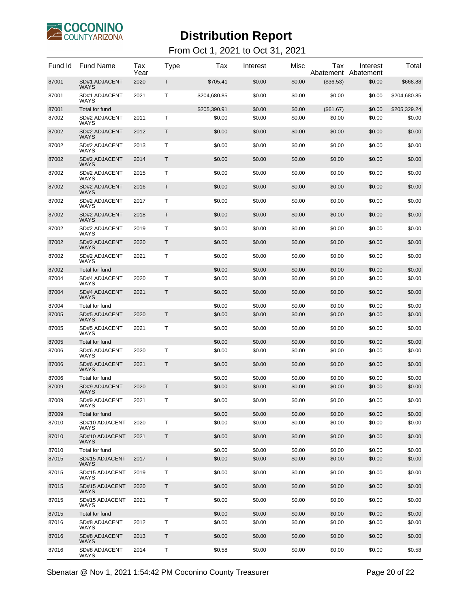

| Fund Id        | <b>Fund Name</b>                                      | Tax<br>Year | Type | Tax                    | Interest         | Misc             | Tax<br>Abatement    | Interest<br>Abatement | Total                  |
|----------------|-------------------------------------------------------|-------------|------|------------------------|------------------|------------------|---------------------|-----------------------|------------------------|
| 87001          | SD#1 ADJACENT<br><b>WAYS</b>                          | 2020        | Т    | \$705.41               | \$0.00           | \$0.00           | (\$36.53)           | \$0.00                | \$668.88               |
| 87001          | SD#1 ADJACENT<br><b>WAYS</b>                          | 2021        | т    | \$204,680.85           | \$0.00           | \$0.00           | \$0.00              | \$0.00                | \$204,680.85           |
| 87001<br>87002 | Total for fund<br><b>SD#2 ADJACENT</b><br><b>WAYS</b> | 2011        | Т    | \$205,390.91<br>\$0.00 | \$0.00<br>\$0.00 | \$0.00<br>\$0.00 | (\$61.67)<br>\$0.00 | \$0.00<br>\$0.00      | \$205,329.24<br>\$0.00 |
| 87002          | SD#2 ADJACENT<br><b>WAYS</b>                          | 2012        | Т    | \$0.00                 | \$0.00           | \$0.00           | \$0.00              | \$0.00                | \$0.00                 |
| 87002          | <b>SD#2 ADJACENT</b><br>WAYS                          | 2013        | Т    | \$0.00                 | \$0.00           | \$0.00           | \$0.00              | \$0.00                | \$0.00                 |
| 87002          | <b>SD#2 ADJACENT</b><br><b>WAYS</b>                   | 2014        | Τ    | \$0.00                 | \$0.00           | \$0.00           | \$0.00              | \$0.00                | \$0.00                 |
| 87002          | SD#2 ADJACENT<br><b>WAYS</b>                          | 2015        | т    | \$0.00                 | \$0.00           | \$0.00           | \$0.00              | \$0.00                | \$0.00                 |
| 87002          | <b>SD#2 ADJACENT</b><br><b>WAYS</b>                   | 2016        | Т    | \$0.00                 | \$0.00           | \$0.00           | \$0.00              | \$0.00                | \$0.00                 |
| 87002          | SD#2 ADJACENT<br><b>WAYS</b>                          | 2017        | Т    | \$0.00                 | \$0.00           | \$0.00           | \$0.00              | \$0.00                | \$0.00                 |
| 87002          | <b>SD#2 ADJACENT</b><br><b>WAYS</b>                   | 2018        | Τ    | \$0.00                 | \$0.00           | \$0.00           | \$0.00              | \$0.00                | \$0.00                 |
| 87002          | <b>SD#2 ADJACENT</b><br><b>WAYS</b>                   | 2019        | т    | \$0.00                 | \$0.00           | \$0.00           | \$0.00              | \$0.00                | \$0.00                 |
| 87002          | <b>SD#2 ADJACENT</b><br><b>WAYS</b>                   | 2020        | Т    | \$0.00                 | \$0.00           | \$0.00           | \$0.00              | \$0.00                | \$0.00                 |
| 87002          | <b>SD#2 ADJACENT</b><br><b>WAYS</b>                   | 2021        | т    | \$0.00                 | \$0.00           | \$0.00           | \$0.00              | \$0.00                | \$0.00                 |
| 87002          | Total for fund                                        |             |      | \$0.00                 | \$0.00           | \$0.00           | \$0.00              | \$0.00                | \$0.00                 |
| 87004          | SD#4 ADJACENT<br>WAYS                                 | 2020        | т    | \$0.00                 | \$0.00           | \$0.00           | \$0.00              | \$0.00                | \$0.00                 |
| 87004          | <b>SD#4 ADJACENT</b><br><b>WAYS</b>                   | 2021        | Τ    | \$0.00                 | \$0.00           | \$0.00           | \$0.00              | \$0.00                | \$0.00                 |
| 87004          | Total for fund                                        |             |      | \$0.00                 | \$0.00           | \$0.00           | \$0.00              | \$0.00                | \$0.00                 |
| 87005          | <b>SD#5 ADJACENT</b><br><b>WAYS</b>                   | 2020        | Τ    | \$0.00                 | \$0.00           | \$0.00           | \$0.00              | \$0.00                | \$0.00                 |
| 87005          | SD#5 ADJACENT<br><b>WAYS</b>                          | 2021        | Т    | \$0.00                 | \$0.00           | \$0.00           | \$0.00              | \$0.00                | \$0.00                 |
| 87005          | Total for fund                                        |             |      | \$0.00                 | \$0.00           | \$0.00           | \$0.00              | \$0.00                | \$0.00                 |
| 87006          | SD#6 ADJACENT<br>WAYS                                 | 2020        | Т    | \$0.00                 | \$0.00           | \$0.00           | \$0.00              | \$0.00                | \$0.00                 |
| 87006          | <b>SD#6 ADJACENT</b><br><b>WAYS</b>                   | 2021        | Τ    | \$0.00                 | \$0.00           | \$0.00           | \$0.00              | \$0.00                | \$0.00                 |
| 87006          | Total for fund                                        |             |      | \$0.00                 | \$0.00           | \$0.00           | \$0.00              | \$0.00                | \$0.00                 |
| 87009          | <b>SD#9 ADJACENT</b><br>WAYS                          | 2020        | Τ    | \$0.00                 | \$0.00           | \$0.00           | \$0.00              | \$0.00                | \$0.00                 |
| 87009          | <b>SD#9 ADJACENT</b><br>WAYS                          | 2021        | Τ    | \$0.00                 | \$0.00           | \$0.00           | \$0.00              | \$0.00                | \$0.00                 |
| 87009          | Total for fund                                        |             |      | \$0.00                 | \$0.00           | \$0.00           | \$0.00              | \$0.00                | \$0.00                 |
| 87010          | SD#10 ADJACENT<br><b>WAYS</b>                         | 2020        | T    | \$0.00                 | \$0.00           | \$0.00           | \$0.00              | \$0.00                | \$0.00                 |
| 87010          | SD#10 ADJACENT<br><b>WAYS</b>                         | 2021        | Τ    | \$0.00                 | \$0.00           | \$0.00           | \$0.00              | \$0.00                | \$0.00                 |
| 87010          | Total for fund                                        |             |      | \$0.00                 | \$0.00           | \$0.00           | \$0.00              | \$0.00                | \$0.00                 |
| 87015          | SD#15 ADJACENT<br><b>WAYS</b>                         | 2017        | T    | \$0.00                 | \$0.00           | \$0.00           | \$0.00              | \$0.00                | \$0.00                 |
| 87015          | SD#15 ADJACENT<br><b>WAYS</b>                         | 2019        | Τ    | \$0.00                 | \$0.00           | \$0.00           | \$0.00              | \$0.00                | \$0.00                 |
| 87015          | SD#15 ADJACENT<br><b>WAYS</b>                         | 2020        | T    | \$0.00                 | \$0.00           | \$0.00           | \$0.00              | \$0.00                | \$0.00                 |
| 87015          | SD#15 ADJACENT<br><b>WAYS</b>                         | 2021        | Τ    | \$0.00                 | \$0.00           | \$0.00           | \$0.00              | \$0.00                | \$0.00                 |
| 87015          | Total for fund                                        |             |      | \$0.00                 | \$0.00           | \$0.00           | \$0.00              | \$0.00                | \$0.00                 |
| 87016          | SD#8 ADJACENT<br>WAYS                                 | 2012        | Τ    | \$0.00                 | \$0.00           | \$0.00           | \$0.00              | \$0.00                | \$0.00                 |
| 87016          | <b>SD#8 ADJACENT</b><br><b>WAYS</b>                   | 2013        | T    | \$0.00                 | \$0.00           | \$0.00           | \$0.00              | \$0.00                | \$0.00                 |
| 87016          | SD#8 ADJACENT<br>WAYS                                 | 2014        | т    | \$0.58                 | \$0.00           | \$0.00           | \$0.00              | \$0.00                | \$0.58                 |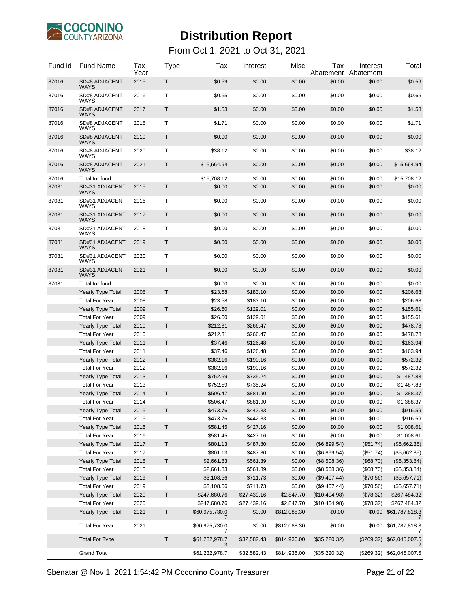

From Oct 1, 2021 to Oct 31, 2021

| Fund Id | <b>Fund Name</b>                    | Tax<br>Year | Type    | Tax                 | Interest    | Misc         | Tax           | Interest<br>Abatement Abatement | Total                     |
|---------|-------------------------------------|-------------|---------|---------------------|-------------|--------------|---------------|---------------------------------|---------------------------|
| 87016   | <b>SD#8 ADJACENT</b><br><b>WAYS</b> | 2015        | Т       | \$0.59              | \$0.00      | \$0.00       | \$0.00        | \$0.00                          | \$0.59                    |
| 87016   | SD#8 ADJACENT<br>WAYS               | 2016        | т       | \$0.65              | \$0.00      | \$0.00       | \$0.00        | \$0.00                          | \$0.65                    |
| 87016   | <b>SD#8 ADJACENT</b><br><b>WAYS</b> | 2017        | Τ       | \$1.53              | \$0.00      | \$0.00       | \$0.00        | \$0.00                          | \$1.53                    |
| 87016   | SD#8 ADJACENT<br>WAYS               | 2018        | т       | \$1.71              | \$0.00      | \$0.00       | \$0.00        | \$0.00                          | \$1.71                    |
| 87016   | <b>SD#8 ADJACENT</b><br><b>WAYS</b> | 2019        | Τ       | \$0.00              | \$0.00      | \$0.00       | \$0.00        | \$0.00                          | \$0.00                    |
| 87016   | SD#8 ADJACENT<br>WAYS               | 2020        | т       | \$38.12             | \$0.00      | \$0.00       | \$0.00        | \$0.00                          | \$38.12                   |
| 87016   | <b>SD#8 ADJACENT</b><br><b>WAYS</b> | 2021        | Τ       | \$15,664.94         | \$0.00      | \$0.00       | \$0.00        | \$0.00                          | \$15,664.94               |
| 87016   | Total for fund                      |             |         | \$15,708.12         | \$0.00      | \$0.00       | \$0.00        | \$0.00                          | \$15,708.12               |
| 87031   | SD#31 ADJACENT<br><b>WAYS</b>       | 2015        | T       | \$0.00              | \$0.00      | \$0.00       | \$0.00        | \$0.00                          | \$0.00                    |
| 87031   | SD#31 ADJACENT<br>WAYS              | 2016        | т       | \$0.00              | \$0.00      | \$0.00       | \$0.00        | \$0.00                          | \$0.00                    |
| 87031   | SD#31 ADJACENT<br>WAYS              | 2017        | Т       | \$0.00              | \$0.00      | \$0.00       | \$0.00        | \$0.00                          | \$0.00                    |
| 87031   | SD#31 ADJACENT<br>WAYS              | 2018        | т       | \$0.00              | \$0.00      | \$0.00       | \$0.00        | \$0.00                          | \$0.00                    |
| 87031   | SD#31 ADJACENT<br>WAYS              | 2019        | Τ       | \$0.00              | \$0.00      | \$0.00       | \$0.00        | \$0.00                          | \$0.00                    |
| 87031   | SD#31 ADJACENT<br>WAYS              | 2020        | т       | \$0.00              | \$0.00      | \$0.00       | \$0.00        | \$0.00                          | \$0.00                    |
| 87031   | SD#31 ADJACENT<br><b>WAYS</b>       | 2021        | Т       | \$0.00              | \$0.00      | \$0.00       | \$0.00        | \$0.00                          | \$0.00                    |
| 87031   | Total for fund                      |             |         | \$0.00              | \$0.00      | \$0.00       | \$0.00        | \$0.00                          | \$0.00                    |
|         | <b>Yearly Type Total</b>            | 2008        | T       | \$23.58             | \$183.10    | \$0.00       | \$0.00        | \$0.00                          | \$206.68                  |
|         | <b>Total For Year</b>               | 2008        |         | \$23.58             | \$183.10    | \$0.00       | \$0.00        | \$0.00                          | \$206.68                  |
|         | <b>Yearly Type Total</b>            | 2009        | Τ       | \$26.60             | \$129.01    | \$0.00       | \$0.00        | \$0.00                          | \$155.61                  |
|         | <b>Total For Year</b>               | 2009        |         | \$26.60             | \$129.01    | \$0.00       | \$0.00        | \$0.00                          | \$155.61                  |
|         | <b>Yearly Type Total</b>            | 2010        | T.      | \$212.31            | \$266.47    | \$0.00       | \$0.00        | \$0.00                          | \$478.78                  |
|         | <b>Total For Year</b>               | 2010        |         | \$212.31            | \$266.47    | \$0.00       | \$0.00        | \$0.00                          | \$478.78                  |
|         | <b>Yearly Type Total</b>            | 2011        | T.      | \$37.46             | \$126.48    | \$0.00       | \$0.00        | \$0.00                          | \$163.94                  |
|         | <b>Total For Year</b>               | 2011        |         | \$37.46             | \$126.48    | \$0.00       | \$0.00        | \$0.00                          | \$163.94                  |
|         | <b>Yearly Type Total</b>            | 2012        | Τ       | \$382.16            | \$190.16    | \$0.00       | \$0.00        | \$0.00                          | \$572.32                  |
|         | <b>Total For Year</b>               | 2012        |         | \$382.16            | \$190.16    | \$0.00       | \$0.00        | \$0.00                          | \$572.32                  |
|         | <b>Yearly Type Total</b>            | 2013        | Τ       | \$752.59            | \$735.24    | \$0.00       | \$0.00        | \$0.00                          | \$1,487.83                |
|         | <b>Total For Year</b>               | 2013        |         | \$752.59            | \$735.24    | \$0.00       | \$0.00        | \$0.00                          | \$1,487.83                |
|         | <b>Yearly Type Total</b>            | 2014        | T       | \$506.47            | \$881.90    | \$0.00       | \$0.00        | \$0.00                          | \$1,388.37                |
|         | <b>Total For Year</b>               | 2014        |         | \$506.47            | \$881.90    | \$0.00       | \$0.00        | \$0.00                          | \$1,388.37                |
|         | Yearly Type Total                   | 2015        | Τ       | \$473.76            | \$442.83    | \$0.00       | \$0.00        | \$0.00                          | \$916.59                  |
|         | <b>Total For Year</b>               | 2015        |         | \$473.76            | \$442.83    | \$0.00       | \$0.00        | \$0.00                          | \$916.59                  |
|         | <b>Yearly Type Total</b>            | 2016        | T       | \$581.45            | \$427.16    | \$0.00       | \$0.00        | \$0.00                          | \$1,008.61                |
|         | <b>Total For Year</b>               | 2016        |         | \$581.45            | \$427.16    | \$0.00       | \$0.00        | \$0.00                          | \$1,008.61                |
|         | Yearly Type Total                   | 2017        | Τ       | \$801.13            | \$487.80    | \$0.00       | (\$6,899.54)  | (\$51.74)                       | (\$5,662.35)              |
|         | <b>Total For Year</b>               | 2017        |         | \$801.13            | \$487.80    | \$0.00       | (\$6,899.54)  | (\$51.74)                       | (\$5,662.35)              |
|         | <b>Yearly Type Total</b>            | 2018        | $\sf T$ | \$2,661.83          | \$561.39    | \$0.00       | (\$8,508.36)  | (\$68.70)                       | (\$5,353.84)              |
|         | <b>Total For Year</b>               | 2018        |         | \$2,661.83          | \$561.39    | \$0.00       | (\$8,508.36)  | (\$68.70)                       | (\$5,353.84)              |
|         | <b>Yearly Type Total</b>            | 2019        | Τ       | \$3,108.56          | \$711.73    | \$0.00       | (\$9,407.44)  | (\$70.56)                       | (\$5,657.71)              |
|         | <b>Total For Year</b>               | 2019        |         | \$3,108.56          | \$711.73    | \$0.00       | (\$9,407.44)  | (\$70.56)                       | (\$5,657.71)              |
|         | Yearly Type Total                   | 2020        | T       | \$247,680.76        | \$27,439.16 | \$2,847.70   | (\$10,404.98) | (\$78.32)                       | \$267,484.32              |
|         | <b>Total For Year</b>               | 2020        |         | \$247,680.76        | \$27,439.16 | \$2,847.70   | (\$10,404.98) | (\$78.32)                       | \$267,484.32              |
|         | Yearly Type Total                   | 2021        | $\sf T$ | \$60,975,730.0<br>7 | \$0.00      | \$812,088.30 | \$0.00        |                                 | \$0.00 \$61,787,818.3     |
|         | <b>Total For Year</b>               | 2021        |         | \$60,975,730.0<br>7 | \$0.00      | \$812,088.30 | \$0.00        | \$0.00                          | \$61,787,818.3            |
|         | <b>Total For Type</b>               |             | $\sf T$ | \$61,232,978.7<br>3 | \$32,582.43 | \$814,936.00 | (\$35,220.32) | (\$269.32)                      | \$62,045,007.5<br>2       |
|         | <b>Grand Total</b>                  |             |         | \$61,232,978.7      | \$32,582.43 | \$814,936.00 | (\$35,220.32) |                                 | (\$269.32) \$62,045,007.5 |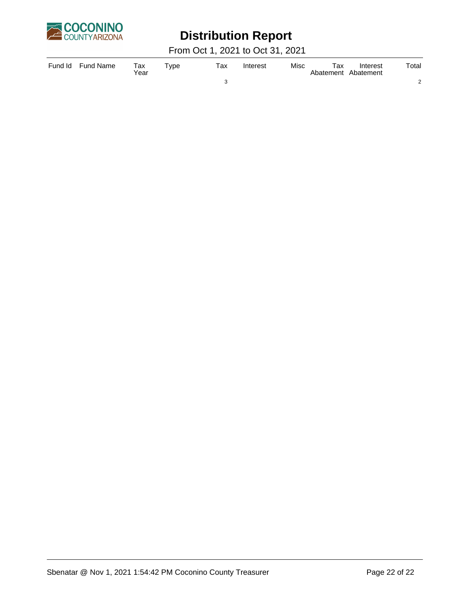

# **Distribution Report**

From Oct 1, 2021 to Oct 31, 2021

| Fund Id | <b>Fund Name</b> | Tax<br>Year | $T$ vpe | тах | Interest | Misc | Тах | Interest<br>Abatement Abatement | Total |
|---------|------------------|-------------|---------|-----|----------|------|-----|---------------------------------|-------|
|         |                  |             |         |     |          |      |     |                                 |       |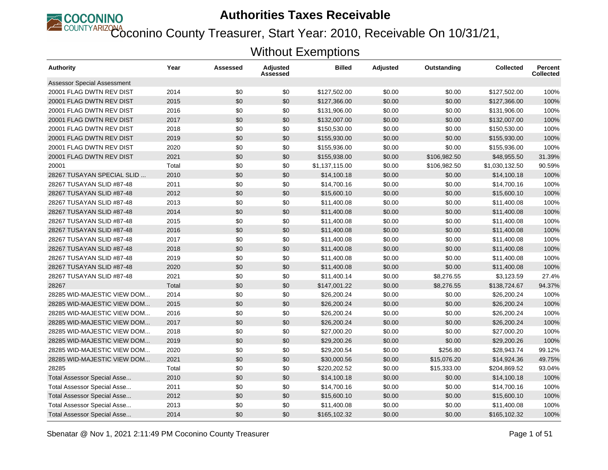

**ECOUNTYARIZONA**<br>Coconino County Treasurer, Start Year: 2010, Receivable On 10/31/21,

| <b>Authority</b>                   | Year  | Assessed | <b>Adjusted</b><br>Assessed | <b>Billed</b>  | <b>Adjusted</b> | Outstanding  | <b>Collected</b> | <b>Percent</b><br><b>Collected</b> |
|------------------------------------|-------|----------|-----------------------------|----------------|-----------------|--------------|------------------|------------------------------------|
| <b>Assessor Special Assessment</b> |       |          |                             |                |                 |              |                  |                                    |
| 20001 FLAG DWTN REV DIST           | 2014  | \$0      | \$0                         | \$127,502.00   | \$0.00          | \$0.00       | \$127,502.00     | 100%                               |
| 20001 FLAG DWTN REV DIST           | 2015  | \$0      | \$0                         | \$127,366.00   | \$0.00          | \$0.00       | \$127,366.00     | 100%                               |
| 20001 FLAG DWTN REV DIST           | 2016  | \$0      | \$0                         | \$131,906.00   | \$0.00          | \$0.00       | \$131,906.00     | 100%                               |
| 20001 FLAG DWTN REV DIST           | 2017  | \$0      | \$0                         | \$132,007.00   | \$0.00          | \$0.00       | \$132,007.00     | 100%                               |
| 20001 FLAG DWTN REV DIST           | 2018  | \$0      | \$0                         | \$150,530.00   | \$0.00          | \$0.00       | \$150,530.00     | 100%                               |
| 20001 FLAG DWTN REV DIST           | 2019  | \$0      | \$0                         | \$155,930.00   | \$0.00          | \$0.00       | \$155,930.00     | 100%                               |
| 20001 FLAG DWTN REV DIST           | 2020  | \$0      | \$0                         | \$155,936.00   | \$0.00          | \$0.00       | \$155,936.00     | 100%                               |
| 20001 FLAG DWTN REV DIST           | 2021  | \$0      | \$0                         | \$155,938.00   | \$0.00          | \$106,982.50 | \$48,955.50      | 31.39%                             |
| 20001                              | Total | \$0      | \$0                         | \$1,137,115.00 | \$0.00          | \$106,982.50 | \$1,030,132.50   | 90.59%                             |
| 28267 TUSAYAN SPECIAL SLID         | 2010  | \$0      | \$0                         | \$14,100.18    | \$0.00          | \$0.00       | \$14,100.18      | 100%                               |
| 28267 TUSAYAN SLID #87-48          | 2011  | \$0      | \$0                         | \$14,700.16    | \$0.00          | \$0.00       | \$14.700.16      | 100%                               |
| 28267 TUSAYAN SLID #87-48          | 2012  | \$0      | \$0                         | \$15,600.10    | \$0.00          | \$0.00       | \$15,600.10      | 100%                               |
| 28267 TUSAYAN SLID #87-48          | 2013  | \$0      | \$0                         | \$11,400.08    | \$0.00          | \$0.00       | \$11,400.08      | 100%                               |
| 28267 TUSAYAN SLID #87-48          | 2014  | \$0      | \$0                         | \$11,400.08    | \$0.00          | \$0.00       | \$11,400.08      | 100%                               |
| 28267 TUSAYAN SLID #87-48          | 2015  | \$0      | \$0                         | \$11,400.08    | \$0.00          | \$0.00       | \$11,400.08      | 100%                               |
| 28267 TUSAYAN SLID #87-48          | 2016  | \$0      | \$0                         | \$11.400.08    | \$0.00          | \$0.00       | \$11,400.08      | 100%                               |
| 28267 TUSAYAN SLID #87-48          | 2017  | \$0      | \$0                         | \$11,400.08    | \$0.00          | \$0.00       | \$11,400.08      | 100%                               |
| 28267 TUSAYAN SLID #87-48          | 2018  | \$0      | \$0                         | \$11,400.08    | \$0.00          | \$0.00       | \$11,400.08      | 100%                               |
| 28267 TUSAYAN SLID #87-48          | 2019  | \$0      | \$0                         | \$11,400.08    | \$0.00          | \$0.00       | \$11,400.08      | 100%                               |
| 28267 TUSAYAN SLID #87-48          | 2020  | \$0      | \$0                         | \$11,400.08    | \$0.00          | \$0.00       | \$11,400.08      | 100%                               |
| 28267 TUSAYAN SLID #87-48          | 2021  | \$0      | \$0                         | \$11,400.14    | \$0.00          | \$8,276.55   | \$3,123.59       | 27.4%                              |
| 28267                              | Total | \$0      | \$0                         | \$147,001.22   | \$0.00          | \$8,276.55   | \$138,724.67     | 94.37%                             |
| 28285 WID-MAJESTIC VIEW DOM        | 2014  | \$0      | \$0                         | \$26,200.24    | \$0.00          | \$0.00       | \$26,200.24      | 100%                               |
| 28285 WID-MAJESTIC VIEW DOM        | 2015  | \$0      | \$0                         | \$26,200.24    | \$0.00          | \$0.00       | \$26,200.24      | 100%                               |
| 28285 WID-MAJESTIC VIEW DOM        | 2016  | \$0      | \$0                         | \$26,200.24    | \$0.00          | \$0.00       | \$26,200.24      | 100%                               |
| 28285 WID-MAJESTIC VIEW DOM        | 2017  | \$0      | \$0                         | \$26,200.24    | \$0.00          | \$0.00       | \$26,200.24      | 100%                               |
| 28285 WID-MAJESTIC VIEW DOM        | 2018  | \$0      | \$0                         | \$27,000.20    | \$0.00          | \$0.00       | \$27,000.20      | 100%                               |
| 28285 WID-MAJESTIC VIEW DOM        | 2019  | \$0      | \$0                         | \$29,200.26    | \$0.00          | \$0.00       | \$29,200.26      | 100%                               |
| 28285 WID-MAJESTIC VIEW DOM        | 2020  | \$0      | \$0                         | \$29,200.54    | \$0.00          | \$256.80     | \$28,943.74      | 99.12%                             |
| 28285 WID-MAJESTIC VIEW DOM        | 2021  | \$0      | \$0                         | \$30,000.56    | \$0.00          | \$15,076.20  | \$14,924.36      | 49.75%                             |
| 28285                              | Total | \$0      | \$0                         | \$220,202.52   | \$0.00          | \$15,333.00  | \$204,869.52     | 93.04%                             |
| <b>Total Assessor Special Asse</b> | 2010  | \$0      | \$0                         | \$14,100.18    | \$0.00          | \$0.00       | \$14,100.18      | 100%                               |
| Total Assessor Special Asse        | 2011  | \$0      | \$0                         | \$14,700.16    | \$0.00          | \$0.00       | \$14,700.16      | 100%                               |
| <b>Total Assessor Special Asse</b> | 2012  | \$0      | \$0                         | \$15,600.10    | \$0.00          | \$0.00       | \$15,600.10      | 100%                               |
| Total Assessor Special Asse        | 2013  | \$0      | \$0                         | \$11,400.08    | \$0.00          | \$0.00       | \$11,400.08      | 100%                               |
| Total Assessor Special Asse        | 2014  | \$0      | \$0                         | \$165,102.32   | \$0.00          | \$0.00       | \$165,102.32     | 100%                               |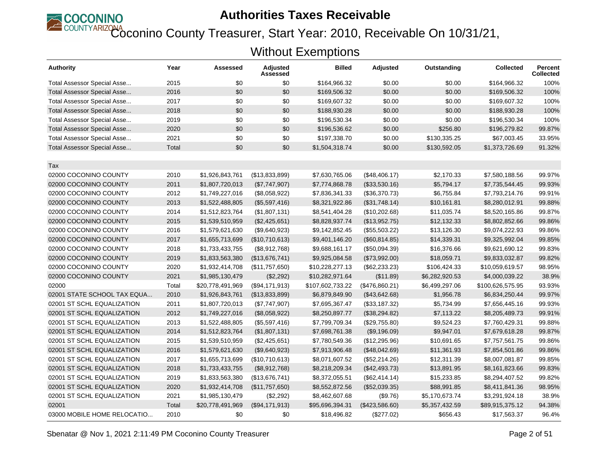

Coconino County Treasurer, Start Year: 2010, Receivable On 10/31/21,

| <b>Authority</b>                   | Year  | Assessed         | Adjusted<br>Assessed | <b>Billed</b>    | <b>Adjusted</b> | Outstanding    | <b>Collected</b> | <b>Percent</b><br><b>Collected</b> |
|------------------------------------|-------|------------------|----------------------|------------------|-----------------|----------------|------------------|------------------------------------|
| Total Assessor Special Asse        | 2015  | \$0              | \$0                  | \$164,966.32     | \$0.00          | \$0.00         | \$164,966.32     | 100%                               |
| <b>Total Assessor Special Asse</b> | 2016  | \$0              | \$0                  | \$169,506.32     | \$0.00          | \$0.00         | \$169,506.32     | 100%                               |
| Total Assessor Special Asse        | 2017  | \$0              | \$0                  | \$169,607.32     | \$0.00          | \$0.00         | \$169,607.32     | 100%                               |
| Total Assessor Special Asse        | 2018  | \$0              | \$0                  | \$188,930.28     | \$0.00          | \$0.00         | \$188,930.28     | 100%                               |
| Total Assessor Special Asse        | 2019  | \$0              | \$0                  | \$196,530.34     | \$0.00          | \$0.00         | \$196,530.34     | 100%                               |
| <b>Total Assessor Special Asse</b> | 2020  | \$0              | \$0                  | \$196,536.62     | \$0.00          | \$256.80       | \$196,279.82     | 99.87%                             |
| Total Assessor Special Asse        | 2021  | \$0              | \$0                  | \$197,338.70     | \$0.00          | \$130,335.25   | \$67,003.45      | 33.95%                             |
| <b>Total Assessor Special Asse</b> | Total | \$0              | \$0                  | \$1,504,318.74   | \$0.00          | \$130,592.05   | \$1,373,726.69   | 91.32%                             |
| Tax                                |       |                  |                      |                  |                 |                |                  |                                    |
| 02000 COCONINO COUNTY              | 2010  | \$1,926,843,761  | (\$13,833,899)       | \$7,630,765.06   | (\$48,406.17)   | \$2,170.33     | \$7,580,188.56   | 99.97%                             |
| 02000 COCONINO COUNTY              | 2011  | \$1,807,720,013  | (\$7,747,907)        | \$7,774,868.78   | (\$33,530.16)   | \$5,794.17     | \$7,735,544.45   | 99.93%                             |
| 02000 COCONINO COUNTY              | 2012  | \$1,749,227,016  | (\$8,058,922)        | \$7,836,341.33   | (\$36,370.73)   | \$6,755.84     | \$7,793,214.76   | 99.91%                             |
| 02000 COCONINO COUNTY              | 2013  | \$1,522,488,805  | (\$5,597,416)        | \$8,321,922.86   | (\$31,748.14)   | \$10,161.81    | \$8,280,012.91   | 99.88%                             |
| 02000 COCONINO COUNTY              | 2014  | \$1,512,823,764  | (\$1,807,131)        | \$8,541,404.28   | (\$10,202.68)   | \$11,035.74    | \$8,520,165.86   | 99.87%                             |
| 02000 COCONINO COUNTY              | 2015  | \$1,539,510,959  | (\$2,425,651)        | \$8,828,937.74   | (\$13,952.75)   | \$12,132.33    | \$8,802,852.66   | 99.86%                             |
| 02000 COCONINO COUNTY              | 2016  | \$1,579,621,630  | (\$9,640,923)        | \$9,142,852.45   | (\$55,503.22)   | \$13,126.30    | \$9,074,222.93   | 99.86%                             |
| 02000 COCONINO COUNTY              | 2017  | \$1,655,713,699  | (\$10,710,613)       | \$9,401,146.20   | (\$60, 814.85)  | \$14,339.31    | \$9,325,992.04   | 99.85%                             |
| 02000 COCONINO COUNTY              | 2018  | \$1,733,433,755  | (\$8,912,768)        | \$9,688,161.17   | (\$50,094.39)   | \$16,376.66    | \$9,621,690.12   | 99.83%                             |
| 02000 COCONINO COUNTY              | 2019  | \$1,833,563,380  | (\$13,676,741)       | \$9,925,084.58   | (\$73,992.00)   | \$18,059.71    | \$9,833,032.87   | 99.82%                             |
| 02000 COCONINO COUNTY              | 2020  | \$1,932,414,708  | (\$11,757,650)       | \$10,228,277.13  | $(\$62,233.23)$ | \$106,424.33   | \$10,059,619.57  | 98.95%                             |
| 02000 COCONINO COUNTY              | 2021  | \$1,985,130,479  | (\$2,292)            | \$10,282,971.64  | (\$11.89)       | \$6,282,920.53 | \$4,000,039.22   | 38.9%                              |
| 02000                              | Total | \$20,778,491,969 | (\$94,171,913)       | \$107,602,733.22 | (\$476,860.21)  | \$6,499,297.06 | \$100,626,575.95 | 93.93%                             |
| 02001 STATE SCHOOL TAX EQUA        | 2010  | \$1,926,843,761  | (\$13,833,899)       | \$6,879,849.90   | (\$43,642.68)   | \$1,956.78     | \$6,834,250.44   | 99.97%                             |
| 02001 ST SCHL EQUALIZATION         | 2011  | \$1,807,720,013  | (\$7,747,907)        | \$7,695,367.47   | (\$33,187.32)   | \$5,734.99     | \$7,656,445.16   | 99.93%                             |
| 02001 ST SCHL EQUALIZATION         | 2012  | \$1,749,227,016  | (\$8,058,922)        | \$8,250,897.77   | (\$38,294.82)   | \$7,113.22     | \$8,205,489.73   | 99.91%                             |
| 02001 ST SCHL EQUALIZATION         | 2013  | \$1,522,488,805  | (\$5,597,416)        | \$7,799,709.34   | (\$29,755.80)   | \$9,524.23     | \$7,760,429.31   | 99.88%                             |
| 02001 ST SCHL EQUALIZATION         | 2014  | \$1,512,823,764  | (\$1,807,131)        | \$7,698,761.38   | (\$9,196.09)    | \$9,947.01     | \$7,679,618.28   | 99.87%                             |
| 02001 ST SCHL EQUALIZATION         | 2015  | \$1,539,510,959  | (\$2,425,651)        | \$7,780,549.36   | (\$12,295.96)   | \$10,691.65    | \$7,757,561.75   | 99.86%                             |
| 02001 ST SCHL EQUALIZATION         | 2016  | \$1,579,621,630  | (\$9,640,923)        | \$7,913,906.48   | (\$48,042.69)   | \$11,361.93    | \$7,854,501.86   | 99.86%                             |
| 02001 ST SCHL EQUALIZATION         | 2017  | \$1,655,713,699  | (\$10,710,613)       | \$8,071,607.52   | (\$52,214.26)   | \$12,311.39    | \$8,007,081.87   | 99.85%                             |
| 02001 ST SCHL EQUALIZATION         | 2018  | \$1,733,433,755  | (\$8,912,768)        | \$8,218,209.34   | (\$42,493.73)   | \$13,891.95    | \$8,161,823.66   | 99.83%                             |
| 02001 ST SCHL EQUALIZATION         | 2019  | \$1,833,563,380  | (\$13,676,741)       | \$8,372,055.51   | (\$62,414.14)   | \$15,233.85    | \$8,294,407.52   | 99.82%                             |
| 02001 ST SCHL EQUALIZATION         | 2020  | \$1,932,414,708  | (\$11,757,650)       | \$8,552,872.56   | (\$52,039.35)   | \$88,991.85    | \$8,411,841.36   | 98.95%                             |
| 02001 ST SCHL EQUALIZATION         | 2021  | \$1,985,130,479  | (\$2,292)            | \$8,462,607.68   | (\$9.76)        | \$5,170,673.74 | \$3,291,924.18   | 38.9%                              |
| 02001                              | Total | \$20,778,491,969 | (\$94,171,913)       | \$95,696,394.31  | (\$423,586.60)  | \$5,357,432.59 | \$89,915,375.12  | 94.38%                             |
| 03000 MOBILE HOME RELOCATIO        | 2010  | \$0              | \$0                  | \$18,496.82      | (\$277.02)      | \$656.43       | \$17,563.37      | 96.4%                              |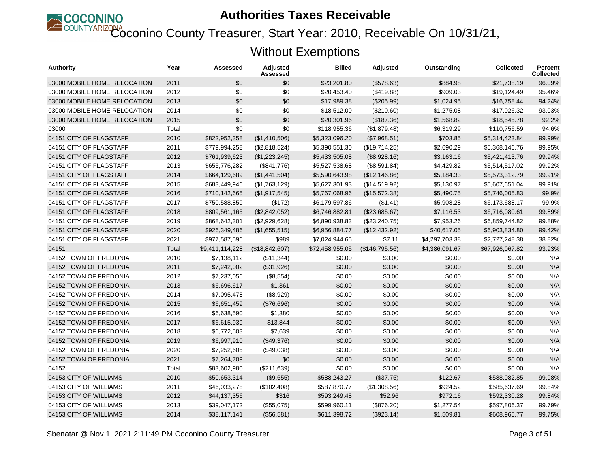

Coconino County Treasurer, Start Year: 2010, Receivable On 10/31/21,

| Authority                    | Year  | Assessed        | Adjusted<br>Assessed | <b>Billed</b>   | <b>Adjusted</b> | Outstanding    | <b>Collected</b> | <b>Percent</b><br><b>Collected</b> |
|------------------------------|-------|-----------------|----------------------|-----------------|-----------------|----------------|------------------|------------------------------------|
| 03000 MOBILE HOME RELOCATION | 2011  | \$0             | \$0                  | \$23,201.80     | (\$578.63)      | \$884.98       | \$21.738.19      | 96.09%                             |
| 03000 MOBILE HOME RELOCATION | 2012  | \$0             | \$0                  | \$20,453.40     | (\$419.88)      | \$909.03       | \$19,124.49      | 95.46%                             |
| 03000 MOBILE HOME RELOCATION | 2013  | \$0             | \$0                  | \$17,989.38     | (\$205.99)      | \$1,024.95     | \$16,758.44      | 94.24%                             |
| 03000 MOBILE HOME RELOCATION | 2014  | \$0             | \$0                  | \$18,512.00     | (\$210.60)      | \$1,275.08     | \$17,026.32      | 93.03%                             |
| 03000 MOBILE HOME RELOCATION | 2015  | \$0             | \$0                  | \$20,301.96     | (\$187.36)      | \$1,568.82     | \$18,545.78      | 92.2%                              |
| 03000                        | Total | \$0             | \$0                  | \$118,955.36    | (\$1,879.48)    | \$6,319.29     | \$110,756.59     | 94.6%                              |
| 04151 CITY OF FLAGSTAFF      | 2010  | \$822,952,358   | (\$1,410,506)        | \$5,323,096.20  | (\$7,968.51)    | \$703.85       | \$5,314,423.84   | 99.99%                             |
| 04151 CITY OF FLAGSTAFF      | 2011  | \$779,994,258   | (\$2,818,524)        | \$5,390,551.30  | (\$19,714.25)   | \$2,690.29     | \$5,368,146.76   | 99.95%                             |
| 04151 CITY OF FLAGSTAFF      | 2012  | \$761,939,623   | (\$1,223,245)        | \$5,433,505.08  | (\$8,928.16)    | \$3,163.16     | \$5,421,413.76   | 99.94%                             |
| 04151 CITY OF FLAGSTAFF      | 2013  | \$655,776,282   | (\$841,776)          | \$5,527,538.68  | (\$8,591.84)    | \$4,429.82     | \$5,514,517.02   | 99.92%                             |
| 04151 CITY OF FLAGSTAFF      | 2014  | \$664,129,689   | (\$1,441,504)        | \$5,590,643.98  | (\$12,146.86)   | \$5,184.33     | \$5,573,312.79   | 99.91%                             |
| 04151 CITY OF FLAGSTAFF      | 2015  | \$683,449,946   | (\$1,763,129)        | \$5,627,301.93  | (\$14,519.92)   | \$5,130.97     | \$5,607,651.04   | 99.91%                             |
| 04151 CITY OF FLAGSTAFF      | 2016  | \$710,142,665   | (\$1,917,545)        | \$5,767,068.96  | (\$15,572.38)   | \$5,490.75     | \$5,746,005.83   | 99.9%                              |
| 04151 CITY OF FLAGSTAFF      | 2017  | \$750,588,859   | (\$172)              | \$6,179,597.86  | (\$1.41)        | \$5,908.28     | \$6,173,688.17   | 99.9%                              |
| 04151 CITY OF FLAGSTAFF      | 2018  | \$809,561,165   | (\$2,842,052)        | \$6,746,882.81  | (\$23,685.67)   | \$7,116.53     | \$6,716,080.61   | 99.89%                             |
| 04151 CITY OF FLAGSTAFF      | 2019  | \$868,642,301   | (\$2,929,628)        | \$6,890,938.83  | (\$23,240.75)   | \$7,953.26     | \$6,859,744.82   | 99.88%                             |
| 04151 CITY OF FLAGSTAFF      | 2020  | \$926,349,486   | (\$1,655,515)        | \$6,956,884.77  | (\$12,432.92)   | \$40,617.05    | \$6,903,834.80   | 99.42%                             |
| 04151 CITY OF FLAGSTAFF      | 2021  | \$977,587,596   | \$989                | \$7,024,944.65  | \$7.11          | \$4,297,703.38 | \$2,727,248.38   | 38.82%                             |
| 04151                        | Total | \$9,411,114,228 | (\$18,842,607)       | \$72,458,955.05 | (\$146,795.56)  | \$4,386,091.67 | \$67,926,067.82  | 93.93%                             |
| 04152 TOWN OF FREDONIA       | 2010  | \$7,138,112     | (\$11,344)           | \$0.00          | \$0.00          | \$0.00         | \$0.00           | N/A                                |
| 04152 TOWN OF FREDONIA       | 2011  | \$7,242,002     | (\$31,926)           | \$0.00          | \$0.00          | \$0.00         | \$0.00           | N/A                                |
| 04152 TOWN OF FREDONIA       | 2012  | \$7,237,056     | (\$8,554)            | \$0.00          | \$0.00          | \$0.00         | \$0.00           | N/A                                |
| 04152 TOWN OF FREDONIA       | 2013  | \$6,696,617     | \$1,361              | \$0.00          | \$0.00          | \$0.00         | \$0.00           | N/A                                |
| 04152 TOWN OF FREDONIA       | 2014  | \$7,095,478     | (\$8,929)            | \$0.00          | \$0.00          | \$0.00         | \$0.00           | N/A                                |
| 04152 TOWN OF FREDONIA       | 2015  | \$6,651,459     | (\$76,696)           | \$0.00          | \$0.00          | \$0.00         | \$0.00           | N/A                                |
| 04152 TOWN OF FREDONIA       | 2016  | \$6,638,590     | \$1,380              | \$0.00          | \$0.00          | \$0.00         | \$0.00           | N/A                                |
| 04152 TOWN OF FREDONIA       | 2017  | \$6,615,939     | \$13,844             | \$0.00          | \$0.00          | \$0.00         | \$0.00           | N/A                                |
| 04152 TOWN OF FREDONIA       | 2018  | \$6,772,503     | \$7,639              | \$0.00          | \$0.00          | \$0.00         | \$0.00           | N/A                                |
| 04152 TOWN OF FREDONIA       | 2019  | \$6,997,910     | (\$49,376)           | \$0.00          | \$0.00          | \$0.00         | \$0.00           | N/A                                |
| 04152 TOWN OF FREDONIA       | 2020  | \$7,252,605     | (\$49,038)           | \$0.00          | \$0.00          | \$0.00         | \$0.00           | N/A                                |
| 04152 TOWN OF FREDONIA       | 2021  | \$7,264,709     | \$0                  | \$0.00          | \$0.00          | \$0.00         | \$0.00           | N/A                                |
| 04152                        | Total | \$83,602,980    | (\$211,639)          | \$0.00          | \$0.00          | \$0.00         | \$0.00           | N/A                                |
| 04153 CITY OF WILLIAMS       | 2010  | \$50,653,314    | (\$9,655)            | \$588,243.27    | (\$37.75)       | \$122.67       | \$588,082.85     | 99.98%                             |
| 04153 CITY OF WILLIAMS       | 2011  | \$46,033,278    | (\$102,408)          | \$587,870.77    | (\$1,308.56)    | \$924.52       | \$585,637.69     | 99.84%                             |
| 04153 CITY OF WILLIAMS       | 2012  | \$44,137,356    | \$316                | \$593,249.48    | \$52.96         | \$972.16       | \$592,330.28     | 99.84%                             |
| 04153 CITY OF WILLIAMS       | 2013  | \$39,047,172    | (\$55,075)           | \$599,960.11    | (\$876.20)      | \$1,277.54     | \$597,806.37     | 99.79%                             |
| 04153 CITY OF WILLIAMS       | 2014  | \$38,117,141    | (\$56,581)           | \$611,398.72    | (\$923.14)      | \$1,509.81     | \$608,965.77     | 99.75%                             |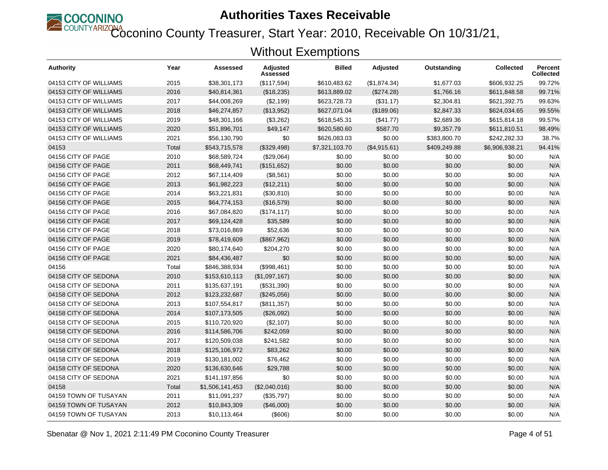

Coconino County Treasurer, Start Year: 2010, Receivable On 10/31/21,

| Authority              | Year  | <b>Assessed</b> | Adjusted<br>Assessed | <b>Billed</b>  | <b>Adjusted</b> | Outstanding  | <b>Collected</b> | Percent<br><b>Collected</b> |
|------------------------|-------|-----------------|----------------------|----------------|-----------------|--------------|------------------|-----------------------------|
| 04153 CITY OF WILLIAMS | 2015  | \$38,301,173    | (\$117,594)          | \$610,483.62   | (\$1,874.34)    | \$1,677.03   | \$606,932.25     | 99.72%                      |
| 04153 CITY OF WILLIAMS | 2016  | \$40,814,361    | (\$18,235)           | \$613,889.02   | (\$274.28)      | \$1,766.16   | \$611,848.58     | 99.71%                      |
| 04153 CITY OF WILLIAMS | 2017  | \$44,008,269    | (\$2,199)            | \$623,728.73   | (\$31.17)       | \$2,304.81   | \$621,392.75     | 99.63%                      |
| 04153 CITY OF WILLIAMS | 2018  | \$46,274,857    | (\$13,952)           | \$627,071.04   | (\$189.06)      | \$2,847.33   | \$624,034.65     | 99.55%                      |
| 04153 CITY OF WILLIAMS | 2019  | \$48,301,166    | (\$3,262)            | \$618,545.31   | (\$41.77)       | \$2,689.36   | \$615,814.18     | 99.57%                      |
| 04153 CITY OF WILLIAMS | 2020  | \$51,896,701    | \$49,147             | \$620,580.60   | \$587.70        | \$9,357.79   | \$611,810.51     | 98.49%                      |
| 04153 CITY OF WILLIAMS | 2021  | \$56,130,790    | \$0                  | \$626,083.03   | \$0.00          | \$383,800.70 | \$242,282.33     | 38.7%                       |
| 04153                  | Total | \$543,715,578   | (\$329,498)          | \$7,321,103.70 | (\$4,915.61)    | \$409,249.88 | \$6,906,938.21   | 94.41%                      |
| 04156 CITY OF PAGE     | 2010  | \$68,589,724    | (\$29,064)           | \$0.00         | \$0.00          | \$0.00       | \$0.00           | N/A                         |
| 04156 CITY OF PAGE     | 2011  | \$68,449,741    | (\$151,652)          | \$0.00         | \$0.00          | \$0.00       | \$0.00           | N/A                         |
| 04156 CITY OF PAGE     | 2012  | \$67,114,409    | (\$8,561)            | \$0.00         | \$0.00          | \$0.00       | \$0.00           | N/A                         |
| 04156 CITY OF PAGE     | 2013  | \$61,982,223    | (\$12,211)           | \$0.00         | \$0.00          | \$0.00       | \$0.00           | N/A                         |
| 04156 CITY OF PAGE     | 2014  | \$63,221,831    | (\$30, 810)          | \$0.00         | \$0.00          | \$0.00       | \$0.00           | N/A                         |
| 04156 CITY OF PAGE     | 2015  | \$64,774,153    | (\$16,579)           | \$0.00         | \$0.00          | \$0.00       | \$0.00           | N/A                         |
| 04156 CITY OF PAGE     | 2016  | \$67,084,820    | (\$174, 117)         | \$0.00         | \$0.00          | \$0.00       | \$0.00           | N/A                         |
| 04156 CITY OF PAGE     | 2017  | \$69,124,428    | \$35,589             | \$0.00         | \$0.00          | \$0.00       | \$0.00           | N/A                         |
| 04156 CITY OF PAGE     | 2018  | \$73,016,869    | \$52,636             | \$0.00         | \$0.00          | \$0.00       | \$0.00           | N/A                         |
| 04156 CITY OF PAGE     | 2019  | \$78,419,609    | (\$867,962)          | \$0.00         | \$0.00          | \$0.00       | \$0.00           | N/A                         |
| 04156 CITY OF PAGE     | 2020  | \$80,174,640    | \$204,270            | \$0.00         | \$0.00          | \$0.00       | \$0.00           | N/A                         |
| 04156 CITY OF PAGE     | 2021  | \$84,436,487    | \$0                  | \$0.00         | \$0.00          | \$0.00       | \$0.00           | N/A                         |
| 04156                  | Total | \$846,388,934   | (\$998,461)          | \$0.00         | \$0.00          | \$0.00       | \$0.00           | N/A                         |
| 04158 CITY OF SEDONA   | 2010  | \$153,610,113   | (\$1,097,167)        | \$0.00         | \$0.00          | \$0.00       | \$0.00           | N/A                         |
| 04158 CITY OF SEDONA   | 2011  | \$135,637,191   | (\$531,390)          | \$0.00         | \$0.00          | \$0.00       | \$0.00           | N/A                         |
| 04158 CITY OF SEDONA   | 2012  | \$123,232,687   | (\$245,056)          | \$0.00         | \$0.00          | \$0.00       | \$0.00           | N/A                         |
| 04158 CITY OF SEDONA   | 2013  | \$107,554,817   | (\$811,357)          | \$0.00         | \$0.00          | \$0.00       | \$0.00           | N/A                         |
| 04158 CITY OF SEDONA   | 2014  | \$107,173,505   | (\$26,092)           | \$0.00         | \$0.00          | \$0.00       | \$0.00           | N/A                         |
| 04158 CITY OF SEDONA   | 2015  | \$110,720,920   | (\$2,107)            | \$0.00         | \$0.00          | \$0.00       | \$0.00           | N/A                         |
| 04158 CITY OF SEDONA   | 2016  | \$114,586,706   | \$242,059            | \$0.00         | \$0.00          | \$0.00       | \$0.00           | N/A                         |
| 04158 CITY OF SEDONA   | 2017  | \$120,509,038   | \$241,582            | \$0.00         | \$0.00          | \$0.00       | \$0.00           | N/A                         |
| 04158 CITY OF SEDONA   | 2018  | \$125,106,972   | \$83,262             | \$0.00         | \$0.00          | \$0.00       | \$0.00           | N/A                         |
| 04158 CITY OF SEDONA   | 2019  | \$130,181,002   | \$76,462             | \$0.00         | \$0.00          | \$0.00       | \$0.00           | N/A                         |
| 04158 CITY OF SEDONA   | 2020  | \$136,630,646   | \$29,788             | \$0.00         | \$0.00          | \$0.00       | \$0.00           | N/A                         |
| 04158 CITY OF SEDONA   | 2021  | \$141,197,856   | \$0                  | \$0.00         | \$0.00          | \$0.00       | \$0.00           | N/A                         |
| 04158                  | Total | \$1,506,141,453 | (\$2,040,016)        | \$0.00         | \$0.00          | \$0.00       | \$0.00           | N/A                         |
| 04159 TOWN OF TUSAYAN  | 2011  | \$11,091,237    | (\$35,797)           | \$0.00         | \$0.00          | \$0.00       | \$0.00           | N/A                         |
| 04159 TOWN OF TUSAYAN  | 2012  | \$10,843,309    | (\$46,000)           | \$0.00         | \$0.00          | \$0.00       | \$0.00           | N/A                         |
| 04159 TOWN OF TUSAYAN  | 2013  | \$10,113,464    | (\$606)              | \$0.00         | \$0.00          | \$0.00       | \$0.00           | N/A                         |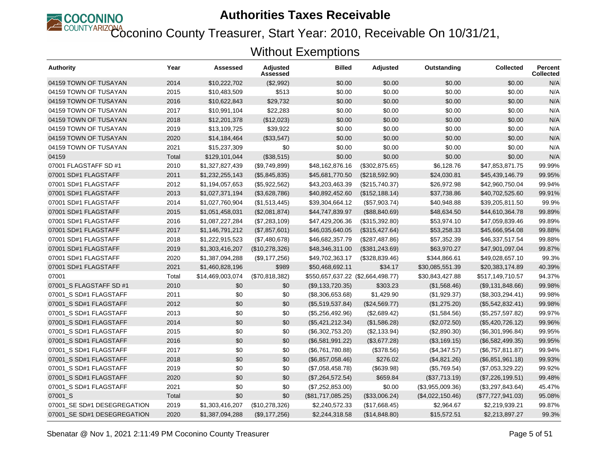

Coconino County Treasurer, Start Year: 2010, Receivable On 10/31/21,

| Authority                   | Year  | Assessed         | Adjusted<br>Assessed | <b>Billed</b>                     | Adjusted        | Outstanding      | <b>Collected</b>  | <b>Percent</b><br><b>Collected</b> |
|-----------------------------|-------|------------------|----------------------|-----------------------------------|-----------------|------------------|-------------------|------------------------------------|
| 04159 TOWN OF TUSAYAN       | 2014  | \$10,222,702     | (\$2,992)            | \$0.00                            | \$0.00          | \$0.00           | \$0.00            | N/A                                |
| 04159 TOWN OF TUSAYAN       | 2015  | \$10,483,509     | \$513                | \$0.00                            | \$0.00          | \$0.00           | \$0.00            | N/A                                |
| 04159 TOWN OF TUSAYAN       | 2016  | \$10,622,843     | \$29,732             | \$0.00                            | \$0.00          | \$0.00           | \$0.00            | N/A                                |
| 04159 TOWN OF TUSAYAN       | 2017  | \$10,991,104     | \$22,283             | \$0.00                            | \$0.00          | \$0.00           | \$0.00            | N/A                                |
| 04159 TOWN OF TUSAYAN       | 2018  | \$12,201,378     | (\$12,023)           | \$0.00                            | \$0.00          | \$0.00           | \$0.00            | N/A                                |
| 04159 TOWN OF TUSAYAN       | 2019  | \$13,109,725     | \$39,922             | \$0.00                            | \$0.00          | \$0.00           | \$0.00            | N/A                                |
| 04159 TOWN OF TUSAYAN       | 2020  | \$14,184,464     | (\$33,547)           | \$0.00                            | \$0.00          | \$0.00           | \$0.00            | N/A                                |
| 04159 TOWN OF TUSAYAN       | 2021  | \$15,237,309     | \$0                  | \$0.00                            | \$0.00          | \$0.00           | \$0.00            | N/A                                |
| 04159                       | Total | \$129,101,044    | (\$38,515)           | \$0.00                            | \$0.00          | \$0.00           | \$0.00            | N/A                                |
| 07001 FLAGSTAFF SD #1       | 2010  | \$1,327,827,439  | (\$9,749,899)        | \$48,162,876.16                   | (\$302,875.65)  | \$6,128.76       | \$47,853,871.75   | 99.99%                             |
| 07001 SD#1 FLAGSTAFF        | 2011  | \$1,232,255,143  | (\$5,845,835)        | \$45,681,770.50                   | (\$218,592.90)  | \$24,030.81      | \$45,439,146.79   | 99.95%                             |
| 07001 SD#1 FLAGSTAFF        | 2012  | \$1,194,057,653  | (\$5,922,562)        | \$43,203,463.39                   | (\$215,740.37)  | \$26,972.98      | \$42,960,750.04   | 99.94%                             |
| 07001 SD#1 FLAGSTAFF        | 2013  | \$1,027,371,194  | (\$3,628,786)        | \$40,892,452.60                   | (\$152, 188.14) | \$37,738.86      | \$40,702,525.60   | 99.91%                             |
| 07001 SD#1 FLAGSTAFF        | 2014  | \$1,027,760,904  | (\$1,513,445)        | \$39,304,664.12                   | (\$57,903.74)   | \$40,948.88      | \$39,205,811.50   | 99.9%                              |
| 07001 SD#1 FLAGSTAFF        | 2015  | \$1,051,458,031  | (\$2,081,874)        | \$44,747,839.97                   | (\$88, 840.69)  | \$48,634.50      | \$44,610,364.78   | 99.89%                             |
| 07001 SD#1 FLAGSTAFF        | 2016  | \$1,087,227,284  | (\$7,283,109)        | \$47,429,206.36                   | (\$315,392.80)  | \$53,974.10      | \$47,059,839.46   | 99.89%                             |
| 07001 SD#1 FLAGSTAFF        | 2017  | \$1,146,791,212  | (\$7,857,601)        | \$46,035,640.05                   | (\$315,427.64)  | \$53,258.33      | \$45,666,954.08   | 99.88%                             |
| 07001 SD#1 FLAGSTAFF        | 2018  | \$1,222,915,523  | (\$7,480,678)        | \$46,682,357.79                   | (\$287,487.86)  | \$57,352.39      | \$46,337,517.54   | 99.88%                             |
| 07001 SD#1 FLAGSTAFF        | 2019  | \$1,303,416,207  | (\$10,278,326)       | \$48,346,311.00                   | (\$381, 243.69) | \$63,970.27      | \$47,901,097.04   | 99.87%                             |
| 07001 SD#1 FLAGSTAFF        | 2020  | \$1,387,094,288  | (\$9,177,256)        | \$49,702,363.17                   | (\$328,839.46)  | \$344,866.61     | \$49,028,657.10   | 99.3%                              |
| 07001 SD#1 FLAGSTAFF        | 2021  | \$1,460,828,196  | \$989                | \$50,468,692.11                   | \$34.17         | \$30,085,551.39  | \$20,383,174.89   | 40.39%                             |
| 07001                       | Total | \$14,469,003,074 | (\$70,818,382)       | \$550,657,637.22 (\$2,664,498.77) |                 | \$30,843,427.88  | \$517,149,710.57  | 94.37%                             |
| 07001_S FLAGSTAFF SD #1     | 2010  | \$0              | \$0                  | (\$9,133,720.35)                  | \$303.23        | (\$1,568.46)     | (\$9,131,848.66)  | 99.98%                             |
| 07001 S SD#1 FLAGSTAFF      | 2011  | \$0              | \$0                  | (\$8,306,653.68)                  | \$1,429.90      | (\$1,929.37)     | (\$8,303,294.41)  | 99.98%                             |
| 07001_S SD#1 FLAGSTAFF      | 2012  | \$0              | \$0                  | (\$5,519,537.84)                  | (\$24,569.77)   | (\$1,275.20)     | (\$5,542,832.41)  | 99.98%                             |
| 07001 S SD#1 FLAGSTAFF      | 2013  | \$0              | \$0                  | (\$5,256,492.96)                  | (\$2,689.42)    | (\$1,584.56)     | (\$5,257,597.82)  | 99.97%                             |
| 07001 S SD#1 FLAGSTAFF      | 2014  | \$0              | \$0                  | (\$5,421,212.34)                  | (\$1,586.28)    | (\$2,072.50)     | (\$5,420,726.12)  | 99.96%                             |
| 07001 S SD#1 FLAGSTAFF      | 2015  | \$0              | \$0                  | (\$6,302,753.20)                  | (\$2,133.94)    | (\$2,890.30)     | (\$6,301,996.84)  | 99.95%                             |
| 07001 S SD#1 FLAGSTAFF      | 2016  | \$0              | \$0                  | (\$6,581,991.22)                  | (\$3,677.28)    | (\$3,169.15)     | (\$6,582,499.35)  | 99.95%                             |
| 07001_S SD#1 FLAGSTAFF      | 2017  | \$0              | \$0                  | (\$6,761,780.88)                  | (\$378.56)      | (\$4,347.57)     | (\$6,757,811.87)  | 99.94%                             |
| 07001_S SD#1 FLAGSTAFF      | 2018  | \$0              | \$0                  | (\$6,857,058.46)                  | \$276.02        | (\$4,821.26)     | (\$6,851,961.18)  | 99.93%                             |
| 07001 S SD#1 FLAGSTAFF      | 2019  | \$0              | \$0                  | (\$7,058,458.78)                  | (\$639.98)      | (\$5,769.54)     | (\$7,053,329.22)  | 99.92%                             |
| 07001_S SD#1 FLAGSTAFF      | 2020  | \$0              | \$0                  | (\$7,264,572.54)                  | \$659.84        | (\$37,713.19)    | (\$7,226,199.51)  | 99.48%                             |
| 07001_S SD#1 FLAGSTAFF      | 2021  | \$0              | \$0                  | (\$7,252,853.00)                  | \$0.00          | (\$3,955,009.36) | (\$3,297,843.64)  | 45.47%                             |
| 07001_S                     | Total | \$0              | \$0                  | (\$81,717,085.25)                 | (\$33,006.24)   | (\$4,022,150.46) | (\$77,727,941.03) | 95.08%                             |
| 07001_SE SD#1 DESEGREGATION | 2019  | \$1,303,416,207  | (\$10,278,326)       | \$2,240,572.33                    | (\$17,668.45)   | \$2,964.67       | \$2,219,939.21    | 99.87%                             |
| 07001_SE SD#1 DESEGREGATION | 2020  | \$1,387,094,288  | (\$9,177,256)        | \$2,244,318.58                    | (\$14,848.80)   | \$15,572.51      | \$2,213,897.27    | 99.3%                              |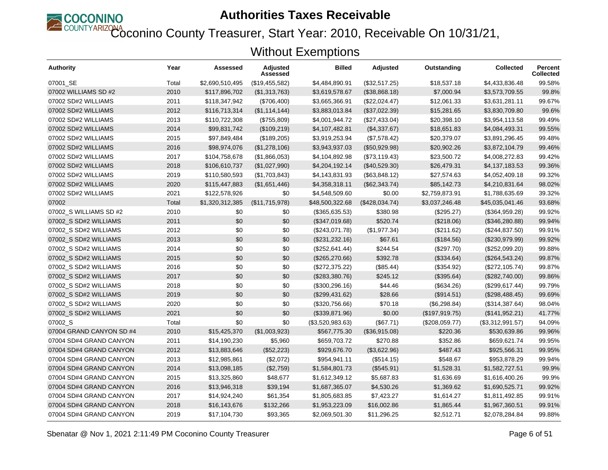

Coconino County Treasurer, Start Year: 2010, Receivable On 10/31/21,

| <b>Authority</b>         | Year  | Assessed        | Adjusted<br>Assessed | <b>Billed</b>    | <b>Adjusted</b> | Outstanding    | <b>Collected</b> | Percent<br><b>Collected</b> |
|--------------------------|-------|-----------------|----------------------|------------------|-----------------|----------------|------------------|-----------------------------|
| 07001 SE                 | Total | \$2,690,510,495 | (\$19,455,582)       | \$4,484,890.91   | (\$32,517.25)   | \$18,537.18    | \$4,433,836.48   | 99.58%                      |
| 07002 WILLIAMS SD #2     | 2010  | \$117,896,702   | (\$1,313,763)        | \$3,619,578.67   | (\$38,868.18)   | \$7,000.94     | \$3,573,709.55   | 99.8%                       |
| 07002 SD#2 WILLIAMS      | 2011  | \$118,347,942   | (\$706,400)          | \$3,665,366.91   | (\$22,024.47)   | \$12,061.33    | \$3,631,281.11   | 99.67%                      |
| 07002 SD#2 WILLIAMS      | 2012  | \$116,713,314   | (\$1,114,144)        | \$3,883,013.84   | (\$37,022.39)   | \$15,281.65    | \$3,830,709.80   | 99.6%                       |
| 07002 SD#2 WILLIAMS      | 2013  | \$110,722,308   | (\$755,809)          | \$4,001,944.72   | (\$27,433.04)   | \$20,398.10    | \$3,954,113.58   | 99.49%                      |
| 07002 SD#2 WILLIAMS      | 2014  | \$99,831,742    | (\$109,219)          | \$4,107,482.81   | (\$4,337.67)    | \$18,651.83    | \$4,084,493.31   | 99.55%                      |
| 07002 SD#2 WILLIAMS      | 2015  | \$97,849,484    | (\$189,205)          | \$3,919,253.94   | (\$7,578.42)    | \$20,379.07    | \$3,891,296.45   | 99.48%                      |
| 07002 SD#2 WILLIAMS      | 2016  | \$98,974,076    | (\$1,278,106)        | \$3,943,937.03   | (\$50,929.98)   | \$20,902.26    | \$3,872,104.79   | 99.46%                      |
| 07002 SD#2 WILLIAMS      | 2017  | \$104,758,678   | (\$1,866,053)        | \$4,104,892.98   | (\$73,119.43)   | \$23,500.72    | \$4,008,272.83   | 99.42%                      |
| 07002 SD#2 WILLIAMS      | 2018  | \$106,610,737   | (\$1,027,990)        | \$4,204,192.14   | (\$40,529.30)   | \$26,479.31    | \$4,137,183.53   | 99.36%                      |
| 07002 SD#2 WILLIAMS      | 2019  | \$110,580,593   | (\$1,703,843)        | \$4,143,831.93   | (\$63,848.12)   | \$27,574.63    | \$4,052,409.18   | 99.32%                      |
| 07002 SD#2 WILLIAMS      | 2020  | \$115,447,883   | (\$1,651,446)        | \$4,358,318.11   | (\$62,343.74)   | \$85,142.73    | \$4,210,831.64   | 98.02%                      |
| 07002 SD#2 WILLIAMS      | 2021  | \$122,578,926   | \$0                  | \$4,548,509.60   | \$0.00          | \$2,759,873.91 | \$1,788,635.69   | 39.32%                      |
| 07002                    | Total | \$1,320,312,385 | (\$11,715,978)       | \$48,500,322.68  | (\$428,034.74)  | \$3,037,246.48 | \$45,035,041.46  | 93.68%                      |
| 07002 S WILLIAMS SD #2   | 2010  | \$0             | \$0                  | (\$365,635.53)   | \$380.98        | (\$295.27)     | (\$364,959.28)   | 99.92%                      |
| 07002 S SD#2 WILLIAMS    | 2011  | \$0             | \$0                  | (\$347,019.68)   | \$520.74        | (\$218.06)     | (\$346,280.88)   | 99.94%                      |
| 07002 S SD#2 WILLIAMS    | 2012  | \$0             | \$0                  | (\$243,071.78)   | (\$1,977.34)    | (\$211.62)     | (\$244, 837.50)  | 99.91%                      |
| 07002 S SD#2 WILLIAMS    | 2013  | \$0             | \$0                  | (\$231, 232.16)  | \$67.61         | (\$184.56)     | (\$230,979.99)   | 99.92%                      |
| 07002_S SD#2 WILLIAMS    | 2014  | \$0             | \$0                  | (\$252,641.44)   | \$244.54        | (\$297.70)     | (\$252,099.20)   | 99.88%                      |
| 07002_S SD#2 WILLIAMS    | 2015  | \$0             | \$0                  | (\$265,270.66)   | \$392.78        | (\$334.64)     | (\$264,543.24)   | 99.87%                      |
| 07002 S SD#2 WILLIAMS    | 2016  | \$0             | \$0                  | (\$272,375.22)   | (\$85.44)       | (\$354.92)     | (\$272,105.74)   | 99.87%                      |
| 07002_S SD#2 WILLIAMS    | 2017  | \$0             | \$0                  | (\$283,380.76)   | \$245.12        | (\$395.64)     | (\$282,740.00)   | 99.86%                      |
| 07002_S SD#2 WILLIAMS    | 2018  | \$0             | \$0                  | (\$300, 296.16)  | \$44.46         | (\$634.26)     | (\$299, 617.44)  | 99.79%                      |
| 07002 S SD#2 WILLIAMS    | 2019  | \$0             | \$0                  | (\$299,431.62)   | \$28.66         | (\$914.51)     | (\$298,488.45)   | 99.69%                      |
| 07002 S SD#2 WILLIAMS    | 2020  | \$0             | \$0                  | (\$320,756.66)   | \$70.18         | (\$6,298.84)   | (\$314,387.64)   | 98.04%                      |
| 07002_S SD#2 WILLIAMS    | 2021  | \$0             | \$0                  | (\$339,871.96)   | \$0.00          | (\$197,919.75) | (\$141,952.21)   | 41.77%                      |
| 07002_S                  | Total | \$0             | \$0                  | (\$3,520,983.63) | (\$67.71)       | (\$208,059.77) | (\$3,312,991.57) | 94.09%                      |
| 07004 GRAND CANYON SD #4 | 2010  | \$15,425,370    | (\$1,003,923)        | \$567,775.30     | (\$36,915.08)   | \$220.36       | \$530,639.86     | 99.96%                      |
| 07004 SD#4 GRAND CANYON  | 2011  | \$14,190,230    | \$5,960              | \$659,703.72     | \$270.88        | \$352.86       | \$659,621.74     | 99.95%                      |
| 07004 SD#4 GRAND CANYON  | 2012  | \$13,883,646    | (\$52,223)           | \$929,676.70     | (\$3,622.96)    | \$487.43       | \$925,566.31     | 99.95%                      |
| 07004 SD#4 GRAND CANYON  | 2013  | \$12,985,861    | (\$2,072)            | \$954,941.11     | (\$514.15)      | \$548.67       | \$953,878.29     | 99.94%                      |
| 07004 SD#4 GRAND CANYON  | 2014  | \$13,098,185    | (\$2,759)            | \$1,584,801.73   | (\$545.91)      | \$1,528.31     | \$1,582,727.51   | 99.9%                       |
| 07004 SD#4 GRAND CANYON  | 2015  | \$13,325,860    | \$48,677             | \$1,612,349.12   | \$5,687.83      | \$1,636.69     | \$1,616,400.26   | 99.9%                       |
| 07004 SD#4 GRAND CANYON  | 2016  | \$13,946,318    | \$39,194             | \$1,687,365.07   | \$4,530.26      | \$1,369.62     | \$1,690,525.71   | 99.92%                      |
| 07004 SD#4 GRAND CANYON  | 2017  | \$14,924,240    | \$61,354             | \$1,805,683.85   | \$7,423.27      | \$1,614.27     | \$1,811,492.85   | 99.91%                      |
| 07004 SD#4 GRAND CANYON  | 2018  | \$16,143,676    | \$132,266            | \$1,953,223.09   | \$16,002.86     | \$1,865.44     | \$1,967,360.51   | 99.91%                      |
| 07004 SD#4 GRAND CANYON  | 2019  | \$17,104,730    | \$93,365             | \$2,069,501.30   | \$11,296.25     | \$2,512.71     | \$2,078,284.84   | 99.88%                      |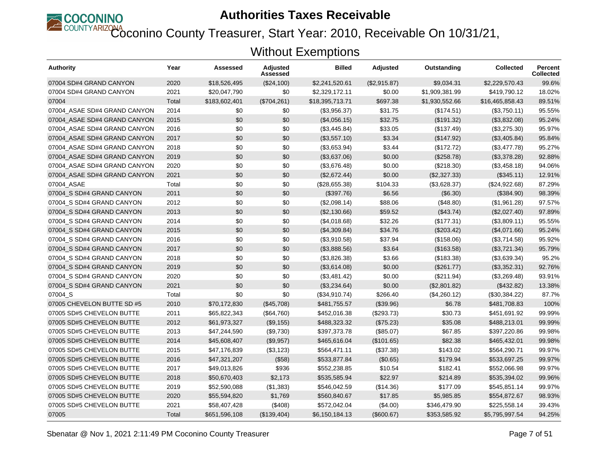

Coconino County Treasurer, Start Year: 2010, Receivable On 10/31/21,

| Authority                    | Year  | Assessed      | Adjusted<br>Assessed | <b>Billed</b>   | <b>Adjusted</b> | Outstanding    | <b>Collected</b> | Percent<br><b>Collected</b> |
|------------------------------|-------|---------------|----------------------|-----------------|-----------------|----------------|------------------|-----------------------------|
| 07004 SD#4 GRAND CANYON      | 2020  | \$18,526,495  | (\$24,100)           | \$2,241,520.61  | (S2, 915.87)    | \$9,034.31     | \$2,229,570.43   | 99.6%                       |
| 07004 SD#4 GRAND CANYON      | 2021  | \$20,047,790  | \$0                  | \$2,329,172.11  | \$0.00          | \$1,909,381.99 | \$419,790.12     | 18.02%                      |
| 07004                        | Total | \$183,602,401 | (\$704,261)          | \$18,395,713.71 | \$697.38        | \$1,930,552.66 | \$16,465,858.43  | 89.51%                      |
| 07004 ASAE SD#4 GRAND CANYON | 2014  | \$0           | \$0                  | (S3,956.37)     | \$31.75         | (\$174.51)     | (\$3,750.11)     | 95.55%                      |
| 07004 ASAE SD#4 GRAND CANYON | 2015  | \$0           | \$0                  | (\$4,056.15)    | \$32.75         | (\$191.32)     | (\$3,832.08)     | 95.24%                      |
| 07004 ASAE SD#4 GRAND CANYON | 2016  | \$0           | \$0                  | (\$3,445.84)    | \$33.05         | (\$137.49)     | (\$3,275.30)     | 95.97%                      |
| 07004 ASAE SD#4 GRAND CANYON | 2017  | \$0           | \$0                  | (\$3,557.10)    | \$3.34          | (\$147.92)     | (\$3,405.84)     | 95.84%                      |
| 07004_ASAE SD#4 GRAND CANYON | 2018  | \$0           | \$0                  | (\$3,653.94)    | \$3.44          | (\$172.72)     | (\$3,477.78)     | 95.27%                      |
| 07004 ASAE SD#4 GRAND CANYON | 2019  | \$0           | \$0                  | (\$3,637.06)    | \$0.00          | (\$258.78)     | (\$3,378.28)     | 92.88%                      |
| 07004 ASAE SD#4 GRAND CANYON | 2020  | \$0           | \$0                  | (\$3,676.48)    | \$0.00          | (\$218.30)     | (\$3,458.18)     | 94.06%                      |
| 07004 ASAE SD#4 GRAND CANYON | 2021  | \$0           | \$0                  | (\$2,672.44)    | \$0.00          | (\$2,327.33)   | (\$345.11)       | 12.91%                      |
| 07004_ASAE                   | Total | \$0           | \$0                  | (\$28,655.38)   | \$104.33        | (\$3,628.37)   | (\$24,922.68)    | 87.29%                      |
| 07004_S SD#4 GRAND CANYON    | 2011  | \$0           | \$0                  | (\$397.76)      | \$6.56          | (\$6.30)       | (\$384.90)       | 98.39%                      |
| 07004_S SD#4 GRAND CANYON    | 2012  | \$0           | \$0                  | (\$2,098.14)    | \$88.06         | (\$48.80)      | (\$1,961.28)     | 97.57%                      |
| 07004 S SD#4 GRAND CANYON    | 2013  | \$0           | \$0                  | (\$2,130.66)    | \$59.52         | (\$43.74)      | (\$2,027.40)     | 97.89%                      |
| 07004 S SD#4 GRAND CANYON    | 2014  | \$0           | \$0                  | (\$4,018.68)    | \$32.26         | (\$177.31)     | (\$3,809.11)     | 95.55%                      |
| 07004 S SD#4 GRAND CANYON    | 2015  | \$0           | \$0                  | (\$4,309.84)    | \$34.76         | (\$203.42)     | (\$4,071.66)     | 95.24%                      |
| 07004 S SD#4 GRAND CANYON    | 2016  | \$0           | \$0                  | (\$3,910.58)    | \$37.94         | (\$158.06)     | (\$3,714.58)     | 95.92%                      |
| 07004 S SD#4 GRAND CANYON    | 2017  | \$0           | \$0                  | (\$3,888.56)    | \$3.64          | (\$163.58)     | (\$3,721.34)     | 95.79%                      |
| 07004 S SD#4 GRAND CANYON    | 2018  | \$0           | \$0                  | (\$3,826.38)    | \$3.66          | (\$183.38)     | (\$3,639.34)     | 95.2%                       |
| 07004 S SD#4 GRAND CANYON    | 2019  | \$0           | \$0                  | (\$3,614.08)    | \$0.00          | (\$261.77)     | (\$3,352.31)     | 92.76%                      |
| 07004 S SD#4 GRAND CANYON    | 2020  | \$0           | \$0                  | (\$3,481.42)    | \$0.00          | (\$211.94)     | (\$3,269.48)     | 93.91%                      |
| 07004 S SD#4 GRAND CANYON    | 2021  | \$0           | \$0                  | (\$3,234.64)    | \$0.00          | (\$2,801.82)   | (\$432.82)       | 13.38%                      |
| 07004 S                      | Total | \$0           | \$0                  | (\$34,910.74)   | \$266.40        | (\$4,260.12)   | (\$30,384.22)    | 87.7%                       |
| 07005 CHEVELON BUTTE SD #5   | 2010  | \$70,172,830  | (\$45,708)           | \$481,755.57    | (\$39.96)       | \$6.78         | \$481,708.83     | 100%                        |
| 07005 SD#5 CHEVELON BUTTE    | 2011  | \$65,822,343  | (\$64,760)           | \$452,016.38    | (\$293.73)      | \$30.73        | \$451,691.92     | 99.99%                      |
| 07005 SD#5 CHEVELON BUTTE    | 2012  | \$61,973,327  | (\$9,155)            | \$488,323.32    | (\$75.23)       | \$35.08        | \$488,213.01     | 99.99%                      |
| 07005 SD#5 CHEVELON BUTTE    | 2013  | \$47,244,590  | (\$9,730)            | \$397,373.78    | (\$85.07)       | \$67.85        | \$397,220.86     | 99.98%                      |
| 07005 SD#5 CHEVELON BUTTE    | 2014  | \$45,608,407  | (\$9,957)            | \$465,616.04    | (\$101.65)      | \$82.38        | \$465.432.01     | 99.98%                      |
| 07005 SD#5 CHEVELON BUTTE    | 2015  | \$47,176,839  | (\$3,123)            | \$564,471.11    | (\$37.38)       | \$143.02       | \$564,290.71     | 99.97%                      |
| 07005 SD#5 CHEVELON BUTTE    | 2016  | \$47,321,207  | (\$58)               | \$533,877.84    | (\$0.65)        | \$179.94       | \$533,697.25     | 99.97%                      |
| 07005 SD#5 CHEVELON BUTTE    | 2017  | \$49,013,826  | \$936                | \$552,238.85    | \$10.54         | \$182.41       | \$552,066.98     | 99.97%                      |
| 07005 SD#5 CHEVELON BUTTE    | 2018  | \$50,670,403  | \$2,173              | \$535,585.94    | \$22.97         | \$214.89       | \$535,394.02     | 99.96%                      |
| 07005 SD#5 CHEVELON BUTTE    | 2019  | \$52,590,088  | (\$1,383)            | \$546,042.59    | (\$14.36)       | \$177.09       | \$545,851.14     | 99.97%                      |
| 07005 SD#5 CHEVELON BUTTE    | 2020  | \$55,594,820  | \$1,769              | \$560,840.67    | \$17.85         | \$5,985.85     | \$554,872.67     | 98.93%                      |
| 07005 SD#5 CHEVELON BUTTE    | 2021  | \$58,407,428  | (\$408)              | \$572,042.04    | (\$4.00)        | \$346,479.90   | \$225,558.14     | 39.43%                      |
| 07005                        | Total | \$651,596,108 | (\$139,404)          | \$6,150,184.13  | (\$600.67)      | \$353,585.92   | \$5,795,997.54   | 94.25%                      |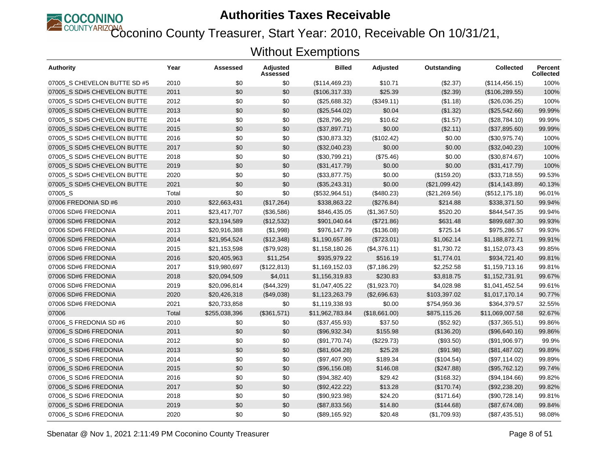

Coconino County Treasurer, Start Year: 2010, Receivable On 10/31/21,

| Authority                    | Year  | Assessed      | Adjusted<br>Assessed | <b>Billed</b>   | Adjusted      | Outstanding   | <b>Collected</b> | <b>Percent</b><br><b>Collected</b> |
|------------------------------|-------|---------------|----------------------|-----------------|---------------|---------------|------------------|------------------------------------|
| 07005_S CHEVELON BUTTE SD #5 | 2010  | \$0           | \$0                  | (\$114,469.23)  | \$10.71       | (\$2.37)      | (\$114,456.15)   | 100%                               |
| 07005_S SD#5 CHEVELON BUTTE  | 2011  | \$0           | \$0                  | (\$106,317.33)  | \$25.39       | (\$2.39)      | (\$106, 289.55)  | 100%                               |
| 07005 S SD#5 CHEVELON BUTTE  | 2012  | \$0           | \$0                  | (\$25,688.32)   | (\$349.11)    | (\$1.18)      | (\$26,036.25)    | 100%                               |
| 07005 S SD#5 CHEVELON BUTTE  | 2013  | \$0           | \$0                  | (\$25,544.02)   | \$0.04        | (\$1.32)      | (\$25,542.66)    | 99.99%                             |
| 07005_S SD#5 CHEVELON BUTTE  | 2014  | \$0           | \$0                  | (\$28,796.29)   | \$10.62       | (\$1.57)      | (\$28,784.10)    | 99.99%                             |
| 07005 S SD#5 CHEVELON BUTTE  | 2015  | \$0           | \$0                  | (\$37,897.71)   | \$0.00        | (\$2.11)      | (\$37,895.60)    | 99.99%                             |
| 07005 S SD#5 CHEVELON BUTTE  | 2016  | \$0           | \$0                  | (\$30,873.32)   | (\$102.42)    | \$0.00        | (\$30,975.74)    | 100%                               |
| 07005_S SD#5 CHEVELON BUTTE  | 2017  | \$0           | \$0                  | (\$32,040.23)   | \$0.00        | \$0.00        | (\$32,040.23)    | 100%                               |
| 07005 S SD#5 CHEVELON BUTTE  | 2018  | \$0           | \$0                  | (\$30,799.21)   | (\$75.46)     | \$0.00        | (\$30,874.67)    | 100%                               |
| 07005 S SD#5 CHEVELON BUTTE  | 2019  | \$0           | \$0                  | (\$31,417.79)   | \$0.00        | \$0.00        | (\$31,417.79)    | 100%                               |
| 07005_S SD#5 CHEVELON BUTTE  | 2020  | \$0           | \$0                  | (\$33,877.75)   | \$0.00        | (\$159.20)    | (\$33,718.55)    | 99.53%                             |
| 07005 S SD#5 CHEVELON BUTTE  | 2021  | \$0           | \$0                  | (\$35,243.31)   | \$0.00        | (\$21,099.42) | (\$14, 143.89)   | 40.13%                             |
| 07005_S                      | Total | \$0           | \$0                  | (\$532,964.51)  | (\$480.23)    | (\$21,269.56) | (\$512, 175.18)  | 96.01%                             |
| 07006 FREDONIA SD #6         | 2010  | \$22,663,431  | (\$17,264)           | \$338,863.22    | (\$276.84)    | \$214.88      | \$338,371.50     | 99.94%                             |
| 07006 SD#6 FREDONIA          | 2011  | \$23,417,707  | (\$36,586)           | \$846,435.05    | (\$1,367.50)  | \$520.20      | \$844,547.35     | 99.94%                             |
| 07006 SD#6 FREDONIA          | 2012  | \$23,194,589  | (\$12,532)           | \$901,040.64    | (\$721.86)    | \$631.48      | \$899,687.30     | 99.93%                             |
| 07006 SD#6 FREDONIA          | 2013  | \$20,916,388  | (\$1,998)            | \$976,147.79    | (\$136.08)    | \$725.14      | \$975,286.57     | 99.93%                             |
| 07006 SD#6 FREDONIA          | 2014  | \$21,954,524  | (\$12,348)           | \$1,190,657.86  | (\$723.01)    | \$1,062.14    | \$1,188,872.71   | 99.91%                             |
| 07006 SD#6 FREDONIA          | 2015  | \$21,153,598  | (\$79,928)           | \$1,158,180.26  | (\$4,376.11)  | \$1,730.72    | \$1,152,073.43   | 99.85%                             |
| 07006 SD#6 FREDONIA          | 2016  | \$20,405,963  | \$11,254             | \$935,979.22    | \$516.19      | \$1,774.01    | \$934,721.40     | 99.81%                             |
| 07006 SD#6 FREDONIA          | 2017  | \$19,980,697  | (\$122,813)          | \$1,169,152.03  | (\$7,186.29)  | \$2,252.58    | \$1,159,713.16   | 99.81%                             |
| 07006 SD#6 FREDONIA          | 2018  | \$20,094,509  | \$4,011              | \$1,156,319.83  | \$230.83      | \$3,818.75    | \$1,152,731.91   | 99.67%                             |
| 07006 SD#6 FREDONIA          | 2019  | \$20,096,814  | (\$44,329)           | \$1,047,405.22  | (\$1,923.70)  | \$4,028.98    | \$1,041,452.54   | 99.61%                             |
| 07006 SD#6 FREDONIA          | 2020  | \$20,426,318  | (\$49,038)           | \$1,123,263.79  | (\$2,696.63)  | \$103,397.02  | \$1,017,170.14   | 90.77%                             |
| 07006 SD#6 FREDONIA          | 2021  | \$20,733,858  | \$0                  | \$1,119,338.93  | \$0.00        | \$754,959.36  | \$364,379.57     | 32.55%                             |
| 07006                        | Total | \$255,038,396 | (\$361,571)          | \$11,962,783.84 | (\$18,661.00) | \$875,115.26  | \$11,069,007.58  | 92.67%                             |
| 07006 S FREDONIA SD #6       | 2010  | \$0           | \$0                  | (\$37,455.93)   | \$37.50       | (\$52.92)     | (\$37,365.51)    | 99.86%                             |
| 07006 S SD#6 FREDONIA        | 2011  | \$0           | \$0                  | (\$96,932.34)   | \$155.98      | (\$136.20)    | (\$96,640.16)    | 99.86%                             |
| 07006 S SD#6 FREDONIA        | 2012  | \$0           | \$0                  | (\$91,770.74)   | (\$229.73)    | (\$93.50)     | (\$91,906.97)    | 99.9%                              |
| 07006_S SD#6 FREDONIA        | 2013  | \$0           | \$0                  | (\$81,604.28)   | \$25.28       | (\$91.98)     | (\$81,487.02)    | 99.89%                             |
| 07006_S SD#6 FREDONIA        | 2014  | \$0           | \$0                  | (\$97,407.90)   | \$189.34      | (\$104.54)    | (\$97,114.02)    | 99.89%                             |
| 07006 S SD#6 FREDONIA        | 2015  | \$0           | \$0                  | (\$96,156.08)   | \$146.08      | (\$247.88)    | (\$95,762.12)    | 99.74%                             |
| 07006_S SD#6 FREDONIA        | 2016  | \$0           | \$0                  | (\$94,382.40)   | \$29.42       | (\$168.32)    | (\$94,184.66)    | 99.82%                             |
| 07006 S SD#6 FREDONIA        | 2017  | \$0           | \$0                  | (\$92,422.22)   | \$13.28       | (\$170.74)    | (\$92,238.20)    | 99.82%                             |
| 07006 S SD#6 FREDONIA        | 2018  | \$0           | \$0                  | (\$90,923.98)   | \$24.20       | (\$171.64)    | (\$90,728.14)    | 99.81%                             |
| 07006_S SD#6 FREDONIA        | 2019  | \$0           | \$0                  | (\$87,833.56)   | \$14.80       | (\$144.68)    | (\$87,674.08)    | 99.84%                             |
| 07006_S SD#6 FREDONIA        | 2020  | \$0           | \$0                  | (\$89,165.92)   | \$20.48       | (\$1,709.93)  | (\$87,435.51)    | 98.08%                             |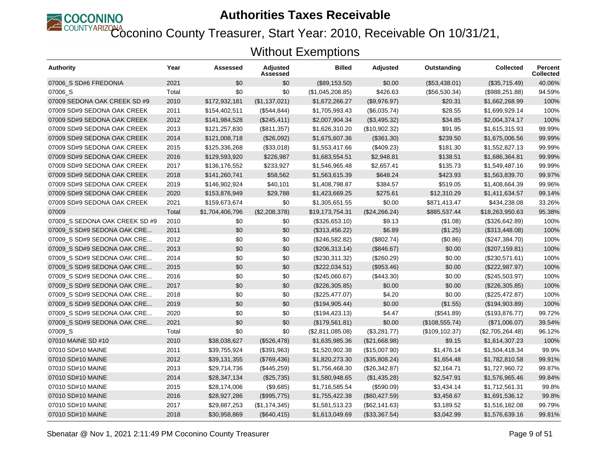

COUNTYARIZONA<br>Coconino County Treasurer, Start Year: 2010, Receivable On 10/31/21,

| <b>Authority</b>               | Year  | Assessed        | <b>Adjusted</b><br>Assessed | <b>Billed</b>    | <b>Adjusted</b> | Outstanding     | <b>Collected</b> | <b>Percent</b><br><b>Collected</b> |
|--------------------------------|-------|-----------------|-----------------------------|------------------|-----------------|-----------------|------------------|------------------------------------|
| 07006 S SD#6 FREDONIA          | 2021  | \$0             | \$0                         | (\$89,153.50)    | \$0.00          | (\$53,438.01)   | (\$35,715.49)    | 40.06%                             |
| 07006_S                        | Total | \$0             | \$0                         | (\$1,045,208.85) | \$426.63        | (\$56,530.34)   | (\$988, 251.88)  | 94.59%                             |
| 07009 SEDONA OAK CREEK SD #9   | 2010  | \$172,932,181   | (\$1,137,021)               | \$1,672,266.27   | (\$9,976.97)    | \$20.31         | \$1,662,268.99   | 100%                               |
| 07009 SD#9 SEDONA OAK CREEK    | 2011  | \$154,402,511   | (\$544, 844)                | \$1,705,993.43   | (\$6,035.74)    | \$28.55         | \$1,699,929.14   | 100%                               |
| 07009 SD#9 SEDONA OAK CREEK    | 2012  | \$141,984,528   | (\$245,411)                 | \$2,007,904.34   | (\$3,495.32)    | \$34.85         | \$2,004,374.17   | 100%                               |
| 07009 SD#9 SEDONA OAK CREEK    | 2013  | \$121,257,830   | (\$811,357)                 | \$1,626,310.20   | (\$10,902.32)   | \$91.95         | \$1,615,315.93   | 99.99%                             |
| 07009 SD#9 SEDONA OAK CREEK    | 2014  | \$121,008,718   | (\$26,092)                  | \$1,675,607.36   | $(\$361.30)$    | \$239.50        | \$1,675,006.56   | 99.99%                             |
| 07009 SD#9 SEDONA OAK CREEK    | 2015  | \$125,336,268   | (\$33,018)                  | \$1,553,417.66   | (\$409.23)      | \$181.30        | \$1,552,827.13   | 99.99%                             |
| 07009 SD#9 SEDONA OAK CREEK    | 2016  | \$129,593,920   | \$226,987                   | \$1,683,554.51   | \$2,948.81      | \$138.51        | \$1,686,364.81   | 99.99%                             |
| 07009 SD#9 SEDONA OAK CREEK    | 2017  | \$136,176,552   | \$233,927                   | \$1,546,965.48   | \$2,657.41      | \$135.73        | \$1,549,487.16   | 99.99%                             |
| 07009 SD#9 SEDONA OAK CREEK    | 2018  | \$141,260,741   | \$58,562                    | \$1,563,615.39   | \$648.24        | \$423.93        | \$1,563,839.70   | 99.97%                             |
| 07009 SD#9 SEDONA OAK CREEK    | 2019  | \$146,902,924   | \$40,101                    | \$1,408,798.87   | \$384.57        | \$519.05        | \$1,408,664.39   | 99.96%                             |
| 07009 SD#9 SEDONA OAK CREEK    | 2020  | \$153,876,949   | \$29,788                    | \$1,423,669.25   | \$275.61        | \$12,310.29     | \$1,411,634.57   | 99.14%                             |
| 07009 SD#9 SEDONA OAK CREEK    | 2021  | \$159,673,674   | \$0                         | \$1,305,651.55   | \$0.00          | \$871,413.47    | \$434,238.08     | 33.26%                             |
| 07009                          | Total | \$1,704,406,796 | (\$2,208,378)               | \$19,173,754.31  | (\$24,266.24)   | \$885,537.44    | \$18,263,950.63  | 95.38%                             |
| 07009 S SEDONA OAK CREEK SD #9 | 2010  | \$0             | \$0                         | (\$326,653.10)   | \$9.13          | (\$1.08)        | (\$326,642.89)   | 100%                               |
| 07009 S SD#9 SEDONA OAK CRE    | 2011  | \$0             | \$0                         | (\$313,456.22)   | \$6.89          | (\$1.25)        | (\$313,448.08)   | 100%                               |
| 07009_S SD#9 SEDONA OAK CRE    | 2012  | \$0             | \$0                         | (\$246,582.82)   | (\$802.74)      | (\$0.86)        | (\$247,384.70)   | 100%                               |
| 07009 S SD#9 SEDONA OAK CRE    | 2013  | \$0             | \$0                         | (\$206,313.14)   | (\$846.67)      | \$0.00          | (\$207, 159.81)  | 100%                               |
| 07009 S SD#9 SEDONA OAK CRE    | 2014  | \$0             | \$0                         | (\$230,311.32)   | (\$260.29)      | \$0.00          | (\$230,571.61)   | 100%                               |
| 07009_S SD#9 SEDONA OAK CRE    | 2015  | \$0             | \$0                         | (\$222,034.51)   | (\$953.46)      | \$0.00          | (\$222,987.97)   | 100%                               |
| 07009_S SD#9 SEDONA OAK CRE    | 2016  | \$0             | \$0                         | (\$245,060.67)   | (\$443.30)      | \$0.00          | (\$245,503.97)   | 100%                               |
| 07009 S SD#9 SEDONA OAK CRE    | 2017  | \$0             | \$0                         | (\$226,305.85)   | \$0.00          | \$0.00          | (\$226,305.85)   | 100%                               |
| 07009 S SD#9 SEDONA OAK CRE    | 2018  | \$0             | \$0                         | (\$225,477.07)   | \$4.20          | \$0.00          | (\$225,472.87)   | 100%                               |
| 07009 S SD#9 SEDONA OAK CRE    | 2019  | \$0             | \$0                         | (\$194,905.44)   | \$0.00          | (\$1.55)        | (\$194,903.89)   | 100%                               |
| 07009 S SD#9 SEDONA OAK CRE    | 2020  | \$0             | \$0                         | (\$194, 423.13)  | \$4.47          | (\$541.89)      | (\$193,876.77)   | 99.72%                             |
| 07009 S SD#9 SEDONA OAK CRE    | 2021  | \$0             | \$0                         | (\$179,561.81)   | \$0.00          | (\$108,555.74)  | (\$71,006.07)    | 39.54%                             |
| 07009 S                        | Total | \$0             | \$0                         | (\$2,811,085.08) | (\$3,281.77)    | (\$109, 102.37) | (\$2,705,264.48) | 96.12%                             |
| 07010 MAINE SD #10             | 2010  | \$38,038,627    | (\$526,478)                 | \$1,635,985.36   | (\$21,668.98)   | \$9.15          | \$1,614,307.23   | 100%                               |
| 07010 SD#10 MAINE              | 2011  | \$39,755,924    | (\$391,963)                 | \$1,520,902.38   | (\$15,007.90)   | \$1,476.14      | \$1,504,418.34   | 99.9%                              |
| 07010 SD#10 MAINE              | 2012  | \$39,131,355    | (\$769,436)                 | \$1,820,273.30   | (\$35,808.24)   | \$1,654.48      | \$1,782,810.58   | 99.91%                             |
| 07010 SD#10 MAINE              | 2013  | \$29,714,736    | (\$445,259)                 | \$1,756,468.30   | (\$26,342.87)   | \$2,164.71      | \$1,727,960.72   | 99.87%                             |
| 07010 SD#10 MAINE              | 2014  | \$28,347,134    | (\$25,735)                  | \$1,580,948.65   | (\$1,435.28)    | \$2,547.91      | \$1,576,965.46   | 99.84%                             |
| 07010 SD#10 MAINE              | 2015  | \$28,174,006    | (\$9,685)                   | \$1,716,585.54   | (\$590.09)      | \$3,434.14      | \$1,712,561.31   | 99.8%                              |
| 07010 SD#10 MAINE              | 2016  | \$28,927,286    | (\$995,775)                 | \$1,755,422.38   | (\$60,427.59)   | \$3,458.67      | \$1,691,536.12   | 99.8%                              |
| 07010 SD#10 MAINE              | 2017  | \$29,887,253    | (\$1,174,345)               | \$1,581,513.23   | (\$62,141.63)   | \$3,189.52      | \$1,516,182.08   | 99.79%                             |
| 07010 SD#10 MAINE              | 2018  | \$30,958,869    | (\$640, 415)                | \$1,613,049.69   | (\$33,367.54)   | \$3,042.99      | \$1,576,639.16   | 99.81%                             |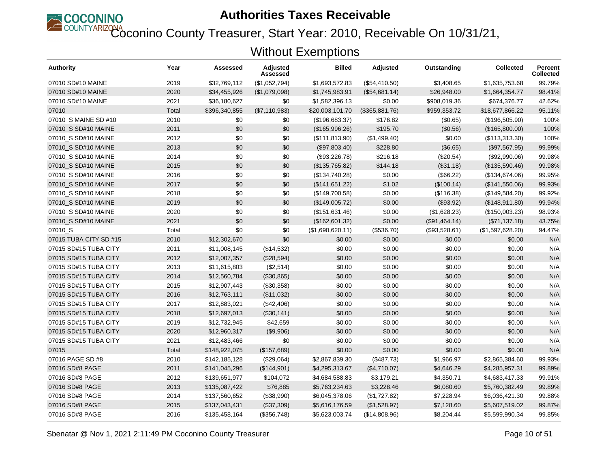

COUNTYARIZONA<br>Coconino County Treasurer, Start Year: 2010, Receivable On 10/31/21,

| <b>Authority</b>       | Year  | Assessed      | <b>Adjusted</b><br>Assessed | <b>Billed</b>    | <b>Adjusted</b> | Outstanding   | <b>Collected</b> | <b>Percent</b><br><b>Collected</b> |
|------------------------|-------|---------------|-----------------------------|------------------|-----------------|---------------|------------------|------------------------------------|
| 07010 SD#10 MAINE      | 2019  | \$32,769,112  | (\$1,052,794)               | \$1,693,572.83   | (\$54,410.50)   | \$3,408.65    | \$1,635,753.68   | 99.79%                             |
| 07010 SD#10 MAINE      | 2020  | \$34,455,926  | (\$1,079,098)               | \$1,745,983.91   | (\$54,681.14)   | \$26,948.00   | \$1,664,354.77   | 98.41%                             |
| 07010 SD#10 MAINE      | 2021  | \$36,180,627  | \$0                         | \$1,582,396.13   | \$0.00          | \$908,019.36  | \$674,376.77     | 42.62%                             |
| 07010                  | Total | \$396,340,855 | (\$7,110,983)               | \$20,003,101.70  | (\$365,881.76)  | \$959,353.72  | \$18,677,866.22  | 95.11%                             |
| 07010_S MAINE SD #10   | 2010  | \$0           | \$0                         | (\$196,683.37)   | \$176.82        | (\$0.65)      | (\$196,505.90)   | 100%                               |
| 07010 S SD#10 MAINE    | 2011  | \$0           | \$0                         | (\$165,996.26)   | \$195.70        | (\$0.56)      | (\$165,800.00)   | 100%                               |
| 07010 S SD#10 MAINE    | 2012  | \$0           | \$0                         | (\$111, 813.90)  | (\$1,499.40)    | \$0.00        | (\$113,313.30)   | 100%                               |
| 07010_S SD#10 MAINE    | 2013  | \$0           | \$0                         | (\$97,803.40)    | \$228.80        | (\$6.65)      | (\$97,567.95)    | 99.99%                             |
| 07010 S SD#10 MAINE    | 2014  | \$0           | \$0                         | (\$93,226.78)    | \$216.18        | (\$20.54)     | (\$92,990.06)    | 99.98%                             |
| 07010 S SD#10 MAINE    | 2015  | \$0           | \$0                         | (\$135,765.82)   | \$144.18        | (\$31.18)     | (\$135,590.46)   | 99.98%                             |
| 07010_S SD#10 MAINE    | 2016  | \$0           | \$0                         | (\$134,740.28)   | \$0.00          | (\$66.22)     | (\$134,674.06)   | 99.95%                             |
| 07010 S SD#10 MAINE    | 2017  | \$0           | \$0                         | (\$141,651.22)   | \$1.02          | (\$100.14)    | (\$141,550.06)   | 99.93%                             |
| 07010_S SD#10 MAINE    | 2018  | \$0           | \$0                         | (\$149,700.58)   | \$0.00          | (\$116.38)    | (\$149,584.20)   | 99.92%                             |
| 07010_S SD#10 MAINE    | 2019  | \$0           | \$0                         | (\$149,005.72)   | \$0.00          | (\$93.92)     | (\$148,911.80)   | 99.94%                             |
| 07010 S SD#10 MAINE    | 2020  | \$0           | \$0                         | (\$151,631.46)   | \$0.00          | (\$1,628.23)  | (\$150,003.23)   | 98.93%                             |
| 07010_S SD#10 MAINE    | 2021  | \$0           | \$0                         | (\$162,601.32)   | \$0.00          | (\$91,464.14) | (\$71,137.18)    | 43.75%                             |
| 07010 S                | Total | \$0           | \$0                         | (\$1,690,620.11) | (\$536.70)      | (\$93,528.61) | (\$1,597,628.20) | 94.47%                             |
| 07015 TUBA CITY SD #15 | 2010  | \$12,302,670  | \$0                         | \$0.00           | \$0.00          | \$0.00        | \$0.00           | N/A                                |
| 07015 SD#15 TUBA CITY  | 2011  | \$11,008,145  | (\$14,532)                  | \$0.00           | \$0.00          | \$0.00        | \$0.00           | N/A                                |
| 07015 SD#15 TUBA CITY  | 2012  | \$12,007,357  | (\$28,594)                  | \$0.00           | \$0.00          | \$0.00        | \$0.00           | N/A                                |
| 07015 SD#15 TUBA CITY  | 2013  | \$11,615,803  | (\$2,514)                   | \$0.00           | \$0.00          | \$0.00        | \$0.00           | N/A                                |
| 07015 SD#15 TUBA CITY  | 2014  | \$12,560,784  | (\$30,865)                  | \$0.00           | \$0.00          | \$0.00        | \$0.00           | N/A                                |
| 07015 SD#15 TUBA CITY  | 2015  | \$12,907,443  | (\$30,358)                  | \$0.00           | \$0.00          | \$0.00        | \$0.00           | N/A                                |
| 07015 SD#15 TUBA CITY  | 2016  | \$12,763,111  | (\$11,032)                  | \$0.00           | \$0.00          | \$0.00        | \$0.00           | N/A                                |
| 07015 SD#15 TUBA CITY  | 2017  | \$12,883,021  | (\$42,406)                  | \$0.00           | \$0.00          | \$0.00        | \$0.00           | N/A                                |
| 07015 SD#15 TUBA CITY  | 2018  | \$12,697,013  | (\$30,141)                  | \$0.00           | \$0.00          | \$0.00        | \$0.00           | N/A                                |
| 07015 SD#15 TUBA CITY  | 2019  | \$12,732,945  | \$42,659                    | \$0.00           | \$0.00          | \$0.00        | \$0.00           | N/A                                |
| 07015 SD#15 TUBA CITY  | 2020  | \$12,960,317  | (\$9,906)                   | \$0.00           | \$0.00          | \$0.00        | \$0.00           | N/A                                |
| 07015 SD#15 TUBA CITY  | 2021  | \$12,483,466  | \$0                         | \$0.00           | \$0.00          | \$0.00        | \$0.00           | N/A                                |
| 07015                  | Total | \$148,922,075 | (\$157,689)                 | \$0.00           | \$0.00          | \$0.00        | \$0.00           | N/A                                |
| 07016 PAGE SD #8       | 2010  | \$142,185,128 | (\$29,064)                  | \$2,867,839.30   | (\$487.73)      | \$1,966.97    | \$2,865,384.60   | 99.93%                             |
| 07016 SD#8 PAGE        | 2011  | \$141,045,296 | (\$144,901)                 | \$4,295,313.67   | (\$4,710.07)    | \$4,646.29    | \$4,285,957.31   | 99.89%                             |
| 07016 SD#8 PAGE        | 2012  | \$139,651,977 | \$104,072                   | \$4,684,588.83   | \$3,179.21      | \$4,350.71    | \$4,683,417.33   | 99.91%                             |
| 07016 SD#8 PAGE        | 2013  | \$135,087,422 | \$76,885                    | \$5,763,234.63   | \$3,228.46      | \$6,080.60    | \$5,760,382.49   | 99.89%                             |
| 07016 SD#8 PAGE        | 2014  | \$137,560,652 | (\$38,990)                  | \$6,045,378.06   | (\$1,727.82)    | \$7,228.94    | \$6,036,421.30   | 99.88%                             |
| 07016 SD#8 PAGE        | 2015  | \$137,043,431 | (\$37,309)                  | \$5,616,176.59   | (\$1,528.97)    | \$7,128.60    | \$5,607,519.02   | 99.87%                             |
| 07016 SD#8 PAGE        | 2016  | \$135,458,164 | (\$356,748)                 | \$5,623,003.74   | (\$14,808.96)   | \$8,204.44    | \$5,599,990.34   | 99.85%                             |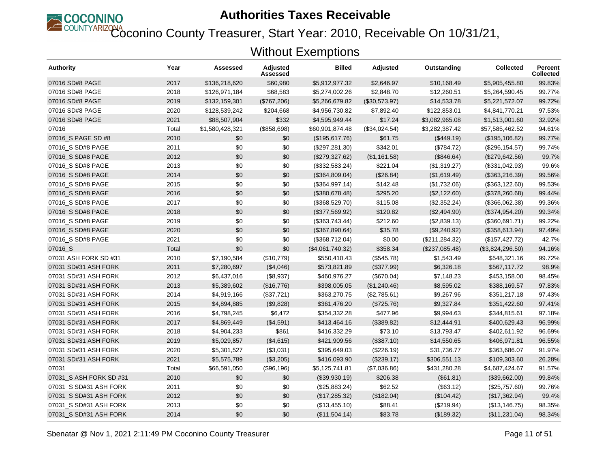

Coconino County Treasurer, Start Year: 2010, Receivable On 10/31/21,

| <b>Authority</b>        | Year  | Assessed        | <b>Adjusted</b><br>Assessed | <b>Billed</b>    | <b>Adjusted</b> | Outstanding     | <b>Collected</b> | <b>Percent</b><br><b>Collected</b> |
|-------------------------|-------|-----------------|-----------------------------|------------------|-----------------|-----------------|------------------|------------------------------------|
| 07016 SD#8 PAGE         | 2017  | \$136,218,620   | \$60,980                    | \$5,912,977.32   | \$2,646.97      | \$10,168.49     | \$5,905,455.80   | 99.83%                             |
| 07016 SD#8 PAGE         | 2018  | \$126,971,184   | \$68,583                    | \$5,274,002.26   | \$2,848.70      | \$12,260.51     | \$5,264,590.45   | 99.77%                             |
| 07016 SD#8 PAGE         | 2019  | \$132,159,301   | (\$767,206)                 | \$5,266,679.82   | (\$30,573.97)   | \$14,533.78     | \$5,221,572.07   | 99.72%                             |
| 07016 SD#8 PAGE         | 2020  | \$128,539,242   | \$204,668                   | \$4,956,730.82   | \$7,892.40      | \$122,853.01    | \$4,841,770.21   | 97.53%                             |
| 07016 SD#8 PAGE         | 2021  | \$88,507,904    | \$332                       | \$4,595,949.44   | \$17.24         | \$3,082,965.08  | \$1,513,001.60   | 32.92%                             |
| 07016                   | Total | \$1,580,428,321 | (\$858,698)                 | \$60,901,874.48  | (\$34,024.54)   | \$3,282,387.42  | \$57,585,462.52  | 94.61%                             |
| 07016_S PAGE SD #8      | 2010  | \$0             | \$0                         | (\$195,617.76)   | \$61.75         | (\$449.19)      | (\$195, 106.82)  | 99.77%                             |
| 07016_S SD#8 PAGE       | 2011  | \$0             | \$0                         | (\$297, 281.30)  | \$342.01        | (\$784.72)      | (\$296, 154.57)  | 99.74%                             |
| 07016 S SD#8 PAGE       | 2012  | \$0             | \$0                         | (\$279,327.62)   | (\$1,161.58)    | (\$846.64)      | (\$279,642.56)   | 99.7%                              |
| 07016_S SD#8 PAGE       | 2013  | \$0             | \$0                         | (\$332,583.24)   | \$221.04        | (\$1,319.27)    | (\$331,042.93)   | 99.6%                              |
| 07016 S SD#8 PAGE       | 2014  | \$0             | \$0                         | (\$364,809.04)   | (\$26.84)       | (\$1,619.49)    | (\$363,216.39)   | 99.56%                             |
| 07016_S SD#8 PAGE       | 2015  | \$0             | \$0                         | (\$364,997.14)   | \$142.48        | (\$1,732.06)    | (\$363, 122.60)  | 99.53%                             |
| 07016_S SD#8 PAGE       | 2016  | \$0             | \$0                         | (\$380,678.48)   | \$295.20        | (\$2,122.60)    | (\$378,260.68)   | 99.44%                             |
| 07016_S SD#8 PAGE       | 2017  | \$0             | \$0                         | (\$368,529.70)   | \$115.08        | (\$2,352.24)    | (\$366,062.38)   | 99.36%                             |
| 07016_S SD#8 PAGE       | 2018  | \$0             | \$0                         | (\$377,569.92)   | \$120.82        | (\$2,494.90)    | (\$374,954.20)   | 99.34%                             |
| 07016 S SD#8 PAGE       | 2019  | \$0             | \$0                         | (\$363,743.44)   | \$212.60        | (\$2,839.13)    | (\$360,691.71)   | 99.22%                             |
| 07016 S SD#8 PAGE       | 2020  | \$0             | \$0                         | (\$367,890.64)   | \$35.78         | (\$9,240.92)    | (\$358,613.94)   | 97.49%                             |
| 07016_S SD#8 PAGE       | 2021  | \$0             | \$0                         | (\$368,712.04)   | \$0.00          | (\$211, 284.32) | (\$157, 427.72)  | 42.7%                              |
| 07016_S                 | Total | \$0             | \$0                         | (\$4,061,740.32) | \$358.34        | (\$237,085.48)  | (\$3,824,296.50) | 94.16%                             |
| 07031 ASH FORK SD #31   | 2010  | \$7,190,584     | (\$10,779)                  | \$550,410.43     | (\$545.78)      | \$1,543.49      | \$548,321.16     | 99.72%                             |
| 07031 SD#31 ASH FORK    | 2011  | \$7,280,697     | (\$4,046)                   | \$573,821.89     | (\$377.99)      | \$6,326.18      | \$567,117.72     | 98.9%                              |
| 07031 SD#31 ASH FORK    | 2012  | \$6,437,016     | (\$8,937)                   | \$460,976.27     | (\$670.04)      | \$7,148.23      | \$453,158.00     | 98.45%                             |
| 07031 SD#31 ASH FORK    | 2013  | \$5,389,602     | (\$16,776)                  | \$398,005.05     | (\$1,240.46)    | \$8,595.02      | \$388,169.57     | 97.83%                             |
| 07031 SD#31 ASH FORK    | 2014  | \$4,919,166     | (\$37,721)                  | \$363,270.75     | (\$2,785.61)    | \$9,267.96      | \$351,217.18     | 97.43%                             |
| 07031 SD#31 ASH FORK    | 2015  | \$4,894,885     | (\$9,828)                   | \$361,476.20     | (\$725.76)      | \$9,327.84      | \$351,422.60     | 97.41%                             |
| 07031 SD#31 ASH FORK    | 2016  | \$4,798,245     | \$6,472                     | \$354,332.28     | \$477.96        | \$9,994.63      | \$344,815.61     | 97.18%                             |
| 07031 SD#31 ASH FORK    | 2017  | \$4,869,449     | (\$4,591)                   | \$413,464.16     | (\$389.82)      | \$12,444.91     | \$400,629.43     | 96.99%                             |
| 07031 SD#31 ASH FORK    | 2018  | \$4,904,233     | \$861                       | \$416,332.29     | \$73.10         | \$13,793.47     | \$402,611.92     | 96.69%                             |
| 07031 SD#31 ASH FORK    | 2019  | \$5,029,857     | (\$4,615)                   | \$421,909.56     | (\$387.10)      | \$14,550.65     | \$406,971.81     | 96.55%                             |
| 07031 SD#31 ASH FORK    | 2020  | \$5,301,527     | (\$3,031)                   | \$395,649.03     | (\$226.19)      | \$31,736.77     | \$363,686.07     | 91.97%                             |
| 07031 SD#31 ASH FORK    | 2021  | \$5,575,789     | (\$3,205)                   | \$416,093.90     | (\$239.17)      | \$306,551.13    | \$109,303.60     | 26.28%                             |
| 07031                   | Total | \$66,591,050    | (\$96,196)                  | \$5,125,741.81   | (\$7,036.86)    | \$431,280.28    | \$4,687,424.67   | 91.57%                             |
| 07031 S ASH FORK SD #31 | 2010  | \$0             | \$0                         | (\$39,930.19)    | \$206.38        | (\$61.81)       | (\$39,662.00)    | 99.84%                             |
| 07031_S SD#31 ASH FORK  | 2011  | \$0             | \$0                         | (\$25,883.24)    | \$62.52         | (\$63.12)       | (\$25,757.60)    | 99.76%                             |
| 07031 S SD#31 ASH FORK  | 2012  | \$0             | \$0                         | (\$17,285.32)    | (\$182.04)      | (\$104.42)      | (\$17,362.94)    | 99.4%                              |
| 07031_S SD#31 ASH FORK  | 2013  | \$0             | \$0                         | (\$13,455.10)    | \$88.41         | (\$219.94)      | (\$13,146.75)    | 98.35%                             |
| 07031_S SD#31 ASH FORK  | 2014  | \$0             | \$0                         | (\$11,504.14)    | \$83.78         | (\$189.32)      | (\$11,231.04)    | 98.34%                             |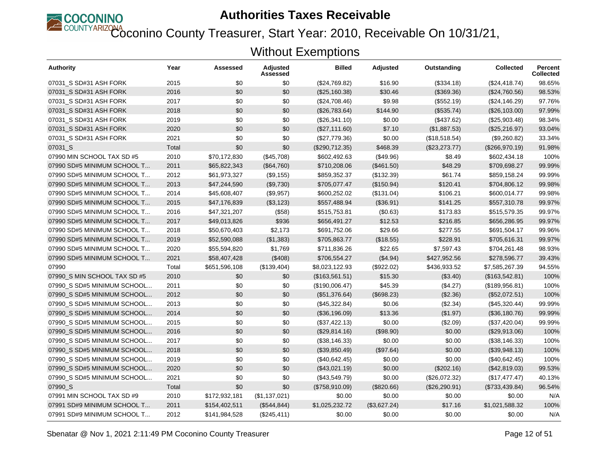

Coconino County Treasurer, Start Year: 2010, Receivable On 10/31/21,

| Authority                    | Year  | Assessed      | Adjusted<br>Assessed | <b>Billed</b>  | Adjusted     | Outstanding   | <b>Collected</b> | <b>Percent</b><br><b>Collected</b> |
|------------------------------|-------|---------------|----------------------|----------------|--------------|---------------|------------------|------------------------------------|
| 07031 S SD#31 ASH FORK       | 2015  | \$0           | \$0                  | (\$24,769.82)  | \$16.90      | (\$334.18)    | (\$24,418.74)    | 98.65%                             |
| 07031_S SD#31 ASH FORK       | 2016  | \$0           | \$0                  | (\$25,160.38)  | \$30.46      | (\$369.36)    | (\$24,760.56)    | 98.53%                             |
| 07031 S SD#31 ASH FORK       | 2017  | \$0           | \$0                  | (\$24,708.46)  | \$9.98       | (\$552.19)    | (\$24,146.29)    | 97.76%                             |
| 07031_S SD#31 ASH FORK       | 2018  | \$0           | \$0                  | (\$26,783.64)  | \$144.90     | (\$535.74)    | (\$26,103.00)    | 97.99%                             |
| 07031 S SD#31 ASH FORK       | 2019  | \$0           | \$0                  | (\$26,341.10)  | \$0.00       | (\$437.62)    | (\$25,903.48)    | 98.34%                             |
| 07031 S SD#31 ASH FORK       | 2020  | \$0           | \$0                  | (\$27,111.60)  | \$7.10       | (\$1,887.53)  | (\$25,216.97)    | 93.04%                             |
| 07031_S SD#31 ASH FORK       | 2021  | \$0           | \$0                  | (\$27,779.36)  | \$0.00       | (\$18,518.54) | (\$9,260.82)     | 33.34%                             |
| 07031_S                      | Total | \$0           | \$0                  | (\$290,712.35) | \$468.39     | (\$23,273.77) | (\$266,970.19)   | 91.98%                             |
| 07990 MIN SCHOOL TAX SD #5   | 2010  | \$70,172,830  | (\$45,708)           | \$602,492.63   | (\$49.96)    | \$8.49        | \$602,434.18     | 100%                               |
| 07990 SD#5 MINIMUM SCHOOL T  | 2011  | \$65,822,343  | (\$64,760)           | \$710,208.06   | (\$461.50)   | \$48.29       | \$709,698.27     | 99.99%                             |
| 07990 SD#5 MINIMUM SCHOOL T  | 2012  | \$61,973,327  | (\$9,155)            | \$859,352.37   | (\$132.39)   | \$61.74       | \$859,158.24     | 99.99%                             |
| 07990 SD#5 MINIMUM SCHOOL T  | 2013  | \$47,244,590  | (\$9,730)            | \$705,077.47   | (\$150.94)   | \$120.41      | \$704,806.12     | 99.98%                             |
| 07990 SD#5 MINIMUM SCHOOL T  | 2014  | \$45,608,407  | (\$9,957)            | \$600,252.02   | (\$131.04)   | \$106.21      | \$600,014.77     | 99.98%                             |
| 07990 SD#5 MINIMUM SCHOOL T  | 2015  | \$47,176,839  | (\$3,123)            | \$557,488.94   | (\$36.91)    | \$141.25      | \$557,310.78     | 99.97%                             |
| 07990 SD#5 MINIMUM SCHOOL T  | 2016  | \$47,321,207  | (\$58)               | \$515,753.81   | (\$0.63)     | \$173.83      | \$515,579.35     | 99.97%                             |
| 07990 SD#5 MINIMUM SCHOOL T  | 2017  | \$49,013,826  | \$936                | \$656,491.27   | \$12.53      | \$216.85      | \$656,286.95     | 99.97%                             |
| 07990 SD#5 MINIMUM SCHOOL T  | 2018  | \$50,670,403  | \$2,173              | \$691,752.06   | \$29.66      | \$277.55      | \$691,504.17     | 99.96%                             |
| 07990 SD#5 MINIMUM SCHOOL T  | 2019  | \$52,590,088  | (\$1,383)            | \$705,863.77   | (\$18.55)    | \$228.91      | \$705,616.31     | 99.97%                             |
| 07990 SD#5 MINIMUM SCHOOL T  | 2020  | \$55,594,820  | \$1,769              | \$711,836.26   | \$22.65      | \$7,597.43    | \$704,261.48     | 98.93%                             |
| 07990 SD#5 MINIMUM SCHOOL T  | 2021  | \$58,407,428  | (\$408)              | \$706,554.27   | (\$4.94)     | \$427,952.56  | \$278,596.77     | 39.43%                             |
| 07990                        | Total | \$651,596,108 | (\$139,404)          | \$8,023,122.93 | (\$922.02)   | \$436,933.52  | \$7,585,267.39   | 94.55%                             |
| 07990 S MIN SCHOOL TAX SD #5 | 2010  | \$0           | \$0                  | (\$163,561.51) | \$15.30      | (\$3.40)      | (\$163,542.81)   | 100%                               |
| 07990 S SD#5 MINIMUM SCHOOL  | 2011  | \$0           | \$0                  | (\$190,006.47) | \$45.39      | (\$4.27)      | (\$189,956.81)   | 100%                               |
| 07990 S SD#5 MINIMUM SCHOOL  | 2012  | \$0           | \$0                  | (\$51,376.64)  | (\$698.23)   | (\$2.36)      | (\$52,072.51)    | 100%                               |
| 07990 S SD#5 MINIMUM SCHOOL  | 2013  | \$0           | \$0                  | (\$45,322.84)  | \$0.06       | (\$2.34)      | (\$45,320.44)    | 99.99%                             |
| 07990_S SD#5 MINIMUM SCHOOL  | 2014  | \$0           | \$0                  | (\$36,196.09)  | \$13.36      | (\$1.97)      | (\$36,180.76)    | 99.99%                             |
| 07990 S SD#5 MINIMUM SCHOOL  | 2015  | \$0           | \$0                  | (\$37,422.13)  | \$0.00       | (\$2.09)      | (\$37,420.04)    | 99.99%                             |
| 07990_S SD#5 MINIMUM SCHOOL  | 2016  | \$0           | \$0                  | (\$29,814.16)  | (\$98.90)    | \$0.00        | (\$29,913.06)    | 100%                               |
| 07990 S SD#5 MINIMUM SCHOOL  | 2017  | \$0           | \$0                  | (\$38,146.33)  | \$0.00       | \$0.00        | (\$38,146.33)    | 100%                               |
| 07990 S SD#5 MINIMUM SCHOOL  | 2018  | \$0           | \$0                  | (\$39,850.49)  | (\$97.64)    | \$0.00        | (\$39,948.13)    | 100%                               |
| 07990_S SD#5 MINIMUM SCHOOL  | 2019  | \$0           | \$0                  | (\$40,642.45)  | \$0.00       | \$0.00        | (\$40,642.45)    | 100%                               |
| 07990 S SD#5 MINIMUM SCHOOL  | 2020  | \$0           | \$0                  | (\$43,021.19)  | \$0.00       | (\$202.16)    | (\$42,819.03)    | 99.53%                             |
| 07990 S SD#5 MINIMUM SCHOOL  | 2021  | \$0           | \$0                  | (\$43,549.79)  | \$0.00       | (\$26,072.32) | (\$17,477.47)    | 40.13%                             |
| 07990_S                      | Total | \$0           | \$0                  | (\$758,910.09) | (\$820.66)   | (\$26,290.91) | (\$733,439.84)   | 96.54%                             |
| 07991 MIN SCHOOL TAX SD #9   | 2010  | \$172,932,181 | (\$1,137,021)        | \$0.00         | \$0.00       | \$0.00        | \$0.00           | N/A                                |
| 07991 SD#9 MINIMUM SCHOOL T  | 2011  | \$154,402,511 | (\$544, 844)         | \$1,025,232.72 | (\$3,627.24) | \$17.16       | \$1,021,588.32   | 100%                               |
| 07991 SD#9 MINIMUM SCHOOL T  | 2012  | \$141,984,528 | (\$245,411)          | \$0.00         | \$0.00       | \$0.00        | \$0.00           | N/A                                |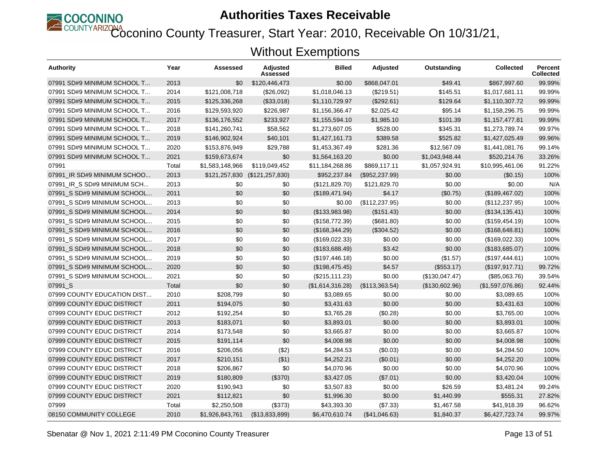

COUNTYARIZONA<br>Coconino County Treasurer, Start Year: 2010, Receivable On 10/31/21,

| <b>Authority</b>            | Year  | Assessed        | <b>Adjusted</b><br>Assessed | Billed           | <b>Adjusted</b> | Outstanding    | <b>Collected</b> | <b>Percent</b><br><b>Collected</b> |
|-----------------------------|-------|-----------------|-----------------------------|------------------|-----------------|----------------|------------------|------------------------------------|
| 07991 SD#9 MINIMUM SCHOOL T | 2013  | \$0             | \$120,446,473               | \$0.00           | \$868,047.01    | \$49.41        | \$867,997.60     | 99.99%                             |
| 07991 SD#9 MINIMUM SCHOOL T | 2014  | \$121,008,718   | (\$26,092)                  | \$1,018,046.13   | (\$219.51)      | \$145.51       | \$1,017,681.11   | 99.99%                             |
| 07991 SD#9 MINIMUM SCHOOL T | 2015  | \$125,336,268   | (\$33,018)                  | \$1,110,729.97   | (\$292.61)      | \$129.64       | \$1,110,307.72   | 99.99%                             |
| 07991 SD#9 MINIMUM SCHOOL T | 2016  | \$129,593,920   | \$226,987                   | \$1,156,366.47   | \$2,025.42      | \$95.14        | \$1,158,296.75   | 99.99%                             |
| 07991 SD#9 MINIMUM SCHOOL T | 2017  | \$136,176,552   | \$233,927                   | \$1,155,594.10   | \$1,985.10      | \$101.39       | \$1,157,477.81   | 99.99%                             |
| 07991 SD#9 MINIMUM SCHOOL T | 2018  | \$141,260,741   | \$58,562                    | \$1,273,607.05   | \$528.00        | \$345.31       | \$1,273,789.74   | 99.97%                             |
| 07991 SD#9 MINIMUM SCHOOL T | 2019  | \$146,902,924   | \$40,101                    | \$1,427,161.73   | \$389.58        | \$525.82       | \$1,427,025.49   | 99.96%                             |
| 07991 SD#9 MINIMUM SCHOOL T | 2020  | \$153,876,949   | \$29,788                    | \$1,453,367.49   | \$281.36        | \$12,567.09    | \$1,441,081.76   | 99.14%                             |
| 07991 SD#9 MINIMUM SCHOOL T | 2021  | \$159,673,674   | \$0                         | \$1,564,163.20   | \$0.00          | \$1,043,948.44 | \$520,214.76     | 33.26%                             |
| 07991                       | Total | \$1,583,148,966 | \$119,049,452               | \$11,184,268.86  | \$869,117.11    | \$1,057,924.91 | \$10,995,461.06  | 91.22%                             |
| 07991 IR SD#9 MINIMUM SCHOO | 2013  | \$121,257,830   | (\$121, 257, 830)           | \$952,237.84     | (\$952,237.99)  | \$0.00         | (\$0.15)         | 100%                               |
| 07991 IR S SD#9 MINIMUM SCH | 2013  | \$0             | \$0                         | (\$121,829.70)   | \$121,829.70    | \$0.00         | \$0.00           | N/A                                |
| 07991 S SD#9 MINIMUM SCHOOL | 2011  | \$0             | \$0                         | (\$189,471.94)   | \$4.17          | (\$0.75)       | (\$189,467.02)   | 100%                               |
| 07991 S SD#9 MINIMUM SCHOOL | 2013  | \$0             | \$0                         | \$0.00           | (\$112, 237.95) | \$0.00         | (\$112, 237.95)  | 100%                               |
| 07991 S SD#9 MINIMUM SCHOOL | 2014  | \$0             | \$0                         | (\$133,983.98)   | (\$151.43)      | \$0.00         | (\$134, 135.41)  | 100%                               |
| 07991 S SD#9 MINIMUM SCHOOL | 2015  | \$0             | \$0                         | (\$158,772.39)   | (\$681.80)      | \$0.00         | (\$159,454.19)   | 100%                               |
| 07991 S SD#9 MINIMUM SCHOOL | 2016  | \$0             | \$0                         | (\$168,344.29)   | (\$304.52)      | \$0.00         | (\$168,648.81)   | 100%                               |
| 07991 S SD#9 MINIMUM SCHOOL | 2017  | \$0             | \$0                         | (\$169,022.33)   | \$0.00          | \$0.00         | (\$169,022.33)   | 100%                               |
| 07991 S SD#9 MINIMUM SCHOOL | 2018  | \$0             | \$0                         | (\$183,688.49)   | \$3.42          | \$0.00         | (\$183,685.07)   | 100%                               |
| 07991 S SD#9 MINIMUM SCHOOL | 2019  | \$0             | \$0                         | (\$197,446.18)   | \$0.00          | (\$1.57)       | (\$197,444.61)   | 100%                               |
| 07991 S SD#9 MINIMUM SCHOOL | 2020  | \$0             | \$0                         | (\$198,475.45)   | \$4.57          | (\$553.17)     | (\$197, 917.71)  | 99.72%                             |
| 07991_S SD#9 MINIMUM SCHOOL | 2021  | \$0             | \$0                         | (\$215, 111.23)  | \$0.00          | (\$130,047.47) | (\$85,063.76)    | 39.54%                             |
| 07991 S                     | Total | \$0             | \$0                         | (\$1,614,316.28) | (\$113,363.54)  | (\$130,602.96) | (\$1,597,076.86) | 92.44%                             |
| 07999 COUNTY EDUCATION DIST | 2010  | \$208,799       | \$0                         | \$3,089.65       | \$0.00          | \$0.00         | \$3,089.65       | 100%                               |
| 07999 COUNTY EDUC DISTRICT  | 2011  | \$194,075       | \$0                         | \$3,431.63       | \$0.00          | \$0.00         | \$3,431.63       | 100%                               |
| 07999 COUNTY EDUC DISTRICT  | 2012  | \$192,254       | \$0                         | \$3,765.28       | (\$0.28)        | \$0.00         | \$3,765.00       | 100%                               |
| 07999 COUNTY EDUC DISTRICT  | 2013  | \$183,071       | \$0                         | \$3,893.01       | \$0.00          | \$0.00         | \$3,893.01       | 100%                               |
| 07999 COUNTY EDUC DISTRICT  | 2014  | \$173,548       | \$0                         | \$3,665.87       | \$0.00          | \$0.00         | \$3,665.87       | 100%                               |
| 07999 COUNTY EDUC DISTRICT  | 2015  | \$191,114       | \$0                         | \$4,008.98       | \$0.00          | \$0.00         | \$4,008.98       | 100%                               |
| 07999 COUNTY EDUC DISTRICT  | 2016  | \$206,056       | (\$2)                       | \$4,284.53       | (\$0.03)        | \$0.00         | \$4,284.50       | 100%                               |
| 07999 COUNTY EDUC DISTRICT  | 2017  | \$210,151       | ( \$1)                      | \$4,252.21       | (S0.01)         | \$0.00         | \$4,252.20       | 100%                               |
| 07999 COUNTY EDUC DISTRICT  | 2018  | \$206,867       | \$0                         | \$4,070.96       | \$0.00          | \$0.00         | \$4,070.96       | 100%                               |
| 07999 COUNTY EDUC DISTRICT  | 2019  | \$180,809       | (\$370)                     | \$3,427.05       | (\$7.01)        | \$0.00         | \$3,420.04       | 100%                               |
| 07999 COUNTY EDUC DISTRICT  | 2020  | \$190,943       | \$0                         | \$3,507.83       | \$0.00          | \$26.59        | \$3,481.24       | 99.24%                             |
| 07999 COUNTY EDUC DISTRICT  | 2021  | \$112,821       | \$0                         | \$1,996.30       | \$0.00          | \$1,440.99     | \$555.31         | 27.82%                             |
| 07999                       | Total | \$2,250,508     | (\$373)                     | \$43,393.30      | (\$7.33)        | \$1,467.58     | \$41,918.39      | 96.62%                             |
| 08150 COMMUNITY COLLEGE     | 2010  | \$1,926,843,761 | (\$13,833,899)              | \$6,470,610.74   | (\$41,046.63)   | \$1,840.37     | \$6,427,723.74   | 99.97%                             |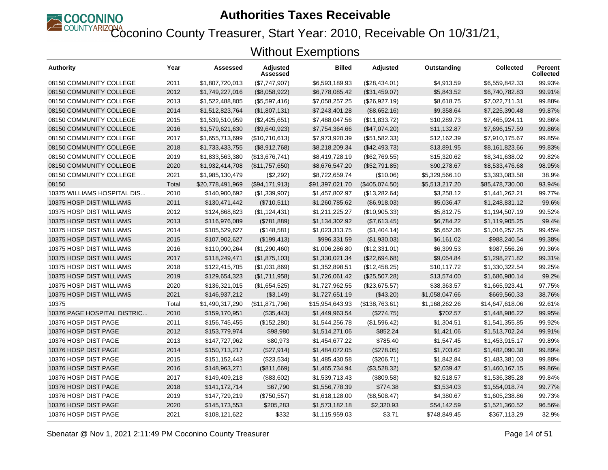

Coconino County Treasurer, Start Year: 2010, Receivable On 10/31/21,

| Authority                   | Year  | Assessed         | <b>Adjusted</b><br>Assessed | <b>Billed</b>   | <b>Adjusted</b> | Outstanding    | <b>Collected</b> | Percent<br><b>Collected</b> |
|-----------------------------|-------|------------------|-----------------------------|-----------------|-----------------|----------------|------------------|-----------------------------|
| 08150 COMMUNITY COLLEGE     | 2011  | \$1,807,720,013  | (\$7,747,907)               | \$6,593,189.93  | (\$28,434.01)   | \$4,913.59     | \$6,559,842.33   | 99.93%                      |
| 08150 COMMUNITY COLLEGE     | 2012  | \$1,749,227,016  | (\$8,058,922)               | \$6,778,085.42  | (\$31,459.07)   | \$5,843.52     | \$6,740,782.83   | 99.91%                      |
| 08150 COMMUNITY COLLEGE     | 2013  | \$1,522,488,805  | (\$5,597,416)               | \$7,058,257.25  | (\$26,927.19)   | \$8,618.75     | \$7,022,711.31   | 99.88%                      |
| 08150 COMMUNITY COLLEGE     | 2014  | \$1,512,823,764  | (\$1,807,131)               | \$7,243,401.28  | (\$8,652.16)    | \$9,358.64     | \$7,225,390.48   | 99.87%                      |
| 08150 COMMUNITY COLLEGE     | 2015  | \$1,539,510,959  | (\$2,425,651)               | \$7,488,047.56  | (\$11,833.72)   | \$10,289.73    | \$7,465,924.11   | 99.86%                      |
| 08150 COMMUNITY COLLEGE     | 2016  | \$1,579,621,630  | (\$9,640,923)               | \$7,754,364.66  | (\$47,074.20)   | \$11,132.87    | \$7,696,157.59   | 99.86%                      |
| 08150 COMMUNITY COLLEGE     | 2017  | \$1,655,713,699  | (\$10,710,613)              | \$7,973,920.39  | (\$51,582.33)   | \$12,162.39    | \$7,910,175.67   | 99.85%                      |
| 08150 COMMUNITY COLLEGE     | 2018  | \$1,733,433,755  | (\$8,912,768)               | \$8,218,209.34  | (\$42,493.73)   | \$13,891.95    | \$8,161,823.66   | 99.83%                      |
| 08150 COMMUNITY COLLEGE     | 2019  | \$1,833,563,380  | (\$13,676,741)              | \$8,419,728.19  | (\$62,769.55)   | \$15,320.62    | \$8,341,638.02   | 99.82%                      |
| 08150 COMMUNITY COLLEGE     | 2020  | \$1,932,414,708  | (\$11,757,650)              | \$8,676,547.20  | (\$52,791.85)   | \$90,278.67    | \$8,533,476.68   | 98.95%                      |
| 08150 COMMUNITY COLLEGE     | 2021  | \$1,985,130,479  | (\$2,292)                   | \$8,722,659.74  | (\$10.06)       | \$5,329,566.10 | \$3,393,083.58   | 38.9%                       |
| 08150                       | Total | \$20,778,491,969 | (\$94,171,913)              | \$91,397,021.70 | (\$405,074.50)  | \$5,513,217.20 | \$85,478,730.00  | 93.94%                      |
| 10375 WILLIAMS HOSPITAL DIS | 2010  | \$140,900,692    | (\$1,339,907)               | \$1,457,802.97  | (\$13,282.64)   | \$3,258.12     | \$1,441,262.21   | 99.77%                      |
| 10375 HOSP DIST WILLIAMS    | 2011  | \$130,471,442    | (\$710,511)                 | \$1,260,785.62  | (\$6,918.03)    | \$5,036.47     | \$1,248,831.12   | 99.6%                       |
| 10375 HOSP DIST WILLIAMS    | 2012  | \$124,868,823    | (\$1,124,431)               | \$1,211,225.27  | (\$10,905.33)   | \$5,812.75     | \$1,194,507.19   | 99.52%                      |
| 10375 HOSP DIST WILLIAMS    | 2013  | \$116,976,089    | (\$781,889)                 | \$1,134,302.92  | (\$7,613.45)    | \$6,784.22     | \$1,119,905.25   | 99.4%                       |
| 10375 HOSP DIST WILLIAMS    | 2014  | \$105,529,627    | (\$148,581)                 | \$1,023,313.75  | (\$1,404.14)    | \$5,652.36     | \$1,016,257.25   | 99.45%                      |
| 10375 HOSP DIST WILLIAMS    | 2015  | \$107,902,627    | (\$199,413)                 | \$996,331.59    | (\$1,930.03)    | \$6,161.02     | \$988.240.54     | 99.38%                      |
| 10375 HOSP DIST WILLIAMS    | 2016  | \$110,090,264    | (\$1,290,460)               | \$1,006,286.80  | (\$12,331.01)   | \$6,399.53     | \$987,556.26     | 99.36%                      |
| 10375 HOSP DIST WILLIAMS    | 2017  | \$118,249,471    | (\$1,875,103)               | \$1,330,021.34  | (\$22,694.68)   | \$9,054.84     | \$1,298,271.82   | 99.31%                      |
| 10375 HOSP DIST WILLIAMS    | 2018  | \$122,415,705    | (\$1,031,869)               | \$1,352,898.51  | (\$12,458.25)   | \$10,117.72    | \$1,330,322.54   | 99.25%                      |
| 10375 HOSP DIST WILLIAMS    | 2019  | \$129,654,323    | (\$1,711,958)               | \$1,726,061.42  | (\$25,507.28)   | \$13,574.00    | \$1,686,980.14   | 99.2%                       |
| 10375 HOSP DIST WILLIAMS    | 2020  | \$136,321,015    | (\$1,654,525)               | \$1,727,962.55  | (\$23,675.57)   | \$38,363.57    | \$1,665,923.41   | 97.75%                      |
| 10375 HOSP DIST WILLIAMS    | 2021  | \$146,937,212    | ( \$3, 149)                 | \$1,727,651.19  | (\$43.20)       | \$1,058,047.66 | \$669,560,33     | 38.76%                      |
| 10375                       | Total | \$1,490,317,290  | (\$11,871,796)              | \$15,954,643.93 | (\$138,763.61)  | \$1,168,262.26 | \$14,647,618.06  | 92.61%                      |
| 10376 PAGE HOSPITAL DISTRIC | 2010  | \$159,170,951    | (\$35,443)                  | \$1,449,963.54  | (\$274.75)      | \$702.57       | \$1,448,986.22   | 99.95%                      |
| 10376 HOSP DIST PAGE        | 2011  | \$156,745,455    | (\$152,280)                 | \$1,544,256.78  | (\$1,596.42)    | \$1,304.51     | \$1,541,355.85   | 99.92%                      |
| 10376 HOSP DIST PAGE        | 2012  | \$153,779,974    | \$98,980                    | \$1,514,271.06  | \$852.24        | \$1,421.06     | \$1,513,702.24   | 99.91%                      |
| 10376 HOSP DIST PAGE        | 2013  | \$147,727,962    | \$80,973                    | \$1,454,677.22  | \$785.40        | \$1,547.45     | \$1,453,915.17   | 99.89%                      |
| 10376 HOSP DIST PAGE        | 2014  | \$150,713,217    | (\$27,914)                  | \$1,484,072.05  | (\$278.05)      | \$1,703.62     | \$1,482,090.38   | 99.89%                      |
| 10376 HOSP DIST PAGE        | 2015  | \$151,152,443    | (\$23,534)                  | \$1,485,430.58  | (\$206.71)      | \$1,842.84     | \$1,483,381.03   | 99.88%                      |
| 10376 HOSP DIST PAGE        | 2016  | \$148,963,271    | (\$811,669)                 | \$1,465,734.94  | (\$3,528.32)    | \$2,039.47     | \$1,460,167.15   | 99.86%                      |
| 10376 HOSP DIST PAGE        | 2017  | \$149,409,218    | (\$83,602)                  | \$1,539,713.43  | (\$809.58)      | \$2,518.57     | \$1,536,385.28   | 99.84%                      |
| 10376 HOSP DIST PAGE        | 2018  | \$141,172,714    | \$67,790                    | \$1,556,778.39  | \$774.38        | \$3,534.03     | \$1,554,018.74   | 99.77%                      |
| 10376 HOSP DIST PAGE        | 2019  | \$147,729,219    | (\$750,557)                 | \$1,618,128.00  | (\$8,508.47)    | \$4,380.67     | \$1,605,238.86   | 99.73%                      |
| 10376 HOSP DIST PAGE        | 2020  | \$145,173,553    | \$205,283                   | \$1,573,182.18  | \$2,320.93      | \$54,142.59    | \$1,521,360.52   | 96.56%                      |
| 10376 HOSP DIST PAGE        | 2021  | \$108,121,622    | \$332                       | \$1,115,959.03  | \$3.71          | \$748,849.45   | \$367,113.29     | 32.9%                       |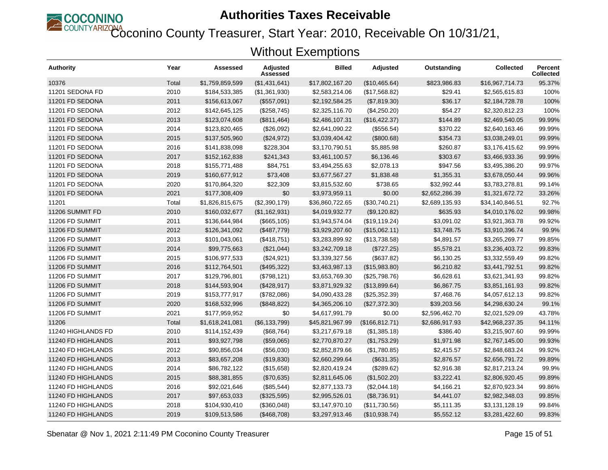

COUNTYARIZONA<br>Coconino County Treasurer, Start Year: 2010, Receivable On 10/31/21,

| <b>Authority</b>   | Year  | Assessed        | Adjusted<br>Assessed | <b>Billed</b>   | <b>Adjusted</b> | Outstanding    | <b>Collected</b> | <b>Percent</b><br><b>Collected</b> |
|--------------------|-------|-----------------|----------------------|-----------------|-----------------|----------------|------------------|------------------------------------|
| 10376              | Total | \$1,759,859,599 | (\$1,431,641)        | \$17,802,167.20 | (\$10,465.64)   | \$823,986.83   | \$16,967,714.73  | 95.37%                             |
| 11201 SEDONA FD    | 2010  | \$184,533,385   | (\$1,361,930)        | \$2,583,214.06  | (\$17,568.82)   | \$29.41        | \$2,565,615.83   | 100%                               |
| 11201 FD SEDONA    | 2011  | \$156,613,067   | (\$557,091)          | \$2,192,584.25  | (\$7,819.30)    | \$36.17        | \$2,184,728.78   | 100%                               |
| 11201 FD SEDONA    | 2012  | \$142,645,125   | (\$258,745)          | \$2,325,116.70  | (\$4,250.20)    | \$54.27        | \$2,320,812.23   | 100%                               |
| 11201 FD SEDONA    | 2013  | \$123,074,608   | (\$811,464)          | \$2,486,107.31  | (\$16,422.37)   | \$144.89       | \$2,469,540.05   | 99.99%                             |
| 11201 FD SEDONA    | 2014  | \$123,820,465   | (\$26,092)           | \$2,641,090.22  | (\$556.54)      | \$370.22       | \$2,640,163.46   | 99.99%                             |
| 11201 FD SEDONA    | 2015  | \$137,505,960   | (\$24,972)           | \$3,039,404.42  | (\$800.68)      | \$354.73       | \$3,038,249.01   | 99.99%                             |
| 11201 FD SEDONA    | 2016  | \$141,838,098   | \$228,304            | \$3,170,790.51  | \$5,885.98      | \$260.87       | \$3,176,415.62   | 99.99%                             |
| 11201 FD SEDONA    | 2017  | \$152,162,838   | \$241,343            | \$3,461,100.57  | \$6,136.46      | \$303.67       | \$3,466,933.36   | 99.99%                             |
| 11201 FD SEDONA    | 2018  | \$155,771,488   | \$84,751             | \$3,494,255.63  | \$2,078.13      | \$947.56       | \$3,495,386.20   | 99.97%                             |
| 11201 FD SEDONA    | 2019  | \$160,677,912   | \$73,408             | \$3,677,567.27  | \$1,838.48      | \$1,355.31     | \$3,678,050.44   | 99.96%                             |
| 11201 FD SEDONA    | 2020  | \$170,864,320   | \$22,309             | \$3,815,532.60  | \$738.65        | \$32,992.44    | \$3,783,278.81   | 99.14%                             |
| 11201 FD SEDONA    | 2021  | \$177,308,409   | \$0                  | \$3,973,959.11  | \$0.00          | \$2,652,286.39 | \$1,321,672.72   | 33.26%                             |
| 11201              | Total | \$1,826,815,675 | (\$2,390,179)        | \$36,860,722.65 | (\$30,740.21)   | \$2,689,135.93 | \$34,140,846.51  | 92.7%                              |
| 11206 SUMMIT FD    | 2010  | \$160,032,677   | (\$1,162,931)        | \$4,019,932.77  | (\$9,120.82)    | \$635.93       | \$4,010,176.02   | 99.98%                             |
| 11206 FD SUMMIT    | 2011  | \$136,644,984   | (\$665, 105)         | \$3,943,574.04  | (\$19, 119.24)  | \$3,091.02     | \$3,921,363.78   | 99.92%                             |
| 11206 FD SUMMIT    | 2012  | \$126,341,092   | (\$487,779)          | \$3,929,207.60  | (\$15,062.11)   | \$3,748.75     | \$3,910,396.74   | 99.9%                              |
| 11206 FD SUMMIT    | 2013  | \$101,043,061   | (\$418,751)          | \$3,283,899.92  | (\$13,738.58)   | \$4,891.57     | \$3,265,269.77   | 99.85%                             |
| 11206 FD SUMMIT    | 2014  | \$99,775,663    | (\$21,044)           | \$3,242,709.18  | (\$727.25)      | \$5,578.21     | \$3,236,403.72   | 99.83%                             |
| 11206 FD SUMMIT    | 2015  | \$106,977,533   | (\$24,921)           | \$3,339,327.56  | (\$637.82)      | \$6,130.25     | \$3,332,559.49   | 99.82%                             |
| 11206 FD SUMMIT    | 2016  | \$112,764,501   | (\$495,322)          | \$3,463,987.13  | (\$15,983.80)   | \$6,210.82     | \$3,441,792.51   | 99.82%                             |
| 11206 FD SUMMIT    | 2017  | \$129,796,801   | (\$798, 121)         | \$3,653,769.30  | (\$25,798.76)   | \$6,628.61     | \$3,621,341.93   | 99.82%                             |
| 11206 FD SUMMIT    | 2018  | \$144,593,904   | (\$428,917)          | \$3,871,929.32  | (\$13,899.64)   | \$6,867.75     | \$3,851,161.93   | 99.82%                             |
| 11206 FD SUMMIT    | 2019  | \$153,777,917   | (\$782,086)          | \$4,090,433.28  | (\$25,352.39)   | \$7,468.76     | \$4,057,612.13   | 99.82%                             |
| 11206 FD SUMMIT    | 2020  | \$168,532,996   | (\$848, 822)         | \$4,365,206.10  | (\$27,372.30)   | \$39,203.56    | \$4,298,630.24   | 99.1%                              |
| 11206 FD SUMMIT    | 2021  | \$177,959,952   | \$0                  | \$4,617,991.79  | \$0.00          | \$2,596,462.70 | \$2,021,529.09   | 43.78%                             |
| 11206              | Total | \$1,618,241,081 | (\$6, 133, 799)      | \$45,821,967.99 | (\$166, 812.71) | \$2,686,917.93 | \$42,968,237.35  | 94.11%                             |
| 11240 HIGHLANDS FD | 2010  | \$114,152,439   | (\$68,764)           | \$3,217,679.18  | (\$1,385.18)    | \$386.40       | \$3,215,907.60   | 99.99%                             |
| 11240 FD HIGHLANDS | 2011  | \$93,927,798    | (\$59,065)           | \$2,770,870.27  | (\$1,753.29)    | \$1,971.98     | \$2,767,145.00   | 99.93%                             |
| 11240 FD HIGHLANDS | 2012  | \$90,856,034    | (\$56,030)           | \$2,852,879.66  | (\$1,780.85)    | \$2,415.57     | \$2,848,683.24   | 99.92%                             |
| 11240 FD HIGHLANDS | 2013  | \$83,657,208    | (\$19,830)           | \$2,660,299.64  | (\$631.35)      | \$2,876.57     | \$2,656,791.72   | 99.89%                             |
| 11240 FD HIGHLANDS | 2014  | \$86,782,122    | (\$15,658)           | \$2,820,419.24  | (\$289.62)      | \$2,916.38     | \$2,817,213.24   | 99.9%                              |
| 11240 FD HIGHLANDS | 2015  | \$88,381,855    | (\$70,635)           | \$2,811,645.06  | (\$1,502.20)    | \$3,222.41     | \$2,806,920.45   | 99.89%                             |
| 11240 FD HIGHLANDS | 2016  | \$92,021,646    | (\$85,544)           | \$2,877,133.73  | (\$2,044.18)    | \$4,166.21     | \$2,870,923.34   | 99.86%                             |
| 11240 FD HIGHLANDS | 2017  | \$97,653,033    | (\$325,595)          | \$2,995,526.01  | (\$8,736.91)    | \$4,441.07     | \$2,982,348.03   | 99.85%                             |
| 11240 FD HIGHLANDS | 2018  | \$104,930,410   | (\$360,048)          | \$3,147,970.10  | (\$11,730.56)   | \$5,111.35     | \$3,131,128.19   | 99.84%                             |
| 11240 FD HIGHLANDS | 2019  | \$109,513,586   | (\$468,708)          | \$3,297,913.46  | (\$10,938.74)   | \$5,552.12     | \$3,281,422.60   | 99.83%                             |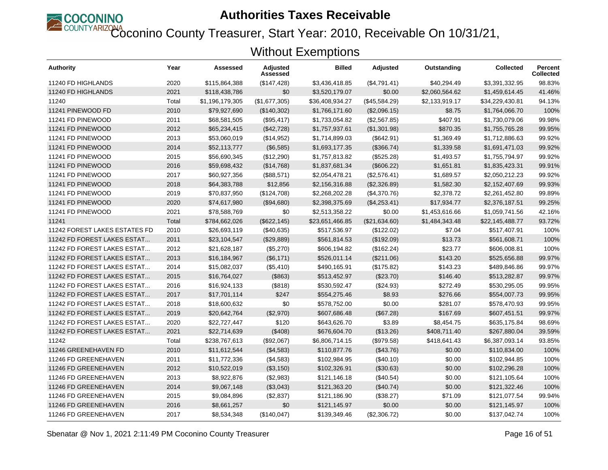

Coconino County Treasurer, Start Year: 2010, Receivable On 10/31/21,

| <b>Authority</b>                     | Year  | Assessed        | <b>Adjusted</b><br>Assessed | <b>Billed</b>   | <b>Adjusted</b> | Outstanding    | <b>Collected</b> | <b>Percent</b><br><b>Collected</b> |
|--------------------------------------|-------|-----------------|-----------------------------|-----------------|-----------------|----------------|------------------|------------------------------------|
| 11240 FD HIGHLANDS                   | 2020  | \$115,864,388   | (\$147,428)                 | \$3,436,418.85  | (\$4,791.41)    | \$40,294.49    | \$3,391,332.95   | 98.83%                             |
| 11240 FD HIGHLANDS                   | 2021  | \$118,438,786   | \$0                         | \$3,520,179.07  | \$0.00          | \$2,060,564.62 | \$1,459,614.45   | 41.46%                             |
| 11240                                | Total | \$1,196,179,305 | (\$1,677,305)               | \$36,408,934.27 | (\$45,584.29)   | \$2,133,919.17 | \$34,229,430.81  | 94.13%                             |
| 11241 PINEWOOD FD                    | 2010  | \$79,927,690    | (\$140,302)                 | \$1,766,171.60  | (\$2,096.15)    | \$8.75         | \$1,764,066.70   | 100%                               |
| 11241 FD PINEWOOD                    | 2011  | \$68,581,505    | (\$95,417)                  | \$1,733,054.82  | (\$2,567.85)    | \$407.91       | \$1,730,079.06   | 99.98%                             |
| 11241 FD PINEWOOD                    | 2012  | \$65,234,415    | (\$42,728)                  | \$1,757,937.61  | (\$1,301.98)    | \$870.35       | \$1,755,765.28   | 99.95%                             |
| 11241 FD PINEWOOD                    | 2013  | \$53,060,019    | (\$14,952)                  | \$1,714,899.03  | (\$642.91)      | \$1,369.49     | \$1,712,886.63   | 99.92%                             |
| 11241 FD PINEWOOD                    | 2014  | \$52,113,777    | (\$6,585)                   | \$1,693,177.35  | (\$366.74)      | \$1,339.58     | \$1,691,471.03   | 99.92%                             |
| 11241 FD PINEWOOD                    | 2015  | \$56,690,345    | (\$12,290)                  | \$1,757,813.82  | (\$525.28)      | \$1,493.57     | \$1,755,794.97   | 99.92%                             |
| 11241 FD PINEWOOD                    | 2016  | \$59,698,432    | (\$14,768)                  | \$1,837,681.34  | (\$606.22)      | \$1,651.81     | \$1,835,423.31   | 99.91%                             |
| 11241 FD PINEWOOD                    | 2017  | \$60,927,356    | (\$88,571)                  | \$2,054,478.21  | (\$2,576.41)    | \$1,689.57     | \$2,050,212.23   | 99.92%                             |
| 11241 FD PINEWOOD                    | 2018  | \$64,383,788    | \$12,856                    | \$2,156,316.88  | (\$2,326.89)    | \$1,582.30     | \$2,152,407.69   | 99.93%                             |
| 11241 FD PINEWOOD                    | 2019  | \$70,837,950    | (\$124,708)                 | \$2,268,202.28  | (\$4,370.76)    | \$2,378.72     | \$2,261,452.80   | 99.89%                             |
| 11241 FD PINEWOOD                    | 2020  | \$74,617,980    | (\$94,680)                  | \$2,398,375.69  | (\$4,253.41)    | \$17,934.77    | \$2,376,187.51   | 99.25%                             |
| 11241 FD PINEWOOD                    | 2021  | \$78,588,769    | \$0                         | \$2,513,358.22  | \$0.00          | \$1,453,616.66 | \$1,059,741.56   | 42.16%                             |
| 11241                                | Total | \$784,662,026   | (\$622, 145)                | \$23,651,466.85 | (\$21,634.60)   | \$1,484,343.48 | \$22,145,488.77  | 93.72%                             |
| <b>11242 FOREST LAKES ESTATES FD</b> | 2010  | \$26,693,119    | (\$40,635)                  | \$517,536.97    | (\$122.02)      | \$7.04         | \$517,407.91     | 100%                               |
| 11242 FD FOREST LAKES ESTAT          | 2011  | \$23,104,547    | (\$29,889)                  | \$561,814.53    | (\$192.09)      | \$13.73        | \$561,608.71     | 100%                               |
| 11242 FD FOREST LAKES ESTAT          | 2012  | \$21,628,187    | (\$5,270)                   | \$606,194.82    | (\$162.24)      | \$23.77        | \$606,008.81     | 100%                               |
| 11242 FD FOREST LAKES ESTAT          | 2013  | \$16,184,967    | (\$6,171)                   | \$526,011.14    | (\$211.06)      | \$143.20       | \$525,656.88     | 99.97%                             |
| 11242 FD FOREST LAKES ESTAT          | 2014  | \$15,082,037    | (\$5,410)                   | \$490,165.91    | (\$175.82)      | \$143.23       | \$489,846.86     | 99.97%                             |
| 11242 FD FOREST LAKES ESTAT          | 2015  | \$16,764,027    | (\$863)                     | \$513,452.97    | (\$23.70)       | \$146.40       | \$513,282.87     | 99.97%                             |
| 11242 FD FOREST LAKES ESTAT          | 2016  | \$16,924,133    | (\$818)                     | \$530,592.47    | (\$24.93)       | \$272.49       | \$530,295.05     | 99.95%                             |
| 11242 FD FOREST LAKES ESTAT          | 2017  | \$17,701,114    | \$247                       | \$554,275.46    | \$8.93          | \$276.66       | \$554,007.73     | 99.95%                             |
| 11242 FD FOREST LAKES ESTAT          | 2018  | \$18,600,632    | \$0                         | \$578,752.00    | \$0.00          | \$281.07       | \$578,470.93     | 99.95%                             |
| 11242 FD FOREST LAKES ESTAT          | 2019  | \$20,642,764    | (\$2,970)                   | \$607,686.48    | (\$67.28)       | \$167.69       | \$607,451.51     | 99.97%                             |
| 11242 FD FOREST LAKES ESTAT          | 2020  | \$22,727,447    | \$120                       | \$643,626.70    | \$3.89          | \$8,454.75     | \$635.175.84     | 98.69%                             |
| 11242 FD FOREST LAKES ESTAT          | 2021  | \$22,714,639    | (\$408)                     | \$676,604.70    | (\$13.26)       | \$408,711.40   | \$267,880.04     | 39.59%                             |
| 11242                                | Total | \$238,767,613   | (\$92,067)                  | \$6,806,714.15  | (\$979.58)      | \$418,641.43   | \$6,387,093.14   | 93.85%                             |
| 11246 GREENEHAVEN FD                 | 2010  | \$11,612,544    | (\$4,583)                   | \$110,877.76    | (\$43.76)       | \$0.00         | \$110,834.00     | 100%                               |
| 11246 FD GREENEHAVEN                 | 2011  | \$11,772,336    | (\$4,583)                   | \$102,984.95    | $(\$40.10)$     | \$0.00         | \$102,944.85     | 100%                               |
| 11246 FD GREENEHAVEN                 | 2012  | \$10,522,019    | (\$3,150)                   | \$102,326.91    | (\$30.63)       | \$0.00         | \$102,296.28     | 100%                               |
| 11246 FD GREENEHAVEN                 | 2013  | \$8,922,876     | (\$2,983)                   | \$121,146.18    | $(\$40.54)$     | \$0.00         | \$121,105.64     | 100%                               |
| 11246 FD GREENEHAVEN                 | 2014  | \$9,067,148     | (\$3,043)                   | \$121,363.20    | (\$40.74)       | \$0.00         | \$121,322.46     | 100%                               |
| 11246 FD GREENEHAVEN                 | 2015  | \$9,084,896     | (\$2,837)                   | \$121,186.90    | (\$38.27)       | \$71.09        | \$121,077.54     | 99.94%                             |
| 11246 FD GREENEHAVEN                 | 2016  | \$8,661,257     | \$0                         | \$121,145.97    | \$0.00          | \$0.00         | \$121,145.97     | 100%                               |
| 11246 FD GREENEHAVEN                 | 2017  | \$8,534,348     | (\$140,047)                 | \$139,349.46    | (\$2,306.72)    | \$0.00         | \$137,042.74     | 100%                               |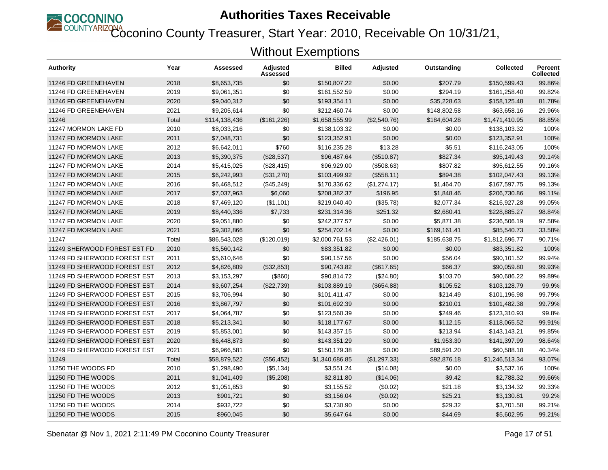

Coconino County Treasurer, Start Year: 2010, Receivable On 10/31/21,

| <b>Authority</b>             | Year  | Assessed      | <b>Adjusted</b><br>Assessed | <b>Billed</b>  | <b>Adjusted</b> | Outstanding  | <b>Collected</b> | <b>Percent</b><br><b>Collected</b> |
|------------------------------|-------|---------------|-----------------------------|----------------|-----------------|--------------|------------------|------------------------------------|
| 11246 FD GREENEHAVEN         | 2018  | \$8,653,735   | \$0                         | \$150,807.22   | \$0.00          | \$207.79     | \$150.599.43     | 99.86%                             |
| 11246 FD GREENEHAVEN         | 2019  | \$9,061,351   | \$0                         | \$161,552.59   | \$0.00          | \$294.19     | \$161,258.40     | 99.82%                             |
| 11246 FD GREENEHAVEN         | 2020  | \$9,040,312   | \$0                         | \$193,354.11   | \$0.00          | \$35,228.63  | \$158,125.48     | 81.78%                             |
| 11246 FD GREENEHAVEN         | 2021  | \$9,205,614   | \$0                         | \$212,460.74   | \$0.00          | \$148,802.58 | \$63.658.16      | 29.96%                             |
| 11246                        | Total | \$114,138,436 | (\$161,226)                 | \$1,658,555.99 | (\$2,540.76)    | \$184,604.28 | \$1,471,410.95   | 88.85%                             |
| 11247 MORMON LAKE FD         | 2010  | \$8,033,216   | \$0                         | \$138,103.32   | \$0.00          | \$0.00       | \$138,103.32     | 100%                               |
| 11247 FD MORMON LAKE         | 2011  | \$7,048,731   | \$0                         | \$123,352.91   | \$0.00          | \$0.00       | \$123,352.91     | 100%                               |
| 11247 FD MORMON LAKE         | 2012  | \$6,642,011   | \$760                       | \$116,235.28   | \$13.28         | \$5.51       | \$116,243.05     | 100%                               |
| 11247 FD MORMON LAKE         | 2013  | \$5,390,375   | (\$28,537)                  | \$96,487.64    | (\$510.87)      | \$827.34     | \$95,149.43      | 99.14%                             |
| 11247 FD MORMON LAKE         | 2014  | \$5,415,025   | (\$28,415)                  | \$96,929.00    | (\$508.63)      | \$807.82     | \$95.612.55      | 99.16%                             |
| 11247 FD MORMON LAKE         | 2015  | \$6,242,993   | (\$31,270)                  | \$103,499.92   | (\$558.11)      | \$894.38     | \$102,047.43     | 99.13%                             |
| 11247 FD MORMON LAKE         | 2016  | \$6,468,512   | (\$45,249)                  | \$170,336.62   | (\$1,274.17)    | \$1,464.70   | \$167,597.75     | 99.13%                             |
| 11247 FD MORMON LAKE         | 2017  | \$7,037,963   | \$6,060                     | \$208,382.37   | \$196.95        | \$1,848.46   | \$206,730.86     | 99.11%                             |
| 11247 FD MORMON LAKE         | 2018  | \$7,469,120   | (\$1,101)                   | \$219,040.40   | (\$35.78)       | \$2,077.34   | \$216,927.28     | 99.05%                             |
| 11247 FD MORMON LAKE         | 2019  | \$8,440,336   | \$7,733                     | \$231,314.36   | \$251.32        | \$2,680.41   | \$228.885.27     | 98.84%                             |
| 11247 FD MORMON LAKE         | 2020  | \$9,051,880   | \$0                         | \$242,377.57   | \$0.00          | \$5,871.38   | \$236,506.19     | 97.58%                             |
| 11247 FD MORMON LAKE         | 2021  | \$9,302,866   | \$0                         | \$254,702.14   | \$0.00          | \$169,161.41 | \$85,540.73      | 33.58%                             |
| 11247                        | Total | \$86,543,028  | (\$120,019)                 | \$2,000,761.53 | (\$2,426.01)    | \$185,638.75 | \$1,812,696.77   | 90.71%                             |
| 11249 SHERWOOD FOREST EST FD | 2010  | \$5,560,142   | \$0                         | \$83,351.82    | \$0.00          | \$0.00       | \$83,351.82      | 100%                               |
| 11249 FD SHERWOOD FOREST EST | 2011  | \$5,610,646   | \$0                         | \$90,157.56    | \$0.00          | \$56.04      | \$90,101.52      | 99.94%                             |
| 11249 FD SHERWOOD FOREST EST | 2012  | \$4,826,809   | (\$32,853)                  | \$90,743.82    | (\$617.65)      | \$66.37      | \$90.059.80      | 99.93%                             |
| 11249 FD SHERWOOD FOREST EST | 2013  | \$3,153,297   | (\$860)                     | \$90,814.72    | (\$24.80)       | \$103.70     | \$90,686.22      | 99.89%                             |
| 11249 FD SHERWOOD FOREST EST | 2014  | \$3,607,254   | (\$22,739)                  | \$103,889.19   | (\$654.88)      | \$105.52     | \$103,128.79     | 99.9%                              |
| 11249 FD SHERWOOD FOREST EST | 2015  | \$3,706,994   | \$0                         | \$101.411.47   | \$0.00          | \$214.49     | \$101,196.98     | 99.79%                             |
| 11249 FD SHERWOOD FOREST EST | 2016  | \$3,867,797   | \$0                         | \$101,692.39   | \$0.00          | \$210.01     | \$101,482.38     | 99.79%                             |
| 11249 FD SHERWOOD FOREST EST | 2017  | \$4,064,787   | \$0                         | \$123,560.39   | \$0.00          | \$249.46     | \$123,310.93     | 99.8%                              |
| 11249 FD SHERWOOD FOREST EST | 2018  | \$5,213,341   | \$0                         | \$118,177,67   | \$0.00          | \$112.15     | \$118,065.52     | 99.91%                             |
| 11249 FD SHERWOOD FOREST EST | 2019  | \$5,853,001   | \$0                         | \$143,357.15   | \$0.00          | \$213.94     | \$143,143.21     | 99.85%                             |
| 11249 FD SHERWOOD FOREST EST | 2020  | \$6,448,873   | \$0                         | \$143,351.29   | \$0.00          | \$1,953.30   | \$141,397.99     | 98.64%                             |
| 11249 FD SHERWOOD FOREST EST | 2021  | \$6,966,581   | \$0                         | \$150,179.38   | \$0.00          | \$89,591.20  | \$60,588.18      | 40.34%                             |
| 11249                        | Total | \$58,879,522  | (\$56,452)                  | \$1,340,686.85 | (\$1,297.33)    | \$92,876.18  | \$1,246,513.34   | 93.07%                             |
| 11250 THE WOODS FD           | 2010  | \$1,298,490   | (\$5,134)                   | \$3,551.24     | (\$14.08)       | \$0.00       | \$3,537.16       | 100%                               |
| 11250 FD THE WOODS           | 2011  | \$1,041,409   | (\$5,208)                   | \$2,811.80     | (\$14.06)       | \$9.42       | \$2,788.32       | 99.66%                             |
| 11250 FD THE WOODS           | 2012  | \$1,051,853   | \$0                         | \$3,155.52     | (\$0.02)        | \$21.18      | \$3,134.32       | 99.33%                             |
| 11250 FD THE WOODS           | 2013  | \$901,721     | \$0                         | \$3,156.04     | (\$0.02)        | \$25.21      | \$3,130.81       | 99.2%                              |
| 11250 FD THE WOODS           | 2014  | \$932,722     | \$0                         | \$3,730.90     | \$0.00          | \$29.32      | \$3,701.58       | 99.21%                             |
| 11250 FD THE WOODS           | 2015  | \$960,045     | \$0                         | \$5,647.64     | \$0.00          | \$44.69      | \$5,602.95       | 99.21%                             |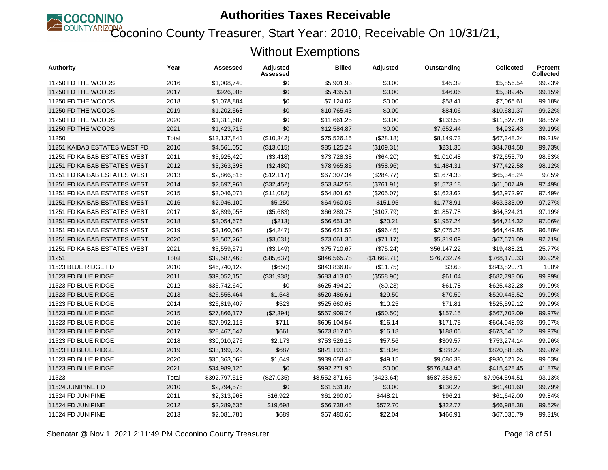

COUNTYARIZONA<br>Coconino County Treasurer, Start Year: 2010, Receivable On 10/31/21,

| <b>Authority</b>                    | Year  | Assessed      | <b>Adjusted</b><br>Assessed | <b>Billed</b>  | <b>Adjusted</b> | Outstanding  | <b>Collected</b> | Percent<br><b>Collected</b> |
|-------------------------------------|-------|---------------|-----------------------------|----------------|-----------------|--------------|------------------|-----------------------------|
| 11250 FD THE WOODS                  | 2016  | \$1,008,740   | \$0                         | \$5,901.93     | \$0.00          | \$45.39      | \$5,856.54       | 99.23%                      |
| 11250 FD THE WOODS                  | 2017  | \$926,006     | \$0                         | \$5,435.51     | \$0.00          | \$46.06      | \$5,389.45       | 99.15%                      |
| 11250 FD THE WOODS                  | 2018  | \$1,078,884   | \$0                         | \$7,124.02     | \$0.00          | \$58.41      | \$7,065.61       | 99.18%                      |
| 11250 FD THE WOODS                  | 2019  | \$1,202,568   | \$0                         | \$10,765.43    | \$0.00          | \$84.06      | \$10,681.37      | 99.22%                      |
| 11250 FD THE WOODS                  | 2020  | \$1,311,687   | \$0                         | \$11,661.25    | \$0.00          | \$133.55     | \$11,527.70      | 98.85%                      |
| 11250 FD THE WOODS                  | 2021  | \$1,423,716   | \$0                         | \$12,584.87    | \$0.00          | \$7,652.44   | \$4,932.43       | 39.19%                      |
| 11250                               | Total | \$13,137,841  | (\$10,342)                  | \$75,526.15    | (\$28.18)       | \$8,149.73   | \$67,348.24      | 89.21%                      |
| 11251 KAIBAB ESTATES WEST FD        | 2010  | \$4,561,055   | (\$13,015)                  | \$85,125.24    | (\$109.31)      | \$231.35     | \$84,784.58      | 99.73%                      |
| <b>11251 FD KAIBAB ESTATES WEST</b> | 2011  | \$3,925,420   | (\$3,418)                   | \$73,728.38    | (\$64.20)       | \$1,010.48   | \$72,653.70      | 98.63%                      |
| 11251 FD KAIBAB ESTATES WEST        | 2012  | \$3,363,398   | (\$2,480)                   | \$78,965.85    | (\$58.96)       | \$1,484.31   | \$77,422.58      | 98.12%                      |
| <b>11251 FD KAIBAB ESTATES WEST</b> | 2013  | \$2,866,816   | (\$12, 117)                 | \$67,307.34    | (\$284.77)      | \$1,674.33   | \$65,348.24      | 97.5%                       |
| 11251 FD KAIBAB ESTATES WEST        | 2014  | \$2,697,961   | (\$32,452)                  | \$63,342.58    | (\$761.91)      | \$1,573.18   | \$61,007.49      | 97.49%                      |
| 11251 FD KAIBAB ESTATES WEST        | 2015  | \$3,046,071   | (\$11,082)                  | \$64,801.66    | (\$205.07)      | \$1,623.62   | \$62,972.97      | 97.49%                      |
| 11251 FD KAIBAB ESTATES WEST        | 2016  | \$2,946,109   | \$5,250                     | \$64,960.05    | \$151.95        | \$1,778.91   | \$63,333,09      | 97.27%                      |
| 11251 FD KAIBAB ESTATES WEST        | 2017  | \$2,899,058   | (\$5,683)                   | \$66,289.78    | (\$107.79)      | \$1,857.78   | \$64,324.21      | 97.19%                      |
| 11251 FD KAIBAB ESTATES WEST        | 2018  | \$3,054,676   | (\$213)                     | \$66,651.35    | \$20.21         | \$1,957.24   | \$64,714.32      | 97.06%                      |
| <b>11251 FD KAIBAB ESTATES WEST</b> | 2019  | \$3,160,063   | (\$4,247)                   | \$66,621.53    | (\$96.45)       | \$2,075.23   | \$64,449.85      | 96.88%                      |
| <b>11251 FD KAIBAB ESTATES WEST</b> | 2020  | \$3,507,265   | (\$3,031)                   | \$73,061.35    | (\$71.17)       | \$5,319.09   | \$67,671.09      | 92.71%                      |
| 11251 FD KAIBAB ESTATES WEST        | 2021  | \$3,559,571   | (\$3,149)                   | \$75,710.67    | (\$75.24)       | \$56,147.22  | \$19,488.21      | 25.77%                      |
| 11251                               | Total | \$39,587,463  | (\$85,637)                  | \$846,565.78   | (\$1,662.71)    | \$76,732.74  | \$768,170.33     | 90.92%                      |
| 11523 BLUE RIDGE FD                 | 2010  | \$46,740,122  | (\$650)                     | \$843,836.09   | (\$11.75)       | \$3.63       | \$843,820.71     | 100%                        |
| 11523 FD BLUE RIDGE                 | 2011  | \$39,052,155  | (\$31,938)                  | \$683,413.00   | (\$558.90)      | \$61.04      | \$682,793.06     | 99.99%                      |
| 11523 FD BLUE RIDGE                 | 2012  | \$35,742,640  | \$0                         | \$625,494.29   | (\$0.23)        | \$61.78      | \$625,432.28     | 99.99%                      |
| 11523 FD BLUE RIDGE                 | 2013  | \$26,555,464  | \$1,543                     | \$520,486.61   | \$29.50         | \$70.59      | \$520,445.52     | 99.99%                      |
| 11523 FD BLUE RIDGE                 | 2014  | \$26,819,407  | \$523                       | \$525,660.68   | \$10.25         | \$71.81      | \$525,599.12     | 99.99%                      |
| 11523 FD BLUE RIDGE                 | 2015  | \$27,866,177  | (\$2,394)                   | \$567,909.74   | (\$50.50)       | \$157.15     | \$567.702.09     | 99.97%                      |
| 11523 FD BLUE RIDGE                 | 2016  | \$27,992,113  | \$711                       | \$605,104.54   | \$16.14         | \$171.75     | \$604,948.93     | 99.97%                      |
| 11523 FD BLUE RIDGE                 | 2017  | \$28,467,647  | \$661                       | \$673,817.00   | \$16.18         | \$188.06     | \$673,645.12     | 99.97%                      |
| 11523 FD BLUE RIDGE                 | 2018  | \$30,010,276  | \$2,173                     | \$753,526.15   | \$57.56         | \$309.57     | \$753,274.14     | 99.96%                      |
| 11523 FD BLUE RIDGE                 | 2019  | \$33,199,329  | \$687                       | \$821,193.18   | \$18.96         | \$328.29     | \$820,883.85     | 99.96%                      |
| 11523 FD BLUE RIDGE                 | 2020  | \$35,363,068  | \$1,649                     | \$939,658.47   | \$49.15         | \$9,086.38   | \$930,621.24     | 99.03%                      |
| 11523 FD BLUE RIDGE                 | 2021  | \$34,989,120  | \$0                         | \$992,271.90   | \$0.00          | \$576,843.45 | \$415,428.45     | 41.87%                      |
| 11523                               | Total | \$392,797,518 | (\$27,035)                  | \$8,552,371.65 | (\$423.64)      | \$587,353.50 | \$7,964,594.51   | 93.13%                      |
| 11524 JUNIPINE FD                   | 2010  | \$2,794,578   | \$0                         | \$61,531.87    | \$0.00          | \$130.27     | \$61,401.60      | 99.79%                      |
| 11524 FD JUNIPINE                   | 2011  | \$2,313,968   | \$16,922                    | \$61,290.00    | \$448.21        | \$96.21      | \$61,642.00      | 99.84%                      |
| 11524 FD JUNIPINE                   | 2012  | \$2,289,636   | \$19,698                    | \$66,738.45    | \$572.70        | \$322.77     | \$66,988.38      | 99.52%                      |
| 11524 FD JUNIPINE                   | 2013  | \$2,081,781   | \$689                       | \$67,480.66    | \$22.04         | \$466.91     | \$67,035.79      | 99.31%                      |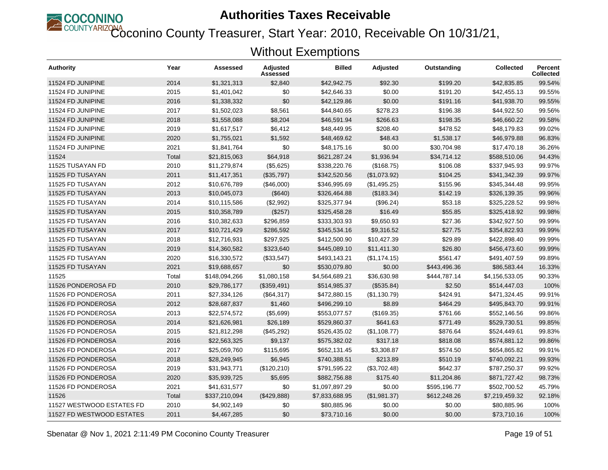

Coconino County Treasurer, Start Year: 2010, Receivable On 10/31/21,

| Authority                 | Year  | Assessed      | <b>Adjusted</b><br>Assessed | <b>Billed</b>  | <b>Adjusted</b> | Outstanding  | <b>Collected</b> | <b>Percent</b><br><b>Collected</b> |
|---------------------------|-------|---------------|-----------------------------|----------------|-----------------|--------------|------------------|------------------------------------|
| 11524 FD JUNIPINE         | 2014  | \$1,321,313   | \$2.840                     | \$42,942.75    | \$92.30         | \$199.20     | \$42.835.85      | 99.54%                             |
| 11524 FD JUNIPINE         | 2015  | \$1,401,042   | \$0                         | \$42,646.33    | \$0.00          | \$191.20     | \$42,455.13      | 99.55%                             |
| 11524 FD JUNIPINE         | 2016  | \$1,338,332   | \$0                         | \$42,129.86    | \$0.00          | \$191.16     | \$41,938.70      | 99.55%                             |
| 11524 FD JUNIPINE         | 2017  | \$1,502,023   | \$8,561                     | \$44,840.65    | \$278.23        | \$196.38     | \$44,922.50      | 99.56%                             |
| 11524 FD JUNIPINE         | 2018  | \$1,558,088   | \$8,204                     | \$46,591.94    | \$266.63        | \$198.35     | \$46,660.22      | 99.58%                             |
| 11524 FD JUNIPINE         | 2019  | \$1,617,517   | \$6,412                     | \$48,449.95    | \$208.40        | \$478.52     | \$48,179.83      | 99.02%                             |
| 11524 FD JUNIPINE         | 2020  | \$1,755,021   | \$1,592                     | \$48,469.62    | \$48.43         | \$1,538.17   | \$46,979.88      | 96.83%                             |
| 11524 FD JUNIPINE         | 2021  | \$1,841,764   | \$0                         | \$48,175.16    | \$0.00          | \$30,704.98  | \$17,470.18      | 36.26%                             |
| 11524                     | Total | \$21,815,063  | \$64,918                    | \$621,287.24   | \$1,936.94      | \$34,714.12  | \$588,510.06     | 94.43%                             |
| 11525 TUSAYAN FD          | 2010  | \$11,279,874  | (\$5,625)                   | \$338,220.76   | (\$168.75)      | \$106.08     | \$337,945.93     | 99.97%                             |
| 11525 FD TUSAYAN          | 2011  | \$11,417,351  | (\$35,797)                  | \$342,520.56   | (\$1,073.92)    | \$104.25     | \$341,342.39     | 99.97%                             |
| 11525 FD TUSAYAN          | 2012  | \$10,676,789  | (\$46,000)                  | \$346,995.69   | (\$1,495.25)    | \$155.96     | \$345,344.48     | 99.95%                             |
| 11525 FD TUSAYAN          | 2013  | \$10,045,073  | (\$640)                     | \$326,464.88   | (\$183.34)      | \$142.19     | \$326,139.35     | 99.96%                             |
| 11525 FD TUSAYAN          | 2014  | \$10,115,586  | (\$2,992)                   | \$325,377.94   | (\$96.24)       | \$53.18      | \$325,228.52     | 99.98%                             |
| 11525 FD TUSAYAN          | 2015  | \$10,358,789  | (\$257)                     | \$325,458.28   | \$16.49         | \$55.85      | \$325,418.92     | 99.98%                             |
| 11525 FD TUSAYAN          | 2016  | \$10,382,633  | \$296,859                   | \$333,303.93   | \$9,650.93      | \$27.36      | \$342,927.50     | 99.99%                             |
| 11525 FD TUSAYAN          | 2017  | \$10,721,429  | \$286,592                   | \$345,534.16   | \$9,316.52      | \$27.75      | \$354,822.93     | 99.99%                             |
| 11525 FD TUSAYAN          | 2018  | \$12,716,931  | \$297,925                   | \$412,500.90   | \$10,427.39     | \$29.89      | \$422,898.40     | 99.99%                             |
| 11525 FD TUSAYAN          | 2019  | \$14,360,582  | \$323,640                   | \$445,089.10   | \$11,411.30     | \$26.80      | \$456,473.60     | 99.99%                             |
| 11525 FD TUSAYAN          | 2020  | \$16,330,572  | (\$33,547)                  | \$493,143.21   | (\$1,174.15)    | \$561.47     | \$491,407.59     | 99.89%                             |
| 11525 FD TUSAYAN          | 2021  | \$19,688,657  | \$0                         | \$530,079.80   | \$0.00          | \$443,496.36 | \$86,583.44      | 16.33%                             |
| 11525                     | Total | \$148,094,266 | \$1,080,158                 | \$4,564,689.21 | \$36,630.98     | \$444,787.14 | \$4,156,533.05   | 90.33%                             |
| 11526 PONDEROSA FD        | 2010  | \$29,786,177  | (\$359,491)                 | \$514,985.37   | (\$535.84)      | \$2.50       | \$514,447.03     | 100%                               |
| 11526 FD PONDEROSA        | 2011  | \$27,334,126  | (\$64,317)                  | \$472,880.15   | (\$1,130.79)    | \$424.91     | \$471,324.45     | 99.91%                             |
| 11526 FD PONDEROSA        | 2012  | \$28,687,837  | \$1,460                     | \$496,299.10   | \$8.89          | \$464.29     | \$495,843.70     | 99.91%                             |
| 11526 FD PONDEROSA        | 2013  | \$22,574,572  | (\$5,699)                   | \$553,077.57   | (\$169.35)      | \$761.66     | \$552,146.56     | 99.86%                             |
| 11526 FD PONDEROSA        | 2014  | \$21,626,981  | \$26,189                    | \$529,860.37   | \$641.63        | \$771.49     | \$529.730.51     | 99.85%                             |
| 11526 FD PONDEROSA        | 2015  | \$21,812,298  | (\$45,292)                  | \$526,435.02   | (\$1,108.77)    | \$876.64     | \$524,449.61     | 99.83%                             |
| 11526 FD PONDEROSA        | 2016  | \$22,563,325  | \$9,137                     | \$575,382.02   | \$317.18        | \$818.08     | \$574.881.12     | 99.86%                             |
| 11526 FD PONDEROSA        | 2017  | \$25,059,760  | \$115,695                   | \$652,131.45   | \$3,308.87      | \$574.50     | \$654,865.82     | 99.91%                             |
| 11526 FD PONDEROSA        | 2018  | \$28,249,945  | \$6,945                     | \$740,388.51   | \$213.89        | \$510.19     | \$740,092.21     | 99.93%                             |
| 11526 FD PONDEROSA        | 2019  | \$31,943,771  | (\$120,210)                 | \$791,595.22   | (\$3,702.48)    | \$642.37     | \$787,250.37     | 99.92%                             |
| 11526 FD PONDEROSA        | 2020  | \$35,939,725  | \$5,695                     | \$882,756.88   | \$175.40        | \$11,204.86  | \$871,727.42     | 98.73%                             |
| 11526 FD PONDEROSA        | 2021  | \$41,631,577  | \$0                         | \$1,097,897.29 | \$0.00          | \$595,196.77 | \$502,700.52     | 45.79%                             |
| 11526                     | Total | \$337,210,094 | (\$429,888)                 | \$7,833,688.95 | (\$1,981.37)    | \$612,248.26 | \$7,219,459.32   | 92.18%                             |
| 11527 WESTWOOD ESTATES FD | 2010  | \$4,902,149   | \$0                         | \$80,885.96    | \$0.00          | \$0.00       | \$80,885.96      | 100%                               |
| 11527 FD WESTWOOD ESTATES | 2011  | \$4,467,285   | \$0                         | \$73,710.16    | \$0.00          | \$0.00       | \$73,710.16      | 100%                               |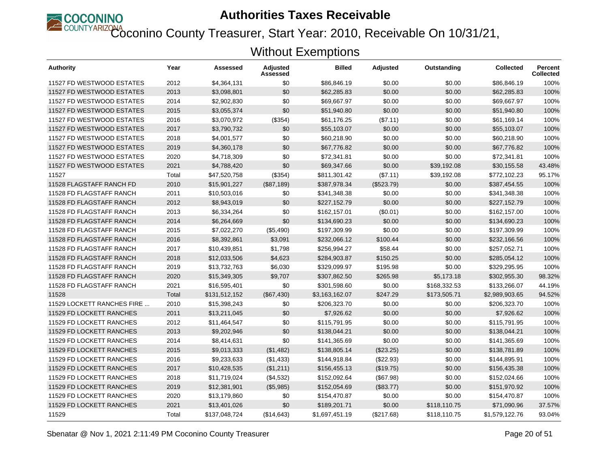

Coconino County Treasurer, Start Year: 2010, Receivable On 10/31/21,

| <b>Authority</b>           | Year  | Assessed      | Adjusted<br>Assessed | <b>Billed</b>  | <b>Adjusted</b> | Outstanding  | <b>Collected</b> | Percent<br><b>Collected</b> |
|----------------------------|-------|---------------|----------------------|----------------|-----------------|--------------|------------------|-----------------------------|
| 11527 FD WESTWOOD ESTATES  | 2012  | \$4,364,131   | \$0                  | \$86,846.19    | \$0.00          | \$0.00       | \$86,846.19      | 100%                        |
| 11527 FD WESTWOOD ESTATES  | 2013  | \$3,098,801   | \$0                  | \$62,285.83    | \$0.00          | \$0.00       | \$62,285.83      | 100%                        |
| 11527 FD WESTWOOD ESTATES  | 2014  | \$2,902,830   | \$0                  | \$69,667.97    | \$0.00          | \$0.00       | \$69,667.97      | 100%                        |
| 11527 FD WESTWOOD ESTATES  | 2015  | \$3,055,374   | \$0                  | \$51,940.80    | \$0.00          | \$0.00       | \$51,940.80      | 100%                        |
| 11527 FD WESTWOOD ESTATES  | 2016  | \$3,070,972   | (\$354)              | \$61,176.25    | (\$7.11)        | \$0.00       | \$61,169.14      | 100%                        |
| 11527 FD WESTWOOD ESTATES  | 2017  | \$3,790,732   | \$0                  | \$55,103.07    | \$0.00          | \$0.00       | \$55,103.07      | 100%                        |
| 11527 FD WESTWOOD ESTATES  | 2018  | \$4,001,577   | \$0                  | \$60,218.90    | \$0.00          | \$0.00       | \$60,218.90      | 100%                        |
| 11527 FD WESTWOOD ESTATES  | 2019  | \$4,360,178   | \$0                  | \$67,776.82    | \$0.00          | \$0.00       | \$67,776.82      | 100%                        |
| 11527 FD WESTWOOD ESTATES  | 2020  | \$4,718,309   | \$0                  | \$72,341.81    | \$0.00          | \$0.00       | \$72,341.81      | 100%                        |
| 11527 FD WESTWOOD ESTATES  | 2021  | \$4,788,420   | \$0                  | \$69,347.66    | \$0.00          | \$39,192.08  | \$30,155.58      | 43.48%                      |
| 11527                      | Total | \$47,520,758  | (\$354)              | \$811,301.42   | (\$7.11)        | \$39,192.08  | \$772,102.23     | 95.17%                      |
| 11528 FLAGSTAFF RANCH FD   | 2010  | \$15,901,227  | (\$87,189)           | \$387,978.34   | (\$523.79)      | \$0.00       | \$387,454.55     | 100%                        |
| 11528 FD FLAGSTAFF RANCH   | 2011  | \$10,503,016  | \$0                  | \$341,348.38   | \$0.00          | \$0.00       | \$341,348.38     | 100%                        |
| 11528 FD FLAGSTAFF RANCH   | 2012  | \$8,943,019   | \$0                  | \$227,152.79   | \$0.00          | \$0.00       | \$227,152.79     | 100%                        |
| 11528 FD FLAGSTAFF RANCH   | 2013  | \$6,334,264   | \$0                  | \$162,157.01   | (\$0.01)        | \$0.00       | \$162,157.00     | 100%                        |
| 11528 FD FLAGSTAFF RANCH   | 2014  | \$6,264,669   | \$0                  | \$134,690.23   | \$0.00          | \$0.00       | \$134,690.23     | 100%                        |
| 11528 FD FLAGSTAFF RANCH   | 2015  | \$7,022,270   | (\$5,490)            | \$197,309.99   | \$0.00          | \$0.00       | \$197,309.99     | 100%                        |
| 11528 FD FLAGSTAFF RANCH   | 2016  | \$8,392,861   | \$3,091              | \$232,066.12   | \$100.44        | \$0.00       | \$232,166.56     | 100%                        |
| 11528 FD FLAGSTAFF RANCH   | 2017  | \$10,439,851  | \$1,798              | \$256,994.27   | \$58.44         | \$0.00       | \$257,052.71     | 100%                        |
| 11528 FD FLAGSTAFF RANCH   | 2018  | \$12,033,506  | \$4,623              | \$284,903.87   | \$150.25        | \$0.00       | \$285,054.12     | 100%                        |
| 11528 FD FLAGSTAFF RANCH   | 2019  | \$13,732,763  | \$6,030              | \$329,099.97   | \$195.98        | \$0.00       | \$329,295.95     | 100%                        |
| 11528 FD FLAGSTAFF RANCH   | 2020  | \$15,349,305  | \$9,707              | \$307,862.50   | \$265.98        | \$5,173.18   | \$302,955.30     | 98.32%                      |
| 11528 FD FLAGSTAFF RANCH   | 2021  | \$16,595,401  | \$0                  | \$301,598.60   | \$0.00          | \$168,332.53 | \$133,266.07     | 44.19%                      |
| 11528                      | Total | \$131,512,152 | (\$67,430)           | \$3,163,162.07 | \$247.29        | \$173,505.71 | \$2,989,903.65   | 94.52%                      |
| 11529 LOCKETT RANCHES FIRE | 2010  | \$15,398,243  | \$0                  | \$206,323.70   | \$0.00          | \$0.00       | \$206,323.70     | 100%                        |
| 11529 FD LOCKETT RANCHES   | 2011  | \$13,211,045  | \$0                  | \$7,926.62     | \$0.00          | \$0.00       | \$7,926.62       | 100%                        |
| 11529 FD LOCKETT RANCHES   | 2012  | \$11,464,547  | \$0                  | \$115,791.95   | \$0.00          | \$0.00       | \$115,791.95     | 100%                        |
| 11529 FD LOCKETT RANCHES   | 2013  | \$9,202,946   | \$0                  | \$138,044.21   | \$0.00          | \$0.00       | \$138,044.21     | 100%                        |
| 11529 FD LOCKETT RANCHES   | 2014  | \$8,414,631   | \$0                  | \$141,365.69   | \$0.00          | \$0.00       | \$141,365.69     | 100%                        |
| 11529 FD LOCKETT RANCHES   | 2015  | \$9,013,333   | (\$1,482)            | \$138,805.14   | (\$23.25)       | \$0.00       | \$138,781.89     | 100%                        |
| 11529 FD LOCKETT RANCHES   | 2016  | \$9,233,633   | (\$1,433)            | \$144,918.84   | $(\$22.93)$     | \$0.00       | \$144,895.91     | 100%                        |
| 11529 FD LOCKETT RANCHES   | 2017  | \$10,428,535  | (\$1,211)            | \$156,455.13   | (\$19.75)       | \$0.00       | \$156,435.38     | 100%                        |
| 11529 FD LOCKETT RANCHES   | 2018  | \$11,719,024  | (\$4,532)            | \$152,092.64   | (\$67.98)       | \$0.00       | \$152,024.66     | 100%                        |
| 11529 FD LOCKETT RANCHES   | 2019  | \$12,381,901  | (\$5,985)            | \$152,054.69   | (\$83.77)       | \$0.00       | \$151,970.92     | 100%                        |
| 11529 FD LOCKETT RANCHES   | 2020  | \$13,179,860  | \$0                  | \$154,470.87   | \$0.00          | \$0.00       | \$154,470.87     | 100%                        |
| 11529 FD LOCKETT RANCHES   | 2021  | \$13,401,026  | \$0                  | \$189,201.71   | \$0.00          | \$118,110.75 | \$71,090.96      | 37.57%                      |
| 11529                      | Total | \$137,048,724 | (\$14,643)           | \$1,697,451.19 | (\$217.68)      | \$118,110.75 | \$1,579,122.76   | 93.04%                      |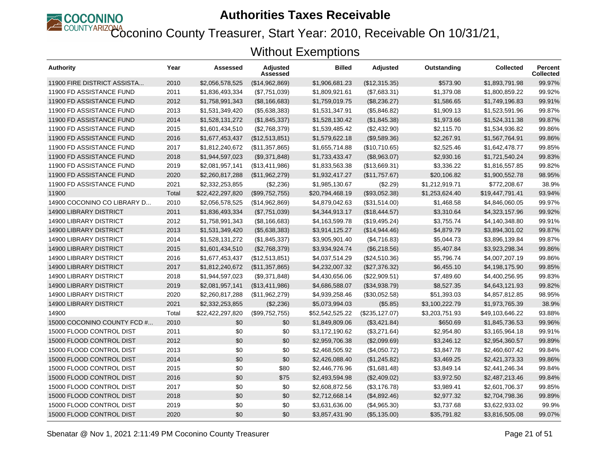

COUNTYARIZONA<br>Coconino County Treasurer, Start Year: 2010, Receivable On 10/31/21,

| <b>Authority</b>              | Year  | Assessed         | <b>Adjusted</b><br>Assessed | <b>Billed</b>   | <b>Adjusted</b>   | Outstanding    | <b>Collected</b> | Percent<br><b>Collected</b> |
|-------------------------------|-------|------------------|-----------------------------|-----------------|-------------------|----------------|------------------|-----------------------------|
| 11900 FIRE DISTRICT ASSISTA   | 2010  | \$2,056,578,525  | (\$14,962,869)              | \$1,906,681.23  | (\$12,315.35)     | \$573.90       | \$1,893,791.98   | 99.97%                      |
| 11900 FD ASSISTANCE FUND      | 2011  | \$1,836,493,334  | (\$7,751,039)               | \$1,809,921.61  | (\$7,683.31)      | \$1,379.08     | \$1,800,859.22   | 99.92%                      |
| 11900 FD ASSISTANCE FUND      | 2012  | \$1,758,991,343  | (\$8,166,683)               | \$1,759,019.75  | (\$8,236.27)      | \$1,586.65     | \$1,749,196.83   | 99.91%                      |
| 11900 FD ASSISTANCE FUND      | 2013  | \$1,531,349,420  | (\$5,638,383)               | \$1,531,347.91  | (\$5,846.82)      | \$1,909.13     | \$1,523,591.96   | 99.87%                      |
| 11900 FD ASSISTANCE FUND      | 2014  | \$1,528,131,272  | (\$1,845,337)               | \$1,528,130.42  | (\$1,845.38)      | \$1,973.66     | \$1,524,311.38   | 99.87%                      |
| 11900 FD ASSISTANCE FUND      | 2015  | \$1,601,434,510  | (\$2,768,379)               | \$1,539,485.42  | (\$2,432.90)      | \$2,115.70     | \$1,534,936.82   | 99.86%                      |
| 11900 FD ASSISTANCE FUND      | 2016  | \$1,677,453,437  | (\$12,513,851)              | \$1,579,622.18  | (\$9,589.36)      | \$2,267.91     | \$1,567,764.91   | 99.86%                      |
| 11900 FD ASSISTANCE FUND      | 2017  | \$1,812,240,672  | (\$11,357,865)              | \$1,655,714.88  | (\$10,710.65)     | \$2,525.46     | \$1,642,478.77   | 99.85%                      |
| 11900 FD ASSISTANCE FUND      | 2018  | \$1,944,597,023  | (\$9,371,848)               | \$1,733,433.47  | (\$8,963.07)      | \$2,930.16     | \$1,721,540.24   | 99.83%                      |
| 11900 FD ASSISTANCE FUND      | 2019  | \$2,081,957,141  | (\$13,411,986)              | \$1,833,563.38  | (\$13,669.31)     | \$3,336.22     | \$1,816,557.85   | 99.82%                      |
| 11900 FD ASSISTANCE FUND      | 2020  | \$2,260,817,288  | (\$11,962,279)              | \$1,932,417.27  | (\$11,757.67)     | \$20,106.82    | \$1,900,552.78   | 98.95%                      |
| 11900 FD ASSISTANCE FUND      | 2021  | \$2,332,253,855  | (\$2,236)                   | \$1,985,130.67  | (\$2.29)          | \$1,212,919.71 | \$772,208.67     | 38.9%                       |
| 11900                         | Total | \$22,422,297,820 | (\$99,752,755)              | \$20,794,468.19 | (\$93,052.38)     | \$1,253,624.40 | \$19,447,791.41  | 93.94%                      |
| 14900 COCONINO CO LIBRARY D   | 2010  | \$2,056,578,525  | (\$14,962,869)              | \$4,879,042.63  | (\$31,514.00)     | \$1,468.58     | \$4,846,060.05   | 99.97%                      |
| <b>14900 LIBRARY DISTRICT</b> | 2011  | \$1,836,493,334  | (\$7,751,039)               | \$4,344,913.17  | (\$18,444.57)     | \$3,310.64     | \$4,323,157.96   | 99.92%                      |
| <b>14900 LIBRARY DISTRICT</b> | 2012  | \$1,758,991,343  | (\$8,166,683)               | \$4,163,599.78  | (\$19,495.24)     | \$3,755.74     | \$4,140,348.80   | 99.91%                      |
| <b>14900 LIBRARY DISTRICT</b> | 2013  | \$1,531,349,420  | (\$5,638,383)               | \$3,914,125.27  | (\$14,944.46)     | \$4,879.79     | \$3,894,301.02   | 99.87%                      |
| <b>14900 LIBRARY DISTRICT</b> | 2014  | \$1,528,131,272  | (\$1,845,337)               | \$3,905,901.40  | (\$4,716.83)      | \$5,044.73     | \$3,896,139.84   | 99.87%                      |
| <b>14900 LIBRARY DISTRICT</b> | 2015  | \$1,601,434,510  | (\$2,768,379)               | \$3,934,924.74  | (\$6,218.56)      | \$5,407.84     | \$3,923,298.34   | 99.86%                      |
| <b>14900 LIBRARY DISTRICT</b> | 2016  | \$1,677,453,437  | (\$12,513,851)              | \$4,037,514.29  | (\$24,510.36)     | \$5,796.74     | \$4,007,207.19   | 99.86%                      |
| <b>14900 LIBRARY DISTRICT</b> | 2017  | \$1,812,240,672  | (\$11,357,865)              | \$4,232,007.32  | (\$27,376.32)     | \$6,455.10     | \$4,198,175.90   | 99.85%                      |
| <b>14900 LIBRARY DISTRICT</b> | 2018  | \$1,944,597,023  | (\$9,371,848)               | \$4,430,656.06  | (\$22,909.51)     | \$7,489.60     | \$4,400,256.95   | 99.83%                      |
| <b>14900 LIBRARY DISTRICT</b> | 2019  | \$2,081,957,141  | (\$13,411,986)              | \$4,686,588.07  | (\$34,938.79)     | \$8,527.35     | \$4,643,121.93   | 99.82%                      |
| <b>14900 LIBRARY DISTRICT</b> | 2020  | \$2,260,817,288  | (\$11,962,279)              | \$4,939,258.46  | (\$30,052.58)     | \$51,393.03    | \$4,857,812.85   | 98.95%                      |
| <b>14900 LIBRARY DISTRICT</b> | 2021  | \$2,332,253,855  | (\$2,236)                   | \$5,073,994.03  | (\$5.85)          | \$3,100,222.79 | \$1,973,765.39   | 38.9%                       |
| 14900                         | Total | \$22,422,297,820 | (\$99,752,755)              | \$52,542,525.22 | $(\$235, 127.07)$ | \$3,203,751.93 | \$49,103,646.22  | 93.88%                      |
| 15000 COCONINO COUNTY FCD #   | 2010  | \$0              | \$0                         | \$1,849,809.06  | (\$3,421.84)      | \$650.69       | \$1,845,736.53   | 99.96%                      |
| 15000 FLOOD CONTROL DIST      | 2011  | \$0              | \$0                         | \$3,172,190.62  | (\$3,271.64)      | \$2,954.80     | \$3,165,964.18   | 99.91%                      |
| 15000 FLOOD CONTROL DIST      | 2012  | \$0              | \$0                         | \$2,959,706.38  | (\$2,099.69)      | \$3,246.12     | \$2,954,360.57   | 99.89%                      |
| 15000 FLOOD CONTROL DIST      | 2013  | \$0              | \$0                         | \$2,468,505.92  | (\$4,050.72)      | \$3,847.78     | \$2,460,607.42   | 99.84%                      |
| 15000 FLOOD CONTROL DIST      | 2014  | \$0              | \$0                         | \$2,426,088.40  | (\$1,245.82)      | \$3,469.25     | \$2,421,373.33   | 99.86%                      |
| 15000 FLOOD CONTROL DIST      | 2015  | \$0              | \$80                        | \$2,446,776.96  | (\$1,681.48)      | \$3,849.14     | \$2,441,246.34   | 99.84%                      |
| 15000 FLOOD CONTROL DIST      | 2016  | \$0              | \$75                        | \$2,493,594.98  | (\$2,409.02)      | \$3,972.50     | \$2,487,213.46   | 99.84%                      |
| 15000 FLOOD CONTROL DIST      | 2017  | \$0              | \$0                         | \$2,608,872.56  | (\$3,176.78)      | \$3,989.41     | \$2,601,706.37   | 99.85%                      |
| 15000 FLOOD CONTROL DIST      | 2018  | \$0              | \$0                         | \$2,712,668.14  | (\$4,892.46)      | \$2,977.32     | \$2,704,798.36   | 99.89%                      |
| 15000 FLOOD CONTROL DIST      | 2019  | \$0              | \$0                         | \$3,631,636.00  | (\$4,965.30)      | \$3,737.68     | \$3,622,933.02   | 99.9%                       |
| 15000 FLOOD CONTROL DIST      | 2020  | \$0              | \$0                         | \$3,857,431.90  | (\$5,135.00)      | \$35,791.82    | \$3,816,505.08   | 99.07%                      |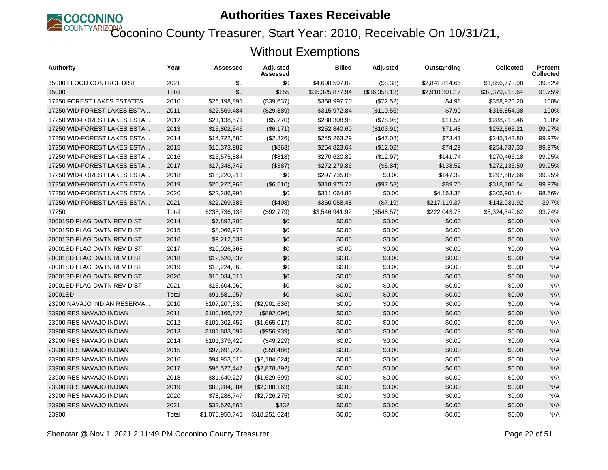

Coconino County Treasurer, Start Year: 2010, Receivable On 10/31/21,

| Authority                   | Year  | Assessed        | <b>Adjusted</b><br>Assessed | <b>Billed</b>   | <b>Adjusted</b> | Outstanding    | <b>Collected</b> | <b>Percent</b><br><b>Collected</b> |
|-----------------------------|-------|-----------------|-----------------------------|-----------------|-----------------|----------------|------------------|------------------------------------|
| 15000 FLOOD CONTROL DIST    | 2021  | \$0             | \$0                         | \$4,698,597.02  | $($ \$8.38)     | \$2,841,814.66 | \$1,856,773.98   | 39.52%                             |
| 15000                       | Total | \$0             | \$155                       | \$35,325,877.94 | (\$36,358.13)   | \$2,910,301.17 | \$32,379,218.64  | 91.75%                             |
| 17250 FOREST LAKES ESTATES  | 2010  | \$26,198,891    | (\$39,637)                  | \$358,997.70    | (\$72.52)       | \$4.98         | \$358,920.20     | 100%                               |
| 17250 WID FOREST LAKES ESTA | 2011  | \$22,569,484    | (\$29,889)                  | \$315,972.84    | (\$110.56)      | \$7.90         | \$315,854.38     | 100%                               |
| 17250 WID-FOREST LAKES ESTA | 2012  | \$21,138,571    | (\$5,270)                   | \$288,308.98    | (\$78.95)       | \$11.57        | \$288,218.46     | 100%                               |
| 17250 WID-FOREST LAKES ESTA | 2013  | \$15,802,546    | (\$6,171)                   | \$252,840.60    | (\$103.91)      | \$71.48        | \$252,665.21     | 99.97%                             |
| 17250 WID-FOREST LAKES ESTA | 2014  | \$14,722,580    | (\$2,826)                   | \$245,263.29    | (\$47.08)       | \$73.41        | \$245,142.80     | 99.97%                             |
| 17250 WID-FOREST LAKES ESTA | 2015  | \$16,373,982    | (\$863)                     | \$254,823.64    | (\$12.02)       | \$74.29        | \$254,737.33     | 99.97%                             |
| 17250 WID-FOREST LAKES ESTA | 2016  | \$16,575,884    | (\$818)                     | \$270,620.89    | (\$12.97)       | \$141.74       | \$270,466.18     | 99.95%                             |
| 17250 WID-FOREST LAKES ESTA | 2017  | \$17,348,742    | (\$387)                     | \$272,279.86    | (\$5.84)        | \$138.52       | \$272,135.50     | 99.95%                             |
| 17250 WID-FOREST LAKES ESTA | 2018  | \$18,220,911    | \$0                         | \$297,735.05    | \$0.00          | \$147.39       | \$297,587.66     | 99.95%                             |
| 17250 WID-FOREST LAKES ESTA | 2019  | \$20,227,968    | (\$6,510)                   | \$318,975.77    | (\$97.53)       | \$89.70        | \$318,788.54     | 99.97%                             |
| 17250 WID-FOREST LAKES ESTA | 2020  | \$22,286,991    | \$0                         | \$311,064.82    | \$0.00          | \$4,163.38     | \$306,901.44     | 98.66%                             |
| 17250 WID-FOREST LAKES ESTA | 2021  | \$22,269,585    | (\$408)                     | \$360,058.48    | (\$7.19)        | \$217,119.37   | \$142,931.92     | 39.7%                              |
| 17250                       | Total | \$233,736,135   | (\$92,779)                  | \$3,546,941.92  | (\$548.57)      | \$222,043.73   | \$3,324,349.62   | 93.74%                             |
| 20001SD FLAG DWTN REV DIST  | 2014  | \$7,892,200     | \$0                         | \$0.00          | \$0.00          | \$0.00         | \$0.00           | N/A                                |
| 20001SD FLAG DWTN REV DIST  | 2015  | \$8,066,973     | \$0                         | \$0.00          | \$0.00          | \$0.00         | \$0.00           | N/A                                |
| 20001SD FLAG DWTN REV DIST  | 2016  | \$9,212,639     | \$0                         | \$0.00          | \$0.00          | \$0.00         | \$0.00           | N/A                                |
| 20001SD FLAG DWTN REV DIST  | 2017  | \$10,026,368    | \$0                         | \$0.00          | \$0.00          | \$0.00         | \$0.00           | N/A                                |
| 20001SD FLAG DWTN REV DIST  | 2018  | \$12,520,837    | \$0                         | \$0.00          | \$0.00          | \$0.00         | \$0.00           | N/A                                |
| 20001SD FLAG DWTN REV DIST  | 2019  | \$13,224,360    | \$0                         | \$0.00          | \$0.00          | \$0.00         | \$0.00           | N/A                                |
| 20001SD FLAG DWTN REV DIST  | 2020  | \$15,034,511    | \$0                         | \$0.00          | \$0.00          | \$0.00         | \$0.00           | N/A                                |
| 20001SD FLAG DWTN REV DIST  | 2021  | \$15,604,069    | \$0                         | \$0.00          | \$0.00          | \$0.00         | \$0.00           | N/A                                |
| 20001SD                     | Total | \$91,581,957    | \$0                         | \$0.00          | \$0.00          | \$0.00         | \$0.00           | N/A                                |
| 23900 NAVAJO INDIAN RESERVA | 2010  | \$107,207,530   | (\$2,901,636)               | \$0.00          | \$0.00          | \$0.00         | \$0.00           | N/A                                |
| 23900 RES NAVAJO INDIAN     | 2011  | \$100,166,827   | (\$892,096)                 | \$0.00          | \$0.00          | \$0.00         | \$0.00           | N/A                                |
| 23900 RES NAVAJO INDIAN     | 2012  | \$101,302,452   | (\$1,665,017)               | \$0.00          | \$0.00          | \$0.00         | \$0.00           | N/A                                |
| 23900 RES NAVAJO INDIAN     | 2013  | \$101,883,592   | (\$956,939)                 | \$0.00          | \$0.00          | \$0.00         | \$0.00           | N/A                                |
| 23900 RES NAVAJO INDIAN     | 2014  | \$101,379,429   | (\$49,229)                  | \$0.00          | \$0.00          | \$0.00         | \$0.00           | N/A                                |
| 23900 RES NAVAJO INDIAN     | 2015  | \$97,691,729    | (\$59,486)                  | \$0.00          | \$0.00          | \$0.00         | \$0.00           | N/A                                |
| 23900 RES NAVAJO INDIAN     | 2016  | \$94,953,516    | (\$2,184,624)               | \$0.00          | \$0.00          | \$0.00         | \$0.00           | N/A                                |
| 23900 RES NAVAJO INDIAN     | 2017  | \$95,527,447    | (\$2,878,892)               | \$0.00          | \$0.00          | \$0.00         | \$0.00           | N/A                                |
| 23900 RES NAVAJO INDIAN     | 2018  | \$81,640,227    | (\$1,629,599)               | \$0.00          | \$0.00          | \$0.00         | \$0.00           | N/A                                |
| 23900 RES NAVAJO INDIAN     | 2019  | \$83,284,384    | (\$2,308,163)               | \$0.00          | \$0.00          | \$0.00         | \$0.00           | N/A                                |
| 23900 RES NAVAJO INDIAN     | 2020  | \$78,286,747    | (\$2,726,275)               | \$0.00          | \$0.00          | \$0.00         | \$0.00           | N/A                                |
| 23900 RES NAVAJO INDIAN     | 2021  | \$32,626,861    | \$332                       | \$0.00          | \$0.00          | \$0.00         | \$0.00           | N/A                                |
| 23900                       | Total | \$1,075,950,741 | (\$18,251,624)              | \$0.00          | \$0.00          | \$0.00         | \$0.00           | N/A                                |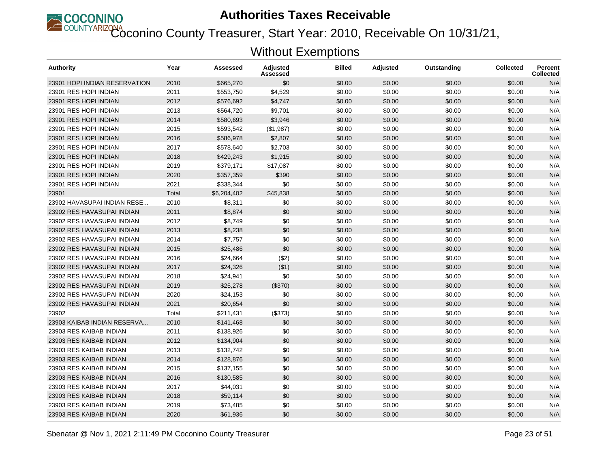

Coconino County Treasurer, Start Year: 2010, Receivable On 10/31/21,

| Authority                     | Year  | Assessed    | <b>Adjusted</b><br>Assessed | <b>Billed</b> | <b>Adjusted</b> | Outstanding | <b>Collected</b> | <b>Percent</b><br><b>Collected</b> |
|-------------------------------|-------|-------------|-----------------------------|---------------|-----------------|-------------|------------------|------------------------------------|
| 23901 HOPI INDIAN RESERVATION | 2010  | \$665,270   | \$0                         | \$0.00        | \$0.00          | \$0.00      | \$0.00           | N/A                                |
| 23901 RES HOPI INDIAN         | 2011  | \$553,750   | \$4,529                     | \$0.00        | \$0.00          | \$0.00      | \$0.00           | N/A                                |
| 23901 RES HOPI INDIAN         | 2012  | \$576,692   | \$4,747                     | \$0.00        | \$0.00          | \$0.00      | \$0.00           | N/A                                |
| 23901 RES HOPI INDIAN         | 2013  | \$564,720   | \$9,701                     | \$0.00        | \$0.00          | \$0.00      | \$0.00           | N/A                                |
| 23901 RES HOPI INDIAN         | 2014  | \$580,693   | \$3,946                     | \$0.00        | \$0.00          | \$0.00      | \$0.00           | N/A                                |
| 23901 RES HOPI INDIAN         | 2015  | \$593,542   | (\$1,987)                   | \$0.00        | \$0.00          | \$0.00      | \$0.00           | N/A                                |
| 23901 RES HOPI INDIAN         | 2016  | \$586,978   | \$2,807                     | \$0.00        | \$0.00          | \$0.00      | \$0.00           | N/A                                |
| 23901 RES HOPI INDIAN         | 2017  | \$578,640   | \$2,703                     | \$0.00        | \$0.00          | \$0.00      | \$0.00           | N/A                                |
| 23901 RES HOPI INDIAN         | 2018  | \$429,243   | \$1,915                     | \$0.00        | \$0.00          | \$0.00      | \$0.00           | N/A                                |
| 23901 RES HOPI INDIAN         | 2019  | \$379,171   | \$17,087                    | \$0.00        | \$0.00          | \$0.00      | \$0.00           | N/A                                |
| 23901 RES HOPI INDIAN         | 2020  | \$357,359   | \$390                       | \$0.00        | \$0.00          | \$0.00      | \$0.00           | N/A                                |
| 23901 RES HOPI INDIAN         | 2021  | \$338,344   | \$0                         | \$0.00        | \$0.00          | \$0.00      | \$0.00           | N/A                                |
| 23901                         | Total | \$6,204,402 | \$45,838                    | \$0.00        | \$0.00          | \$0.00      | \$0.00           | N/A                                |
| 23902 HAVASUPAI INDIAN RESE   | 2010  | \$8,311     | \$0                         | \$0.00        | \$0.00          | \$0.00      | \$0.00           | N/A                                |
| 23902 RES HAVASUPAI INDIAN    | 2011  | \$8,874     | \$0                         | \$0.00        | \$0.00          | \$0.00      | \$0.00           | N/A                                |
| 23902 RES HAVASUPAI INDIAN    | 2012  | \$8,749     | \$0                         | \$0.00        | \$0.00          | \$0.00      | \$0.00           | N/A                                |
| 23902 RES HAVASUPAI INDIAN    | 2013  | \$8,238     | \$0                         | \$0.00        | \$0.00          | \$0.00      | \$0.00           | N/A                                |
| 23902 RES HAVASUPAI INDIAN    | 2014  | \$7,757     | \$0                         | \$0.00        | \$0.00          | \$0.00      | \$0.00           | N/A                                |
| 23902 RES HAVASUPAI INDIAN    | 2015  | \$25,486    | \$0                         | \$0.00        | \$0.00          | \$0.00      | \$0.00           | N/A                                |
| 23902 RES HAVASUPAI INDIAN    | 2016  | \$24,664    | (\$2)                       | \$0.00        | \$0.00          | \$0.00      | \$0.00           | N/A                                |
| 23902 RES HAVASUPAI INDIAN    | 2017  | \$24,326    | ( \$1)                      | \$0.00        | \$0.00          | \$0.00      | \$0.00           | N/A                                |
| 23902 RES HAVASUPAI INDIAN    | 2018  | \$24,941    | \$0                         | \$0.00        | \$0.00          | \$0.00      | \$0.00           | N/A                                |
| 23902 RES HAVASUPAI INDIAN    | 2019  | \$25,278    | (\$370)                     | \$0.00        | \$0.00          | \$0.00      | \$0.00           | N/A                                |
| 23902 RES HAVASUPAI INDIAN    | 2020  | \$24,153    | \$0                         | \$0.00        | \$0.00          | \$0.00      | \$0.00           | N/A                                |
| 23902 RES HAVASUPAI INDIAN    | 2021  | \$20,654    | \$0                         | \$0.00        | \$0.00          | \$0.00      | \$0.00           | N/A                                |
| 23902                         | Total | \$211,431   | (\$373)                     | \$0.00        | \$0.00          | \$0.00      | \$0.00           | N/A                                |
| 23903 KAIBAB INDIAN RESERVA   | 2010  | \$141,468   | \$0                         | \$0.00        | \$0.00          | \$0.00      | \$0.00           | N/A                                |
| 23903 RES KAIBAB INDIAN       | 2011  | \$138,926   | \$0                         | \$0.00        | \$0.00          | \$0.00      | \$0.00           | N/A                                |
| 23903 RES KAIBAB INDIAN       | 2012  | \$134,904   | \$0                         | \$0.00        | \$0.00          | \$0.00      | \$0.00           | N/A                                |
| 23903 RES KAIBAB INDIAN       | 2013  | \$132,742   | \$0                         | \$0.00        | \$0.00          | \$0.00      | \$0.00           | N/A                                |
| 23903 RES KAIBAB INDIAN       | 2014  | \$128,876   | \$0                         | \$0.00        | \$0.00          | \$0.00      | \$0.00           | N/A                                |
| 23903 RES KAIBAB INDIAN       | 2015  | \$137,155   | \$0                         | \$0.00        | \$0.00          | \$0.00      | \$0.00           | N/A                                |
| 23903 RES KAIBAB INDIAN       | 2016  | \$130,585   | \$0                         | \$0.00        | \$0.00          | \$0.00      | \$0.00           | N/A                                |
| 23903 RES KAIBAB INDIAN       | 2017  | \$44,031    | \$0                         | \$0.00        | \$0.00          | \$0.00      | \$0.00           | N/A                                |
| 23903 RES KAIBAB INDIAN       | 2018  | \$59,114    | \$0                         | \$0.00        | \$0.00          | \$0.00      | \$0.00           | N/A                                |
| 23903 RES KAIBAB INDIAN       | 2019  | \$73,485    | \$0                         | \$0.00        | \$0.00          | \$0.00      | \$0.00           | N/A                                |
| 23903 RES KAIBAB INDIAN       | 2020  | \$61,936    | \$0                         | \$0.00        | \$0.00          | \$0.00      | \$0.00           | N/A                                |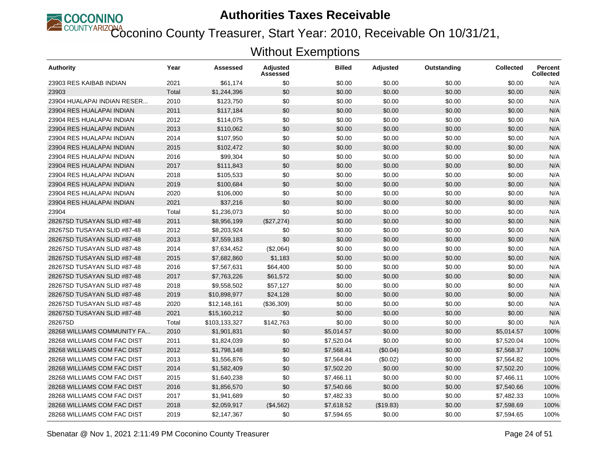

Coconino County Treasurer, Start Year: 2010, Receivable On 10/31/21,

| <b>Authority</b>            | Year  | Assessed      | Adjusted<br>Assessed | <b>Billed</b> | <b>Adjusted</b> | Outstanding | <b>Collected</b> | <b>Percent</b><br><b>Collected</b> |
|-----------------------------|-------|---------------|----------------------|---------------|-----------------|-------------|------------------|------------------------------------|
| 23903 RES KAIBAB INDIAN     | 2021  | \$61.174      | \$0                  | \$0.00        | \$0.00          | \$0.00      | \$0.00           | N/A                                |
| 23903                       | Total | \$1,244,396   | \$0                  | \$0.00        | \$0.00          | \$0.00      | \$0.00           | N/A                                |
| 23904 HUALAPAI INDIAN RESER | 2010  | \$123,750     | \$0                  | \$0.00        | \$0.00          | \$0.00      | \$0.00           | N/A                                |
| 23904 RES HUALAPAI INDIAN   | 2011  | \$117,184     | \$0                  | \$0.00        | \$0.00          | \$0.00      | \$0.00           | N/A                                |
| 23904 RES HUALAPAI INDIAN   | 2012  | \$114,075     | \$0                  | \$0.00        | \$0.00          | \$0.00      | \$0.00           | N/A                                |
| 23904 RES HUALAPAI INDIAN   | 2013  | \$110,062     | \$0                  | \$0.00        | \$0.00          | \$0.00      | \$0.00           | N/A                                |
| 23904 RES HUALAPAI INDIAN   | 2014  | \$107,950     | \$0                  | \$0.00        | \$0.00          | \$0.00      | \$0.00           | N/A                                |
| 23904 RES HUALAPAI INDIAN   | 2015  | \$102,472     | \$0                  | \$0.00        | \$0.00          | \$0.00      | \$0.00           | N/A                                |
| 23904 RES HUALAPAI INDIAN   | 2016  | \$99,304      | \$0                  | \$0.00        | \$0.00          | \$0.00      | \$0.00           | N/A                                |
| 23904 RES HUALAPAI INDIAN   | 2017  | \$111,843     | \$0                  | \$0.00        | \$0.00          | \$0.00      | \$0.00           | N/A                                |
| 23904 RES HUALAPAI INDIAN   | 2018  | \$105,533     | \$0                  | \$0.00        | \$0.00          | \$0.00      | \$0.00           | N/A                                |
| 23904 RES HUALAPAI INDIAN   | 2019  | \$100,684     | \$0                  | \$0.00        | \$0.00          | \$0.00      | \$0.00           | N/A                                |
| 23904 RES HUALAPAI INDIAN   | 2020  | \$106,000     | \$0                  | \$0.00        | \$0.00          | \$0.00      | \$0.00           | N/A                                |
| 23904 RES HUALAPAI INDIAN   | 2021  | \$37,216      | \$0                  | \$0.00        | \$0.00          | \$0.00      | \$0.00           | N/A                                |
| 23904                       | Total | \$1,236,073   | \$0                  | \$0.00        | \$0.00          | \$0.00      | \$0.00           | N/A                                |
| 28267SD TUSAYAN SLID #87-48 | 2011  | \$8,956,199   | (\$27,274)           | \$0.00        | \$0.00          | \$0.00      | \$0.00           | N/A                                |
| 28267SD TUSAYAN SLID #87-48 | 2012  | \$8,203,924   | \$0                  | \$0.00        | \$0.00          | \$0.00      | \$0.00           | N/A                                |
| 28267SD TUSAYAN SLID #87-48 | 2013  | \$7,559,183   | \$0                  | \$0.00        | \$0.00          | \$0.00      | \$0.00           | N/A                                |
| 28267SD TUSAYAN SLID #87-48 | 2014  | \$7,634,452   | (\$2,064)            | \$0.00        | \$0.00          | \$0.00      | \$0.00           | N/A                                |
| 28267SD TUSAYAN SLID #87-48 | 2015  | \$7,682,860   | \$1,183              | \$0.00        | \$0.00          | \$0.00      | \$0.00           | N/A                                |
| 28267SD TUSAYAN SLID #87-48 | 2016  | \$7,567,631   | \$64,400             | \$0.00        | \$0.00          | \$0.00      | \$0.00           | N/A                                |
| 28267SD TUSAYAN SLID #87-48 | 2017  | \$7,763,226   | \$61,572             | \$0.00        | \$0.00          | \$0.00      | \$0.00           | N/A                                |
| 28267SD TUSAYAN SLID #87-48 | 2018  | \$9,558,502   | \$57,127             | \$0.00        | \$0.00          | \$0.00      | \$0.00           | N/A                                |
| 28267SD TUSAYAN SLID #87-48 | 2019  | \$10,898,977  | \$24,128             | \$0.00        | \$0.00          | \$0.00      | \$0.00           | N/A                                |
| 28267SD TUSAYAN SLID #87-48 | 2020  | \$12,148,161  | (\$36,309)           | \$0.00        | \$0.00          | \$0.00      | \$0.00           | N/A                                |
| 28267SD TUSAYAN SLID #87-48 | 2021  | \$15,160,212  | \$0                  | \$0.00        | \$0.00          | \$0.00      | \$0.00           | N/A                                |
| 28267SD                     | Total | \$103,133,327 | \$142,763            | \$0.00        | \$0.00          | \$0.00      | \$0.00           | N/A                                |
| 28268 WILLIAMS COMMUNITY FA | 2010  | \$1,901,831   | \$0                  | \$5,014.57    | \$0.00          | \$0.00      | \$5,014.57       | 100%                               |
| 28268 WILLIAMS COM FAC DIST | 2011  | \$1,824,039   | \$0                  | \$7,520.04    | \$0.00          | \$0.00      | \$7,520.04       | 100%                               |
| 28268 WILLIAMS COM FAC DIST | 2012  | \$1,798,148   | \$0                  | \$7.568.41    | (\$0.04)        | \$0.00      | \$7.568.37       | 100%                               |
| 28268 WILLIAMS COM FAC DIST | 2013  | \$1,556,876   | \$0                  | \$7,564.84    | (\$0.02)        | \$0.00      | \$7,564.82       | 100%                               |
| 28268 WILLIAMS COM FAC DIST | 2014  | \$1,582,409   | \$0                  | \$7,502.20    | \$0.00          | \$0.00      | \$7,502.20       | 100%                               |
| 28268 WILLIAMS COM FAC DIST | 2015  | \$1,640,238   | \$0                  | \$7,466.11    | \$0.00          | \$0.00      | \$7,466.11       | 100%                               |
| 28268 WILLIAMS COM FAC DIST | 2016  | \$1,856,570   | \$0                  | \$7,540.66    | \$0.00          | \$0.00      | \$7,540.66       | 100%                               |
| 28268 WILLIAMS COM FAC DIST | 2017  | \$1,941,689   | \$0                  | \$7,482.33    | \$0.00          | \$0.00      | \$7,482.33       | 100%                               |
| 28268 WILLIAMS COM FAC DIST | 2018  | \$2,059,917   | (\$4,562)            | \$7,618.52    | (\$19.83)       | \$0.00      | \$7,598.69       | 100%                               |
| 28268 WILLIAMS COM FAC DIST | 2019  | \$2,147,367   | \$0                  | \$7,594.65    | \$0.00          | \$0.00      | \$7,594.65       | 100%                               |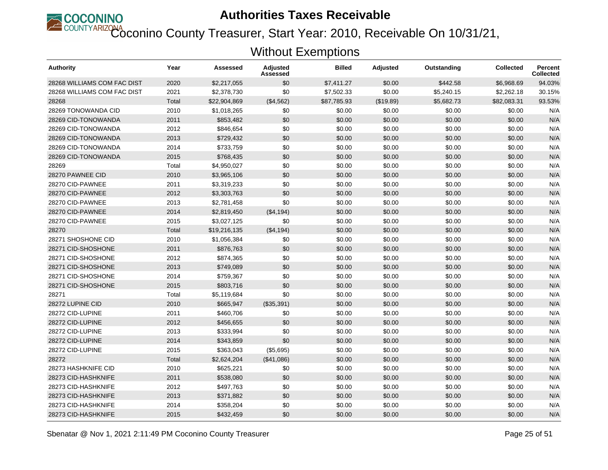

Coconino County Treasurer, Start Year: 2010, Receivable On 10/31/21,

| Authority                   | Year  | Assessed     | <b>Adjusted</b><br>Assessed | <b>Billed</b> | <b>Adjusted</b> | Outstanding | <b>Collected</b> | <b>Percent</b><br><b>Collected</b> |
|-----------------------------|-------|--------------|-----------------------------|---------------|-----------------|-------------|------------------|------------------------------------|
| 28268 WILLIAMS COM FAC DIST | 2020  | \$2,217,055  | \$0                         | \$7,411.27    | \$0.00          | \$442.58    | \$6.968.69       | 94.03%                             |
| 28268 WILLIAMS COM FAC DIST | 2021  | \$2,378,730  | \$0                         | \$7,502.33    | \$0.00          | \$5,240.15  | \$2,262.18       | 30.15%                             |
| 28268                       | Total | \$22,904,869 | (\$4,562)                   | \$87,785.93   | (\$19.89)       | \$5,682.73  | \$82,083.31      | 93.53%                             |
| 28269 TONOWANDA CID         | 2010  | \$1,018,265  | \$0                         | \$0.00        | \$0.00          | \$0.00      | \$0.00           | N/A                                |
| 28269 CID-TONOWANDA         | 2011  | \$853,482    | \$0                         | \$0.00        | \$0.00          | \$0.00      | \$0.00           | N/A                                |
| 28269 CID-TONOWANDA         | 2012  | \$846,654    | \$0                         | \$0.00        | \$0.00          | \$0.00      | \$0.00           | N/A                                |
| 28269 CID-TONOWANDA         | 2013  | \$729,432    | \$0                         | \$0.00        | \$0.00          | \$0.00      | \$0.00           | N/A                                |
| 28269 CID-TONOWANDA         | 2014  | \$733,759    | \$0                         | \$0.00        | \$0.00          | \$0.00      | \$0.00           | N/A                                |
| 28269 CID-TONOWANDA         | 2015  | \$768,435    | \$0                         | \$0.00        | \$0.00          | \$0.00      | \$0.00           | N/A                                |
| 28269                       | Total | \$4,950,027  | \$0                         | \$0.00        | \$0.00          | \$0.00      | \$0.00           | N/A                                |
| 28270 PAWNEE CID            | 2010  | \$3,965,106  | \$0                         | \$0.00        | \$0.00          | \$0.00      | \$0.00           | N/A                                |
| 28270 CID-PAWNEE            | 2011  | \$3,319,233  | \$0                         | \$0.00        | \$0.00          | \$0.00      | \$0.00           | N/A                                |
| 28270 CID-PAWNEE            | 2012  | \$3,303,763  | \$0                         | \$0.00        | \$0.00          | \$0.00      | \$0.00           | N/A                                |
| 28270 CID-PAWNEE            | 2013  | \$2,781,458  | \$0                         | \$0.00        | \$0.00          | \$0.00      | \$0.00           | N/A                                |
| 28270 CID-PAWNEE            | 2014  | \$2,819,450  | ( \$4,194)                  | \$0.00        | \$0.00          | \$0.00      | \$0.00           | N/A                                |
| 28270 CID-PAWNEE            | 2015  | \$3,027,125  | \$0                         | \$0.00        | \$0.00          | \$0.00      | \$0.00           | N/A                                |
| 28270                       | Total | \$19,216,135 | (\$4,194)                   | \$0.00        | \$0.00          | \$0.00      | \$0.00           | N/A                                |
| 28271 SHOSHONE CID          | 2010  | \$1,056,384  | \$0                         | \$0.00        | \$0.00          | \$0.00      | \$0.00           | N/A                                |
| 28271 CID-SHOSHONE          | 2011  | \$876,763    | \$0                         | \$0.00        | \$0.00          | \$0.00      | \$0.00           | N/A                                |
| 28271 CID-SHOSHONE          | 2012  | \$874,365    | \$0                         | \$0.00        | \$0.00          | \$0.00      | \$0.00           | N/A                                |
| 28271 CID-SHOSHONE          | 2013  | \$749,089    | \$0                         | \$0.00        | \$0.00          | \$0.00      | \$0.00           | N/A                                |
| 28271 CID-SHOSHONE          | 2014  | \$759,367    | \$0                         | \$0.00        | \$0.00          | \$0.00      | \$0.00           | N/A                                |
| 28271 CID-SHOSHONE          | 2015  | \$803,716    | \$0                         | \$0.00        | \$0.00          | \$0.00      | \$0.00           | N/A                                |
| 28271                       | Total | \$5,119,684  | \$0                         | \$0.00        | \$0.00          | \$0.00      | \$0.00           | N/A                                |
| 28272 LUPINE CID            | 2010  | \$665,947    | (\$35,391)                  | \$0.00        | \$0.00          | \$0.00      | \$0.00           | N/A                                |
| 28272 CID-LUPINE            | 2011  | \$460,706    | \$0                         | \$0.00        | \$0.00          | \$0.00      | \$0.00           | N/A                                |
| 28272 CID-LUPINE            | 2012  | \$456,655    | \$0                         | \$0.00        | \$0.00          | \$0.00      | \$0.00           | N/A                                |
| 28272 CID-LUPINE            | 2013  | \$333,994    | \$0                         | \$0.00        | \$0.00          | \$0.00      | \$0.00           | N/A                                |
| 28272 CID-LUPINE            | 2014  | \$343,859    | \$0                         | \$0.00        | \$0.00          | \$0.00      | \$0.00           | N/A                                |
| 28272 CID-LUPINE            | 2015  | \$363,043    | (\$5,695)                   | \$0.00        | \$0.00          | \$0.00      | \$0.00           | N/A                                |
| 28272                       | Total | \$2,624,204  | (\$41,086)                  | \$0.00        | \$0.00          | \$0.00      | \$0.00           | N/A                                |
| 28273 HASHKNIFE CID         | 2010  | \$625,221    | \$0                         | \$0.00        | \$0.00          | \$0.00      | \$0.00           | N/A                                |
| 28273 CID-HASHKNIFE         | 2011  | \$538,080    | \$0                         | \$0.00        | \$0.00          | \$0.00      | \$0.00           | N/A                                |
| 28273 CID-HASHKNIFE         | 2012  | \$497,763    | \$0                         | \$0.00        | \$0.00          | \$0.00      | \$0.00           | N/A                                |
| 28273 CID-HASHKNIFE         | 2013  | \$371,882    | \$0                         | \$0.00        | \$0.00          | \$0.00      | \$0.00           | N/A                                |
| 28273 CID-HASHKNIFE         | 2014  | \$358,204    | \$0                         | \$0.00        | \$0.00          | \$0.00      | \$0.00           | N/A                                |
| 28273 CID-HASHKNIFE         | 2015  | \$432,459    | \$0                         | \$0.00        | \$0.00          | \$0.00      | \$0.00           | N/A                                |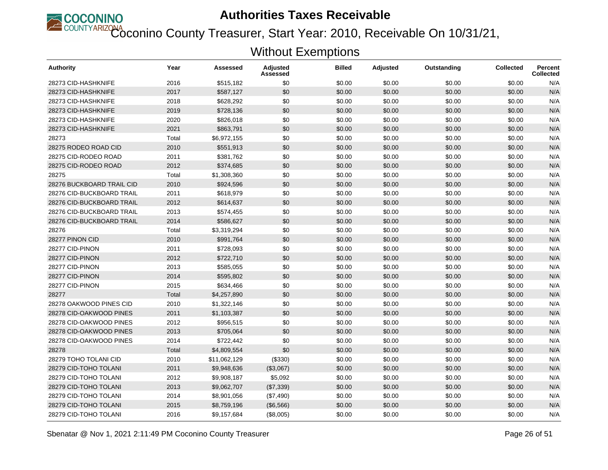

Coconino County Treasurer, Start Year: 2010, Receivable On 10/31/21,

| <b>Authority</b>          | Year  | Assessed     | Adjusted<br>Assessed | <b>Billed</b> | <b>Adjusted</b> | Outstanding | <b>Collected</b> | <b>Percent</b><br><b>Collected</b> |
|---------------------------|-------|--------------|----------------------|---------------|-----------------|-------------|------------------|------------------------------------|
| 28273 CID-HASHKNIFE       | 2016  | \$515,182    | \$0                  | \$0.00        | \$0.00          | \$0.00      | \$0.00           | N/A                                |
| 28273 CID-HASHKNIFE       | 2017  | \$587,127    | \$0                  | \$0.00        | \$0.00          | \$0.00      | \$0.00           | N/A                                |
| 28273 CID-HASHKNIFE       | 2018  | \$628,292    | \$0                  | \$0.00        | \$0.00          | \$0.00      | \$0.00           | N/A                                |
| 28273 CID-HASHKNIFE       | 2019  | \$728,136    | \$0                  | \$0.00        | \$0.00          | \$0.00      | \$0.00           | N/A                                |
| 28273 CID-HASHKNIFE       | 2020  | \$826,018    | \$0                  | \$0.00        | \$0.00          | \$0.00      | \$0.00           | N/A                                |
| 28273 CID-HASHKNIFE       | 2021  | \$863,791    | \$0                  | \$0.00        | \$0.00          | \$0.00      | \$0.00           | N/A                                |
| 28273                     | Total | \$6,972,155  | \$0                  | \$0.00        | \$0.00          | \$0.00      | \$0.00           | N/A                                |
| 28275 RODEO ROAD CID      | 2010  | \$551,913    | \$0                  | \$0.00        | \$0.00          | \$0.00      | \$0.00           | N/A                                |
| 28275 CID-RODEO ROAD      | 2011  | \$381,762    | \$0                  | \$0.00        | \$0.00          | \$0.00      | \$0.00           | N/A                                |
| 28275 CID-RODEO ROAD      | 2012  | \$374,685    | \$0                  | \$0.00        | \$0.00          | \$0.00      | \$0.00           | N/A                                |
| 28275                     | Total | \$1,308,360  | \$0                  | \$0.00        | \$0.00          | \$0.00      | \$0.00           | N/A                                |
| 28276 BUCKBOARD TRAIL CID | 2010  | \$924,596    | \$0                  | \$0.00        | \$0.00          | \$0.00      | \$0.00           | N/A                                |
| 28276 CID-BUCKBOARD TRAIL | 2011  | \$618,979    | \$0                  | \$0.00        | \$0.00          | \$0.00      | \$0.00           | N/A                                |
| 28276 CID-BUCKBOARD TRAIL | 2012  | \$614,637    | \$0                  | \$0.00        | \$0.00          | \$0.00      | \$0.00           | N/A                                |
| 28276 CID-BUCKBOARD TRAIL | 2013  | \$574,455    | \$0                  | \$0.00        | \$0.00          | \$0.00      | \$0.00           | N/A                                |
| 28276 CID-BUCKBOARD TRAIL | 2014  | \$586,627    | \$0                  | \$0.00        | \$0.00          | \$0.00      | \$0.00           | N/A                                |
| 28276                     | Total | \$3,319,294  | \$0                  | \$0.00        | \$0.00          | \$0.00      | \$0.00           | N/A                                |
| 28277 PINON CID           | 2010  | \$991,764    | \$0                  | \$0.00        | \$0.00          | \$0.00      | \$0.00           | N/A                                |
| 28277 CID-PINON           | 2011  | \$728,093    | \$0                  | \$0.00        | \$0.00          | \$0.00      | \$0.00           | N/A                                |
| 28277 CID-PINON           | 2012  | \$722,710    | \$0                  | \$0.00        | \$0.00          | \$0.00      | \$0.00           | N/A                                |
| 28277 CID-PINON           | 2013  | \$585,055    | \$0                  | \$0.00        | \$0.00          | \$0.00      | \$0.00           | N/A                                |
| 28277 CID-PINON           | 2014  | \$595,802    | \$0                  | \$0.00        | \$0.00          | \$0.00      | \$0.00           | N/A                                |
| 28277 CID-PINON           | 2015  | \$634,466    | \$0                  | \$0.00        | \$0.00          | \$0.00      | \$0.00           | N/A                                |
| 28277                     | Total | \$4,257,890  | \$0                  | \$0.00        | \$0.00          | \$0.00      | \$0.00           | N/A                                |
| 28278 OAKWOOD PINES CID   | 2010  | \$1,322,146  | \$0                  | \$0.00        | \$0.00          | \$0.00      | \$0.00           | N/A                                |
| 28278 CID-OAKWOOD PINES   | 2011  | \$1,103,387  | \$0                  | \$0.00        | \$0.00          | \$0.00      | \$0.00           | N/A                                |
| 28278 CID-OAKWOOD PINES   | 2012  | \$956,515    | \$0                  | \$0.00        | \$0.00          | \$0.00      | \$0.00           | N/A                                |
| 28278 CID-OAKWOOD PINES   | 2013  | \$705,064    | \$0                  | \$0.00        | \$0.00          | \$0.00      | \$0.00           | N/A                                |
| 28278 CID-OAKWOOD PINES   | 2014  | \$722,442    | \$0                  | \$0.00        | \$0.00          | \$0.00      | \$0.00           | N/A                                |
| 28278                     | Total | \$4,809,554  | \$0                  | \$0.00        | \$0.00          | \$0.00      | \$0.00           | N/A                                |
| 28279 TOHO TOLANI CID     | 2010  | \$11,062,129 | (\$330)              | \$0.00        | \$0.00          | \$0.00      | \$0.00           | N/A                                |
| 28279 CID-TOHO TOLANI     | 2011  | \$9,948,636  | (\$3,067)            | \$0.00        | \$0.00          | \$0.00      | \$0.00           | N/A                                |
| 28279 CID-TOHO TOLANI     | 2012  | \$9,908,187  | \$5,092              | \$0.00        | \$0.00          | \$0.00      | \$0.00           | N/A                                |
| 28279 CID-TOHO TOLANI     | 2013  | \$9,062,707  | (\$7,339)            | \$0.00        | \$0.00          | \$0.00      | \$0.00           | N/A                                |
| 28279 CID-TOHO TOLANI     | 2014  | \$8,901,056  | (\$7,490)            | \$0.00        | \$0.00          | \$0.00      | \$0.00           | N/A                                |
| 28279 CID-TOHO TOLANI     | 2015  | \$8,759,196  | (\$6,566)            | \$0.00        | \$0.00          | \$0.00      | \$0.00           | N/A                                |
| 28279 CID-TOHO TOLANI     | 2016  | \$9,157,684  | (\$8,005)            | \$0.00        | \$0.00          | \$0.00      | \$0.00           | N/A                                |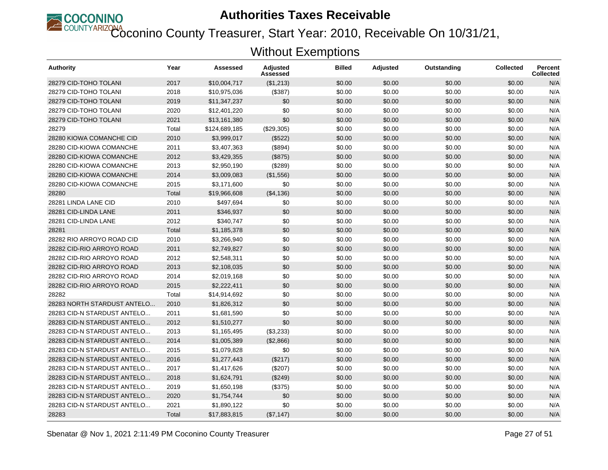

Coconino County Treasurer, Start Year: 2010, Receivable On 10/31/21,

| Authority                   | Year  | Assessed      | <b>Adjusted</b><br>Assessed | <b>Billed</b> | Adjusted | Outstanding | <b>Collected</b> | <b>Percent</b><br><b>Collected</b> |
|-----------------------------|-------|---------------|-----------------------------|---------------|----------|-------------|------------------|------------------------------------|
| 28279 CID-TOHO TOLANI       | 2017  | \$10,004.717  | (\$1,213)                   | \$0.00        | \$0.00   | \$0.00      | \$0.00           | N/A                                |
| 28279 CID-TOHO TOLANI       | 2018  | \$10,975,036  | (\$387)                     | \$0.00        | \$0.00   | \$0.00      | \$0.00           | N/A                                |
| 28279 CID-TOHO TOLANI       | 2019  | \$11,347,237  | \$0                         | \$0.00        | \$0.00   | \$0.00      | \$0.00           | N/A                                |
| 28279 CID-TOHO TOLANI       | 2020  | \$12,401,220  | \$0                         | \$0.00        | \$0.00   | \$0.00      | \$0.00           | N/A                                |
| 28279 CID-TOHO TOLANI       | 2021  | \$13,161,380  | \$0                         | \$0.00        | \$0.00   | \$0.00      | \$0.00           | N/A                                |
| 28279                       | Total | \$124,689,185 | (\$29,305)                  | \$0.00        | \$0.00   | \$0.00      | \$0.00           | N/A                                |
| 28280 KIOWA COMANCHE CID    | 2010  | \$3,999,017   | (\$522)                     | \$0.00        | \$0.00   | \$0.00      | \$0.00           | N/A                                |
| 28280 CID-KIOWA COMANCHE    | 2011  | \$3,407,363   | (\$894)                     | \$0.00        | \$0.00   | \$0.00      | \$0.00           | N/A                                |
| 28280 CID-KIOWA COMANCHE    | 2012  | \$3,429,355   | (\$875)                     | \$0.00        | \$0.00   | \$0.00      | \$0.00           | N/A                                |
| 28280 CID-KIOWA COMANCHE    | 2013  | \$2,950,190   | (\$289)                     | \$0.00        | \$0.00   | \$0.00      | \$0.00           | N/A                                |
| 28280 CID-KIOWA COMANCHE    | 2014  | \$3,009,083   | (\$1,556)                   | \$0.00        | \$0.00   | \$0.00      | \$0.00           | N/A                                |
| 28280 CID-KIOWA COMANCHE    | 2015  | \$3,171,600   | \$0                         | \$0.00        | \$0.00   | \$0.00      | \$0.00           | N/A                                |
| 28280                       | Total | \$19,966,608  | (\$4,136)                   | \$0.00        | \$0.00   | \$0.00      | \$0.00           | N/A                                |
| 28281 LINDA LANE CID        | 2010  | \$497,694     | \$0                         | \$0.00        | \$0.00   | \$0.00      | \$0.00           | N/A                                |
| 28281 CID-LINDA LANE        | 2011  | \$346.937     | \$0                         | \$0.00        | \$0.00   | \$0.00      | \$0.00           | N/A                                |
| 28281 CID-LINDA LANE        | 2012  | \$340,747     | \$0                         | \$0.00        | \$0.00   | \$0.00      | \$0.00           | N/A                                |
| 28281                       | Total | \$1,185,378   | \$0                         | \$0.00        | \$0.00   | \$0.00      | \$0.00           | N/A                                |
| 28282 RIO ARROYO ROAD CID   | 2010  | \$3,266,940   | \$0                         | \$0.00        | \$0.00   | \$0.00      | \$0.00           | N/A                                |
| 28282 CID-RIO ARROYO ROAD   | 2011  | \$2,749,827   | \$0                         | \$0.00        | \$0.00   | \$0.00      | \$0.00           | N/A                                |
| 28282 CID-RIO ARROYO ROAD   | 2012  | \$2,548,311   | \$0                         | \$0.00        | \$0.00   | \$0.00      | \$0.00           | N/A                                |
| 28282 CID-RIO ARROYO ROAD   | 2013  | \$2,108,035   | \$0                         | \$0.00        | \$0.00   | \$0.00      | \$0.00           | N/A                                |
| 28282 CID-RIO ARROYO ROAD   | 2014  | \$2,019,168   | \$0                         | \$0.00        | \$0.00   | \$0.00      | \$0.00           | N/A                                |
| 28282 CID-RIO ARROYO ROAD   | 2015  | \$2,222,411   | \$0                         | \$0.00        | \$0.00   | \$0.00      | \$0.00           | N/A                                |
| 28282                       | Total | \$14,914,692  | \$0                         | \$0.00        | \$0.00   | \$0.00      | \$0.00           | N/A                                |
| 28283 NORTH STARDUST ANTELO | 2010  | \$1,826,312   | \$0                         | \$0.00        | \$0.00   | \$0.00      | \$0.00           | N/A                                |
| 28283 CID-N STARDUST ANTELO | 2011  | \$1,681,590   | \$0                         | \$0.00        | \$0.00   | \$0.00      | \$0.00           | N/A                                |
| 28283 CID-N STARDUST ANTELO | 2012  | \$1,510,277   | \$0                         | \$0.00        | \$0.00   | \$0.00      | \$0.00           | N/A                                |
| 28283 CID-N STARDUST ANTELO | 2013  | \$1,165,495   | (\$3,233)                   | \$0.00        | \$0.00   | \$0.00      | \$0.00           | N/A                                |
| 28283 CID-N STARDUST ANTELO | 2014  | \$1,005,389   | (\$2,866)                   | \$0.00        | \$0.00   | \$0.00      | \$0.00           | N/A                                |
| 28283 CID-N STARDUST ANTELO | 2015  | \$1,079,828   | \$0                         | \$0.00        | \$0.00   | \$0.00      | \$0.00           | N/A                                |
| 28283 CID-N STARDUST ANTELO | 2016  | \$1,277,443   | (\$217)                     | \$0.00        | \$0.00   | \$0.00      | \$0.00           | N/A                                |
| 28283 CID-N STARDUST ANTELO | 2017  | \$1,417,626   | (\$207)                     | \$0.00        | \$0.00   | \$0.00      | \$0.00           | N/A                                |
| 28283 CID-N STARDUST ANTELO | 2018  | \$1,624,791   | (\$249)                     | \$0.00        | \$0.00   | \$0.00      | \$0.00           | N/A                                |
| 28283 CID-N STARDUST ANTELO | 2019  | \$1,650,198   | (\$375)                     | \$0.00        | \$0.00   | \$0.00      | \$0.00           | N/A                                |
| 28283 CID-N STARDUST ANTELO | 2020  | \$1,754,744   | \$0                         | \$0.00        | \$0.00   | \$0.00      | \$0.00           | N/A                                |
| 28283 CID-N STARDUST ANTELO | 2021  | \$1,890,122   | \$0                         | \$0.00        | \$0.00   | \$0.00      | \$0.00           | N/A                                |
| 28283                       | Total | \$17,883,815  | (\$7,147)                   | \$0.00        | \$0.00   | \$0.00      | \$0.00           | N/A                                |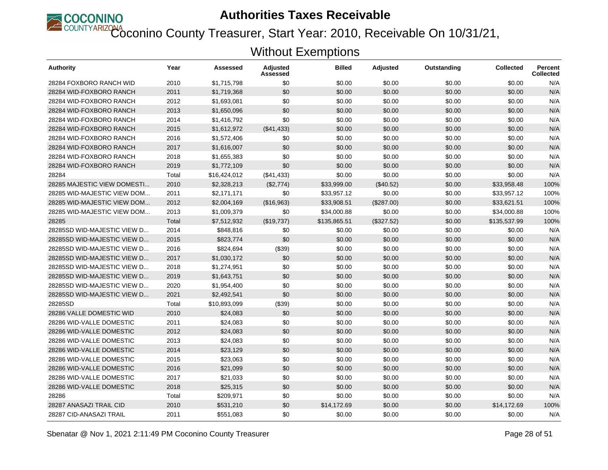

Coconino County Treasurer, Start Year: 2010, Receivable On 10/31/21,

| Authority                   | Year  | Assessed     | Adjusted<br>Assessed | <b>Billed</b> | <b>Adjusted</b> | Outstanding | <b>Collected</b> | <b>Percent</b><br><b>Collected</b> |
|-----------------------------|-------|--------------|----------------------|---------------|-----------------|-------------|------------------|------------------------------------|
| 28284 FOXBORO RANCH WID     | 2010  | \$1.715.798  | \$0                  | \$0.00        | \$0.00          | \$0.00      | \$0.00           | N/A                                |
| 28284 WID-FOXBORO RANCH     | 2011  | \$1,719,368  | \$0                  | \$0.00        | \$0.00          | \$0.00      | \$0.00           | N/A                                |
| 28284 WID-FOXBORO RANCH     | 2012  | \$1,693,081  | \$0                  | \$0.00        | \$0.00          | \$0.00      | \$0.00           | N/A                                |
| 28284 WID-FOXBORO RANCH     | 2013  | \$1,650,096  | \$0                  | \$0.00        | \$0.00          | \$0.00      | \$0.00           | N/A                                |
| 28284 WID-FOXBORO RANCH     | 2014  | \$1,416,792  | \$0                  | \$0.00        | \$0.00          | \$0.00      | \$0.00           | N/A                                |
| 28284 WID-FOXBORO RANCH     | 2015  | \$1,612,972  | (\$41,433)           | \$0.00        | \$0.00          | \$0.00      | \$0.00           | N/A                                |
| 28284 WID-FOXBORO RANCH     | 2016  | \$1,572,406  | \$0                  | \$0.00        | \$0.00          | \$0.00      | \$0.00           | N/A                                |
| 28284 WID-FOXBORO RANCH     | 2017  | \$1,616,007  | \$0                  | \$0.00        | \$0.00          | \$0.00      | \$0.00           | N/A                                |
| 28284 WID-FOXBORO RANCH     | 2018  | \$1,655,383  | \$0                  | \$0.00        | \$0.00          | \$0.00      | \$0.00           | N/A                                |
| 28284 WID-FOXBORO RANCH     | 2019  | \$1,772,109  | \$0                  | \$0.00        | \$0.00          | \$0.00      | \$0.00           | N/A                                |
| 28284                       | Total | \$16,424,012 | (\$41,433)           | \$0.00        | \$0.00          | \$0.00      | \$0.00           | N/A                                |
| 28285 MAJESTIC VIEW DOMESTI | 2010  | \$2,328,213  | (\$2,774)            | \$33,999.00   | (\$40.52)       | \$0.00      | \$33,958.48      | 100%                               |
| 28285 WID-MAJESTIC VIEW DOM | 2011  | \$2,171,171  | \$0                  | \$33,957.12   | \$0.00          | \$0.00      | \$33,957.12      | 100%                               |
| 28285 WID-MAJESTIC VIEW DOM | 2012  | \$2,004,169  | (\$16,963)           | \$33,908.51   | (\$287.00)      | \$0.00      | \$33,621.51      | 100%                               |
| 28285 WID-MAJESTIC VIEW DOM | 2013  | \$1,009,379  | \$0                  | \$34,000.88   | \$0.00          | \$0.00      | \$34,000.88      | 100%                               |
| 28285                       | Total | \$7,512,932  | (\$19,737)           | \$135,865.51  | (\$327.52)      | \$0.00      | \$135,537.99     | 100%                               |
| 28285SD WID-MAJESTIC VIEW D | 2014  | \$848,816    | \$0                  | \$0.00        | \$0.00          | \$0.00      | \$0.00           | N/A                                |
| 28285SD WID-MAJESTIC VIEW D | 2015  | \$823.774    | \$0                  | \$0.00        | \$0.00          | \$0.00      | \$0.00           | N/A                                |
| 28285SD WID-MAJESTIC VIEW D | 2016  | \$824,694    | (\$39)               | \$0.00        | \$0.00          | \$0.00      | \$0.00           | N/A                                |
| 28285SD WID-MAJESTIC VIEW D | 2017  | \$1,030,172  | \$0                  | \$0.00        | \$0.00          | \$0.00      | \$0.00           | N/A                                |
| 28285SD WID-MAJESTIC VIEW D | 2018  | \$1,274,951  | \$0                  | \$0.00        | \$0.00          | \$0.00      | \$0.00           | N/A                                |
| 28285SD WID-MAJESTIC VIEW D | 2019  | \$1,643,751  | \$0                  | \$0.00        | \$0.00          | \$0.00      | \$0.00           | N/A                                |
| 28285SD WID-MAJESTIC VIEW D | 2020  | \$1,954,400  | \$0                  | \$0.00        | \$0.00          | \$0.00      | \$0.00           | N/A                                |
| 28285SD WID-MAJESTIC VIEW D | 2021  | \$2,492,541  | \$0                  | \$0.00        | \$0.00          | \$0.00      | \$0.00           | N/A                                |
| 28285SD                     | Total | \$10,893,099 | (\$39)               | \$0.00        | \$0.00          | \$0.00      | \$0.00           | N/A                                |
| 28286 VALLE DOMESTIC WID    | 2010  | \$24,083     | \$0                  | \$0.00        | \$0.00          | \$0.00      | \$0.00           | N/A                                |
| 28286 WID-VALLE DOMESTIC    | 2011  | \$24,083     | \$0                  | \$0.00        | \$0.00          | \$0.00      | \$0.00           | N/A                                |
| 28286 WID-VALLE DOMESTIC    | 2012  | \$24.083     | \$0                  | \$0.00        | \$0.00          | \$0.00      | \$0.00           | N/A                                |
| 28286 WID-VALLE DOMESTIC    | 2013  | \$24,083     | \$0                  | \$0.00        | \$0.00          | \$0.00      | \$0.00           | N/A                                |
| 28286 WID-VALLE DOMESTIC    | 2014  | \$23,129     | \$0                  | \$0.00        | \$0.00          | \$0.00      | \$0.00           | N/A                                |
| 28286 WID-VALLE DOMESTIC    | 2015  | \$23,063     | \$0                  | \$0.00        | \$0.00          | \$0.00      | \$0.00           | N/A                                |
| 28286 WID-VALLE DOMESTIC    | 2016  | \$21,099     | \$0                  | \$0.00        | \$0.00          | \$0.00      | \$0.00           | N/A                                |
| 28286 WID-VALLE DOMESTIC    | 2017  | \$21,033     | \$0                  | \$0.00        | \$0.00          | \$0.00      | \$0.00           | N/A                                |
| 28286 WID-VALLE DOMESTIC    | 2018  | \$25,315     | \$0                  | \$0.00        | \$0.00          | \$0.00      | \$0.00           | N/A                                |
| 28286                       | Total | \$209,971    | \$0                  | \$0.00        | \$0.00          | \$0.00      | \$0.00           | N/A                                |
| 28287 ANASAZI TRAIL CID     | 2010  | \$531,210    | \$0                  | \$14,172.69   | \$0.00          | \$0.00      | \$14,172.69      | 100%                               |
| 28287 CID-ANASAZI TRAIL     | 2011  | \$551,083    | \$0                  | \$0.00        | \$0.00          | \$0.00      | \$0.00           | N/A                                |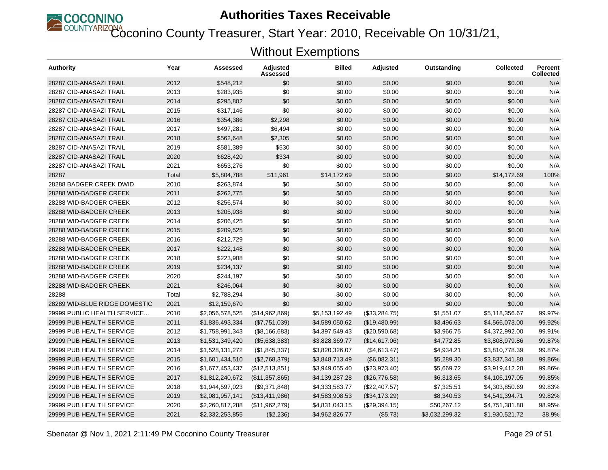

Coconino County Treasurer, Start Year: 2010, Receivable On 10/31/21,

| <b>Authority</b>              | Year  | Assessed        | Adjusted<br>Assessed | <b>Billed</b>  | Adjusted      | Outstanding    | <b>Collected</b> | <b>Percent</b><br><b>Collected</b> |
|-------------------------------|-------|-----------------|----------------------|----------------|---------------|----------------|------------------|------------------------------------|
| 28287 CID-ANASAZI TRAIL       | 2012  | \$548,212       | \$0                  | \$0.00         | \$0.00        | \$0.00         | \$0.00           | N/A                                |
| 28287 CID-ANASAZI TRAIL       | 2013  | \$283,935       | \$0                  | \$0.00         | \$0.00        | \$0.00         | \$0.00           | N/A                                |
| 28287 CID-ANASAZI TRAIL       | 2014  | \$295,802       | \$0                  | \$0.00         | \$0.00        | \$0.00         | \$0.00           | N/A                                |
| 28287 CID-ANASAZI TRAIL       | 2015  | \$317,146       | \$0                  | \$0.00         | \$0.00        | \$0.00         | \$0.00           | N/A                                |
| 28287 CID-ANASAZI TRAIL       | 2016  | \$354,386       | \$2,298              | \$0.00         | \$0.00        | \$0.00         | \$0.00           | N/A                                |
| 28287 CID-ANASAZI TRAIL       | 2017  | \$497,281       | \$6,494              | \$0.00         | \$0.00        | \$0.00         | \$0.00           | N/A                                |
| 28287 CID-ANASAZI TRAIL       | 2018  | \$562,648       | \$2,305              | \$0.00         | \$0.00        | \$0.00         | \$0.00           | N/A                                |
| 28287 CID-ANASAZI TRAIL       | 2019  | \$581,389       | \$530                | \$0.00         | \$0.00        | \$0.00         | \$0.00           | N/A                                |
| 28287 CID-ANASAZI TRAIL       | 2020  | \$628,420       | \$334                | \$0.00         | \$0.00        | \$0.00         | \$0.00           | N/A                                |
| 28287 CID-ANASAZI TRAIL       | 2021  | \$653,276       | \$0                  | \$0.00         | \$0.00        | \$0.00         | \$0.00           | N/A                                |
| 28287                         | Total | \$5,804,788     | \$11,961             | \$14,172.69    | \$0.00        | \$0.00         | \$14,172.69      | 100%                               |
| 28288 BADGER CREEK DWID       | 2010  | \$263,874       | \$0                  | \$0.00         | \$0.00        | \$0.00         | \$0.00           | N/A                                |
| 28288 WID-BADGER CREEK        | 2011  | \$262,775       | \$0                  | \$0.00         | \$0.00        | \$0.00         | \$0.00           | N/A                                |
| 28288 WID-BADGER CREEK        | 2012  | \$256,574       | \$0                  | \$0.00         | \$0.00        | \$0.00         | \$0.00           | N/A                                |
| 28288 WID-BADGER CREEK        | 2013  | \$205,938       | \$0                  | \$0.00         | \$0.00        | \$0.00         | \$0.00           | N/A                                |
| 28288 WID-BADGER CREEK        | 2014  | \$206,425       | \$0                  | \$0.00         | \$0.00        | \$0.00         | \$0.00           | N/A                                |
| 28288 WID-BADGER CREEK        | 2015  | \$209,525       | \$0                  | \$0.00         | \$0.00        | \$0.00         | \$0.00           | N/A                                |
| 28288 WID-BADGER CREEK        | 2016  | \$212,729       | \$0                  | \$0.00         | \$0.00        | \$0.00         | \$0.00           | N/A                                |
| 28288 WID-BADGER CREEK        | 2017  | \$222,148       | \$0                  | \$0.00         | \$0.00        | \$0.00         | \$0.00           | N/A                                |
| 28288 WID-BADGER CREEK        | 2018  | \$223,908       | \$0                  | \$0.00         | \$0.00        | \$0.00         | \$0.00           | N/A                                |
| 28288 WID-BADGER CREEK        | 2019  | \$234,137       | \$0                  | \$0.00         | \$0.00        | \$0.00         | \$0.00           | N/A                                |
| 28288 WID-BADGER CREEK        | 2020  | \$244,197       | \$0                  | \$0.00         | \$0.00        | \$0.00         | \$0.00           | N/A                                |
| 28288 WID-BADGER CREEK        | 2021  | \$246,064       | \$0                  | \$0.00         | \$0.00        | \$0.00         | \$0.00           | N/A                                |
| 28288                         | Total | \$2,788,294     | \$0                  | \$0.00         | \$0.00        | \$0.00         | \$0.00           | N/A                                |
| 28289 WID-BLUE RIDGE DOMESTIC | 2021  | \$12,159,670    | \$0                  | \$0.00         | \$0.00        | \$0.00         | \$0.00           | N/A                                |
| 29999 PUBLIC HEALTH SERVICE   | 2010  | \$2,056,578,525 | (\$14,962,869)       | \$5,153,192.49 | (\$33,284.75) | \$1,551.07     | \$5,118,356.67   | 99.97%                             |
| 29999 PUB HEALTH SERVICE      | 2011  | \$1,836,493,334 | (\$7,751,039)        | \$4,589,050.62 | (\$19,480.99) | \$3,496.63     | \$4,566,073.00   | 99.92%                             |
| 29999 PUB HEALTH SERVICE      | 2012  | \$1,758,991,343 | (\$8,166,683)        | \$4,397,549.43 | (\$20,590.68) | \$3,966.75     | \$4,372,992.00   | 99.91%                             |
| 29999 PUB HEALTH SERVICE      | 2013  | \$1,531,349,420 | (\$5,638,383)        | \$3,828,369.77 | (\$14,617.06) | \$4,772.85     | \$3,808,979.86   | 99.87%                             |
| 29999 PUB HEALTH SERVICE      | 2014  | \$1,528,131,272 | (\$1,845,337)        | \$3,820,326.07 | (\$4,613.47)  | \$4,934.21     | \$3,810,778.39   | 99.87%                             |
| 29999 PUB HEALTH SERVICE      | 2015  | \$1,601,434,510 | (\$2,768,379)        | \$3,848,713.49 | (\$6,082.31)  | \$5,289.30     | \$3,837,341.88   | 99.86%                             |
| 29999 PUB HEALTH SERVICE      | 2016  | \$1,677,453,437 | (\$12,513,851)       | \$3,949,055.40 | (\$23,973.40) | \$5,669.72     | \$3,919,412.28   | 99.86%                             |
| 29999 PUB HEALTH SERVICE      | 2017  | \$1,812,240,672 | (\$11,357,865)       | \$4,139,287.28 | (\$26,776.58) | \$6,313.65     | \$4,106,197.05   | 99.85%                             |
| 29999 PUB HEALTH SERVICE      | 2018  | \$1,944,597,023 | (\$9,371,848)        | \$4,333,583.77 | (\$22,407.57) | \$7,325.51     | \$4,303,850.69   | 99.83%                             |
| 29999 PUB HEALTH SERVICE      | 2019  | \$2,081,957,141 | (\$13,411,986)       | \$4,583,908.53 | (\$34,173.29) | \$8,340.53     | \$4,541,394.71   | 99.82%                             |
| 29999 PUB HEALTH SERVICE      | 2020  | \$2,260,817,288 | (\$11,962,279)       | \$4,831,043.15 | (\$29,394.15) | \$50,267.12    | \$4,751,381.88   | 98.95%                             |
| 29999 PUB HEALTH SERVICE      | 2021  | \$2,332,253,855 | (\$2,236)            | \$4,962,826.77 | (\$5.73)      | \$3,032,299.32 | \$1,930,521.72   | 38.9%                              |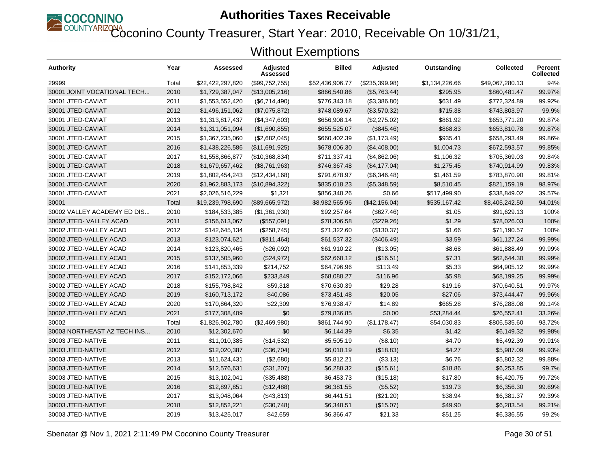

COUNTYARIZONA<br>Coconino County Treasurer, Start Year: 2010, Receivable On 10/31/21,

| Authority                   | Year  | Assessed         | <b>Adjusted</b><br>Assessed | <b>Billed</b>   | <b>Adjusted</b> | Outstanding    | <b>Collected</b> | Percent<br><b>Collected</b> |
|-----------------------------|-------|------------------|-----------------------------|-----------------|-----------------|----------------|------------------|-----------------------------|
| 29999                       | Total | \$22,422,297,820 | (\$99,752,755)              | \$52,436,906.77 | (\$235,399.98)  | \$3,134,226.66 | \$49,067,280.13  | 94%                         |
| 30001 JOINT VOCATIONAL TECH | 2010  | \$1,729,387,047  | (\$13,005,216)              | \$866,540.86    | (\$5,763.44)    | \$295.95       | \$860,481.47     | 99.97%                      |
| 30001 JTED-CAVIAT           | 2011  | \$1,553,552,420  | (\$6,714,490)               | \$776,343.18    | (\$3,386.80)    | \$631.49       | \$772,324.89     | 99.92%                      |
| 30001 JTED-CAVIAT           | 2012  | \$1,496,151,062  | (\$7,075,872)               | \$748,089.67    | (\$3,570.32)    | \$715.38       | \$743,803.97     | 99.9%                       |
| 30001 JTED-CAVIAT           | 2013  | \$1,313,817,437  | (\$4,347,603)               | \$656,908.14    | (\$2,275.02)    | \$861.92       | \$653,771.20     | 99.87%                      |
| 30001 JTED-CAVIAT           | 2014  | \$1,311,051,094  | (\$1,690,855)               | \$655,525.07    | $(\$845.46)$    | \$868.83       | \$653,810.78     | 99.87%                      |
| 30001 JTED-CAVIAT           | 2015  | \$1,367,235,060  | (\$2,682,045)               | \$660,402.39    | (\$1,173.49)    | \$935.41       | \$658,293.49     | 99.86%                      |
| 30001 JTED-CAVIAT           | 2016  | \$1,438,226,586  | (\$11,691,925)              | \$678,006.30    | (\$4,408.00)    | \$1,004.73     | \$672,593.57     | 99.85%                      |
| 30001 JTED-CAVIAT           | 2017  | \$1,558,866,877  | (\$10,368,834)              | \$711,337.41    | (\$4,862.06)    | \$1,106.32     | \$705,369.03     | 99.84%                      |
| 30001 JTED-CAVIAT           | 2018  | \$1,679,657,462  | (\$8,761,963)               | \$746,367.48    | (\$4,177.04)    | \$1,275.45     | \$740,914.99     | 99.83%                      |
| 30001 JTED-CAVIAT           | 2019  | \$1,802,454,243  | (\$12,434,168)              | \$791,678.97    | (\$6,346.48)    | \$1,461.59     | \$783,870.90     | 99.81%                      |
| 30001 JTED-CAVIAT           | 2020  | \$1,962,883,173  | (\$10,894,322)              | \$835,018.23    | (\$5,348.59)    | \$8,510.45     | \$821,159.19     | 98.97%                      |
| 30001 JTED-CAVIAT           | 2021  | \$2,026,516,229  | \$1,321                     | \$856,348.26    | \$0.66          | \$517,499.90   | \$338,849.02     | 39.57%                      |
| 30001                       | Total | \$19,239,798,690 | (\$89,665,972)              | \$8,982,565.96  | (\$42,156.04)   | \$535,167.42   | \$8.405.242.50   | 94.01%                      |
| 30002 VALLEY ACADEMY ED DIS | 2010  | \$184,533,385    | (\$1,361,930)               | \$92,257.64     | (\$627.46)      | \$1.05         | \$91,629.13      | 100%                        |
| 30002 JTED-VALLEY ACAD      | 2011  | \$156,613,067    | (\$557,091)                 | \$78,306.58     | (\$279.26)      | \$1.29         | \$78,026.03      | 100%                        |
| 30002 JTED-VALLEY ACAD      | 2012  | \$142,645,134    | (\$258,745)                 | \$71,322.60     | (\$130.37)      | \$1.66         | \$71,190.57      | 100%                        |
| 30002 JTED-VALLEY ACAD      | 2013  | \$123,074,621    | (\$811,464)                 | \$61,537.32     | (\$406.49)      | \$3.59         | \$61,127.24      | 99.99%                      |
| 30002 JTED-VALLEY ACAD      | 2014  | \$123,820,465    | (\$26,092)                  | \$61,910.22     | (\$13.05)       | \$8.68         | \$61,888.49      | 99.99%                      |
| 30002 JTED-VALLEY ACAD      | 2015  | \$137,505,960    | (\$24,972)                  | \$62,668.12     | (\$16.51)       | \$7.31         | \$62,644.30      | 99.99%                      |
| 30002 JTED-VALLEY ACAD      | 2016  | \$141,853,339    | \$214,752                   | \$64,796.96     | \$113.49        | \$5.33         | \$64,905.12      | 99.99%                      |
| 30002 JTED-VALLEY ACAD      | 2017  | \$152,172,066    | \$233,849                   | \$68,088.27     | \$116.96        | \$5.98         | \$68,199.25      | 99.99%                      |
| 30002 JTED-VALLEY ACAD      | 2018  | \$155,798,842    | \$59,318                    | \$70,630.39     | \$29.28         | \$19.16        | \$70,640.51      | 99.97%                      |
| 30002 JTED-VALLEY ACAD      | 2019  | \$160,713,172    | \$40,086                    | \$73,451.48     | \$20.05         | \$27.06        | \$73,444.47      | 99.96%                      |
| 30002 JTED-VALLEY ACAD      | 2020  | \$170,864,320    | \$22,309                    | \$76,938.47     | \$14.89         | \$665.28       | \$76,288.08      | 99.14%                      |
| 30002 JTED-VALLEY ACAD      | 2021  | \$177,308,409    | \$0                         | \$79,836.85     | \$0.00          | \$53,284.44    | \$26.552.41      | 33.26%                      |
| 30002                       | Total | \$1,826,902,780  | (\$2,469,980)               | \$861,744.90    | (\$1,178.47)    | \$54,030.83    | \$806,535.60     | 93.72%                      |
| 30003 NORTHEAST AZ TECH INS | 2010  | \$12,302,670     | \$0                         | \$6,144.39      | \$6.35          | \$1.42         | \$6,149.32       | 99.98%                      |
| 30003 JTED-NATIVE           | 2011  | \$11,010,385     | (\$14,532)                  | \$5,505.19      | (S8.10)         | \$4.70         | \$5,492.39       | 99.91%                      |
| 30003 JTED-NATIVE           | 2012  | \$12,020,387     | (\$36,704)                  | \$6,010.19      | (\$18.83)       | \$4.27         | \$5,987.09       | 99.93%                      |
| 30003 JTED-NATIVE           | 2013  | \$11,624,431     | (\$2,680)                   | \$5,812.21      | ( \$3.13)       | \$6.76         | \$5,802.32       | 99.88%                      |
| 30003 JTED-NATIVE           | 2014  | \$12,576,631     | (\$31,207)                  | \$6,288.32      | (\$15.61)       | \$18.86        | \$6,253.85       | 99.7%                       |
| 30003 JTED-NATIVE           | 2015  | \$13,102,041     | (\$35,488)                  | \$6,453.73      | (\$15.18)       | \$17.80        | \$6,420.75       | 99.72%                      |
| 30003 JTED-NATIVE           | 2016  | \$12,897,851     | (\$12,488)                  | \$6,381.55      | (\$5.52)        | \$19.73        | \$6,356.30       | 99.69%                      |
| 30003 JTED-NATIVE           | 2017  | \$13,048,064     | (\$43,813)                  | \$6,441.51      | (\$21.20)       | \$38.94        | \$6,381.37       | 99.39%                      |
| 30003 JTED-NATIVE           | 2018  | \$12,852,221     | (\$30,748)                  | \$6,348.51      | (\$15.07)       | \$49.90        | \$6,283.54       | 99.21%                      |
| 30003 JTED-NATIVE           | 2019  | \$13,425,017     | \$42,659                    | \$6,366.47      | \$21.33         | \$51.25        | \$6,336.55       | 99.2%                       |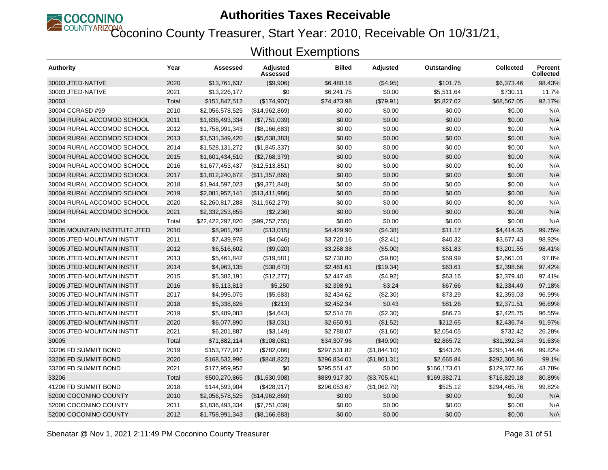

Coconino County Treasurer, Start Year: 2010, Receivable On 10/31/21,

| Authority                     | Year  | Assessed         | <b>Adjusted</b><br>Assessed | <b>Billed</b> | <b>Adjusted</b> | Outstanding  | <b>Collected</b> | <b>Percent</b><br><b>Collected</b> |
|-------------------------------|-------|------------------|-----------------------------|---------------|-----------------|--------------|------------------|------------------------------------|
| 30003 JTED-NATIVE             | 2020  | \$13,761,637     | (\$9,906)                   | \$6,480.16    | (\$4.95)        | \$101.75     | \$6,373.46       | 98.43%                             |
| 30003 JTED-NATIVE             | 2021  | \$13,226,177     | \$0                         | \$6,241.75    | \$0.00          | \$5,511.64   | \$730.11         | 11.7%                              |
| 30003                         | Total | \$151,847,512    | (\$174,907)                 | \$74,473.98   | (\$79.91)       | \$5.827.02   | \$68,567.05      | 92.17%                             |
| 30004 CCRASD #99              | 2010  | \$2,056,578,525  | (\$14,962,869)              | \$0.00        | \$0.00          | \$0.00       | \$0.00           | N/A                                |
| 30004 RURAL ACCOMOD SCHOOL    | 2011  | \$1,836,493,334  | (\$7,751,039)               | \$0.00        | \$0.00          | \$0.00       | \$0.00           | N/A                                |
| 30004 RURAL ACCOMOD SCHOOL    | 2012  | \$1,758,991,343  | (\$8,166,683)               | \$0.00        | \$0.00          | \$0.00       | \$0.00           | N/A                                |
| 30004 RURAL ACCOMOD SCHOOL    | 2013  | \$1,531,349,420  | (\$5,638,383)               | \$0.00        | \$0.00          | \$0.00       | \$0.00           | N/A                                |
| 30004 RURAL ACCOMOD SCHOOL    | 2014  | \$1,528,131,272  | (\$1,845,337)               | \$0.00        | \$0.00          | \$0.00       | \$0.00           | N/A                                |
| 30004 RURAL ACCOMOD SCHOOL    | 2015  | \$1,601,434,510  | (\$2,768,379)               | \$0.00        | \$0.00          | \$0.00       | \$0.00           | N/A                                |
| 30004 RURAL ACCOMOD SCHOOL    | 2016  | \$1,677,453,437  | (\$12,513,851)              | \$0.00        | \$0.00          | \$0.00       | \$0.00           | N/A                                |
| 30004 RURAL ACCOMOD SCHOOL    | 2017  | \$1,812,240,672  | (\$11,357,865)              | \$0.00        | \$0.00          | \$0.00       | \$0.00           | N/A                                |
| 30004 RURAL ACCOMOD SCHOOL    | 2018  | \$1,944,597,023  | (\$9,371,848)               | \$0.00        | \$0.00          | \$0.00       | \$0.00           | N/A                                |
| 30004 RURAL ACCOMOD SCHOOL    | 2019  | \$2,081,957,141  | (\$13,411,986)              | \$0.00        | \$0.00          | \$0.00       | \$0.00           | N/A                                |
| 30004 RURAL ACCOMOD SCHOOL    | 2020  | \$2,260,817,288  | (\$11,962,279)              | \$0.00        | \$0.00          | \$0.00       | \$0.00           | N/A                                |
| 30004 RURAL ACCOMOD SCHOOL    | 2021  | \$2,332,253,855  | (\$2,236)                   | \$0.00        | \$0.00          | \$0.00       | \$0.00           | N/A                                |
| 30004                         | Total | \$22,422,297,820 | (\$99,752,755)              | \$0.00        | \$0.00          | \$0.00       | \$0.00           | N/A                                |
| 30005 MOUNTAIN INSTITUTE JTED | 2010  | \$8,901,792      | (\$13,015)                  | \$4.429.90    | ( \$4.38)       | \$11.17      | \$4.414.35       | 99.75%                             |
| 30005 JTED-MOUNTAIN INSTIT    | 2011  | \$7,439,978      | (\$4,046)                   | \$3,720.16    | (\$2.41)        | \$40.32      | \$3,677.43       | 98.92%                             |
| 30005 JTED-MOUNTAIN INSTIT    | 2012  | \$6,516,602      | (\$9,020)                   | \$3,258.38    | (\$5.00)        | \$51.83      | \$3,201.55       | 98.41%                             |
| 30005 JTED-MOUNTAIN INSTIT    | 2013  | \$5,461,842      | (\$19,581)                  | \$2,730.80    | (\$9.80)        | \$59.99      | \$2,661.01       | 97.8%                              |
| 30005 JTED-MOUNTAIN INSTIT    | 2014  | \$4,963,135      | (\$38,673)                  | \$2,481.61    | (\$19.34)       | \$63.61      | \$2,398.66       | 97.42%                             |
| 30005 JTED-MOUNTAIN INSTIT    | 2015  | \$5,382,191      | (\$12,277)                  | \$2,447.48    | (\$4.92)        | \$63.16      | \$2,379.40       | 97.41%                             |
| 30005 JTED-MOUNTAIN INSTIT    | 2016  | \$5,113,813      | \$5,250                     | \$2,398.91    | \$3.24          | \$67.66      | \$2,334.49       | 97.18%                             |
| 30005 JTED-MOUNTAIN INSTIT    | 2017  | \$4,995,075      | (\$5,683)                   | \$2,434.62    | (\$2.30)        | \$73.29      | \$2,359.03       | 96.99%                             |
| 30005 JTED-MOUNTAIN INSTIT    | 2018  | \$5,338,826      | (\$213)                     | \$2,452.34    | \$0.43          | \$81.26      | \$2,371.51       | 96.69%                             |
| 30005 JTED-MOUNTAIN INSTIT    | 2019  | \$5,489,083      | (\$4,643)                   | \$2,514.78    | (\$2.30)        | \$86.73      | \$2.425.75       | 96.55%                             |
| 30005 JTED-MOUNTAIN INSTIT    | 2020  | \$6,077,890      | (\$3,031)                   | \$2,650.91    | (\$1.52)        | \$212.65     | \$2,436.74       | 91.97%                             |
| 30005 JTED-MOUNTAIN INSTIT    | 2021  | \$6,201,887      | (\$3,149)                   | \$2,788.07    | (\$1.60)        | \$2,054.05   | \$732.42         | 26.28%                             |
| 30005                         | Total | \$71,882,114     | (\$108,081)                 | \$34,307.96   | (\$49.90)       | \$2,865.72   | \$31,392.34      | 91.63%                             |
| 33206 FD SUMMIT BOND          | 2019  | \$153,777,917    | (\$782,086)                 | \$297,531.82  | (\$1,844.10)    | \$543.26     | \$295,144.46     | 99.82%                             |
| 33206 FD SUMMIT BOND          | 2020  | \$168,532,996    | (\$848,822)                 | \$296,834.01  | (\$1,861.31)    | \$2,665.84   | \$292,306.86     | 99.1%                              |
| 33206 FD SUMMIT BOND          | 2021  | \$177,959,952    | \$0                         | \$295,551.47  | \$0.00          | \$166,173.61 | \$129,377.86     | 43.78%                             |
| 33206                         | Total | \$500,270,865    | (\$1,630,908)               | \$889,917.30  | (\$3,705.41)    | \$169,382.71 | \$716,829.18     | 80.89%                             |
| 41206 FD SUMMIT BOND          | 2018  | \$144,593,904    | (\$428,917)                 | \$296,053.67  | (\$1,062.79)    | \$525.12     | \$294,465.76     | 99.82%                             |
| 52000 COCONINO COUNTY         | 2010  | \$2,056,578,525  | (\$14,962,869)              | \$0.00        | \$0.00          | \$0.00       | \$0.00           | N/A                                |
| 52000 COCONINO COUNTY         | 2011  | \$1,836,493,334  | (\$7,751,039)               | \$0.00        | \$0.00          | \$0.00       | \$0.00           | N/A                                |
| 52000 COCONINO COUNTY         | 2012  | \$1,758,991,343  | (\$8,166,683)               | \$0.00        | \$0.00          | \$0.00       | \$0.00           | N/A                                |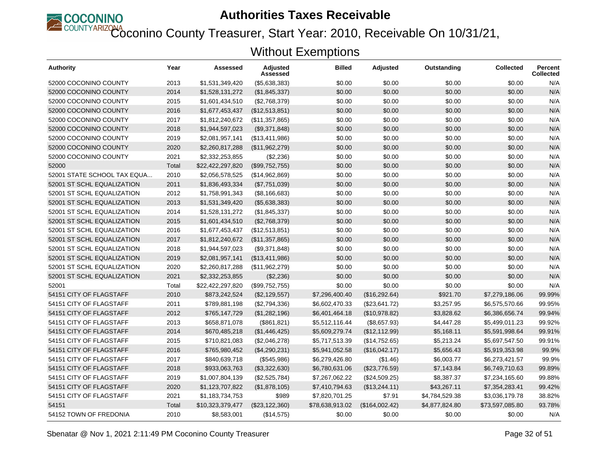

Coconino County Treasurer, Start Year: 2010, Receivable On 10/31/21,

| Authority                   | Year  | Assessed         | Adjusted<br>Assessed | <b>Billed</b>   | Adjusted       | Outstanding    | <b>Collected</b> | <b>Percent</b><br><b>Collected</b> |
|-----------------------------|-------|------------------|----------------------|-----------------|----------------|----------------|------------------|------------------------------------|
| 52000 COCONINO COUNTY       | 2013  | \$1,531,349,420  | ( \$5,638,383)       | \$0.00          | \$0.00         | \$0.00         | \$0.00           | N/A                                |
| 52000 COCONINO COUNTY       | 2014  | \$1,528,131,272  | (\$1,845,337)        | \$0.00          | \$0.00         | \$0.00         | \$0.00           | N/A                                |
| 52000 COCONINO COUNTY       | 2015  | \$1,601,434,510  | (\$2,768,379)        | \$0.00          | \$0.00         | \$0.00         | \$0.00           | N/A                                |
| 52000 COCONINO COUNTY       | 2016  | \$1,677,453,437  | (\$12,513,851)       | \$0.00          | \$0.00         | \$0.00         | \$0.00           | N/A                                |
| 52000 COCONINO COUNTY       | 2017  | \$1,812,240,672  | (\$11,357,865)       | \$0.00          | \$0.00         | \$0.00         | \$0.00           | N/A                                |
| 52000 COCONINO COUNTY       | 2018  | \$1,944,597,023  | (\$9,371,848)        | \$0.00          | \$0.00         | \$0.00         | \$0.00           | N/A                                |
| 52000 COCONINO COUNTY       | 2019  | \$2,081,957,141  | (\$13,411,986)       | \$0.00          | \$0.00         | \$0.00         | \$0.00           | N/A                                |
| 52000 COCONINO COUNTY       | 2020  | \$2,260,817,288  | (\$11,962,279)       | \$0.00          | \$0.00         | \$0.00         | \$0.00           | N/A                                |
| 52000 COCONINO COUNTY       | 2021  | \$2,332,253,855  | (\$2,236)            | \$0.00          | \$0.00         | \$0.00         | \$0.00           | N/A                                |
| 52000                       | Total | \$22,422,297,820 | (\$99,752,755)       | \$0.00          | \$0.00         | \$0.00         | \$0.00           | N/A                                |
| 52001 STATE SCHOOL TAX EQUA | 2010  | \$2,056,578,525  | (\$14,962,869)       | \$0.00          | \$0.00         | \$0.00         | \$0.00           | N/A                                |
| 52001 ST SCHL EQUALIZATION  | 2011  | \$1,836,493,334  | (\$7,751,039)        | \$0.00          | \$0.00         | \$0.00         | \$0.00           | N/A                                |
| 52001 ST SCHL EQUALIZATION  | 2012  | \$1,758,991,343  | (\$8,166,683)        | \$0.00          | \$0.00         | \$0.00         | \$0.00           | N/A                                |
| 52001 ST SCHL EQUALIZATION  | 2013  | \$1,531,349,420  | (\$5,638,383)        | \$0.00          | \$0.00         | \$0.00         | \$0.00           | N/A                                |
| 52001 ST SCHL EQUALIZATION  | 2014  | \$1,528,131,272  | (\$1,845,337)        | \$0.00          | \$0.00         | \$0.00         | \$0.00           | N/A                                |
| 52001 ST SCHL EQUALIZATION  | 2015  | \$1,601,434,510  | (\$2,768,379)        | \$0.00          | \$0.00         | \$0.00         | \$0.00           | N/A                                |
| 52001 ST SCHL EQUALIZATION  | 2016  | \$1,677,453,437  | (\$12,513,851)       | \$0.00          | \$0.00         | \$0.00         | \$0.00           | N/A                                |
| 52001 ST SCHL EQUALIZATION  | 2017  | \$1,812,240,672  | (\$11,357,865)       | \$0.00          | \$0.00         | \$0.00         | \$0.00           | N/A                                |
| 52001 ST SCHL EQUALIZATION  | 2018  | \$1,944,597,023  | (\$9,371,848)        | \$0.00          | \$0.00         | \$0.00         | \$0.00           | N/A                                |
| 52001 ST SCHL EQUALIZATION  | 2019  | \$2,081,957,141  | (\$13,411,986)       | \$0.00          | \$0.00         | \$0.00         | \$0.00           | N/A                                |
| 52001 ST SCHL EQUALIZATION  | 2020  | \$2,260,817,288  | (\$11,962,279)       | \$0.00          | \$0.00         | \$0.00         | \$0.00           | N/A                                |
| 52001 ST SCHL EQUALIZATION  | 2021  | \$2,332,253,855  | (\$2,236)            | \$0.00          | \$0.00         | \$0.00         | \$0.00           | N/A                                |
| 52001                       | Total | \$22,422,297,820 | (\$99,752,755)       | \$0.00          | \$0.00         | \$0.00         | \$0.00           | N/A                                |
| 54151 CITY OF FLAGSTAFF     | 2010  | \$873,242,524    | (\$2,129,557)        | \$7,296,400.40  | (\$16,292.64)  | \$921.70       | \$7,279,186.06   | 99.99%                             |
| 54151 CITY OF FLAGSTAFF     | 2011  | \$789,881,198    | (\$2,794,336)        | \$6,602,470.33  | (\$23,641.72)  | \$3,257.95     | \$6,575,570.66   | 99.95%                             |
| 54151 CITY OF FLAGSTAFF     | 2012  | \$765,147,729    | (\$1,282,196)        | \$6,401,464.18  | (\$10,978.82)  | \$3,828.62     | \$6,386,656.74   | 99.94%                             |
| 54151 CITY OF FLAGSTAFF     | 2013  | \$658,871,078    | (\$861, 821)         | \$5,512,116.44  | (\$8,657.93)   | \$4,447.28     | \$5,499,011.23   | 99.92%                             |
| 54151 CITY OF FLAGSTAFF     | 2014  | \$670,485,218    | (\$1,446,425)        | \$5,609,279.74  | (\$12,112.99)  | \$5,168.11     | \$5,591,998.64   | 99.91%                             |
| 54151 CITY OF FLAGSTAFF     | 2015  | \$710,821,083    | (\$2,046,278)        | \$5,717,513.39  | (\$14,752.65)  | \$5,213.24     | \$5,697,547.50   | 99.91%                             |
| 54151 CITY OF FLAGSTAFF     | 2016  | \$765,980,452    | (\$4,290,231)        | \$5,941,052.58  | (\$16,042.17)  | \$5,656.43     | \$5,919,353.98   | 99.9%                              |
| 54151 CITY OF FLAGSTAFF     | 2017  | \$840,639,718    | (\$545,986)          | \$6,279,426.80  | (\$1.46)       | \$6,003.77     | \$6,273,421.57   | 99.9%                              |
| 54151 CITY OF FLAGSTAFF     | 2018  | \$933,063,763    | (\$3,322,630)        | \$6,780,631.06  | (\$23,776.59)  | \$7,143.84     | \$6,749,710.63   | 99.89%                             |
| 54151 CITY OF FLAGSTAFF     | 2019  | \$1,007,804,139  | (\$2,525,784)        | \$7,267,062.22  | (\$24,509.25)  | \$8,387.37     | \$7,234,165.60   | 99.88%                             |
| 54151 CITY OF FLAGSTAFF     | 2020  | \$1,123,707,822  | (\$1,878,105)        | \$7,410,794.63  | (\$13,244.11)  | \$43,267.11    | \$7,354,283.41   | 99.42%                             |
| 54151 CITY OF FLAGSTAFF     | 2021  | \$1,183,734,753  | \$989                | \$7,820,701.25  | \$7.91         | \$4,784,529.38 | \$3,036,179.78   | 38.82%                             |
| 54151                       | Total | \$10,323,379,477 | (\$23,122,360)       | \$78,638,913.02 | (\$164,002.42) | \$4,877,824.80 | \$73,597,085.80  | 93.78%                             |
| 54152 TOWN OF FREDONIA      | 2010  | \$8,583,001      | (\$14,575)           | \$0.00          | \$0.00         | \$0.00         | \$0.00           | N/A                                |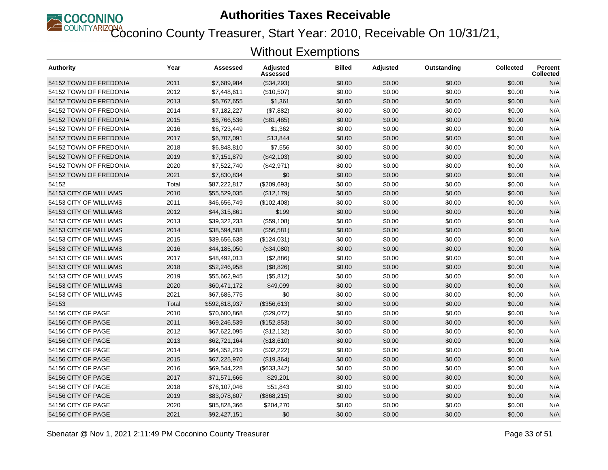

Coconino County Treasurer, Start Year: 2010, Receivable On 10/31/21,

| <b>Authority</b>       | Year  | Assessed      | <b>Adjusted</b><br>Assessed | <b>Billed</b> | <b>Adjusted</b> | Outstanding | <b>Collected</b> | <b>Percent</b><br>Collected |
|------------------------|-------|---------------|-----------------------------|---------------|-----------------|-------------|------------------|-----------------------------|
| 54152 TOWN OF FREDONIA | 2011  | \$7,689,984   | (\$34,293)                  | \$0.00        | \$0.00          | \$0.00      | \$0.00           | N/A                         |
| 54152 TOWN OF FREDONIA | 2012  | \$7,448,611   | (\$10,507)                  | \$0.00        | \$0.00          | \$0.00      | \$0.00           | N/A                         |
| 54152 TOWN OF FREDONIA | 2013  | \$6,767,655   | \$1,361                     | \$0.00        | \$0.00          | \$0.00      | \$0.00           | N/A                         |
| 54152 TOWN OF FREDONIA | 2014  | \$7,182,227   | (\$7,882)                   | \$0.00        | \$0.00          | \$0.00      | \$0.00           | N/A                         |
| 54152 TOWN OF FREDONIA | 2015  | \$6,766,536   | (\$81,485)                  | \$0.00        | \$0.00          | \$0.00      | \$0.00           | N/A                         |
| 54152 TOWN OF FREDONIA | 2016  | \$6,723,449   | \$1,362                     | \$0.00        | \$0.00          | \$0.00      | \$0.00           | N/A                         |
| 54152 TOWN OF FREDONIA | 2017  | \$6,707,091   | \$13,844                    | \$0.00        | \$0.00          | \$0.00      | \$0.00           | N/A                         |
| 54152 TOWN OF FREDONIA | 2018  | \$6,848,810   | \$7,556                     | \$0.00        | \$0.00          | \$0.00      | \$0.00           | N/A                         |
| 54152 TOWN OF FREDONIA | 2019  | \$7,151,879   | (\$42,103)                  | \$0.00        | \$0.00          | \$0.00      | \$0.00           | N/A                         |
| 54152 TOWN OF FREDONIA | 2020  | \$7,522,740   | (\$42,971)                  | \$0.00        | \$0.00          | \$0.00      | \$0.00           | N/A                         |
| 54152 TOWN OF FREDONIA | 2021  | \$7,830,834   | \$0                         | \$0.00        | \$0.00          | \$0.00      | \$0.00           | N/A                         |
| 54152                  | Total | \$87,222,817  | (\$209,693)                 | \$0.00        | \$0.00          | \$0.00      | \$0.00           | N/A                         |
| 54153 CITY OF WILLIAMS | 2010  | \$55,529,035  | (\$12,179)                  | \$0.00        | \$0.00          | \$0.00      | \$0.00           | N/A                         |
| 54153 CITY OF WILLIAMS | 2011  | \$46,656,749  | (\$102,408)                 | \$0.00        | \$0.00          | \$0.00      | \$0.00           | N/A                         |
| 54153 CITY OF WILLIAMS | 2012  | \$44,315,861  | \$199                       | \$0.00        | \$0.00          | \$0.00      | \$0.00           | N/A                         |
| 54153 CITY OF WILLIAMS | 2013  | \$39,322,233  | (\$59,108)                  | \$0.00        | \$0.00          | \$0.00      | \$0.00           | N/A                         |
| 54153 CITY OF WILLIAMS | 2014  | \$38,594,508  | (\$56,581)                  | \$0.00        | \$0.00          | \$0.00      | \$0.00           | N/A                         |
| 54153 CITY OF WILLIAMS | 2015  | \$39,656,638  | (\$124,031)                 | \$0.00        | \$0.00          | \$0.00      | \$0.00           | N/A                         |
| 54153 CITY OF WILLIAMS | 2016  | \$44,185,050  | (\$34,080)                  | \$0.00        | \$0.00          | \$0.00      | \$0.00           | N/A                         |
| 54153 CITY OF WILLIAMS | 2017  | \$48,492,013  | (\$2,886)                   | \$0.00        | \$0.00          | \$0.00      | \$0.00           | N/A                         |
| 54153 CITY OF WILLIAMS | 2018  | \$52,246,958  | (\$8,826)                   | \$0.00        | \$0.00          | \$0.00      | \$0.00           | N/A                         |
| 54153 CITY OF WILLIAMS | 2019  | \$55,662,945  | (\$5,812)                   | \$0.00        | \$0.00          | \$0.00      | \$0.00           | N/A                         |
| 54153 CITY OF WILLIAMS | 2020  | \$60,471,172  | \$49,099                    | \$0.00        | \$0.00          | \$0.00      | \$0.00           | N/A                         |
| 54153 CITY OF WILLIAMS | 2021  | \$67,685,775  | \$0                         | \$0.00        | \$0.00          | \$0.00      | \$0.00           | N/A                         |
| 54153                  | Total | \$592,818,937 | (\$356, 613)                | \$0.00        | \$0.00          | \$0.00      | \$0.00           | N/A                         |
| 54156 CITY OF PAGE     | 2010  | \$70,600,868  | (\$29,072)                  | \$0.00        | \$0.00          | \$0.00      | \$0.00           | N/A                         |
| 54156 CITY OF PAGE     | 2011  | \$69,246,539  | (\$152,853)                 | \$0.00        | \$0.00          | \$0.00      | \$0.00           | N/A                         |
| 54156 CITY OF PAGE     | 2012  | \$67,622,095  | (\$12, 132)                 | \$0.00        | \$0.00          | \$0.00      | \$0.00           | N/A                         |
| 54156 CITY OF PAGE     | 2013  | \$62,721,164  | (\$18,610)                  | \$0.00        | \$0.00          | \$0.00      | \$0.00           | N/A                         |
| 54156 CITY OF PAGE     | 2014  | \$64,352,219  | (\$32,222)                  | \$0.00        | \$0.00          | \$0.00      | \$0.00           | N/A                         |
| 54156 CITY OF PAGE     | 2015  | \$67,225,970  | (\$19,364)                  | \$0.00        | \$0.00          | \$0.00      | \$0.00           | N/A                         |
| 54156 CITY OF PAGE     | 2016  | \$69,544,228  | (\$633,342)                 | \$0.00        | \$0.00          | \$0.00      | \$0.00           | N/A                         |
| 54156 CITY OF PAGE     | 2017  | \$71,571,666  | \$29,201                    | \$0.00        | \$0.00          | \$0.00      | \$0.00           | N/A                         |
| 54156 CITY OF PAGE     | 2018  | \$76,107,046  | \$51,843                    | \$0.00        | \$0.00          | \$0.00      | \$0.00           | N/A                         |
| 54156 CITY OF PAGE     | 2019  | \$83,078,607  | (\$868, 215)                | \$0.00        | \$0.00          | \$0.00      | \$0.00           | N/A                         |
| 54156 CITY OF PAGE     | 2020  | \$85,828,366  | \$204,270                   | \$0.00        | \$0.00          | \$0.00      | \$0.00           | N/A                         |
| 54156 CITY OF PAGE     | 2021  | \$92,427,151  | \$0                         | \$0.00        | \$0.00          | \$0.00      | \$0.00           | N/A                         |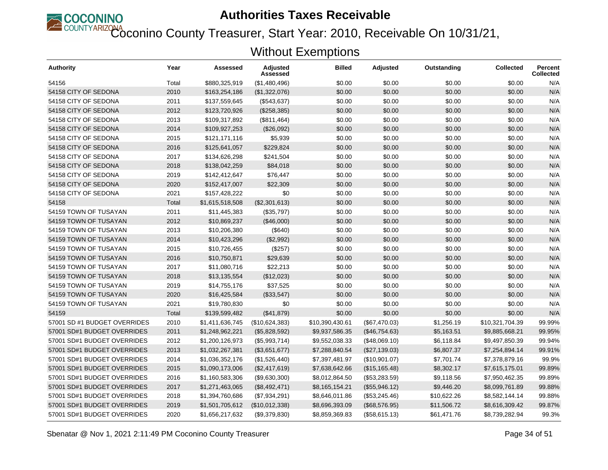

Coconino County Treasurer, Start Year: 2010, Receivable On 10/31/21,

| <b>Authority</b>             | Year  | Assessed        | <b>Adjusted</b><br>Assessed | <b>Billed</b>   | Adjusted       | Outstanding | <b>Collected</b> | <b>Percent</b><br><b>Collected</b> |
|------------------------------|-------|-----------------|-----------------------------|-----------------|----------------|-------------|------------------|------------------------------------|
| 54156                        | Total | \$880,325,919   | (\$1,480,496)               | \$0.00          | \$0.00         | \$0.00      | \$0.00           | N/A                                |
| 54158 CITY OF SEDONA         | 2010  | \$163,254,186   | (\$1,322,076)               | \$0.00          | \$0.00         | \$0.00      | \$0.00           | N/A                                |
| 54158 CITY OF SEDONA         | 2011  | \$137,559,645   | (\$543,637)                 | \$0.00          | \$0.00         | \$0.00      | \$0.00           | N/A                                |
| 54158 CITY OF SEDONA         | 2012  | \$123,720,926   | (\$258,385)                 | \$0.00          | \$0.00         | \$0.00      | \$0.00           | N/A                                |
| 54158 CITY OF SEDONA         | 2013  | \$109,317,892   | (\$811,464)                 | \$0.00          | \$0.00         | \$0.00      | \$0.00           | N/A                                |
| 54158 CITY OF SEDONA         | 2014  | \$109,927,253   | (\$26,092)                  | \$0.00          | \$0.00         | \$0.00      | \$0.00           | N/A                                |
| 54158 CITY OF SEDONA         | 2015  | \$121,171,116   | \$5,939                     | \$0.00          | \$0.00         | \$0.00      | \$0.00           | N/A                                |
| 54158 CITY OF SEDONA         | 2016  | \$125,641,057   | \$229,824                   | \$0.00          | \$0.00         | \$0.00      | \$0.00           | N/A                                |
| 54158 CITY OF SEDONA         | 2017  | \$134,626,298   | \$241,504                   | \$0.00          | \$0.00         | \$0.00      | \$0.00           | N/A                                |
| 54158 CITY OF SEDONA         | 2018  | \$138,042,259   | \$84,018                    | \$0.00          | \$0.00         | \$0.00      | \$0.00           | N/A                                |
| 54158 CITY OF SEDONA         | 2019  | \$142,412,647   | \$76,447                    | \$0.00          | \$0.00         | \$0.00      | \$0.00           | N/A                                |
| 54158 CITY OF SEDONA         | 2020  | \$152,417,007   | \$22,309                    | \$0.00          | \$0.00         | \$0.00      | \$0.00           | N/A                                |
| 54158 CITY OF SEDONA         | 2021  | \$157,428,222   | \$0                         | \$0.00          | \$0.00         | \$0.00      | \$0.00           | N/A                                |
| 54158                        | Total | \$1,615,518,508 | (\$2,301,613)               | \$0.00          | \$0.00         | \$0.00      | \$0.00           | N/A                                |
| 54159 TOWN OF TUSAYAN        | 2011  | \$11,445,383    | (\$35,797)                  | \$0.00          | \$0.00         | \$0.00      | \$0.00           | N/A                                |
| 54159 TOWN OF TUSAYAN        | 2012  | \$10,869,237    | (\$46,000)                  | \$0.00          | \$0.00         | \$0.00      | \$0.00           | N/A                                |
| 54159 TOWN OF TUSAYAN        | 2013  | \$10,206,380    | (\$640)                     | \$0.00          | \$0.00         | \$0.00      | \$0.00           | N/A                                |
| 54159 TOWN OF TUSAYAN        | 2014  | \$10,423,296    | (\$2,992)                   | \$0.00          | \$0.00         | \$0.00      | \$0.00           | N/A                                |
| 54159 TOWN OF TUSAYAN        | 2015  | \$10,726,455    | (\$257)                     | \$0.00          | \$0.00         | \$0.00      | \$0.00           | N/A                                |
| 54159 TOWN OF TUSAYAN        | 2016  | \$10,750,871    | \$29,639                    | \$0.00          | \$0.00         | \$0.00      | \$0.00           | N/A                                |
| 54159 TOWN OF TUSAYAN        | 2017  | \$11,080,716    | \$22,213                    | \$0.00          | \$0.00         | \$0.00      | \$0.00           | N/A                                |
| 54159 TOWN OF TUSAYAN        | 2018  | \$13,135,554    | (\$12,023)                  | \$0.00          | \$0.00         | \$0.00      | \$0.00           | N/A                                |
| 54159 TOWN OF TUSAYAN        | 2019  | \$14,755,176    | \$37,525                    | \$0.00          | \$0.00         | \$0.00      | \$0.00           | N/A                                |
| 54159 TOWN OF TUSAYAN        | 2020  | \$16,425,584    | (\$33,547)                  | \$0.00          | \$0.00         | \$0.00      | \$0.00           | N/A                                |
| 54159 TOWN OF TUSAYAN        | 2021  | \$19,780,830    | \$0                         | \$0.00          | \$0.00         | \$0.00      | \$0.00           | N/A                                |
| 54159                        | Total | \$139,599,482   | (\$41,879)                  | \$0.00          | \$0.00         | \$0.00      | \$0.00           | N/A                                |
| 57001 SD #1 BUDGET OVERRIDES | 2010  | \$1,411,636,745 | (\$10,624,383)              | \$10,390,430.61 | (\$67,470.03)  | \$1,256.19  | \$10,321,704.39  | 99.99%                             |
| 57001 SD#1 BUDGET OVERRIDES  | 2011  | \$1,248,962,221 | (\$5,828,592)               | \$9,937,586.35  | (\$46,754.63)  | \$5,163.51  | \$9,885,668.21   | 99.95%                             |
| 57001 SD#1 BUDGET OVERRIDES  | 2012  | \$1,200,126,973 | (\$5,993,714)               | \$9,552,038.33  | (\$48,069.10)  | \$6,118.84  | \$9,497,850.39   | 99.94%                             |
| 57001 SD#1 BUDGET OVERRIDES  | 2013  | \$1,032,267,381 | (\$3,651,677)               | \$7,288,840.54  | (\$27,139.03)  | \$6,807.37  | \$7,254,894.14   | 99.91%                             |
| 57001 SD#1 BUDGET OVERRIDES  | 2014  | \$1,036,352,176 | (\$1,526,440)               | \$7,397,481.97  | (\$10,901.07)  | \$7,701.74  | \$7,378,879.16   | 99.9%                              |
| 57001 SD#1 BUDGET OVERRIDES  | 2015  | \$1,090,173,006 | (\$2,417,619)               | \$7,638,642.66  | (\$15, 165.48) | \$8,302.17  | \$7,615,175.01   | 99.89%                             |
| 57001 SD#1 BUDGET OVERRIDES  | 2016  | \$1,160,583,306 | (\$9,630,300)               | \$8,012,864.50  | (\$53,283.59)  | \$9,118.56  | \$7,950,462.35   | 99.89%                             |
| 57001 SD#1 BUDGET OVERRIDES  | 2017  | \$1,271,463,065 | (\$8,492,471)               | \$8,165,154.21  | (\$55,946.12)  | \$9,446.20  | \$8,099,761.89   | 99.88%                             |
| 57001 SD#1 BUDGET OVERRIDES  | 2018  | \$1,394,760,686 | (\$7,934,291)               | \$8,646,011.86  | (\$53,245.46)  | \$10,622.26 | \$8,582,144.14   | 99.88%                             |
| 57001 SD#1 BUDGET OVERRIDES  | 2019  | \$1,501,705,612 | (\$10,012,338)              | \$8,696,393.09  | (\$68,576.95)  | \$11,506.72 | \$8,616,309.42   | 99.87%                             |
| 57001 SD#1 BUDGET OVERRIDES  | 2020  | \$1,656,217,632 | (\$9,379,830)               | \$8,859,369.83  | (\$58,615.13)  | \$61,471.76 | \$8,739,282.94   | 99.3%                              |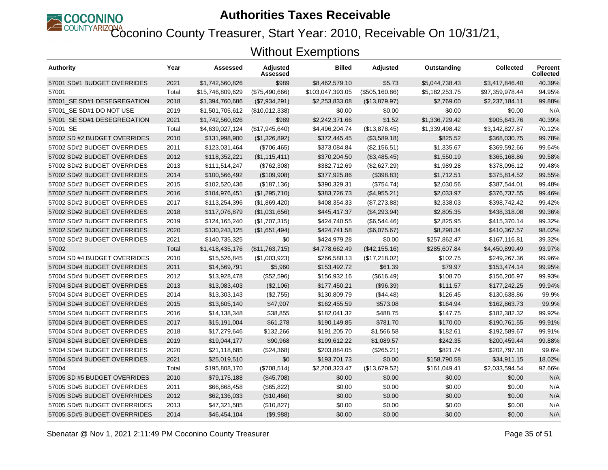

Coconino County Treasurer, Start Year: 2010, Receivable On 10/31/21,

| Authority                    | Year  | Assessed         | Adjusted<br>Assessed | <b>Billed</b>    | <b>Adjusted</b> | Outstanding    | Collected       | Percent<br><b>Collected</b> |
|------------------------------|-------|------------------|----------------------|------------------|-----------------|----------------|-----------------|-----------------------------|
| 57001 SD#1 BUDGET OVERRIDES  | 2021  | \$1,742,560,826  | \$989                | \$8,462,579.10   | \$5.73          | \$5,044,738.43 | \$3,417,846.40  | 40.39%                      |
| 57001                        | Total | \$15,746,809,629 | (\$75,490,666)       | \$103,047,393.05 | (\$505, 160.86) | \$5,182,253.75 | \$97,359,978.44 | 94.95%                      |
| 57001 SE SD#1 DESEGREGATION  | 2018  | \$1,394,760,686  | (\$7,934,291)        | \$2,253,833.08   | (\$13,879.97)   | \$2,769.00     | \$2,237,184.11  | 99.88%                      |
| 57001 SE SD#1 DO NOT USE     | 2019  | \$1,501,705,612  | (\$10,012,338)       | \$0.00           | \$0.00          | \$0.00         | \$0.00          | N/A                         |
| 57001 SE SD#1 DESEGREGATION  | 2021  | \$1,742,560,826  | \$989                | \$2,242,371.66   | \$1.52          | \$1,336,729.42 | \$905,643.76    | 40.39%                      |
| 57001 SE                     | Total | \$4,639,027,124  | (\$17,945,640)       | \$4,496,204.74   | (\$13,878.45)   | \$1,339,498.42 | \$3,142,827.87  | 70.12%                      |
| 57002 SD #2 BUDGET OVERRIDES | 2010  | \$131,998,900    | (S1, 326, 892)       | \$372,445.45     | (\$3,589.18)    | \$825.52       | \$368,030.75    | 99.78%                      |
| 57002 SD#2 BUDGET OVERRIDES  | 2011  | \$123,031,464    | (\$706,465)          | \$373,084.84     | (\$2,156.51)    | \$1,335.67     | \$369,592.66    | 99.64%                      |
| 57002 SD#2 BUDGET OVERRIDES  | 2012  | \$118,352,221    | (\$1,115,411)        | \$370,204.50     | (\$3,485.45)    | \$1,550.19     | \$365,168.86    | 99.58%                      |
| 57002 SD#2 BUDGET OVERRIDES  | 2013  | \$111,514,247    | (\$762,308)          | \$382,712.69     | (\$2,627.29)    | \$1,989.28     | \$378,096.12    | 99.48%                      |
| 57002 SD#2 BUDGET OVERRIDES  | 2014  | \$100,566,492    | (\$109,908)          | \$377,925.86     | (\$398.83)      | \$1,712.51     | \$375,814.52    | 99.55%                      |
| 57002 SD#2 BUDGET OVERRIDES  | 2015  | \$102,520,436    | (\$187, 136)         | \$390,329.31     | (\$754.74)      | \$2,030.56     | \$387,544.01    | 99.48%                      |
| 57002 SD#2 BUDGET OVERRIDES  | 2016  | \$104,976,451    | (\$1,295,710)        | \$383,726.73     | (\$4,955.21)    | \$2,033.97     | \$376,737.55    | 99.46%                      |
| 57002 SD#2 BUDGET OVERRIDES  | 2017  | \$113,254,396    | (\$1,869,420)        | \$408,354.33     | (\$7,273.88)    | \$2,338.03     | \$398,742.42    | 99.42%                      |
| 57002 SD#2 BUDGET OVERRIDES  | 2018  | \$117,076,879    | (\$1,031,656)        | \$445,417.37     | (\$4,293.94)    | \$2,805.35     | \$438,318.08    | 99.36%                      |
| 57002 SD#2 BUDGET OVERRIDES  | 2019  | \$124,165,240    | (\$1,707,315)        | \$424,740.55     | (\$6,544.46)    | \$2,825.95     | \$415,370.14    | 99.32%                      |
| 57002 SD#2 BUDGET OVERRIDES  | 2020  | \$130,243,125    | (\$1,651,494)        | \$424,741.58     | (\$6,075.67)    | \$8,298.34     | \$410,367.57    | 98.02%                      |
| 57002 SD#2 BUDGET OVERRIDES  | 2021  | \$140,735,325    | \$0                  | \$424,979.28     | \$0.00          | \$257,862.47   | \$167,116.81    | 39.32%                      |
| 57002                        | Total | \$1,418,435,176  | (\$11,763,715)       | \$4,778,662.49   | (\$42,155.16)   | \$285,607.84   | \$4,450,899.49  | 93.97%                      |
| 57004 SD #4 BUDGET OVERRIDES | 2010  | \$15,526,845     | (\$1,003,923)        | \$266,588.13     | (\$17,218.02)   | \$102.75       | \$249,267.36    | 99.96%                      |
| 57004 SD#4 BUDGET OVERRIDES  | 2011  | \$14,569,791     | \$5,960              | \$153,492.72     | \$61.39         | \$79.97        | \$153,474.14    | 99.95%                      |
| 57004 SD#4 BUDGET OVERRIDES  | 2012  | \$13,928,478     | (\$52,596)           | \$156,932.16     | (\$616.49)      | \$108.70       | \$156,206.97    | 99.93%                      |
| 57004 SD#4 BUDGET OVERRIDES  | 2013  | \$13,083,403     | (\$2,106)            | \$177,450.21     | (\$96.39)       | \$111.57       | \$177,242.25    | 99.94%                      |
| 57004 SD#4 BUDGET OVERRIDES  | 2014  | \$13,303,143     | (\$2,755)            | \$130,809.79     | (\$44.48)       | \$126.45       | \$130,638.86    | 99.9%                       |
| 57004 SD#4 BUDGET OVERRIDES  | 2015  | \$13,605,140     | \$47,907             | \$162,455.59     | \$573.08        | \$164.94       | \$162,863.73    | 99.9%                       |
| 57004 SD#4 BUDGET OVERRIDES  | 2016  | \$14,138,348     | \$38,855             | \$182,041.32     | \$488.75        | \$147.75       | \$182,382.32    | 99.92%                      |
| 57004 SD#4 BUDGET OVERRIDES  | 2017  | \$15,191,004     | \$61,278             | \$190,149.85     | \$781.70        | \$170.00       | \$190.761.55    | 99.91%                      |
| 57004 SD#4 BUDGET OVERRIDES  | 2018  | \$17,279,646     | \$132,266            | \$191,205.70     | \$1,566.58      | \$182.61       | \$192,589.67    | 99.91%                      |
| 57004 SD#4 BUDGET OVERRIDES  | 2019  | \$19,044,177     | \$90,968             | \$199,612.22     | \$1,089.57      | \$242.35       | \$200,459.44    | 99.88%                      |
| 57004 SD#4 BUDGET OVERRIDES  | 2020  | \$21,118,685     | (\$24,368)           | \$203,884.05     | (\$265.21)      | \$821.74       | \$202,797.10    | 99.6%                       |
| 57004 SD#4 BUDGET OVERRIDES  | 2021  | \$25,019,510     | \$0                  | \$193,701.73     | \$0.00          | \$158,790.58   | \$34,911.15     | 18.02%                      |
| 57004                        | Total | \$195,808,170    | (\$708,514)          | \$2,208,323.47   | (\$13,679.52)   | \$161,049.41   | \$2,033,594.54  | 92.66%                      |
| 57005 SD #5 BUDGET OVERRIDES | 2010  | \$79,175,188     | (\$45,708)           | \$0.00           | \$0.00          | \$0.00         | \$0.00          | N/A                         |
| 57005 SD#5 BUDGET OVERRIDES  | 2011  | \$66,868,458     | (\$65, 822)          | \$0.00           | \$0.00          | \$0.00         | \$0.00          | N/A                         |
| 57005 SD#5 BUDGET OVERRRIDES | 2012  | \$62,136,033     | (\$10,466)           | \$0.00           | \$0.00          | \$0.00         | \$0.00          | N/A                         |
| 57005 SD#5 BUDGET OVERRRIDES | 2013  | \$47,321,585     | (\$10,827)           | \$0.00           | \$0.00          | \$0.00         | \$0.00          | N/A                         |
| 57005 SD#5 BUDGET OVERRRIDES | 2014  | \$46,454,104     | (\$9,988)            | \$0.00           | \$0.00          | \$0.00         | \$0.00          | N/A                         |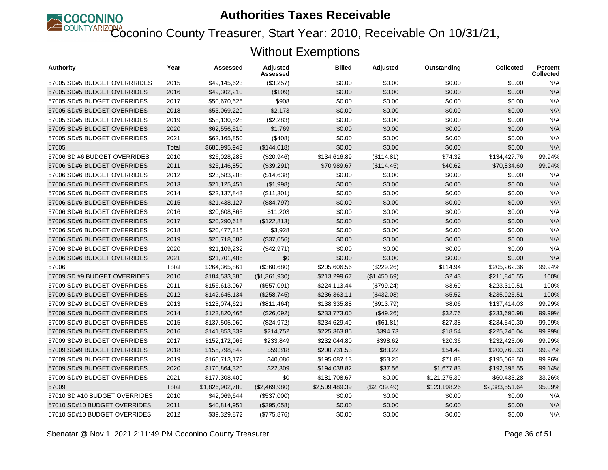

Coconino County Treasurer, Start Year: 2010, Receivable On 10/31/21,

| Authority                     | Year  | Assessed        | Adjusted<br>Assessed | <b>Billed</b>  | Adjusted     | Outstanding  | <b>Collected</b> | <b>Percent</b><br><b>Collected</b> |
|-------------------------------|-------|-----------------|----------------------|----------------|--------------|--------------|------------------|------------------------------------|
| 57005 SD#5 BUDGET OVERRRIDES  | 2015  | \$49,145,623    | (\$3,257)            | \$0.00         | \$0.00       | \$0.00       | \$0.00           | N/A                                |
| 57005 SD#5 BUDGET OVERRIDES   | 2016  | \$49,302,210    | (\$109)              | \$0.00         | \$0.00       | \$0.00       | \$0.00           | N/A                                |
| 57005 SD#5 BUDGET OVERRIDES   | 2017  | \$50,670,625    | \$908                | \$0.00         | \$0.00       | \$0.00       | \$0.00           | N/A                                |
| 57005 SD#5 BUDGET OVERRIDES   | 2018  | \$53,069,229    | \$2,173              | \$0.00         | \$0.00       | \$0.00       | \$0.00           | N/A                                |
| 57005 SD#5 BUDGET OVERRIDES   | 2019  | \$58,130,528    | (\$2,283)            | \$0.00         | \$0.00       | \$0.00       | \$0.00           | N/A                                |
| 57005 SD#5 BUDGET OVERRIDES   | 2020  | \$62,556,510    | \$1,769              | \$0.00         | \$0.00       | \$0.00       | \$0.00           | N/A                                |
| 57005 SD#5 BUDGET OVERRIDES   | 2021  | \$62,165,850    | (\$408)              | \$0.00         | \$0.00       | \$0.00       | \$0.00           | N/A                                |
| 57005                         | Total | \$686,995,943   | (\$144,018)          | \$0.00         | \$0.00       | \$0.00       | \$0.00           | N/A                                |
| 57006 SD #6 BUDGET OVERRIDES  | 2010  | \$26,028,285    | (\$20,946)           | \$134,616.89   | (\$114.81)   | \$74.32      | \$134,427.76     | 99.94%                             |
| 57006 SD#6 BUDGET OVERRIDES   | 2011  | \$25,146,850    | (\$39,291)           | \$70,989.67    | (\$114.45)   | \$40.62      | \$70,834.60      | 99.94%                             |
| 57006 SD#6 BUDGET OVERRIDES   | 2012  | \$23,583,208    | (\$14,638)           | \$0.00         | \$0.00       | \$0.00       | \$0.00           | N/A                                |
| 57006 SD#6 BUDGET OVERRIDES   | 2013  | \$21,125,451    | (\$1,998)            | \$0.00         | \$0.00       | \$0.00       | \$0.00           | N/A                                |
| 57006 SD#6 BUDGET OVERRIDES   | 2014  | \$22,137,843    | (\$11,301)           | \$0.00         | \$0.00       | \$0.00       | \$0.00           | N/A                                |
| 57006 SD#6 BUDGET OVERRIDES   | 2015  | \$21,438,127    | (\$84,797)           | \$0.00         | \$0.00       | \$0.00       | \$0.00           | N/A                                |
| 57006 SD#6 BUDGET OVERRIDES   | 2016  | \$20,608,865    | \$11,203             | \$0.00         | \$0.00       | \$0.00       | \$0.00           | N/A                                |
| 57006 SD#6 BUDGET OVERRIDES   | 2017  | \$20,290,618    | (\$122,813)          | \$0.00         | \$0.00       | \$0.00       | \$0.00           | N/A                                |
| 57006 SD#6 BUDGET OVERRIDES   | 2018  | \$20,477,315    | \$3,928              | \$0.00         | \$0.00       | \$0.00       | \$0.00           | N/A                                |
| 57006 SD#6 BUDGET OVERRIDES   | 2019  | \$20,718,582    | (\$37,056)           | \$0.00         | \$0.00       | \$0.00       | \$0.00           | N/A                                |
| 57006 SD#6 BUDGET OVERRIDES   | 2020  | \$21,109,232    | (\$42,971)           | \$0.00         | \$0.00       | \$0.00       | \$0.00           | N/A                                |
| 57006 SD#6 BUDGET OVERRIDES   | 2021  | \$21,701,485    | \$0                  | \$0.00         | \$0.00       | \$0.00       | \$0.00           | N/A                                |
| 57006                         | Total | \$264,365,861   | (\$360,680)          | \$205,606.56   | (\$229.26)   | \$114.94     | \$205,262.36     | 99.94%                             |
| 57009 SD #9 BUDGET OVERRIDES  | 2010  | \$184,533,385   | (\$1,361,930)        | \$213,299.67   | (\$1,450.69) | \$2.43       | \$211,846.55     | 100%                               |
| 57009 SD#9 BUDGET OVERRIDES   | 2011  | \$156,613,067   | (\$557,091)          | \$224,113.44   | (\$799.24)   | \$3.69       | \$223,310.51     | 100%                               |
| 57009 SD#9 BUDGET OVERRIDES   | 2012  | \$142,645,134   | (\$258,745)          | \$236,363.11   | (\$432.08)   | \$5.52       | \$235,925.51     | 100%                               |
| 57009 SD#9 BUDGET OVERRIDES   | 2013  | \$123,074,621   | (\$811,464)          | \$138,335.88   | (\$913.79)   | \$8.06       | \$137,414.03     | 99.99%                             |
| 57009 SD#9 BUDGET OVERRIDES   | 2014  | \$123,820,465   | (\$26,092)           | \$233,773.00   | (\$49.26)    | \$32.76      | \$233,690.98     | 99.99%                             |
| 57009 SD#9 BUDGET OVERRIDES   | 2015  | \$137,505,960   | (\$24,972)           | \$234,629.49   | (\$61.81)    | \$27.38      | \$234,540.30     | 99.99%                             |
| 57009 SD#9 BUDGET OVERRIDES   | 2016  | \$141,853,339   | \$214,752            | \$225,363.85   | \$394.73     | \$18.54      | \$225,740.04     | 99.99%                             |
| 57009 SD#9 BUDGET OVERRIDES   | 2017  | \$152,172,066   | \$233,849            | \$232,044.80   | \$398.62     | \$20.36      | \$232,423.06     | 99.99%                             |
| 57009 SD#9 BUDGET OVERRIDES   | 2018  | \$155,798,842   | \$59,318             | \$200,731.53   | \$83.22      | \$54.42      | \$200,760.33     | 99.97%                             |
| 57009 SD#9 BUDGET OVERRIDES   | 2019  | \$160,713,172   | \$40,086             | \$195,087.13   | \$53.25      | \$71.88      | \$195,068.50     | 99.96%                             |
| 57009 SD#9 BUDGET OVERRIDES   | 2020  | \$170,864,320   | \$22,309             | \$194,038.82   | \$37.56      | \$1,677.83   | \$192,398.55     | 99.14%                             |
| 57009 SD#9 BUDGET OVERRIDES   | 2021  | \$177,308,409   | \$0                  | \$181,708.67   | \$0.00       | \$121,275.39 | \$60.433.28      | 33.26%                             |
| 57009                         | Total | \$1,826,902,780 | (\$2,469,980)        | \$2,509,489.39 | (\$2,739.49) | \$123,198.26 | \$2,383,551.64   | 95.09%                             |
| 57010 SD #10 BUDGET OVERRIDES | 2010  | \$42,069,644    | (\$537,000)          | \$0.00         | \$0.00       | \$0.00       | \$0.00           | N/A                                |
| 57010 SD#10 BUDGET OVERRIDES  | 2011  | \$40,814,951    | (\$395,058)          | \$0.00         | \$0.00       | \$0.00       | \$0.00           | N/A                                |
| 57010 SD#10 BUDGET OVERRIDES  | 2012  | \$39,329,872    | (\$775,876)          | \$0.00         | \$0.00       | \$0.00       | \$0.00           | N/A                                |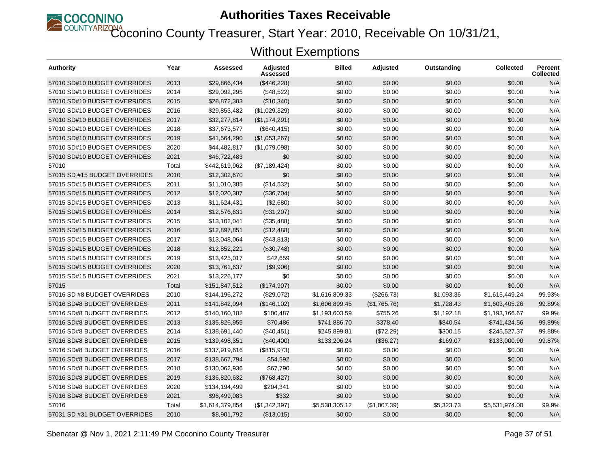

Coconino County Treasurer, Start Year: 2010, Receivable On 10/31/21,

| Authority                     | Year  | Assessed        | Adjusted<br>Assessed | <b>Billed</b>  | <b>Adjusted</b> | Outstanding | <b>Collected</b> | Percent<br>Collected |
|-------------------------------|-------|-----------------|----------------------|----------------|-----------------|-------------|------------------|----------------------|
| 57010 SD#10 BUDGET OVERRIDES  | 2013  | \$29,866,434    | (\$446,228)          | \$0.00         | \$0.00          | \$0.00      | \$0.00           | N/A                  |
| 57010 SD#10 BUDGET OVERRIDES  | 2014  | \$29,092,295    | (\$48,522)           | \$0.00         | \$0.00          | \$0.00      | \$0.00           | N/A                  |
| 57010 SD#10 BUDGET OVERRIDES  | 2015  | \$28,872,303    | (\$10,340)           | \$0.00         | \$0.00          | \$0.00      | \$0.00           | N/A                  |
| 57010 SD#10 BUDGET OVERRIDES  | 2016  | \$29,853,482    | (\$1,029,329)        | \$0.00         | \$0.00          | \$0.00      | \$0.00           | N/A                  |
| 57010 SD#10 BUDGET OVERRIDES  | 2017  | \$32,277,814    | (\$1,174,291)        | \$0.00         | \$0.00          | \$0.00      | \$0.00           | N/A                  |
| 57010 SD#10 BUDGET OVERRIDES  | 2018  | \$37,673,577    | (\$640, 415)         | \$0.00         | \$0.00          | \$0.00      | \$0.00           | N/A                  |
| 57010 SD#10 BUDGET OVERRIDES  | 2019  | \$41,564,290    | (\$1,053,267)        | \$0.00         | \$0.00          | \$0.00      | \$0.00           | N/A                  |
| 57010 SD#10 BUDGET OVERRIDES  | 2020  | \$44,482,817    | (\$1,079,098)        | \$0.00         | \$0.00          | \$0.00      | \$0.00           | N/A                  |
| 57010 SD#10 BUDGET OVERRIDES  | 2021  | \$46,722,483    | \$0                  | \$0.00         | \$0.00          | \$0.00      | \$0.00           | N/A                  |
| 57010                         | Total | \$442,619,962   | (\$7,189,424)        | \$0.00         | \$0.00          | \$0.00      | \$0.00           | N/A                  |
| 57015 SD #15 BUDGET OVERRIDES | 2010  | \$12,302,670    | \$0                  | \$0.00         | \$0.00          | \$0.00      | \$0.00           | N/A                  |
| 57015 SD#15 BUDGET OVERRIDES  | 2011  | \$11,010,385    | (\$14,532)           | \$0.00         | \$0.00          | \$0.00      | \$0.00           | N/A                  |
| 57015 SD#15 BUDGET OVERRIDES  | 2012  | \$12,020,387    | (\$36,704)           | \$0.00         | \$0.00          | \$0.00      | \$0.00           | N/A                  |
| 57015 SD#15 BUDGET OVERRIDES  | 2013  | \$11,624,431    | (\$2,680)            | \$0.00         | \$0.00          | \$0.00      | \$0.00           | N/A                  |
| 57015 SD#15 BUDGET OVERRIDES  | 2014  | \$12,576,631    | (\$31,207)           | \$0.00         | \$0.00          | \$0.00      | \$0.00           | N/A                  |
| 57015 SD#15 BUDGET OVERRIDES  | 2015  | \$13,102,041    | (\$35,488)           | \$0.00         | \$0.00          | \$0.00      | \$0.00           | N/A                  |
| 57015 SD#15 BUDGET OVERRIDES  | 2016  | \$12,897,851    | (\$12,488)           | \$0.00         | \$0.00          | \$0.00      | \$0.00           | N/A                  |
| 57015 SD#15 BUDGET OVERRIDES  | 2017  | \$13,048,064    | (\$43,813)           | \$0.00         | \$0.00          | \$0.00      | \$0.00           | N/A                  |
| 57015 SD#15 BUDGET OVERRIDES  | 2018  | \$12,852,221    | (\$30,748)           | \$0.00         | \$0.00          | \$0.00      | \$0.00           | N/A                  |
| 57015 SD#15 BUDGET OVERRIDES  | 2019  | \$13,425,017    | \$42,659             | \$0.00         | \$0.00          | \$0.00      | \$0.00           | N/A                  |
| 57015 SD#15 BUDGET OVERRIDES  | 2020  | \$13,761,637    | (\$9,906)            | \$0.00         | \$0.00          | \$0.00      | \$0.00           | N/A                  |
| 57015 SD#15 BUDGET OVERRIDES  | 2021  | \$13,226,177    | \$0                  | \$0.00         | \$0.00          | \$0.00      | \$0.00           | N/A                  |
| 57015                         | Total | \$151,847,512   | (\$174,907)          | \$0.00         | \$0.00          | \$0.00      | \$0.00           | N/A                  |
| 57016 SD #8 BUDGET OVERRIDES  | 2010  | \$144,196,272   | (\$29,072)           | \$1,616,809.33 | (\$266.73)      | \$1,093.36  | \$1,615,449.24   | 99.93%               |
| 57016 SD#8 BUDGET OVERRIDES   | 2011  | \$141,842,094   | (\$146, 102)         | \$1,606,899.45 | (\$1,765.76)    | \$1.728.43  | \$1.603.405.26   | 99.89%               |
| 57016 SD#8 BUDGET OVERRIDES   | 2012  | \$140,160,182   | \$100,487            | \$1,193,603.59 | \$755.26        | \$1,192.18  | \$1,193,166.67   | 99.9%                |
| 57016 SD#8 BUDGET OVERRIDES   | 2013  | \$135,826,955   | \$70,486             | \$741,886.70   | \$378.40        | \$840.54    | \$741,424.56     | 99.89%               |
| 57016 SD#8 BUDGET OVERRIDES   | 2014  | \$138,691,440   | (\$40,451)           | \$245,899.81   | (\$72.29)       | \$300.15    | \$245.527.37     | 99.88%               |
| 57016 SD#8 BUDGET OVERRIDES   | 2015  | \$139,498,351   | (\$40,400)           | \$133,206.24   | (\$36.27)       | \$169.07    | \$133,000.90     | 99.87%               |
| 57016 SD#8 BUDGET OVERRIDES   | 2016  | \$137,919,616   | (\$815,973)          | \$0.00         | \$0.00          | \$0.00      | \$0.00           | N/A                  |
| 57016 SD#8 BUDGET OVERRIDES   | 2017  | \$138,667,794   | \$54,592             | \$0.00         | \$0.00          | \$0.00      | \$0.00           | N/A                  |
| 57016 SD#8 BUDGET OVERRIDES   | 2018  | \$130,062,936   | \$67,790             | \$0.00         | \$0.00          | \$0.00      | \$0.00           | N/A                  |
| 57016 SD#8 BUDGET OVERRIDES   | 2019  | \$136,820,632   | (\$768,427)          | \$0.00         | \$0.00          | \$0.00      | \$0.00           | N/A                  |
| 57016 SD#8 BUDGET OVERRIDES   | 2020  | \$134,194,499   | \$204,341            | \$0.00         | \$0.00          | \$0.00      | \$0.00           | N/A                  |
| 57016 SD#8 BUDGET OVERRIDES   | 2021  | \$96,499,083    | \$332                | \$0.00         | \$0.00          | \$0.00      | \$0.00           | N/A                  |
| 57016                         | Total | \$1,614,379,854 | (\$1,342,397)        | \$5,538,305.12 | (\$1,007.39)    | \$5,323.73  | \$5,531,974.00   | 99.9%                |
| 57031 SD #31 BUDGET OVERRIDES | 2010  | \$8,901,792     | (\$13,015)           | \$0.00         | \$0.00          | \$0.00      | \$0.00           | N/A                  |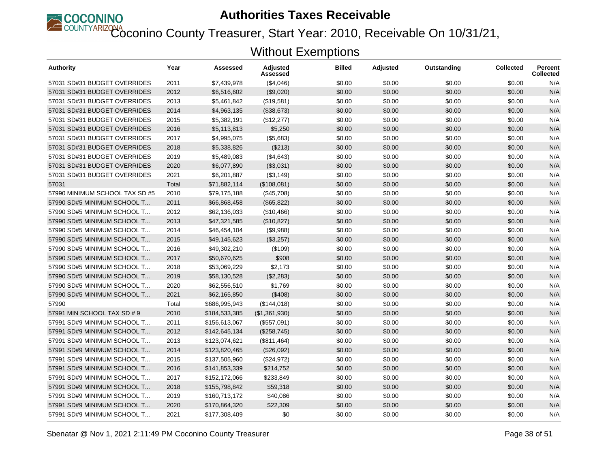

Coconino County Treasurer, Start Year: 2010, Receivable On 10/31/21,

| <b>Authority</b>               | Year  | Assessed      | <b>Adjusted</b><br>Assessed | <b>Billed</b> | <b>Adjusted</b> | Outstanding | <b>Collected</b> | <b>Percent</b><br>Collected |
|--------------------------------|-------|---------------|-----------------------------|---------------|-----------------|-------------|------------------|-----------------------------|
| 57031 SD#31 BUDGET OVERRIDES   | 2011  | \$7,439,978   | (\$4,046)                   | \$0.00        | \$0.00          | \$0.00      | \$0.00           | N/A                         |
| 57031 SD#31 BUDGET OVERRIDES   | 2012  | \$6,516,602   | (\$9,020)                   | \$0.00        | \$0.00          | \$0.00      | \$0.00           | N/A                         |
| 57031 SD#31 BUDGET OVERRIDES   | 2013  | \$5,461,842   | (\$19,581)                  | \$0.00        | \$0.00          | \$0.00      | \$0.00           | N/A                         |
| 57031 SD#31 BUDGET OVERRIDES   | 2014  | \$4,963,135   | (\$38,673)                  | \$0.00        | \$0.00          | \$0.00      | \$0.00           | N/A                         |
| 57031 SD#31 BUDGET OVERRIDES   | 2015  | \$5,382,191   | (\$12,277)                  | \$0.00        | \$0.00          | \$0.00      | \$0.00           | N/A                         |
| 57031 SD#31 BUDGET OVERRIDES   | 2016  | \$5,113,813   | \$5,250                     | \$0.00        | \$0.00          | \$0.00      | \$0.00           | N/A                         |
| 57031 SD#31 BUDGET OVERRIDES   | 2017  | \$4,995,075   | (\$5,683)                   | \$0.00        | \$0.00          | \$0.00      | \$0.00           | N/A                         |
| 57031 SD#31 BUDGET OVERRIDES   | 2018  | \$5,338,826   | (\$213)                     | \$0.00        | \$0.00          | \$0.00      | \$0.00           | N/A                         |
| 57031 SD#31 BUDGET OVERRIDES   | 2019  | \$5,489,083   | (\$4,643)                   | \$0.00        | \$0.00          | \$0.00      | \$0.00           | N/A                         |
| 57031 SD#31 BUDGET OVERRIDES   | 2020  | \$6,077,890   | (\$3,031)                   | \$0.00        | \$0.00          | \$0.00      | \$0.00           | N/A                         |
| 57031 SD#31 BUDGET OVERRIDES   | 2021  | \$6,201,887   | (\$3,149)                   | \$0.00        | \$0.00          | \$0.00      | \$0.00           | N/A                         |
| 57031                          | Total | \$71,882,114  | (\$108,081)                 | \$0.00        | \$0.00          | \$0.00      | \$0.00           | N/A                         |
| 57990 MINIMUM SCHOOL TAX SD #5 | 2010  | \$79,175,188  | (\$45,708)                  | \$0.00        | \$0.00          | \$0.00      | \$0.00           | N/A                         |
| 57990 SD#5 MINIMUM SCHOOL T    | 2011  | \$66,868,458  | (\$65, 822)                 | \$0.00        | \$0.00          | \$0.00      | \$0.00           | N/A                         |
| 57990 SD#5 MINIMUM SCHOOL T    | 2012  | \$62,136,033  | (\$10,466)                  | \$0.00        | \$0.00          | \$0.00      | \$0.00           | N/A                         |
| 57990 SD#5 MINIMUM SCHOOL T    | 2013  | \$47,321,585  | (\$10,827)                  | \$0.00        | \$0.00          | \$0.00      | \$0.00           | N/A                         |
| 57990 SD#5 MINIMUM SCHOOL T    | 2014  | \$46,454,104  | (\$9,988)                   | \$0.00        | \$0.00          | \$0.00      | \$0.00           | N/A                         |
| 57990 SD#5 MINIMUM SCHOOL T    | 2015  | \$49,145,623  | (\$3,257)                   | \$0.00        | \$0.00          | \$0.00      | \$0.00           | N/A                         |
| 57990 SD#5 MINIMUM SCHOOL T    | 2016  | \$49,302,210  | (\$109)                     | \$0.00        | \$0.00          | \$0.00      | \$0.00           | N/A                         |
| 57990 SD#5 MINIMUM SCHOOL T    | 2017  | \$50,670,625  | \$908                       | \$0.00        | \$0.00          | \$0.00      | \$0.00           | N/A                         |
| 57990 SD#5 MINIMUM SCHOOL T    | 2018  | \$53,069,229  | \$2,173                     | \$0.00        | \$0.00          | \$0.00      | \$0.00           | N/A                         |
| 57990 SD#5 MINIMUM SCHOOL T    | 2019  | \$58,130,528  | (\$2,283)                   | \$0.00        | \$0.00          | \$0.00      | \$0.00           | N/A                         |
| 57990 SD#5 MINIMUM SCHOOL T    | 2020  | \$62,556,510  | \$1,769                     | \$0.00        | \$0.00          | \$0.00      | \$0.00           | N/A                         |
| 57990 SD#5 MINIMUM SCHOOL T    | 2021  | \$62,165,850  | (\$408)                     | \$0.00        | \$0.00          | \$0.00      | \$0.00           | N/A                         |
| 57990                          | Total | \$686,995,943 | (\$144,018)                 | \$0.00        | \$0.00          | \$0.00      | \$0.00           | N/A                         |
| 57991 MIN SCHOOL TAX SD # 9    | 2010  | \$184,533,385 | (\$1,361,930)               | \$0.00        | \$0.00          | \$0.00      | \$0.00           | N/A                         |
| 57991 SD#9 MINIMUM SCHOOL T    | 2011  | \$156,613,067 | (\$557,091)                 | \$0.00        | \$0.00          | \$0.00      | \$0.00           | N/A                         |
| 57991 SD#9 MINIMUM SCHOOL T    | 2012  | \$142,645,134 | (\$258,745)                 | \$0.00        | \$0.00          | \$0.00      | \$0.00           | N/A                         |
| 57991 SD#9 MINIMUM SCHOOL T    | 2013  | \$123,074,621 | (\$811,464)                 | \$0.00        | \$0.00          | \$0.00      | \$0.00           | N/A                         |
| 57991 SD#9 MINIMUM SCHOOL T    | 2014  | \$123,820,465 | (\$26,092)                  | \$0.00        | \$0.00          | \$0.00      | \$0.00           | N/A                         |
| 57991 SD#9 MINIMUM SCHOOL T    | 2015  | \$137,505,960 | (\$24,972)                  | \$0.00        | \$0.00          | \$0.00      | \$0.00           | N/A                         |
| 57991 SD#9 MINIMUM SCHOOL T    | 2016  | \$141,853,339 | \$214,752                   | \$0.00        | \$0.00          | \$0.00      | \$0.00           | N/A                         |
| 57991 SD#9 MINIMUM SCHOOL T    | 2017  | \$152,172,066 | \$233,849                   | \$0.00        | \$0.00          | \$0.00      | \$0.00           | N/A                         |
| 57991 SD#9 MINIMUM SCHOOL T    | 2018  | \$155,798,842 | \$59,318                    | \$0.00        | \$0.00          | \$0.00      | \$0.00           | N/A                         |
| 57991 SD#9 MINIMUM SCHOOL T    | 2019  | \$160,713,172 | \$40,086                    | \$0.00        | \$0.00          | \$0.00      | \$0.00           | N/A                         |
| 57991 SD#9 MINIMUM SCHOOL T    | 2020  | \$170,864,320 | \$22,309                    | \$0.00        | \$0.00          | \$0.00      | \$0.00           | N/A                         |
| 57991 SD#9 MINIMUM SCHOOL T    | 2021  | \$177,308,409 | \$0                         | \$0.00        | \$0.00          | \$0.00      | \$0.00           | N/A                         |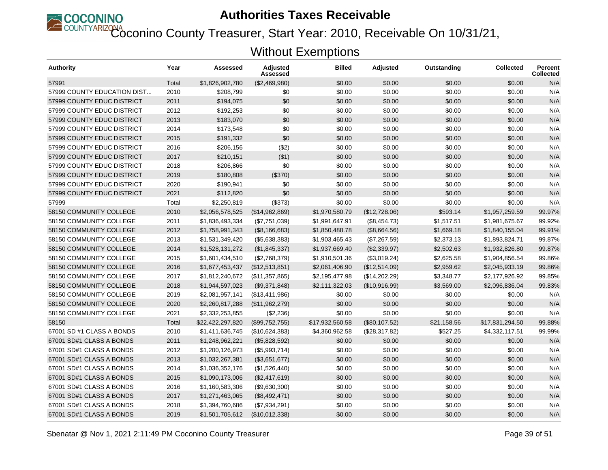

Coconino County Treasurer, Start Year: 2010, Receivable On 10/31/21,

| <b>Authority</b>            | Year  | Assessed         | Adjusted<br>Assessed | <b>Billed</b>   | <b>Adjusted</b> | Outstanding | <b>Collected</b> | <b>Percent</b><br><b>Collected</b> |
|-----------------------------|-------|------------------|----------------------|-----------------|-----------------|-------------|------------------|------------------------------------|
| 57991                       | Total | \$1,826,902,780  | (\$2,469,980)        | \$0.00          | \$0.00          | \$0.00      | \$0.00           | N/A                                |
| 57999 COUNTY EDUCATION DIST | 2010  | \$208,799        | \$0                  | \$0.00          | \$0.00          | \$0.00      | \$0.00           | N/A                                |
| 57999 COUNTY EDUC DISTRICT  | 2011  | \$194,075        | \$0                  | \$0.00          | \$0.00          | \$0.00      | \$0.00           | N/A                                |
| 57999 COUNTY EDUC DISTRICT  | 2012  | \$192,253        | \$0                  | \$0.00          | \$0.00          | \$0.00      | \$0.00           | N/A                                |
| 57999 COUNTY EDUC DISTRICT  | 2013  | \$183,070        | \$0                  | \$0.00          | \$0.00          | \$0.00      | \$0.00           | N/A                                |
| 57999 COUNTY EDUC DISTRICT  | 2014  | \$173,548        | \$0                  | \$0.00          | \$0.00          | \$0.00      | \$0.00           | N/A                                |
| 57999 COUNTY EDUC DISTRICT  | 2015  | \$191,332        | \$0                  | \$0.00          | \$0.00          | \$0.00      | \$0.00           | N/A                                |
| 57999 COUNTY EDUC DISTRICT  | 2016  | \$206,156        | (\$2)                | \$0.00          | \$0.00          | \$0.00      | \$0.00           | N/A                                |
| 57999 COUNTY EDUC DISTRICT  | 2017  | \$210,151        | ( \$1)               | \$0.00          | \$0.00          | \$0.00      | \$0.00           | N/A                                |
| 57999 COUNTY EDUC DISTRICT  | 2018  | \$206,866        | \$0                  | \$0.00          | \$0.00          | \$0.00      | \$0.00           | N/A                                |
| 57999 COUNTY EDUC DISTRICT  | 2019  | \$180,808        | (\$370)              | \$0.00          | \$0.00          | \$0.00      | \$0.00           | N/A                                |
| 57999 COUNTY EDUC DISTRICT  | 2020  | \$190,941        | \$0                  | \$0.00          | \$0.00          | \$0.00      | \$0.00           | N/A                                |
| 57999 COUNTY EDUC DISTRICT  | 2021  | \$112,820        | \$0                  | \$0.00          | \$0.00          | \$0.00      | \$0.00           | N/A                                |
| 57999                       | Total | \$2,250,819      | (\$373)              | \$0.00          | \$0.00          | \$0.00      | \$0.00           | N/A                                |
| 58150 COMMUNITY COLLEGE     | 2010  | \$2,056,578,525  | (\$14,962,869)       | \$1,970,580.79  | (\$12,728.06)   | \$593.14    | \$1,957,259.59   | 99.97%                             |
| 58150 COMMUNITY COLLEGE     | 2011  | \$1,836,493,334  | (\$7,751,039)        | \$1,991,647.91  | (\$8,454.73)    | \$1,517.51  | \$1,981,675.67   | 99.92%                             |
| 58150 COMMUNITY COLLEGE     | 2012  | \$1,758,991,343  | (\$8,166,683)        | \$1,850,488.78  | (\$8,664.56)    | \$1,669.18  | \$1,840,155.04   | 99.91%                             |
| 58150 COMMUNITY COLLEGE     | 2013  | \$1,531,349,420  | (\$5,638,383)        | \$1,903,465.43  | (\$7,267.59)    | \$2,373.13  | \$1,893,824.71   | 99.87%                             |
| 58150 COMMUNITY COLLEGE     | 2014  | \$1,528,131,272  | (\$1,845,337)        | \$1,937,669.40  | (\$2,339.97)    | \$2,502.63  | \$1,932,826.80   | 99.87%                             |
| 58150 COMMUNITY COLLEGE     | 2015  | \$1,601,434,510  | (\$2,768,379)        | \$1,910,501.36  | (\$3,019.24)    | \$2,625.58  | \$1,904,856.54   | 99.86%                             |
| 58150 COMMUNITY COLLEGE     | 2016  | \$1,677,453,437  | (\$12,513,851)       | \$2,061,406.90  | (\$12,514.09)   | \$2,959.62  | \$2,045,933.19   | 99.86%                             |
| 58150 COMMUNITY COLLEGE     | 2017  | \$1,812,240,672  | (\$11,357,865)       | \$2,195,477.98  | (\$14,202.29)   | \$3,348.77  | \$2,177,926.92   | 99.85%                             |
| 58150 COMMUNITY COLLEGE     | 2018  | \$1,944,597,023  | (\$9,371,848)        | \$2,111,322.03  | (\$10,916.99)   | \$3,569.00  | \$2,096,836.04   | 99.83%                             |
| 58150 COMMUNITY COLLEGE     | 2019  | \$2,081,957,141  | (\$13,411,986)       | \$0.00          | \$0.00          | \$0.00      | \$0.00           | N/A                                |
| 58150 COMMUNITY COLLEGE     | 2020  | \$2,260,817,288  | (\$11,962,279)       | \$0.00          | \$0.00          | \$0.00      | \$0.00           | N/A                                |
| 58150 COMMUNITY COLLEGE     | 2021  | \$2,332,253,855  | (\$2,236)            | \$0.00          | \$0.00          | \$0.00      | \$0.00           | N/A                                |
| 58150                       | Total | \$22,422,297,820 | (\$99,752,755)       | \$17,932,560.58 | (\$80, 107.52)  | \$21,158.56 | \$17,831,294.50  | 99.88%                             |
| 67001 SD #1 CLASS A BONDS   | 2010  | \$1,411,636,745  | (\$10,624,383)       | \$4,360,962.58  | (\$28,317.82)   | \$527.25    | \$4,332,117.51   | 99.99%                             |
| 67001 SD#1 CLASS A BONDS    | 2011  | \$1,248,962,221  | (\$5,828,592)        | \$0.00          | \$0.00          | \$0.00      | \$0.00           | N/A                                |
| 67001 SD#1 CLASS A BONDS    | 2012  | \$1,200,126,973  | (\$5,993,714)        | \$0.00          | \$0.00          | \$0.00      | \$0.00           | N/A                                |
| 67001 SD#1 CLASS A BONDS    | 2013  | \$1,032,267,381  | (\$3,651,677)        | \$0.00          | \$0.00          | \$0.00      | \$0.00           | N/A                                |
| 67001 SD#1 CLASS A BONDS    | 2014  | \$1,036,352,176  | (\$1,526,440)        | \$0.00          | \$0.00          | \$0.00      | \$0.00           | N/A                                |
| 67001 SD#1 CLASS A BONDS    | 2015  | \$1,090,173,006  | (\$2,417,619)        | \$0.00          | \$0.00          | \$0.00      | \$0.00           | N/A                                |
| 67001 SD#1 CLASS A BONDS    | 2016  | \$1,160,583,306  | (\$9,630,300)        | \$0.00          | \$0.00          | \$0.00      | \$0.00           | N/A                                |
| 67001 SD#1 CLASS A BONDS    | 2017  | \$1,271,463,065  | (\$8,492,471)        | \$0.00          | \$0.00          | \$0.00      | \$0.00           | N/A                                |
| 67001 SD#1 CLASS A BONDS    | 2018  | \$1,394,760,686  | (\$7,934,291)        | \$0.00          | \$0.00          | \$0.00      | \$0.00           | N/A                                |
| 67001 SD#1 CLASS A BONDS    | 2019  | \$1,501,705,612  | (\$10,012,338)       | \$0.00          | \$0.00          | \$0.00      | \$0.00           | N/A                                |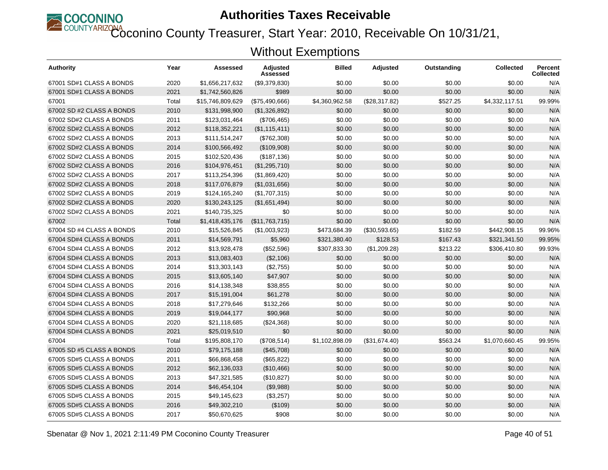

Coconino County Treasurer, Start Year: 2010, Receivable On 10/31/21,

| <b>Authority</b>          | Year  | Assessed         | Adjusted<br>Assessed | <b>Billed</b>  | <b>Adjusted</b> | Outstanding | <b>Collected</b> | <b>Percent</b><br><b>Collected</b> |
|---------------------------|-------|------------------|----------------------|----------------|-----------------|-------------|------------------|------------------------------------|
| 67001 SD#1 CLASS A BONDS  | 2020  | \$1,656,217,632  | (\$9,379,830)        | \$0.00         | \$0.00          | \$0.00      | \$0.00           | N/A                                |
| 67001 SD#1 CLASS A BONDS  | 2021  | \$1,742,560,826  | \$989                | \$0.00         | \$0.00          | \$0.00      | \$0.00           | N/A                                |
| 67001                     | Total | \$15,746,809,629 | (\$75,490,666)       | \$4,360,962.58 | (\$28,317.82)   | \$527.25    | \$4,332,117.51   | 99.99%                             |
| 67002 SD #2 CLASS A BONDS | 2010  | \$131,998,900    | (\$1,326,892)        | \$0.00         | \$0.00          | \$0.00      | \$0.00           | N/A                                |
| 67002 SD#2 CLASS A BONDS  | 2011  | \$123,031,464    | (\$706,465)          | \$0.00         | \$0.00          | \$0.00      | \$0.00           | N/A                                |
| 67002 SD#2 CLASS A BONDS  | 2012  | \$118,352,221    | (\$1,115,411)        | \$0.00         | \$0.00          | \$0.00      | \$0.00           | N/A                                |
| 67002 SD#2 CLASS A BONDS  | 2013  | \$111,514,247    | (\$762,308)          | \$0.00         | \$0.00          | \$0.00      | \$0.00           | N/A                                |
| 67002 SD#2 CLASS A BONDS  | 2014  | \$100,566,492    | (\$109,908)          | \$0.00         | \$0.00          | \$0.00      | \$0.00           | N/A                                |
| 67002 SD#2 CLASS A BONDS  | 2015  | \$102,520,436    | (\$187, 136)         | \$0.00         | \$0.00          | \$0.00      | \$0.00           | N/A                                |
| 67002 SD#2 CLASS A BONDS  | 2016  | \$104,976,451    | (\$1,295,710)        | \$0.00         | \$0.00          | \$0.00      | \$0.00           | N/A                                |
| 67002 SD#2 CLASS A BONDS  | 2017  | \$113,254,396    | (\$1,869,420)        | \$0.00         | \$0.00          | \$0.00      | \$0.00           | N/A                                |
| 67002 SD#2 CLASS A BONDS  | 2018  | \$117,076,879    | (\$1,031,656)        | \$0.00         | \$0.00          | \$0.00      | \$0.00           | N/A                                |
| 67002 SD#2 CLASS A BONDS  | 2019  | \$124,165,240    | (\$1,707,315)        | \$0.00         | \$0.00          | \$0.00      | \$0.00           | N/A                                |
| 67002 SD#2 CLASS A BONDS  | 2020  | \$130,243,125    | (\$1,651,494)        | \$0.00         | \$0.00          | \$0.00      | \$0.00           | N/A                                |
| 67002 SD#2 CLASS A BONDS  | 2021  | \$140,735,325    | \$0                  | \$0.00         | \$0.00          | \$0.00      | \$0.00           | N/A                                |
| 67002                     | Total | \$1,418,435,176  | (\$11,763,715)       | \$0.00         | \$0.00          | \$0.00      | \$0.00           | N/A                                |
| 67004 SD #4 CLASS A BONDS | 2010  | \$15,526,845     | (\$1,003,923)        | \$473,684.39   | (\$30,593.65)   | \$182.59    | \$442.908.15     | 99.96%                             |
| 67004 SD#4 CLASS A BONDS  | 2011  | \$14,569,791     | \$5,960              | \$321,380.40   | \$128.53        | \$167.43    | \$321,341.50     | 99.95%                             |
| 67004 SD#4 CLASS A BONDS  | 2012  | \$13,928,478     | (\$52,596)           | \$307,833.30   | (\$1,209.28)    | \$213.22    | \$306,410.80     | 99.93%                             |
| 67004 SD#4 CLASS A BONDS  | 2013  | \$13,083,403     | (\$2,106)            | \$0.00         | \$0.00          | \$0.00      | \$0.00           | N/A                                |
| 67004 SD#4 CLASS A BONDS  | 2014  | \$13,303,143     | (\$2,755)            | \$0.00         | \$0.00          | \$0.00      | \$0.00           | N/A                                |
| 67004 SD#4 CLASS A BONDS  | 2015  | \$13,605,140     | \$47,907             | \$0.00         | \$0.00          | \$0.00      | \$0.00           | N/A                                |
| 67004 SD#4 CLASS A BONDS  | 2016  | \$14,138,348     | \$38,855             | \$0.00         | \$0.00          | \$0.00      | \$0.00           | N/A                                |
| 67004 SD#4 CLASS A BONDS  | 2017  | \$15,191,004     | \$61,278             | \$0.00         | \$0.00          | \$0.00      | \$0.00           | N/A                                |
| 67004 SD#4 CLASS A BONDS  | 2018  | \$17,279,646     | \$132,266            | \$0.00         | \$0.00          | \$0.00      | \$0.00           | N/A                                |
| 67004 SD#4 CLASS A BONDS  | 2019  | \$19,044,177     | \$90,968             | \$0.00         | \$0.00          | \$0.00      | \$0.00           | N/A                                |
| 67004 SD#4 CLASS A BONDS  | 2020  | \$21,118,685     | (\$24,368)           | \$0.00         | \$0.00          | \$0.00      | \$0.00           | N/A                                |
| 67004 SD#4 CLASS A BONDS  | 2021  | \$25,019,510     | \$0                  | \$0.00         | \$0.00          | \$0.00      | \$0.00           | N/A                                |
| 67004                     | Total | \$195,808,170    | (\$708,514)          | \$1,102,898.09 | (\$31,674.40)   | \$563.24    | \$1,070,660.45   | 99.95%                             |
| 67005 SD #5 CLASS A BONDS | 2010  | \$79,175,188     | (\$45,708)           | \$0.00         | \$0.00          | \$0.00      | \$0.00           | N/A                                |
| 67005 SD#5 CLASS A BONDS  | 2011  | \$66,868,458     | (\$65,822)           | \$0.00         | \$0.00          | \$0.00      | \$0.00           | N/A                                |
| 67005 SD#5 CLASS A BONDS  | 2012  | \$62,136,033     | (\$10,466)           | \$0.00         | \$0.00          | \$0.00      | \$0.00           | N/A                                |
| 67005 SD#5 CLASS A BONDS  | 2013  | \$47,321,585     | (\$10,827)           | \$0.00         | \$0.00          | \$0.00      | \$0.00           | N/A                                |
| 67005 SD#5 CLASS A BONDS  | 2014  | \$46,454,104     | (\$9,988)            | \$0.00         | \$0.00          | \$0.00      | \$0.00           | N/A                                |
| 67005 SD#5 CLASS A BONDS  | 2015  | \$49,145,623     | (\$3,257)            | \$0.00         | \$0.00          | \$0.00      | \$0.00           | N/A                                |
| 67005 SD#5 CLASS A BONDS  | 2016  | \$49,302,210     | (\$109)              | \$0.00         | \$0.00          | \$0.00      | \$0.00           | N/A                                |
| 67005 SD#5 CLASS A BONDS  | 2017  | \$50,670,625     | \$908                | \$0.00         | \$0.00          | \$0.00      | \$0.00           | N/A                                |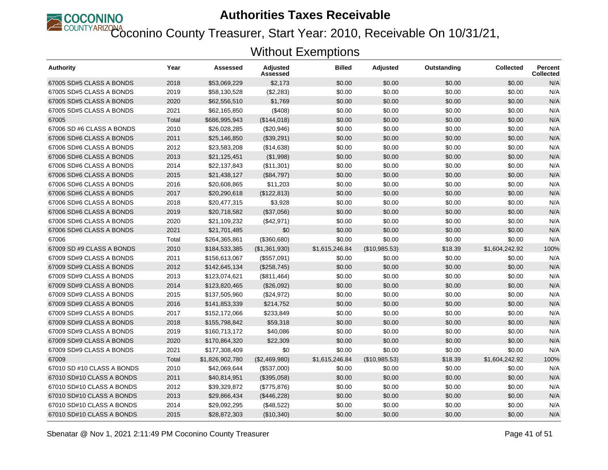

Coconino County Treasurer, Start Year: 2010, Receivable On 10/31/21,

| Authority                  | Year  | Assessed        | <b>Adjusted</b><br>Assessed | <b>Billed</b>  | <b>Adjusted</b> | Outstanding | <b>Collected</b> | <b>Percent</b><br><b>Collected</b> |
|----------------------------|-------|-----------------|-----------------------------|----------------|-----------------|-------------|------------------|------------------------------------|
| 67005 SD#5 CLASS A BONDS   | 2018  | \$53,069,229    | \$2,173                     | \$0.00         | \$0.00          | \$0.00      | \$0.00           | N/A                                |
| 67005 SD#5 CLASS A BONDS   | 2019  | \$58,130,528    | (\$2,283)                   | \$0.00         | \$0.00          | \$0.00      | \$0.00           | N/A                                |
| 67005 SD#5 CLASS A BONDS   | 2020  | \$62,556,510    | \$1,769                     | \$0.00         | \$0.00          | \$0.00      | \$0.00           | N/A                                |
| 67005 SD#5 CLASS A BONDS   | 2021  | \$62,165,850    | (\$408)                     | \$0.00         | \$0.00          | \$0.00      | \$0.00           | N/A                                |
| 67005                      | Total | \$686,995,943   | (\$144,018)                 | \$0.00         | \$0.00          | \$0.00      | \$0.00           | N/A                                |
| 67006 SD #6 CLASS A BONDS  | 2010  | \$26,028,285    | (\$20,946)                  | \$0.00         | \$0.00          | \$0.00      | \$0.00           | N/A                                |
| 67006 SD#6 CLASS A BONDS   | 2011  | \$25,146,850    | (\$39,291)                  | \$0.00         | \$0.00          | \$0.00      | \$0.00           | N/A                                |
| 67006 SD#6 CLASS A BONDS   | 2012  | \$23,583,208    | (\$14,638)                  | \$0.00         | \$0.00          | \$0.00      | \$0.00           | N/A                                |
| 67006 SD#6 CLASS A BONDS   | 2013  | \$21,125,451    | (\$1,998)                   | \$0.00         | \$0.00          | \$0.00      | \$0.00           | N/A                                |
| 67006 SD#6 CLASS A BONDS   | 2014  | \$22,137,843    | (\$11,301)                  | \$0.00         | \$0.00          | \$0.00      | \$0.00           | N/A                                |
| 67006 SD#6 CLASS A BONDS   | 2015  | \$21,438,127    | (\$84,797)                  | \$0.00         | \$0.00          | \$0.00      | \$0.00           | N/A                                |
| 67006 SD#6 CLASS A BONDS   | 2016  | \$20,608,865    | \$11,203                    | \$0.00         | \$0.00          | \$0.00      | \$0.00           | N/A                                |
| 67006 SD#6 CLASS A BONDS   | 2017  | \$20,290,618    | (\$122,813)                 | \$0.00         | \$0.00          | \$0.00      | \$0.00           | N/A                                |
| 67006 SD#6 CLASS A BONDS   | 2018  | \$20,477,315    | \$3,928                     | \$0.00         | \$0.00          | \$0.00      | \$0.00           | N/A                                |
| 67006 SD#6 CLASS A BONDS   | 2019  | \$20,718,582    | (\$37,056)                  | \$0.00         | \$0.00          | \$0.00      | \$0.00           | N/A                                |
| 67006 SD#6 CLASS A BONDS   | 2020  | \$21,109,232    | (\$42,971)                  | \$0.00         | \$0.00          | \$0.00      | \$0.00           | N/A                                |
| 67006 SD#6 CLASS A BONDS   | 2021  | \$21,701,485    | \$0                         | \$0.00         | \$0.00          | \$0.00      | \$0.00           | N/A                                |
| 67006                      | Total | \$264,365,861   | (\$360,680)                 | \$0.00         | \$0.00          | \$0.00      | \$0.00           | N/A                                |
| 67009 SD #9 CLASS A BONDS  | 2010  | \$184,533,385   | (\$1,361,930)               | \$1,615,246.84 | (\$10,985.53)   | \$18.39     | \$1,604,242.92   | 100%                               |
| 67009 SD#9 CLASS A BONDS   | 2011  | \$156,613,067   | (\$557,091)                 | \$0.00         | \$0.00          | \$0.00      | \$0.00           | N/A                                |
| 67009 SD#9 CLASS A BONDS   | 2012  | \$142,645,134   | (\$258,745)                 | \$0.00         | \$0.00          | \$0.00      | \$0.00           | N/A                                |
| 67009 SD#9 CLASS A BONDS   | 2013  | \$123,074,621   | (\$811,464)                 | \$0.00         | \$0.00          | \$0.00      | \$0.00           | N/A                                |
| 67009 SD#9 CLASS A BONDS   | 2014  | \$123,820,465   | (\$26,092)                  | \$0.00         | \$0.00          | \$0.00      | \$0.00           | N/A                                |
| 67009 SD#9 CLASS A BONDS   | 2015  | \$137,505,960   | (\$24,972)                  | \$0.00         | \$0.00          | \$0.00      | \$0.00           | N/A                                |
| 67009 SD#9 CLASS A BONDS   | 2016  | \$141,853,339   | \$214,752                   | \$0.00         | \$0.00          | \$0.00      | \$0.00           | N/A                                |
| 67009 SD#9 CLASS A BONDS   | 2017  | \$152,172,066   | \$233,849                   | \$0.00         | \$0.00          | \$0.00      | \$0.00           | N/A                                |
| 67009 SD#9 CLASS A BONDS   | 2018  | \$155,798,842   | \$59,318                    | \$0.00         | \$0.00          | \$0.00      | \$0.00           | N/A                                |
| 67009 SD#9 CLASS A BONDS   | 2019  | \$160,713,172   | \$40,086                    | \$0.00         | \$0.00          | \$0.00      | \$0.00           | N/A                                |
| 67009 SD#9 CLASS A BONDS   | 2020  | \$170,864,320   | \$22,309                    | \$0.00         | \$0.00          | \$0.00      | \$0.00           | N/A                                |
| 67009 SD#9 CLASS A BONDS   | 2021  | \$177,308,409   | \$0                         | \$0.00         | \$0.00          | \$0.00      | \$0.00           | N/A                                |
| 67009                      | Total | \$1,826,902,780 | (\$2,469,980)               | \$1,615,246.84 | (\$10,985.53)   | \$18.39     | \$1,604,242.92   | 100%                               |
| 67010 SD #10 CLASS A BONDS | 2010  | \$42,069,644    | (\$537,000)                 | \$0.00         | \$0.00          | \$0.00      | \$0.00           | N/A                                |
| 67010 SD#10 CLASS A BONDS  | 2011  | \$40,814,951    | (\$395,058)                 | \$0.00         | \$0.00          | \$0.00      | \$0.00           | N/A                                |
| 67010 SD#10 CLASS A BONDS  | 2012  | \$39,329,872    | (\$775,876)                 | \$0.00         | \$0.00          | \$0.00      | \$0.00           | N/A                                |
| 67010 SD#10 CLASS A BONDS  | 2013  | \$29,866,434    | (\$446,228)                 | \$0.00         | \$0.00          | \$0.00      | \$0.00           | N/A                                |
| 67010 SD#10 CLASS A BONDS  | 2014  | \$29,092,295    | (\$48,522)                  | \$0.00         | \$0.00          | \$0.00      | \$0.00           | N/A                                |
| 67010 SD#10 CLASS A BONDS  | 2015  | \$28,872,303    | (\$10,340)                  | \$0.00         | \$0.00          | \$0.00      | \$0.00           | N/A                                |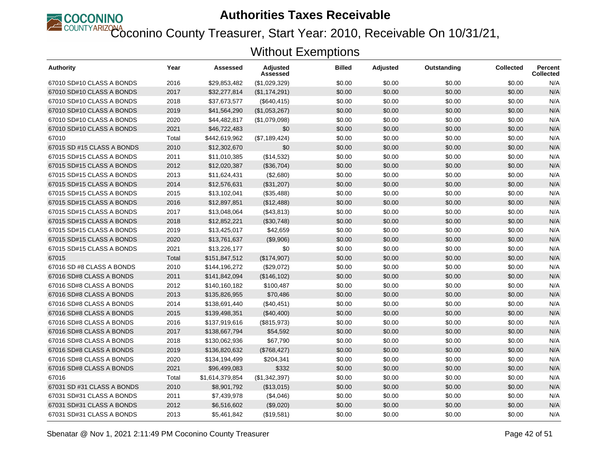

Coconino County Treasurer, Start Year: 2010, Receivable On 10/31/21,

| Authority                  | Year  | Assessed        | <b>Adjusted</b><br>Assessed | <b>Billed</b> | Adjusted | Outstanding | <b>Collected</b> | <b>Percent</b><br><b>Collected</b> |
|----------------------------|-------|-----------------|-----------------------------|---------------|----------|-------------|------------------|------------------------------------|
| 67010 SD#10 CLASS A BONDS  | 2016  | \$29,853,482    | (\$1,029,329)               | \$0.00        | \$0.00   | \$0.00      | \$0.00           | N/A                                |
| 67010 SD#10 CLASS A BONDS  | 2017  | \$32,277,814    | (\$1,174,291)               | \$0.00        | \$0.00   | \$0.00      | \$0.00           | N/A                                |
| 67010 SD#10 CLASS A BONDS  | 2018  | \$37,673,577    | (\$640, 415)                | \$0.00        | \$0.00   | \$0.00      | \$0.00           | N/A                                |
| 67010 SD#10 CLASS A BONDS  | 2019  | \$41,564,290    | (\$1,053,267)               | \$0.00        | \$0.00   | \$0.00      | \$0.00           | N/A                                |
| 67010 SD#10 CLASS A BONDS  | 2020  | \$44,482,817    | (\$1,079,098)               | \$0.00        | \$0.00   | \$0.00      | \$0.00           | N/A                                |
| 67010 SD#10 CLASS A BONDS  | 2021  | \$46,722,483    | \$0                         | \$0.00        | \$0.00   | \$0.00      | \$0.00           | N/A                                |
| 67010                      | Total | \$442,619,962   | (\$7,189,424)               | \$0.00        | \$0.00   | \$0.00      | \$0.00           | N/A                                |
| 67015 SD #15 CLASS A BONDS | 2010  | \$12,302,670    | \$0                         | \$0.00        | \$0.00   | \$0.00      | \$0.00           | N/A                                |
| 67015 SD#15 CLASS A BONDS  | 2011  | \$11,010,385    | (\$14,532)                  | \$0.00        | \$0.00   | \$0.00      | \$0.00           | N/A                                |
| 67015 SD#15 CLASS A BONDS  | 2012  | \$12,020,387    | (\$36,704)                  | \$0.00        | \$0.00   | \$0.00      | \$0.00           | N/A                                |
| 67015 SD#15 CLASS A BONDS  | 2013  | \$11,624,431    | (\$2,680)                   | \$0.00        | \$0.00   | \$0.00      | \$0.00           | N/A                                |
| 67015 SD#15 CLASS A BONDS  | 2014  | \$12,576,631    | (\$31,207)                  | \$0.00        | \$0.00   | \$0.00      | \$0.00           | N/A                                |
| 67015 SD#15 CLASS A BONDS  | 2015  | \$13,102,041    | (\$35,488)                  | \$0.00        | \$0.00   | \$0.00      | \$0.00           | N/A                                |
| 67015 SD#15 CLASS A BONDS  | 2016  | \$12,897,851    | (\$12,488)                  | \$0.00        | \$0.00   | \$0.00      | \$0.00           | N/A                                |
| 67015 SD#15 CLASS A BONDS  | 2017  | \$13,048,064    | (\$43,813)                  | \$0.00        | \$0.00   | \$0.00      | \$0.00           | N/A                                |
| 67015 SD#15 CLASS A BONDS  | 2018  | \$12,852,221    | (\$30,748)                  | \$0.00        | \$0.00   | \$0.00      | \$0.00           | N/A                                |
| 67015 SD#15 CLASS A BONDS  | 2019  | \$13,425,017    | \$42,659                    | \$0.00        | \$0.00   | \$0.00      | \$0.00           | N/A                                |
| 67015 SD#15 CLASS A BONDS  | 2020  | \$13,761,637    | (\$9,906)                   | \$0.00        | \$0.00   | \$0.00      | \$0.00           | N/A                                |
| 67015 SD#15 CLASS A BONDS  | 2021  | \$13,226,177    | \$0                         | \$0.00        | \$0.00   | \$0.00      | \$0.00           | N/A                                |
| 67015                      | Total | \$151,847,512   | (\$174,907)                 | \$0.00        | \$0.00   | \$0.00      | \$0.00           | N/A                                |
| 67016 SD #8 CLASS A BONDS  | 2010  | \$144,196,272   | (\$29,072)                  | \$0.00        | \$0.00   | \$0.00      | \$0.00           | N/A                                |
| 67016 SD#8 CLASS A BONDS   | 2011  | \$141,842,094   | (\$146, 102)                | \$0.00        | \$0.00   | \$0.00      | \$0.00           | N/A                                |
| 67016 SD#8 CLASS A BONDS   | 2012  | \$140,160,182   | \$100,487                   | \$0.00        | \$0.00   | \$0.00      | \$0.00           | N/A                                |
| 67016 SD#8 CLASS A BONDS   | 2013  | \$135,826,955   | \$70,486                    | \$0.00        | \$0.00   | \$0.00      | \$0.00           | N/A                                |
| 67016 SD#8 CLASS A BONDS   | 2014  | \$138,691,440   | (\$40,451)                  | \$0.00        | \$0.00   | \$0.00      | \$0.00           | N/A                                |
| 67016 SD#8 CLASS A BONDS   | 2015  | \$139,498,351   | (\$40,400)                  | \$0.00        | \$0.00   | \$0.00      | \$0.00           | N/A                                |
| 67016 SD#8 CLASS A BONDS   | 2016  | \$137,919,616   | (\$815,973)                 | \$0.00        | \$0.00   | \$0.00      | \$0.00           | N/A                                |
| 67016 SD#8 CLASS A BONDS   | 2017  | \$138,667,794   | \$54,592                    | \$0.00        | \$0.00   | \$0.00      | \$0.00           | N/A                                |
| 67016 SD#8 CLASS A BONDS   | 2018  | \$130,062,936   | \$67,790                    | \$0.00        | \$0.00   | \$0.00      | \$0.00           | N/A                                |
| 67016 SD#8 CLASS A BONDS   | 2019  | \$136,820,632   | (\$768, 427)                | \$0.00        | \$0.00   | \$0.00      | \$0.00           | N/A                                |
| 67016 SD#8 CLASS A BONDS   | 2020  | \$134,194,499   | \$204,341                   | \$0.00        | \$0.00   | \$0.00      | \$0.00           | N/A                                |
| 67016 SD#8 CLASS A BONDS   | 2021  | \$96,499,083    | \$332                       | \$0.00        | \$0.00   | \$0.00      | \$0.00           | N/A                                |
| 67016                      | Total | \$1,614,379,854 | (\$1,342,397)               | \$0.00        | \$0.00   | \$0.00      | \$0.00           | N/A                                |
| 67031 SD #31 CLASS A BONDS | 2010  | \$8,901,792     | (\$13,015)                  | \$0.00        | \$0.00   | \$0.00      | \$0.00           | N/A                                |
| 67031 SD#31 CLASS A BONDS  | 2011  | \$7,439,978     | (\$4,046)                   | \$0.00        | \$0.00   | \$0.00      | \$0.00           | N/A                                |
| 67031 SD#31 CLASS A BONDS  | 2012  | \$6,516,602     | (\$9,020)                   | \$0.00        | \$0.00   | \$0.00      | \$0.00           | N/A                                |
| 67031 SD#31 CLASS A BONDS  | 2013  | \$5,461,842     | (\$19,581)                  | \$0.00        | \$0.00   | \$0.00      | \$0.00           | N/A                                |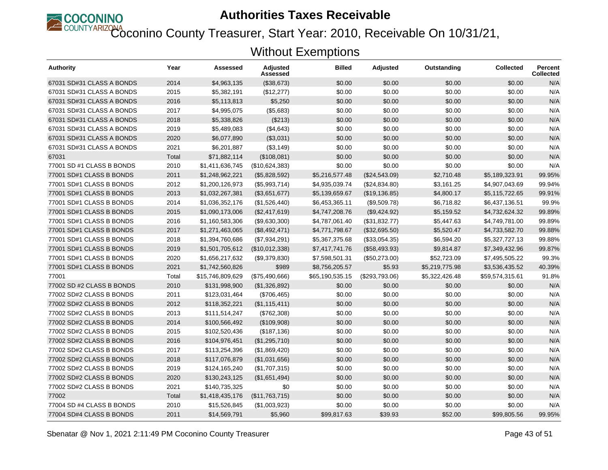

Coconino County Treasurer, Start Year: 2010, Receivable On 10/31/21,

| Authority                 | Year  | Assessed         | <b>Adjusted</b><br>Assessed | <b>Billed</b>   | <b>Adjusted</b> | Outstanding    | <b>Collected</b> | Percent<br><b>Collected</b> |
|---------------------------|-------|------------------|-----------------------------|-----------------|-----------------|----------------|------------------|-----------------------------|
| 67031 SD#31 CLASS A BONDS | 2014  | \$4,963,135      | (\$38,673)                  | \$0.00          | \$0.00          | \$0.00         | \$0.00           | N/A                         |
| 67031 SD#31 CLASS A BONDS | 2015  | \$5,382,191      | (\$12,277)                  | \$0.00          | \$0.00          | \$0.00         | \$0.00           | N/A                         |
| 67031 SD#31 CLASS A BONDS | 2016  | \$5,113,813      | \$5,250                     | \$0.00          | \$0.00          | \$0.00         | \$0.00           | N/A                         |
| 67031 SD#31 CLASS A BONDS | 2017  | \$4,995,075      | (\$5,683)                   | \$0.00          | \$0.00          | \$0.00         | \$0.00           | N/A                         |
| 67031 SD#31 CLASS A BONDS | 2018  | \$5,338,826      | (\$213)                     | \$0.00          | \$0.00          | \$0.00         | \$0.00           | N/A                         |
| 67031 SD#31 CLASS A BONDS | 2019  | \$5,489,083      | (\$4,643)                   | \$0.00          | \$0.00          | \$0.00         | \$0.00           | N/A                         |
| 67031 SD#31 CLASS A BONDS | 2020  | \$6,077,890      | (\$3,031)                   | \$0.00          | \$0.00          | \$0.00         | \$0.00           | N/A                         |
| 67031 SD#31 CLASS A BONDS | 2021  | \$6,201,887      | ( \$3, 149)                 | \$0.00          | \$0.00          | \$0.00         | \$0.00           | N/A                         |
| 67031                     | Total | \$71,882,114     | (\$108,081)                 | \$0.00          | \$0.00          | \$0.00         | \$0.00           | N/A                         |
| 77001 SD #1 CLASS B BONDS | 2010  | \$1,411,636,745  | (\$10,624,383)              | \$0.00          | \$0.00          | \$0.00         | \$0.00           | N/A                         |
| 77001 SD#1 CLASS B BONDS  | 2011  | \$1,248,962,221  | (\$5,828,592)               | \$5,216,577.48  | (\$24,543.09)   | \$2,710.48     | \$5,189,323.91   | 99.95%                      |
| 77001 SD#1 CLASS B BONDS  | 2012  | \$1,200,126,973  | (\$5,993,714)               | \$4,935,039.74  | (\$24,834.80)   | \$3,161.25     | \$4,907,043.69   | 99.94%                      |
| 77001 SD#1 CLASS B BONDS  | 2013  | \$1,032,267,381  | (\$3,651,677)               | \$5,139,659.67  | (\$19,136.85)   | \$4,800.17     | \$5,115,722.65   | 99.91%                      |
| 77001 SD#1 CLASS B BONDS  | 2014  | \$1,036,352,176  | (\$1,526,440)               | \$6,453,365.11  | (\$9,509.78)    | \$6,718.82     | \$6,437,136.51   | 99.9%                       |
| 77001 SD#1 CLASS B BONDS  | 2015  | \$1,090,173,006  | (\$2,417,619)               | \$4,747,208.76  | (\$9,424.92)    | \$5,159.52     | \$4,732,624.32   | 99.89%                      |
| 77001 SD#1 CLASS B BONDS  | 2016  | \$1,160,583,306  | (\$9,630,300)               | \$4,787,061.40  | (\$31,832.77)   | \$5,447.63     | \$4,749,781.00   | 99.89%                      |
| 77001 SD#1 CLASS B BONDS  | 2017  | \$1,271,463,065  | (\$8,492,471)               | \$4,771,798.67  | (\$32,695.50)   | \$5,520.47     | \$4,733,582.70   | 99.88%                      |
| 77001 SD#1 CLASS B BONDS  | 2018  | \$1,394,760,686  | (\$7,934,291)               | \$5,367,375.68  | (\$33,054.35)   | \$6,594.20     | \$5,327,727.13   | 99.88%                      |
| 77001 SD#1 CLASS B BONDS  | 2019  | \$1,501,705,612  | (\$10,012,338)              | \$7,417,741.76  | (\$58,493.93)   | \$9,814.87     | \$7,349,432.96   | 99.87%                      |
| 77001 SD#1 CLASS B BONDS  | 2020  | \$1,656,217,632  | (\$9,379,830)               | \$7,598,501.31  | (\$50,273.00)   | \$52,723.09    | \$7,495,505.22   | 99.3%                       |
| 77001 SD#1 CLASS B BONDS  | 2021  | \$1,742,560,826  | \$989                       | \$8,756,205.57  | \$5.93          | \$5,219,775.98 | \$3,536,435.52   | 40.39%                      |
| 77001                     | Total | \$15,746,809,629 | (\$75,490,666)              | \$65,190,535.15 | (\$293,793.06)  | \$5,322,426.48 | \$59,574,315.61  | 91.8%                       |
| 77002 SD #2 CLASS B BONDS | 2010  | \$131,998,900    | (\$1,326,892)               | \$0.00          | \$0.00          | \$0.00         | \$0.00           | N/A                         |
| 77002 SD#2 CLASS B BONDS  | 2011  | \$123,031,464    | (\$706,465)                 | \$0.00          | \$0.00          | \$0.00         | \$0.00           | N/A                         |
| 77002 SD#2 CLASS B BONDS  | 2012  | \$118,352,221    | (\$1,115,411)               | \$0.00          | \$0.00          | \$0.00         | \$0.00           | N/A                         |
| 77002 SD#2 CLASS B BONDS  | 2013  | \$111,514,247    | (\$762,308)                 | \$0.00          | \$0.00          | \$0.00         | \$0.00           | N/A                         |
| 77002 SD#2 CLASS B BONDS  | 2014  | \$100,566,492    | (\$109,908)                 | \$0.00          | \$0.00          | \$0.00         | \$0.00           | N/A                         |
| 77002 SD#2 CLASS B BONDS  | 2015  | \$102,520,436    | (\$187, 136)                | \$0.00          | \$0.00          | \$0.00         | \$0.00           | N/A                         |
| 77002 SD#2 CLASS B BONDS  | 2016  | \$104,976,451    | (\$1,295,710)               | \$0.00          | \$0.00          | \$0.00         | \$0.00           | N/A                         |
| 77002 SD#2 CLASS B BONDS  | 2017  | \$113,254,396    | (\$1,869,420)               | \$0.00          | \$0.00          | \$0.00         | \$0.00           | N/A                         |
| 77002 SD#2 CLASS B BONDS  | 2018  | \$117,076,879    | (\$1,031,656)               | \$0.00          | \$0.00          | \$0.00         | \$0.00           | N/A                         |
| 77002 SD#2 CLASS B BONDS  | 2019  | \$124,165,240    | (\$1,707,315)               | \$0.00          | \$0.00          | \$0.00         | \$0.00           | N/A                         |
| 77002 SD#2 CLASS B BONDS  | 2020  | \$130,243,125    | (\$1,651,494)               | \$0.00          | \$0.00          | \$0.00         | \$0.00           | N/A                         |
| 77002 SD#2 CLASS B BONDS  | 2021  | \$140,735,325    | \$0                         | \$0.00          | \$0.00          | \$0.00         | \$0.00           | N/A                         |
| 77002                     | Total | \$1,418,435,176  | (\$11,763,715)              | \$0.00          | \$0.00          | \$0.00         | \$0.00           | N/A                         |
| 77004 SD #4 CLASS B BONDS | 2010  | \$15,526,845     | (\$1,003,923)               | \$0.00          | \$0.00          | \$0.00         | \$0.00           | N/A                         |
| 77004 SD#4 CLASS B BONDS  | 2011  | \$14,569,791     | \$5,960                     | \$99,817.63     | \$39.93         | \$52.00        | \$99,805.56      | 99.95%                      |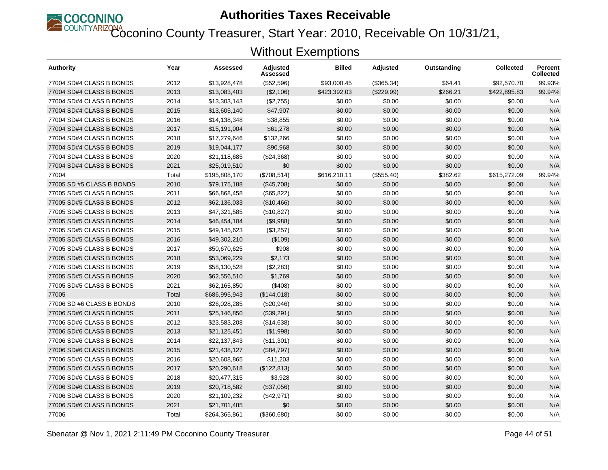

Coconino County Treasurer, Start Year: 2010, Receivable On 10/31/21,

| Authority                 | Year  | Assessed      | Adjusted<br>Assessed | <b>Billed</b> | <b>Adjusted</b> | Outstanding | <b>Collected</b> | <b>Percent</b><br><b>Collected</b> |
|---------------------------|-------|---------------|----------------------|---------------|-----------------|-------------|------------------|------------------------------------|
| 77004 SD#4 CLASS B BONDS  | 2012  | \$13,928,478  | (\$52,596)           | \$93,000.45   | (\$365.34)      | \$64.41     | \$92,570.70      | 99.93%                             |
| 77004 SD#4 CLASS B BONDS  | 2013  | \$13,083,403  | (\$2,106)            | \$423,392.03  | (\$229.99)      | \$266.21    | \$422,895.83     | 99.94%                             |
| 77004 SD#4 CLASS B BONDS  | 2014  | \$13,303,143  | (\$2,755)            | \$0.00        | \$0.00          | \$0.00      | \$0.00           | N/A                                |
| 77004 SD#4 CLASS B BONDS  | 2015  | \$13,605,140  | \$47,907             | \$0.00        | \$0.00          | \$0.00      | \$0.00           | N/A                                |
| 77004 SD#4 CLASS B BONDS  | 2016  | \$14,138,348  | \$38,855             | \$0.00        | \$0.00          | \$0.00      | \$0.00           | N/A                                |
| 77004 SD#4 CLASS B BONDS  | 2017  | \$15,191,004  | \$61,278             | \$0.00        | \$0.00          | \$0.00      | \$0.00           | N/A                                |
| 77004 SD#4 CLASS B BONDS  | 2018  | \$17,279,646  | \$132,266            | \$0.00        | \$0.00          | \$0.00      | \$0.00           | N/A                                |
| 77004 SD#4 CLASS B BONDS  | 2019  | \$19,044,177  | \$90,968             | \$0.00        | \$0.00          | \$0.00      | \$0.00           | N/A                                |
| 77004 SD#4 CLASS B BONDS  | 2020  | \$21,118,685  | (\$24,368)           | \$0.00        | \$0.00          | \$0.00      | \$0.00           | N/A                                |
| 77004 SD#4 CLASS B BONDS  | 2021  | \$25,019,510  | \$0                  | \$0.00        | \$0.00          | \$0.00      | \$0.00           | N/A                                |
| 77004                     | Total | \$195,808,170 | (\$708,514)          | \$616,210.11  | (\$555.40)      | \$382.62    | \$615,272.09     | 99.94%                             |
| 77005 SD #5 CLASS B BONDS | 2010  | \$79,175,188  | (\$45,708)           | \$0.00        | \$0.00          | \$0.00      | \$0.00           | N/A                                |
| 77005 SD#5 CLASS B BONDS  | 2011  | \$66,868,458  | (\$65, 822)          | \$0.00        | \$0.00          | \$0.00      | \$0.00           | N/A                                |
| 77005 SD#5 CLASS B BONDS  | 2012  | \$62,136,033  | (\$10,466)           | \$0.00        | \$0.00          | \$0.00      | \$0.00           | N/A                                |
| 77005 SD#5 CLASS B BONDS  | 2013  | \$47,321,585  | (\$10,827)           | \$0.00        | \$0.00          | \$0.00      | \$0.00           | N/A                                |
| 77005 SD#5 CLASS B BONDS  | 2014  | \$46,454,104  | (\$9,988)            | \$0.00        | \$0.00          | \$0.00      | \$0.00           | N/A                                |
| 77005 SD#5 CLASS B BONDS  | 2015  | \$49,145,623  | (\$3,257)            | \$0.00        | \$0.00          | \$0.00      | \$0.00           | N/A                                |
| 77005 SD#5 CLASS B BONDS  | 2016  | \$49,302,210  | (\$109)              | \$0.00        | \$0.00          | \$0.00      | \$0.00           | N/A                                |
| 77005 SD#5 CLASS B BONDS  | 2017  | \$50,670,625  | \$908                | \$0.00        | \$0.00          | \$0.00      | \$0.00           | N/A                                |
| 77005 SD#5 CLASS B BONDS  | 2018  | \$53,069,229  | \$2,173              | \$0.00        | \$0.00          | \$0.00      | \$0.00           | N/A                                |
| 77005 SD#5 CLASS B BONDS  | 2019  | \$58,130,528  | (\$2,283)            | \$0.00        | \$0.00          | \$0.00      | \$0.00           | N/A                                |
| 77005 SD#5 CLASS B BONDS  | 2020  | \$62,556,510  | \$1,769              | \$0.00        | \$0.00          | \$0.00      | \$0.00           | N/A                                |
| 77005 SD#5 CLASS B BONDS  | 2021  | \$62,165,850  | (\$408)              | \$0.00        | \$0.00          | \$0.00      | \$0.00           | N/A                                |
| 77005                     | Total | \$686,995,943 | (\$144,018)          | \$0.00        | \$0.00          | \$0.00      | \$0.00           | N/A                                |
| 77006 SD #6 CLASS B BONDS | 2010  | \$26,028,285  | (\$20,946)           | \$0.00        | \$0.00          | \$0.00      | \$0.00           | N/A                                |
| 77006 SD#6 CLASS B BONDS  | 2011  | \$25,146,850  | (\$39,291)           | \$0.00        | \$0.00          | \$0.00      | \$0.00           | N/A                                |
| 77006 SD#6 CLASS B BONDS  | 2012  | \$23,583,208  | (\$14,638)           | \$0.00        | \$0.00          | \$0.00      | \$0.00           | N/A                                |
| 77006 SD#6 CLASS B BONDS  | 2013  | \$21,125,451  | (\$1,998)            | \$0.00        | \$0.00          | \$0.00      | \$0.00           | N/A                                |
| 77006 SD#6 CLASS B BONDS  | 2014  | \$22,137,843  | (\$11,301)           | \$0.00        | \$0.00          | \$0.00      | \$0.00           | N/A                                |
| 77006 SD#6 CLASS B BONDS  | 2015  | \$21,438,127  | (\$84,797)           | \$0.00        | \$0.00          | \$0.00      | \$0.00           | N/A                                |
| 77006 SD#6 CLASS B BONDS  | 2016  | \$20,608,865  | \$11,203             | \$0.00        | \$0.00          | \$0.00      | \$0.00           | N/A                                |
| 77006 SD#6 CLASS B BONDS  | 2017  | \$20,290,618  | (\$122,813)          | \$0.00        | \$0.00          | \$0.00      | \$0.00           | N/A                                |
| 77006 SD#6 CLASS B BONDS  | 2018  | \$20,477,315  | \$3,928              | \$0.00        | \$0.00          | \$0.00      | \$0.00           | N/A                                |
| 77006 SD#6 CLASS B BONDS  | 2019  | \$20,718,582  | (\$37,056)           | \$0.00        | \$0.00          | \$0.00      | \$0.00           | N/A                                |
| 77006 SD#6 CLASS B BONDS  | 2020  | \$21,109,232  | (\$42,971)           | \$0.00        | \$0.00          | \$0.00      | \$0.00           | N/A                                |
| 77006 SD#6 CLASS B BONDS  | 2021  | \$21,701,485  | \$0                  | \$0.00        | \$0.00          | \$0.00      | \$0.00           | N/A                                |
| 77006                     | Total | \$264,365,861 | (\$360,680)          | \$0.00        | \$0.00          | \$0.00      | \$0.00           | N/A                                |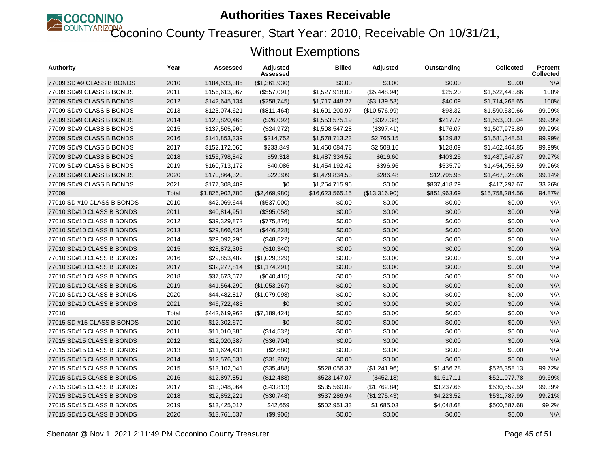

COUNTYARIZONA<br>Coconino County Treasurer, Start Year: 2010, Receivable On 10/31/21,

| Authority                  | Year  | Assessed        | <b>Adjusted</b><br>Assessed | Billed          | <b>Adjusted</b> | Outstanding  | <b>Collected</b> | <b>Percent</b><br><b>Collected</b> |
|----------------------------|-------|-----------------|-----------------------------|-----------------|-----------------|--------------|------------------|------------------------------------|
| 77009 SD #9 CLASS B BONDS  | 2010  | \$184,533,385   | (\$1,361,930)               | \$0.00          | \$0.00          | \$0.00       | \$0.00           | N/A                                |
| 77009 SD#9 CLASS B BONDS   | 2011  | \$156,613,067   | (\$557,091)                 | \$1,527,918.00  | (\$5,448.94)    | \$25.20      | \$1,522,443.86   | 100%                               |
| 77009 SD#9 CLASS B BONDS   | 2012  | \$142,645,134   | (\$258,745)                 | \$1,717,448.27  | (\$3,139.53)    | \$40.09      | \$1,714,268.65   | 100%                               |
| 77009 SD#9 CLASS B BONDS   | 2013  | \$123,074,621   | (\$811,464)                 | \$1,601,200.97  | (\$10,576.99)   | \$93.32      | \$1,590,530.66   | 99.99%                             |
| 77009 SD#9 CLASS B BONDS   | 2014  | \$123,820,465   | (\$26,092)                  | \$1,553,575.19  | (\$327.38)      | \$217.77     | \$1,553,030.04   | 99.99%                             |
| 77009 SD#9 CLASS B BONDS   | 2015  | \$137,505,960   | (\$24,972)                  | \$1,508,547.28  | (\$397.41)      | \$176.07     | \$1,507,973.80   | 99.99%                             |
| 77009 SD#9 CLASS B BONDS   | 2016  | \$141,853,339   | \$214,752                   | \$1,578,713.23  | \$2,765.15      | \$129.87     | \$1,581,348.51   | 99.99%                             |
| 77009 SD#9 CLASS B BONDS   | 2017  | \$152,172,066   | \$233,849                   | \$1,460,084.78  | \$2,508.16      | \$128.09     | \$1,462,464.85   | 99.99%                             |
| 77009 SD#9 CLASS B BONDS   | 2018  | \$155,798,842   | \$59,318                    | \$1,487,334.52  | \$616.60        | \$403.25     | \$1,487,547.87   | 99.97%                             |
| 77009 SD#9 CLASS B BONDS   | 2019  | \$160,713,172   | \$40,086                    | \$1,454,192.42  | \$396.96        | \$535.79     | \$1,454,053.59   | 99.96%                             |
| 77009 SD#9 CLASS B BONDS   | 2020  | \$170,864,320   | \$22,309                    | \$1,479,834.53  | \$286.48        | \$12,795.95  | \$1,467,325.06   | 99.14%                             |
| 77009 SD#9 CLASS B BONDS   | 2021  | \$177,308,409   | \$0                         | \$1,254,715.96  | \$0.00          | \$837,418.29 | \$417,297.67     | 33.26%                             |
| 77009                      | Total | \$1,826,902,780 | (\$2,469,980)               | \$16,623,565.15 | (\$13,316.90)   | \$851,963.69 | \$15,758,284.56  | 94.87%                             |
| 77010 SD #10 CLASS B BONDS | 2010  | \$42,069,644    | (\$537,000)                 | \$0.00          | \$0.00          | \$0.00       | \$0.00           | N/A                                |
| 77010 SD#10 CLASS B BONDS  | 2011  | \$40,814,951    | (\$395,058)                 | \$0.00          | \$0.00          | \$0.00       | \$0.00           | N/A                                |
| 77010 SD#10 CLASS B BONDS  | 2012  | \$39,329,872    | (\$775,876)                 | \$0.00          | \$0.00          | \$0.00       | \$0.00           | N/A                                |
| 77010 SD#10 CLASS B BONDS  | 2013  | \$29,866,434    | (\$446,228)                 | \$0.00          | \$0.00          | \$0.00       | \$0.00           | N/A                                |
| 77010 SD#10 CLASS B BONDS  | 2014  | \$29,092,295    | (\$48,522)                  | \$0.00          | \$0.00          | \$0.00       | \$0.00           | N/A                                |
| 77010 SD#10 CLASS B BONDS  | 2015  | \$28,872,303    | (\$10,340)                  | \$0.00          | \$0.00          | \$0.00       | \$0.00           | N/A                                |
| 77010 SD#10 CLASS B BONDS  | 2016  | \$29,853,482    | (\$1,029,329)               | \$0.00          | \$0.00          | \$0.00       | \$0.00           | N/A                                |
| 77010 SD#10 CLASS B BONDS  | 2017  | \$32,277,814    | (\$1,174,291)               | \$0.00          | \$0.00          | \$0.00       | \$0.00           | N/A                                |
| 77010 SD#10 CLASS B BONDS  | 2018  | \$37,673,577    | (\$640, 415)                | \$0.00          | \$0.00          | \$0.00       | \$0.00           | N/A                                |
| 77010 SD#10 CLASS B BONDS  | 2019  | \$41,564,290    | (\$1,053,267)               | \$0.00          | \$0.00          | \$0.00       | \$0.00           | N/A                                |
| 77010 SD#10 CLASS B BONDS  | 2020  | \$44,482,817    | (\$1,079,098)               | \$0.00          | \$0.00          | \$0.00       | \$0.00           | N/A                                |
| 77010 SD#10 CLASS B BONDS  | 2021  | \$46,722,483    | \$0                         | \$0.00          | \$0.00          | \$0.00       | \$0.00           | N/A                                |
| 77010                      | Total | \$442,619,962   | (\$7,189,424)               | \$0.00          | \$0.00          | \$0.00       | \$0.00           | N/A                                |
| 77015 SD #15 CLASS B BONDS | 2010  | \$12,302,670    | \$0                         | \$0.00          | \$0.00          | \$0.00       | \$0.00           | N/A                                |
| 77015 SD#15 CLASS B BONDS  | 2011  | \$11,010,385    | (\$14,532)                  | \$0.00          | \$0.00          | \$0.00       | \$0.00           | N/A                                |
| 77015 SD#15 CLASS B BONDS  | 2012  | \$12,020,387    | (\$36,704)                  | \$0.00          | \$0.00          | \$0.00       | \$0.00           | N/A                                |
| 77015 SD#15 CLASS B BONDS  | 2013  | \$11,624,431    | (\$2,680)                   | \$0.00          | \$0.00          | \$0.00       | \$0.00           | N/A                                |
| 77015 SD#15 CLASS B BONDS  | 2014  | \$12,576,631    | (\$31,207)                  | \$0.00          | \$0.00          | \$0.00       | \$0.00           | N/A                                |
| 77015 SD#15 CLASS B BONDS  | 2015  | \$13,102,041    | (\$35,488)                  | \$528,056.37    | (\$1,241.96)    | \$1,456.28   | \$525,358.13     | 99.72%                             |
| 77015 SD#15 CLASS B BONDS  | 2016  | \$12,897,851    | (\$12,488)                  | \$523,147.07    | (\$452.18)      | \$1,617.11   | \$521,077.78     | 99.69%                             |
| 77015 SD#15 CLASS B BONDS  | 2017  | \$13,048,064    | (\$43,813)                  | \$535,560.09    | (\$1,762.84)    | \$3,237.66   | \$530,559.59     | 99.39%                             |
| 77015 SD#15 CLASS B BONDS  | 2018  | \$12,852,221    | (\$30,748)                  | \$537,286.94    | (\$1,275.43)    | \$4,223.52   | \$531,787.99     | 99.21%                             |
| 77015 SD#15 CLASS B BONDS  | 2019  | \$13,425,017    | \$42,659                    | \$502,951.33    | \$1,685.03      | \$4,048.68   | \$500,587.68     | 99.2%                              |
| 77015 SD#15 CLASS B BONDS  | 2020  | \$13,761,637    | (\$9,906)                   | \$0.00          | \$0.00          | \$0.00       | \$0.00           | N/A                                |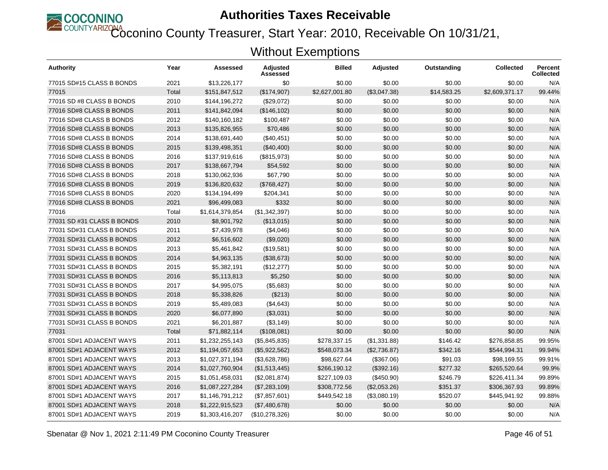

Coconino County Treasurer, Start Year: 2010, Receivable On 10/31/21,

| Authority                  | Year  | Assessed        | <b>Adjusted</b><br>Assessed | <b>Billed</b>  | <b>Adjusted</b> | Outstanding | <b>Collected</b> | <b>Percent</b><br><b>Collected</b> |
|----------------------------|-------|-----------------|-----------------------------|----------------|-----------------|-------------|------------------|------------------------------------|
| 77015 SD#15 CLASS B BONDS  | 2021  | \$13,226,177    | \$0                         | \$0.00         | \$0.00          | \$0.00      | \$0.00           | N/A                                |
| 77015                      | Total | \$151,847,512   | (\$174,907)                 | \$2,627,001.80 | (\$3,047.38)    | \$14,583.25 | \$2,609,371.17   | 99.44%                             |
| 77016 SD #8 CLASS B BONDS  | 2010  | \$144,196,272   | (\$29,072)                  | \$0.00         | \$0.00          | \$0.00      | \$0.00           | N/A                                |
| 77016 SD#8 CLASS B BONDS   | 2011  | \$141,842,094   | (\$146, 102)                | \$0.00         | \$0.00          | \$0.00      | \$0.00           | N/A                                |
| 77016 SD#8 CLASS B BONDS   | 2012  | \$140,160,182   | \$100,487                   | \$0.00         | \$0.00          | \$0.00      | \$0.00           | N/A                                |
| 77016 SD#8 CLASS B BONDS   | 2013  | \$135,826,955   | \$70,486                    | \$0.00         | \$0.00          | \$0.00      | \$0.00           | N/A                                |
| 77016 SD#8 CLASS B BONDS   | 2014  | \$138,691,440   | (\$40,451)                  | \$0.00         | \$0.00          | \$0.00      | \$0.00           | N/A                                |
| 77016 SD#8 CLASS B BONDS   | 2015  | \$139,498,351   | (\$40,400)                  | \$0.00         | \$0.00          | \$0.00      | \$0.00           | N/A                                |
| 77016 SD#8 CLASS B BONDS   | 2016  | \$137,919,616   | (\$815,973)                 | \$0.00         | \$0.00          | \$0.00      | \$0.00           | N/A                                |
| 77016 SD#8 CLASS B BONDS   | 2017  | \$138,667,794   | \$54,592                    | \$0.00         | \$0.00          | \$0.00      | \$0.00           | N/A                                |
| 77016 SD#8 CLASS B BONDS   | 2018  | \$130,062,936   | \$67,790                    | \$0.00         | \$0.00          | \$0.00      | \$0.00           | N/A                                |
| 77016 SD#8 CLASS B BONDS   | 2019  | \$136,820,632   | (\$768,427)                 | \$0.00         | \$0.00          | \$0.00      | \$0.00           | N/A                                |
| 77016 SD#8 CLASS B BONDS   | 2020  | \$134,194,499   | \$204,341                   | \$0.00         | \$0.00          | \$0.00      | \$0.00           | N/A                                |
| 77016 SD#8 CLASS B BONDS   | 2021  | \$96,499,083    | \$332                       | \$0.00         | \$0.00          | \$0.00      | \$0.00           | N/A                                |
| 77016                      | Total | \$1,614,379,854 | (\$1,342,397)               | \$0.00         | \$0.00          | \$0.00      | \$0.00           | N/A                                |
| 77031 SD #31 CLASS B BONDS | 2010  | \$8,901,792     | (\$13,015)                  | \$0.00         | \$0.00          | \$0.00      | \$0.00           | N/A                                |
| 77031 SD#31 CLASS B BONDS  | 2011  | \$7,439,978     | (\$4,046)                   | \$0.00         | \$0.00          | \$0.00      | \$0.00           | N/A                                |
| 77031 SD#31 CLASS B BONDS  | 2012  | \$6,516,602     | (\$9,020)                   | \$0.00         | \$0.00          | \$0.00      | \$0.00           | N/A                                |
| 77031 SD#31 CLASS B BONDS  | 2013  | \$5,461,842     | (\$19,581)                  | \$0.00         | \$0.00          | \$0.00      | \$0.00           | N/A                                |
| 77031 SD#31 CLASS B BONDS  | 2014  | \$4,963,135     | (\$38,673)                  | \$0.00         | \$0.00          | \$0.00      | \$0.00           | N/A                                |
| 77031 SD#31 CLASS B BONDS  | 2015  | \$5,382,191     | (\$12,277)                  | \$0.00         | \$0.00          | \$0.00      | \$0.00           | N/A                                |
| 77031 SD#31 CLASS B BONDS  | 2016  | \$5,113,813     | \$5,250                     | \$0.00         | \$0.00          | \$0.00      | \$0.00           | N/A                                |
| 77031 SD#31 CLASS B BONDS  | 2017  | \$4,995,075     | (\$5,683)                   | \$0.00         | \$0.00          | \$0.00      | \$0.00           | N/A                                |
| 77031 SD#31 CLASS B BONDS  | 2018  | \$5,338,826     | (\$213)                     | \$0.00         | \$0.00          | \$0.00      | \$0.00           | N/A                                |
| 77031 SD#31 CLASS B BONDS  | 2019  | \$5,489,083     | (\$4,643)                   | \$0.00         | \$0.00          | \$0.00      | \$0.00           | N/A                                |
| 77031 SD#31 CLASS B BONDS  | 2020  | \$6,077,890     | (\$3,031)                   | \$0.00         | \$0.00          | \$0.00      | \$0.00           | N/A                                |
| 77031 SD#31 CLASS B BONDS  | 2021  | \$6,201,887     | (\$3,149)                   | \$0.00         | \$0.00          | \$0.00      | \$0.00           | N/A                                |
| 77031                      | Total | \$71,882,114    | (\$108,081)                 | \$0.00         | \$0.00          | \$0.00      | \$0.00           | N/A                                |
| 87001 SD#1 ADJACENT WAYS   | 2011  | \$1,232,255,143 | (\$5,845,835)               | \$278,337.15   | (\$1,331.88)    | \$146.42    | \$276,858.85     | 99.95%                             |
| 87001 SD#1 ADJACENT WAYS   | 2012  | \$1,194,057,653 | (\$5,922,562)               | \$548,073.34   | (\$2,736.87)    | \$342.16    | \$544,994.31     | 99.94%                             |
| 87001 SD#1 ADJACENT WAYS   | 2013  | \$1,027,371,194 | (\$3,628,786)               | \$98,627.64    | (\$367.06)      | \$91.03     | \$98,169.55      | 99.91%                             |
| 87001 SD#1 ADJACENT WAYS   | 2014  | \$1,027,760,904 | (\$1,513,445)               | \$266,190.12   | (\$392.16)      | \$277.32    | \$265,520.64     | 99.9%                              |
| 87001 SD#1 ADJACENT WAYS   | 2015  | \$1,051,458,031 | (\$2,081,874)               | \$227,109.03   | $(\$450.90)$    | \$246.79    | \$226,411.34     | 99.89%                             |
| 87001 SD#1 ADJACENT WAYS   | 2016  | \$1,087,227,284 | (\$7,283,109)               | \$308,772.56   | (\$2,053.26)    | \$351.37    | \$306,367.93     | 99.89%                             |
| 87001 SD#1 ADJACENT WAYS   | 2017  | \$1,146,791,212 | (\$7,857,601)               | \$449,542.18   | (\$3,080.19)    | \$520.07    | \$445,941.92     | 99.88%                             |
| 87001 SD#1 ADJACENT WAYS   | 2018  | \$1,222,915,523 | (\$7,480,678)               | \$0.00         | \$0.00          | \$0.00      | \$0.00           | N/A                                |
| 87001 SD#1 ADJACENT WAYS   | 2019  | \$1,303,416,207 | (\$10,278,326)              | \$0.00         | \$0.00          | \$0.00      | \$0.00           | N/A                                |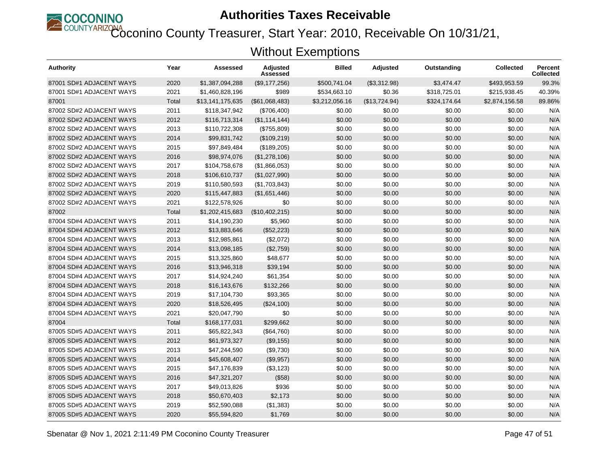

Coconino County Treasurer, Start Year: 2010, Receivable On 10/31/21,

| Authority                | Year  | Assessed         | <b>Adjusted</b><br>Assessed | <b>Billed</b>  | <b>Adjusted</b> | Outstanding  | <b>Collected</b> | <b>Percent</b><br><b>Collected</b> |
|--------------------------|-------|------------------|-----------------------------|----------------|-----------------|--------------|------------------|------------------------------------|
| 87001 SD#1 ADJACENT WAYS | 2020  | \$1,387,094,288  | (\$9,177,256)               | \$500.741.04   | (\$3,312.98)    | \$3,474.47   | \$493.953.59     | 99.3%                              |
| 87001 SD#1 ADJACENT WAYS | 2021  | \$1,460,828,196  | \$989                       | \$534,663.10   | \$0.36          | \$318,725.01 | \$215,938.45     | 40.39%                             |
| 87001                    | Total | \$13,141,175,635 | (\$61,068,483)              | \$3,212,056.16 | (\$13,724.94)   | \$324,174.64 | \$2,874,156.58   | 89.86%                             |
| 87002 SD#2 ADJACENT WAYS | 2011  | \$118,347,942    | (\$706,400)                 | \$0.00         | \$0.00          | \$0.00       | \$0.00           | N/A                                |
| 87002 SD#2 ADJACENT WAYS | 2012  | \$116,713,314    | (\$1,114,144)               | \$0.00         | \$0.00          | \$0.00       | \$0.00           | N/A                                |
| 87002 SD#2 ADJACENT WAYS | 2013  | \$110,722,308    | (\$755,809)                 | \$0.00         | \$0.00          | \$0.00       | \$0.00           | N/A                                |
| 87002 SD#2 ADJACENT WAYS | 2014  | \$99,831,742     | (\$109,219)                 | \$0.00         | \$0.00          | \$0.00       | \$0.00           | N/A                                |
| 87002 SD#2 ADJACENT WAYS | 2015  | \$97,849,484     | (\$189,205)                 | \$0.00         | \$0.00          | \$0.00       | \$0.00           | N/A                                |
| 87002 SD#2 ADJACENT WAYS | 2016  | \$98,974,076     | (\$1,278,106)               | \$0.00         | \$0.00          | \$0.00       | \$0.00           | N/A                                |
| 87002 SD#2 ADJACENT WAYS | 2017  | \$104,758,678    | (\$1,866,053)               | \$0.00         | \$0.00          | \$0.00       | \$0.00           | N/A                                |
| 87002 SD#2 ADJACENT WAYS | 2018  | \$106,610,737    | (\$1,027,990)               | \$0.00         | \$0.00          | \$0.00       | \$0.00           | N/A                                |
| 87002 SD#2 ADJACENT WAYS | 2019  | \$110,580,593    | (\$1,703,843)               | \$0.00         | \$0.00          | \$0.00       | \$0.00           | N/A                                |
| 87002 SD#2 ADJACENT WAYS | 2020  | \$115,447,883    | (\$1,651,446)               | \$0.00         | \$0.00          | \$0.00       | \$0.00           | N/A                                |
| 87002 SD#2 ADJACENT WAYS | 2021  | \$122,578,926    | \$0                         | \$0.00         | \$0.00          | \$0.00       | \$0.00           | N/A                                |
| 87002                    | Total | \$1,202,415,683  | (\$10,402,215)              | \$0.00         | \$0.00          | \$0.00       | \$0.00           | N/A                                |
| 87004 SD#4 ADJACENT WAYS | 2011  | \$14,190,230     | \$5,960                     | \$0.00         | \$0.00          | \$0.00       | \$0.00           | N/A                                |
| 87004 SD#4 ADJACENT WAYS | 2012  | \$13,883,646     | (\$52,223)                  | \$0.00         | \$0.00          | \$0.00       | \$0.00           | N/A                                |
| 87004 SD#4 ADJACENT WAYS | 2013  | \$12,985,861     | (\$2,072)                   | \$0.00         | \$0.00          | \$0.00       | \$0.00           | N/A                                |
| 87004 SD#4 ADJACENT WAYS | 2014  | \$13,098,185     | (\$2,759)                   | \$0.00         | \$0.00          | \$0.00       | \$0.00           | N/A                                |
| 87004 SD#4 ADJACENT WAYS | 2015  | \$13,325,860     | \$48,677                    | \$0.00         | \$0.00          | \$0.00       | \$0.00           | N/A                                |
| 87004 SD#4 ADJACENT WAYS | 2016  | \$13,946,318     | \$39,194                    | \$0.00         | \$0.00          | \$0.00       | \$0.00           | N/A                                |
| 87004 SD#4 ADJACENT WAYS | 2017  | \$14,924,240     | \$61,354                    | \$0.00         | \$0.00          | \$0.00       | \$0.00           | N/A                                |
| 87004 SD#4 ADJACENT WAYS | 2018  | \$16,143,676     | \$132,266                   | \$0.00         | \$0.00          | \$0.00       | \$0.00           | N/A                                |
| 87004 SD#4 ADJACENT WAYS | 2019  | \$17,104,730     | \$93,365                    | \$0.00         | \$0.00          | \$0.00       | \$0.00           | N/A                                |
| 87004 SD#4 ADJACENT WAYS | 2020  | \$18,526,495     | (\$24,100)                  | \$0.00         | \$0.00          | \$0.00       | \$0.00           | N/A                                |
| 87004 SD#4 ADJACENT WAYS | 2021  | \$20,047,790     | \$0                         | \$0.00         | \$0.00          | \$0.00       | \$0.00           | N/A                                |
| 87004                    | Total | \$168,177,031    | \$299.662                   | \$0.00         | \$0.00          | \$0.00       | \$0.00           | N/A                                |
| 87005 SD#5 ADJACENT WAYS | 2011  | \$65,822,343     | (\$64,760)                  | \$0.00         | \$0.00          | \$0.00       | \$0.00           | N/A                                |
| 87005 SD#5 ADJACENT WAYS | 2012  | \$61,973,327     | (\$9,155)                   | \$0.00         | \$0.00          | \$0.00       | \$0.00           | N/A                                |
| 87005 SD#5 ADJACENT WAYS | 2013  | \$47,244,590     | (\$9,730)                   | \$0.00         | \$0.00          | \$0.00       | \$0.00           | N/A                                |
| 87005 SD#5 ADJACENT WAYS | 2014  | \$45,608,407     | (\$9,957)                   | \$0.00         | \$0.00          | \$0.00       | \$0.00           | N/A                                |
| 87005 SD#5 ADJACENT WAYS | 2015  | \$47,176,839     | (\$3,123)                   | \$0.00         | \$0.00          | \$0.00       | \$0.00           | N/A                                |
| 87005 SD#5 ADJACENT WAYS | 2016  | \$47,321,207     | (\$58)                      | \$0.00         | \$0.00          | \$0.00       | \$0.00           | N/A                                |
| 87005 SD#5 ADJACENT WAYS | 2017  | \$49,013,826     | \$936                       | \$0.00         | \$0.00          | \$0.00       | \$0.00           | N/A                                |
| 87005 SD#5 ADJACENT WAYS | 2018  | \$50,670,403     | \$2,173                     | \$0.00         | \$0.00          | \$0.00       | \$0.00           | N/A                                |
| 87005 SD#5 ADJACENT WAYS | 2019  | \$52,590,088     | (\$1,383)                   | \$0.00         | \$0.00          | \$0.00       | \$0.00           | N/A                                |
| 87005 SD#5 ADJACENT WAYS | 2020  | \$55,594,820     | \$1,769                     | \$0.00         | \$0.00          | \$0.00       | \$0.00           | N/A                                |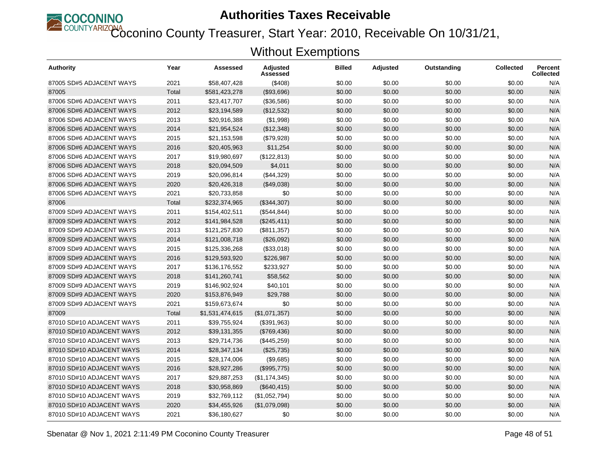

Coconino County Treasurer, Start Year: 2010, Receivable On 10/31/21,

| <b>Authority</b>          | Year  | Assessed        | <b>Adjusted</b><br>Assessed | <b>Billed</b> | <b>Adjusted</b> | Outstanding | <b>Collected</b> | <b>Percent</b><br><b>Collected</b> |
|---------------------------|-------|-----------------|-----------------------------|---------------|-----------------|-------------|------------------|------------------------------------|
| 87005 SD#5 ADJACENT WAYS  | 2021  | \$58.407.428    | ( \$408)                    | \$0.00        | \$0.00          | \$0.00      | \$0.00           | N/A                                |
| 87005                     | Total | \$581,423,278   | (\$93,696)                  | \$0.00        | \$0.00          | \$0.00      | \$0.00           | N/A                                |
| 87006 SD#6 ADJACENT WAYS  | 2011  | \$23,417,707    | (\$36,586)                  | \$0.00        | \$0.00          | \$0.00      | \$0.00           | N/A                                |
| 87006 SD#6 ADJACENT WAYS  | 2012  | \$23,194,589    | (\$12,532)                  | \$0.00        | \$0.00          | \$0.00      | \$0.00           | N/A                                |
| 87006 SD#6 ADJACENT WAYS  | 2013  | \$20,916,388    | (\$1,998)                   | \$0.00        | \$0.00          | \$0.00      | \$0.00           | N/A                                |
| 87006 SD#6 ADJACENT WAYS  | 2014  | \$21,954,524    | (\$12,348)                  | \$0.00        | \$0.00          | \$0.00      | \$0.00           | N/A                                |
| 87006 SD#6 ADJACENT WAYS  | 2015  | \$21,153,598    | (\$79,928)                  | \$0.00        | \$0.00          | \$0.00      | \$0.00           | N/A                                |
| 87006 SD#6 ADJACENT WAYS  | 2016  | \$20,405,963    | \$11,254                    | \$0.00        | \$0.00          | \$0.00      | \$0.00           | N/A                                |
| 87006 SD#6 ADJACENT WAYS  | 2017  | \$19,980,697    | (\$122,813)                 | \$0.00        | \$0.00          | \$0.00      | \$0.00           | N/A                                |
| 87006 SD#6 ADJACENT WAYS  | 2018  | \$20,094,509    | \$4,011                     | \$0.00        | \$0.00          | \$0.00      | \$0.00           | N/A                                |
| 87006 SD#6 ADJACENT WAYS  | 2019  | \$20,096,814    | (\$44,329)                  | \$0.00        | \$0.00          | \$0.00      | \$0.00           | N/A                                |
| 87006 SD#6 ADJACENT WAYS  | 2020  | \$20,426,318    | (\$49,038)                  | \$0.00        | \$0.00          | \$0.00      | \$0.00           | N/A                                |
| 87006 SD#6 ADJACENT WAYS  | 2021  | \$20,733,858    | \$0                         | \$0.00        | \$0.00          | \$0.00      | \$0.00           | N/A                                |
| 87006                     | Total | \$232,374,965   | (\$344,307)                 | \$0.00        | \$0.00          | \$0.00      | \$0.00           | N/A                                |
| 87009 SD#9 ADJACENT WAYS  | 2011  | \$154,402,511   | (\$544, 844)                | \$0.00        | \$0.00          | \$0.00      | \$0.00           | N/A                                |
| 87009 SD#9 ADJACENT WAYS  | 2012  | \$141,984,528   | (\$245,411)                 | \$0.00        | \$0.00          | \$0.00      | \$0.00           | N/A                                |
| 87009 SD#9 ADJACENT WAYS  | 2013  | \$121,257,830   | (\$811,357)                 | \$0.00        | \$0.00          | \$0.00      | \$0.00           | N/A                                |
| 87009 SD#9 ADJACENT WAYS  | 2014  | \$121,008,718   | (\$26,092)                  | \$0.00        | \$0.00          | \$0.00      | \$0.00           | N/A                                |
| 87009 SD#9 ADJACENT WAYS  | 2015  | \$125,336,268   | (\$33,018)                  | \$0.00        | \$0.00          | \$0.00      | \$0.00           | N/A                                |
| 87009 SD#9 ADJACENT WAYS  | 2016  | \$129,593,920   | \$226,987                   | \$0.00        | \$0.00          | \$0.00      | \$0.00           | N/A                                |
| 87009 SD#9 ADJACENT WAYS  | 2017  | \$136,176,552   | \$233,927                   | \$0.00        | \$0.00          | \$0.00      | \$0.00           | N/A                                |
| 87009 SD#9 ADJACENT WAYS  | 2018  | \$141,260,741   | \$58,562                    | \$0.00        | \$0.00          | \$0.00      | \$0.00           | N/A                                |
| 87009 SD#9 ADJACENT WAYS  | 2019  | \$146,902,924   | \$40,101                    | \$0.00        | \$0.00          | \$0.00      | \$0.00           | N/A                                |
| 87009 SD#9 ADJACENT WAYS  | 2020  | \$153,876,949   | \$29,788                    | \$0.00        | \$0.00          | \$0.00      | \$0.00           | N/A                                |
| 87009 SD#9 ADJACENT WAYS  | 2021  | \$159,673,674   | \$0                         | \$0.00        | \$0.00          | \$0.00      | \$0.00           | N/A                                |
| 87009                     | Total | \$1,531,474,615 | (\$1,071,357)               | \$0.00        | \$0.00          | \$0.00      | \$0.00           | N/A                                |
| 87010 SD#10 ADJACENT WAYS | 2011  | \$39,755,924    | (\$391,963)                 | \$0.00        | \$0.00          | \$0.00      | \$0.00           | N/A                                |
| 87010 SD#10 ADJACENT WAYS | 2012  | \$39,131,355    | (\$769,436)                 | \$0.00        | \$0.00          | \$0.00      | \$0.00           | N/A                                |
| 87010 SD#10 ADJACENT WAYS | 2013  | \$29,714,736    | (\$445,259)                 | \$0.00        | \$0.00          | \$0.00      | \$0.00           | N/A                                |
| 87010 SD#10 ADJACENT WAYS | 2014  | \$28,347,134    | (\$25,735)                  | \$0.00        | \$0.00          | \$0.00      | \$0.00           | N/A                                |
| 87010 SD#10 ADJACENT WAYS | 2015  | \$28,174,006    | (\$9,685)                   | \$0.00        | \$0.00          | \$0.00      | \$0.00           | N/A                                |
| 87010 SD#10 ADJACENT WAYS | 2016  | \$28,927,286    | (\$995,775)                 | \$0.00        | \$0.00          | \$0.00      | \$0.00           | N/A                                |
| 87010 SD#10 ADJACENT WAYS | 2017  | \$29,887,253    | (\$1,174,345)               | \$0.00        | \$0.00          | \$0.00      | \$0.00           | N/A                                |
| 87010 SD#10 ADJACENT WAYS | 2018  | \$30,958,869    | (\$640, 415)                | \$0.00        | \$0.00          | \$0.00      | \$0.00           | N/A                                |
| 87010 SD#10 ADJACENT WAYS | 2019  | \$32,769,112    | (\$1,052,794)               | \$0.00        | \$0.00          | \$0.00      | \$0.00           | N/A                                |
| 87010 SD#10 ADJACENT WAYS | 2020  | \$34,455,926    | (\$1,079,098)               | \$0.00        | \$0.00          | \$0.00      | \$0.00           | N/A                                |
| 87010 SD#10 ADJACENT WAYS | 2021  | \$36,180,627    | \$0                         | \$0.00        | \$0.00          | \$0.00      | \$0.00           | N/A                                |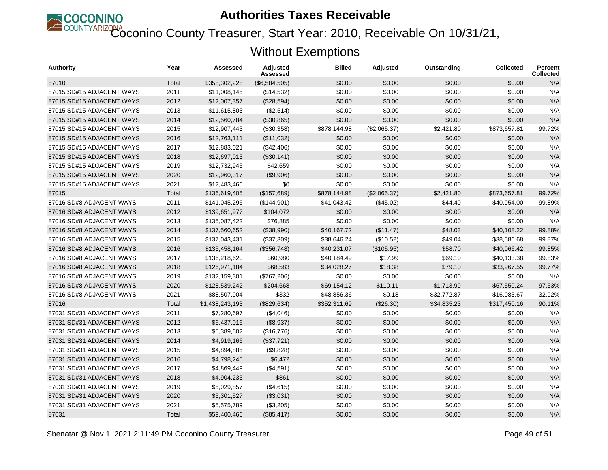

Coconino County Treasurer, Start Year: 2010, Receivable On 10/31/21,

| Authority                 | Year  | Assessed        | <b>Adjusted</b><br>Assessed | <b>Billed</b> | <b>Adjusted</b> | Outstanding | <b>Collected</b> | <b>Percent</b><br>Collected |
|---------------------------|-------|-----------------|-----------------------------|---------------|-----------------|-------------|------------------|-----------------------------|
| 87010                     | Total | \$358,302,228   | (\$6,584,505)               | \$0.00        | \$0.00          | \$0.00      | \$0.00           | N/A                         |
| 87015 SD#15 ADJACENT WAYS | 2011  | \$11,008,145    | (\$14,532)                  | \$0.00        | \$0.00          | \$0.00      | \$0.00           | N/A                         |
| 87015 SD#15 ADJACENT WAYS | 2012  | \$12,007,357    | (\$28,594)                  | \$0.00        | \$0.00          | \$0.00      | \$0.00           | N/A                         |
| 87015 SD#15 ADJACENT WAYS | 2013  | \$11,615,803    | (\$2,514)                   | \$0.00        | \$0.00          | \$0.00      | \$0.00           | N/A                         |
| 87015 SD#15 ADJACENT WAYS | 2014  | \$12,560,784    | (\$30,865)                  | \$0.00        | \$0.00          | \$0.00      | \$0.00           | N/A                         |
| 87015 SD#15 ADJACENT WAYS | 2015  | \$12,907,443    | (\$30,358)                  | \$878,144.98  | (\$2,065.37)    | \$2,421.80  | \$873,657.81     | 99.72%                      |
| 87015 SD#15 ADJACENT WAYS | 2016  | \$12,763,111    | (\$11,032)                  | \$0.00        | \$0.00          | \$0.00      | \$0.00           | N/A                         |
| 87015 SD#15 ADJACENT WAYS | 2017  | \$12,883,021    | (\$42,406)                  | \$0.00        | \$0.00          | \$0.00      | \$0.00           | N/A                         |
| 87015 SD#15 ADJACENT WAYS | 2018  | \$12,697,013    | (\$30,141)                  | \$0.00        | \$0.00          | \$0.00      | \$0.00           | N/A                         |
| 87015 SD#15 ADJACENT WAYS | 2019  | \$12,732,945    | \$42,659                    | \$0.00        | \$0.00          | \$0.00      | \$0.00           | N/A                         |
| 87015 SD#15 ADJACENT WAYS | 2020  | \$12,960,317    | (\$9,906)                   | \$0.00        | \$0.00          | \$0.00      | \$0.00           | N/A                         |
| 87015 SD#15 ADJACENT WAYS | 2021  | \$12,483,466    | \$0                         | \$0.00        | \$0.00          | \$0.00      | \$0.00           | N/A                         |
| 87015                     | Total | \$136,619,405   | (\$157,689)                 | \$878,144.98  | (\$2,065.37)    | \$2,421.80  | \$873,657.81     | 99.72%                      |
| 87016 SD#8 ADJACENT WAYS  | 2011  | \$141,045,296   | (\$144,901)                 | \$41,043.42   | (\$45.02)       | \$44.40     | \$40,954.00      | 99.89%                      |
| 87016 SD#8 ADJACENT WAYS  | 2012  | \$139,651,977   | \$104,072                   | \$0.00        | \$0.00          | \$0.00      | \$0.00           | N/A                         |
| 87016 SD#8 ADJACENT WAYS  | 2013  | \$135,087,422   | \$76,885                    | \$0.00        | \$0.00          | \$0.00      | \$0.00           | N/A                         |
| 87016 SD#8 ADJACENT WAYS  | 2014  | \$137,560,652   | (\$38,990)                  | \$40,167.72   | (\$11.47)       | \$48.03     | \$40.108.22      | 99.88%                      |
| 87016 SD#8 ADJACENT WAYS  | 2015  | \$137,043,431   | (\$37,309)                  | \$38,646.24   | (\$10.52)       | \$49.04     | \$38.586.68      | 99.87%                      |
| 87016 SD#8 ADJACENT WAYS  | 2016  | \$135,458,164   | (\$356,748)                 | \$40,231.07   | (\$105.95)      | \$58.70     | \$40,066.42      | 99.85%                      |
| 87016 SD#8 ADJACENT WAYS  | 2017  | \$136,218,620   | \$60,980                    | \$40,184.49   | \$17.99         | \$69.10     | \$40,133.38      | 99.83%                      |
| 87016 SD#8 ADJACENT WAYS  | 2018  | \$126,971,184   | \$68,583                    | \$34,028.27   | \$18.38         | \$79.10     | \$33,967.55      | 99.77%                      |
| 87016 SD#8 ADJACENT WAYS  | 2019  | \$132,159,301   | (\$767,206)                 | \$0.00        | \$0.00          | \$0.00      | \$0.00           | N/A                         |
| 87016 SD#8 ADJACENT WAYS  | 2020  | \$128,539,242   | \$204,668                   | \$69,154.12   | \$110.11        | \$1,713.99  | \$67.550.24      | 97.53%                      |
| 87016 SD#8 ADJACENT WAYS  | 2021  | \$88,507,904    | \$332                       | \$48.856.36   | \$0.18          | \$32,772.87 | \$16.083.67      | 32.92%                      |
| 87016                     | Total | \$1,438,243,193 | (\$829,634)                 | \$352,311.69  | (\$26.30)       | \$34,835.23 | \$317,450.16     | 90.11%                      |
| 87031 SD#31 ADJACENT WAYS | 2011  | \$7,280,697     | (\$4,046)                   | \$0.00        | \$0.00          | \$0.00      | \$0.00           | N/A                         |
| 87031 SD#31 ADJACENT WAYS | 2012  | \$6,437,016     | (\$8,937)                   | \$0.00        | \$0.00          | \$0.00      | \$0.00           | N/A                         |
| 87031 SD#31 ADJACENT WAYS | 2013  | \$5,389,602     | (\$16,776)                  | \$0.00        | \$0.00          | \$0.00      | \$0.00           | N/A                         |
| 87031 SD#31 ADJACENT WAYS | 2014  | \$4,919,166     | (\$37,721)                  | \$0.00        | \$0.00          | \$0.00      | \$0.00           | N/A                         |
| 87031 SD#31 ADJACENT WAYS | 2015  | \$4,894,885     | (\$9,828)                   | \$0.00        | \$0.00          | \$0.00      | \$0.00           | N/A                         |
| 87031 SD#31 ADJACENT WAYS | 2016  | \$4,798,245     | \$6,472                     | \$0.00        | \$0.00          | \$0.00      | \$0.00           | N/A                         |
| 87031 SD#31 ADJACENT WAYS | 2017  | \$4,869,449     | (\$4,591)                   | \$0.00        | \$0.00          | \$0.00      | \$0.00           | N/A                         |
| 87031 SD#31 ADJACENT WAYS | 2018  | \$4,904,233     | \$861                       | \$0.00        | \$0.00          | \$0.00      | \$0.00           | N/A                         |
| 87031 SD#31 ADJACENT WAYS | 2019  | \$5,029,857     | (\$4,615)                   | \$0.00        | \$0.00          | \$0.00      | \$0.00           | N/A                         |
| 87031 SD#31 ADJACENT WAYS | 2020  | \$5,301,527     | (\$3,031)                   | \$0.00        | \$0.00          | \$0.00      | \$0.00           | N/A                         |
| 87031 SD#31 ADJACENT WAYS | 2021  | \$5,575,789     | (\$3,205)                   | \$0.00        | \$0.00          | \$0.00      | \$0.00           | N/A                         |
| 87031                     | Total | \$59,400,466    | (\$85,417)                  | \$0.00        | \$0.00          | \$0.00      | \$0.00           | N/A                         |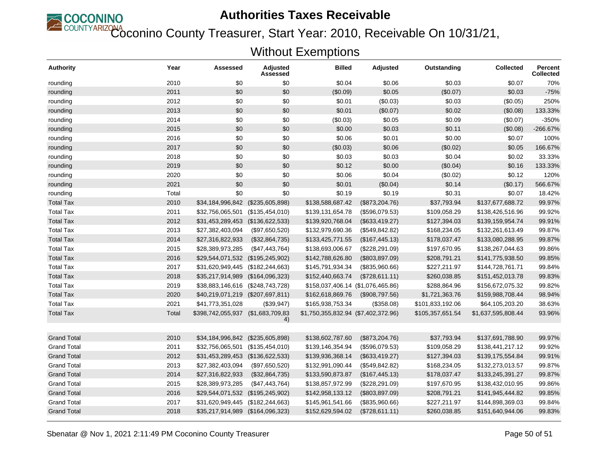

Coconino County Treasurer, Start Year: 2010, Receivable On 10/31/21,

| <b>Authority</b>   | Year  | Assessed                          | Adjusted<br>Assessed | <b>Billed</b>                       | Adjusted         | Outstanding      | <b>Collected</b>   | <b>Percent</b><br><b>Collected</b> |
|--------------------|-------|-----------------------------------|----------------------|-------------------------------------|------------------|------------------|--------------------|------------------------------------|
| rounding           | 2010  | \$0                               | \$0                  | \$0.04                              | \$0.06           | \$0.03           | \$0.07             | 70%                                |
| rounding           | 2011  | \$0                               | \$0                  | (\$0.09)                            | \$0.05           | (\$0.07)         | \$0.03             | $-75%$                             |
| rounding           | 2012  | \$0                               | \$0                  | \$0.01                              | (\$0.03)         | \$0.03           | (\$0.05)           | 250%                               |
| rounding           | 2013  | \$0                               | \$0                  | \$0.01                              | (\$0.07)         | \$0.02           | (\$0.08)           | 133.33%                            |
| rounding           | 2014  | \$0                               | \$0                  | (\$0.03)                            | \$0.05           | \$0.09           | (\$0.07)           | -350%                              |
| rounding           | 2015  | \$0                               | \$0                  | \$0.00                              | \$0.03           | \$0.11           | (\$0.08)           | $-266.67%$                         |
| rounding           | 2016  | \$0                               | \$0                  | \$0.06                              | \$0.01           | \$0.00           | \$0.07             | 100%                               |
| rounding           | 2017  | \$0                               | \$0                  | (\$0.03)                            | \$0.06           | (\$0.02)         | \$0.05             | 166.67%                            |
| rounding           | 2018  | \$0                               | \$0                  | \$0.03                              | \$0.03           | \$0.04           | \$0.02             | 33.33%                             |
| rounding           | 2019  | \$0                               | \$0                  | \$0.12                              | \$0.00           | (\$0.04)         | \$0.16             | 133.33%                            |
| rounding           | 2020  | \$0                               | \$0                  | \$0.06                              | \$0.04           | (\$0.02)         | \$0.12             | 120%                               |
| rounding           | 2021  | \$0                               | \$0                  | \$0.01                              | (\$0.04)         | \$0.14           | (\$0.17)           | 566.67%                            |
| rounding           | Total | \$0                               | \$0                  | \$0.19                              | \$0.19           | \$0.31           | \$0.07             | 18.42%                             |
| <b>Total Tax</b>   | 2010  | \$34,184,996,842 (\$235,605,898)  |                      | \$138,588,687.42                    | (\$873,204.76)   | \$37,793.94      | \$137,677,688.72   | 99.97%                             |
| <b>Total Tax</b>   | 2011  | \$32,756,065,501                  | (\$135,454,010)      | \$139,131,654.78                    | (\$596,079.53)   | \$109,058.29     | \$138,426,516.96   | 99.92%                             |
| <b>Total Tax</b>   | 2012  | \$31,453,289,453 (\$136,622,533)  |                      | \$139,920,768.04                    | (\$633,419.27)   | \$127,394.03     | \$139,159,954.74   | 99.91%                             |
| <b>Total Tax</b>   | 2013  | \$27,382,403,094                  | (\$97,650,520)       | \$132,979,690.36                    | (\$549, 842.82)  | \$168,234.05     | \$132,261,613.49   | 99.87%                             |
| <b>Total Tax</b>   | 2014  | \$27,316,822,933                  | (\$32,864,735)       | \$133,425,771.55                    | (\$167,445.13)   | \$178,037.47     | \$133,080,288.95   | 99.87%                             |
| <b>Total Tax</b>   | 2015  | \$28,389,973,285                  | (\$47,443,764)       | \$138,693,006.67                    | (\$228, 291.09)  | \$197,670.95     | \$138,267,044.63   | 99.86%                             |
| <b>Total Tax</b>   | 2016  | \$29,544,071,532 (\$195,245,902)  |                      | \$142,788,626.80                    | (\$803, 897.09)  | \$208,791.21     | \$141,775,938.50   | 99.85%                             |
| <b>Total Tax</b>   | 2017  | \$31,620,949,445                  | (\$182, 244, 663)    | \$145,791,934.34                    | $(\$835,960.66)$ | \$227,211.97     | \$144,728,761.71   | 99.84%                             |
| <b>Total Tax</b>   | 2018  | \$35,217,914,989                  | (\$164,096,323)      | \$152,440,663.74                    | (\$728,611.11)   | \$260,038.85     | \$151,452,013.78   | 99.83%                             |
| <b>Total Tax</b>   | 2019  | \$38,883,146,616                  | (\$248,743,728)      | \$158,037,406.14 (\$1,076,465.86)   |                  | \$288,864.96     | \$156,672,075.32   | 99.82%                             |
| <b>Total Tax</b>   | 2020  | \$40,219,071,219 (\$207,697,811)  |                      | \$162,618,869.76                    | (\$908,797.56)   | \$1,721,363.76   | \$159,988,708.44   | 98.94%                             |
| <b>Total Tax</b>   | 2021  | \$41,773,351,028                  | (\$39,947)           | \$165,938,753.34                    | (\$358.08)       | \$101,833,192.06 | \$64,105,203.20    | 38.63%                             |
| <b>Total Tax</b>   | Total | \$398,742,055,937 (\$1,683,709,83 |                      | \$1,750,355,832.94 (\$7,402,372.96) |                  | \$105,357,651.54 | \$1,637,595,808.44 | 93.96%                             |
| <b>Grand Total</b> | 2010  | \$34,184,996,842                  | (\$235,605,898)      | \$138,602,787.60                    | (\$873,204.76)   | \$37,793.94      | \$137,691,788.90   | 99.97%                             |
| <b>Grand Total</b> | 2011  | \$32,756,065,501                  | (\$135,454,010)      | \$139,146,354.94                    | (\$596,079.53)   | \$109,058.29     | \$138,441,217.12   | 99.92%                             |
| <b>Grand Total</b> | 2012  | \$31,453,289,453 (\$136,622,533)  |                      | \$139,936,368.14                    | $(\$633,419.27)$ | \$127,394.03     | \$139,175,554.84   | 99.91%                             |
| <b>Grand Total</b> | 2013  | \$27,382,403,094                  | (\$97,650,520)       | \$132,991,090.44                    | (\$549, 842.82)  | \$168,234.05     | \$132,273,013.57   | 99.87%                             |
| <b>Grand Total</b> | 2014  | \$27,316,822,933                  | (\$32,864,735)       | \$133,590,873.87                    | (\$167,445.13)   | \$178,037.47     | \$133,245,391.27   | 99.87%                             |
| <b>Grand Total</b> | 2015  | \$28,389,973,285                  | (\$47,443,764)       | \$138,857,972.99                    | (\$228, 291.09)  | \$197,670.95     | \$138,432,010.95   | 99.86%                             |
| <b>Grand Total</b> | 2016  | \$29,544,071,532 (\$195,245,902)  |                      | \$142,958,133.12                    | (\$803, 897.09)  | \$208,791.21     | \$141,945,444.82   | 99.85%                             |
| <b>Grand Total</b> | 2017  | \$31,620,949,445                  | (\$182,244,663)      | \$145,961,541.66                    | (\$835,960.66)   | \$227,211.97     | \$144,898,369.03   | 99.84%                             |
| <b>Grand Total</b> | 2018  | \$35,217,914,989 (\$164,096,323)  |                      | \$152,629,594.02                    | (\$728,611.11)   | \$260,038.85     | \$151,640,944.06   | 99.83%                             |